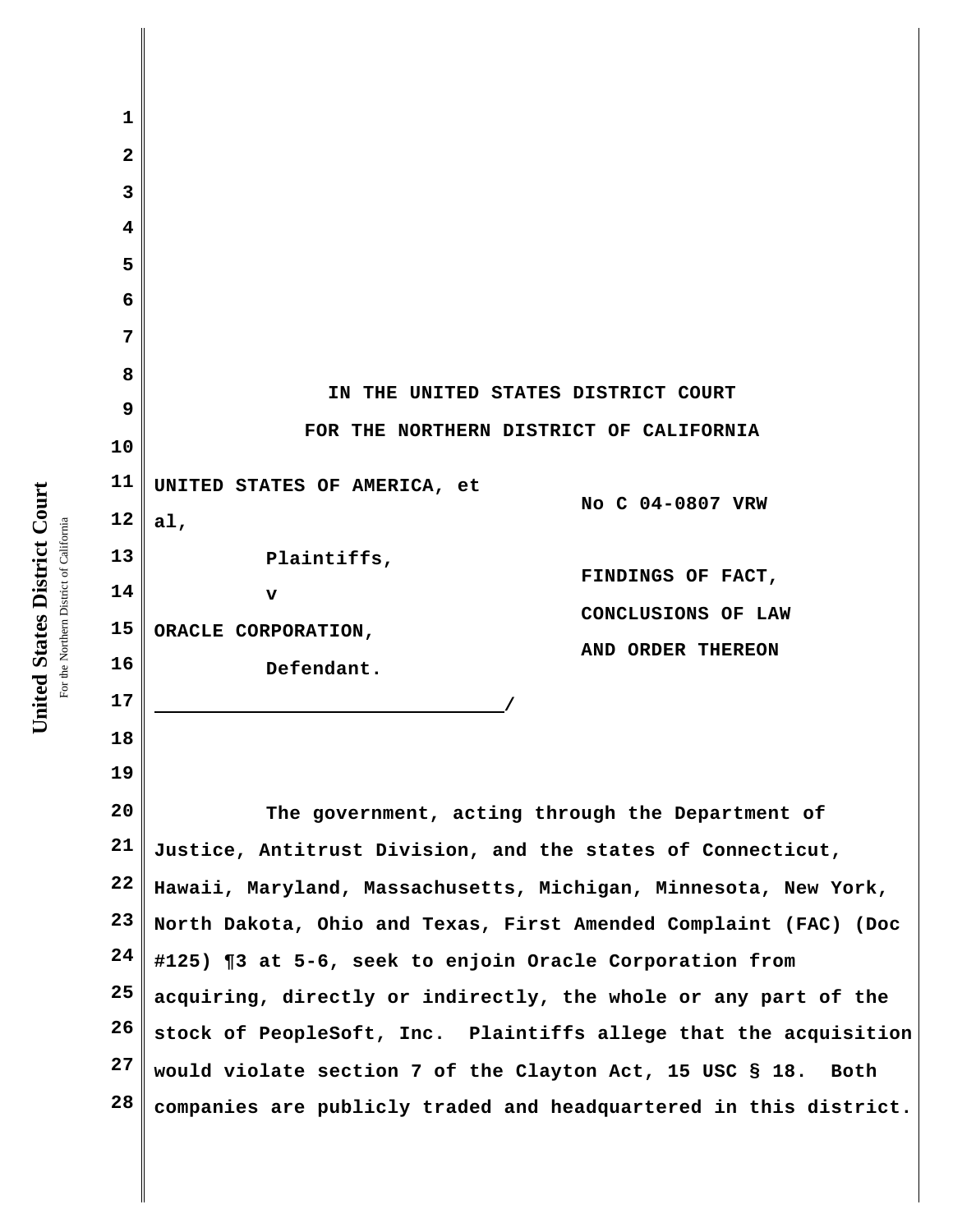| 1                       |                                                                   |
|-------------------------|-------------------------------------------------------------------|
| $\overline{\mathbf{2}}$ |                                                                   |
| 3                       |                                                                   |
| 4                       |                                                                   |
| 5                       |                                                                   |
| 6                       |                                                                   |
| 7                       |                                                                   |
| 8                       |                                                                   |
| 9                       | IN THE UNITED STATES DISTRICT COURT                               |
| 10                      | FOR THE NORTHERN DISTRICT OF CALIFORNIA                           |
| 11                      | UNITED STATES OF AMERICA, et                                      |
| 12                      | No C 04-0807 VRW<br>a1,                                           |
| 13                      | Plaintiffs,<br>FINDINGS OF FACT,                                  |
| 14                      | $\mathbf{v}$                                                      |
| 15                      | CONCLUSIONS OF LAW<br>ORACLE CORPORATION,                         |
| 16                      | AND ORDER THEREON<br>Defendant.                                   |
| 17                      |                                                                   |
| 18                      |                                                                   |
| 19                      |                                                                   |
| 20                      | The government, acting through the Department of                  |
| 21                      | Justice, Antitrust Division, and the states of Connecticut,       |
| 22                      | Hawaii, Maryland, Massachusetts, Michigan, Minnesota, New York,   |
| 23                      | North Dakota, Ohio and Texas, First Amended Complaint (FAC) (Doc  |
| 24                      | #125) ¶3 at 5-6, seek to enjoin Oracle Corporation from           |
| 25                      | acquiring, directly or indirectly, the whole or any part of the   |
| 26                      | stock of PeopleSoft, Inc. Plaintiffs allege that the acquisition  |
| 27                      | would violate section 7 of the Clayton Act, 15 USC § 18.<br>Both  |
| 28                      | companies are publicly traded and headquartered in this district. |
|                         |                                                                   |

United States District Court **United States District Court** For the Northern District of California For the Northern District of California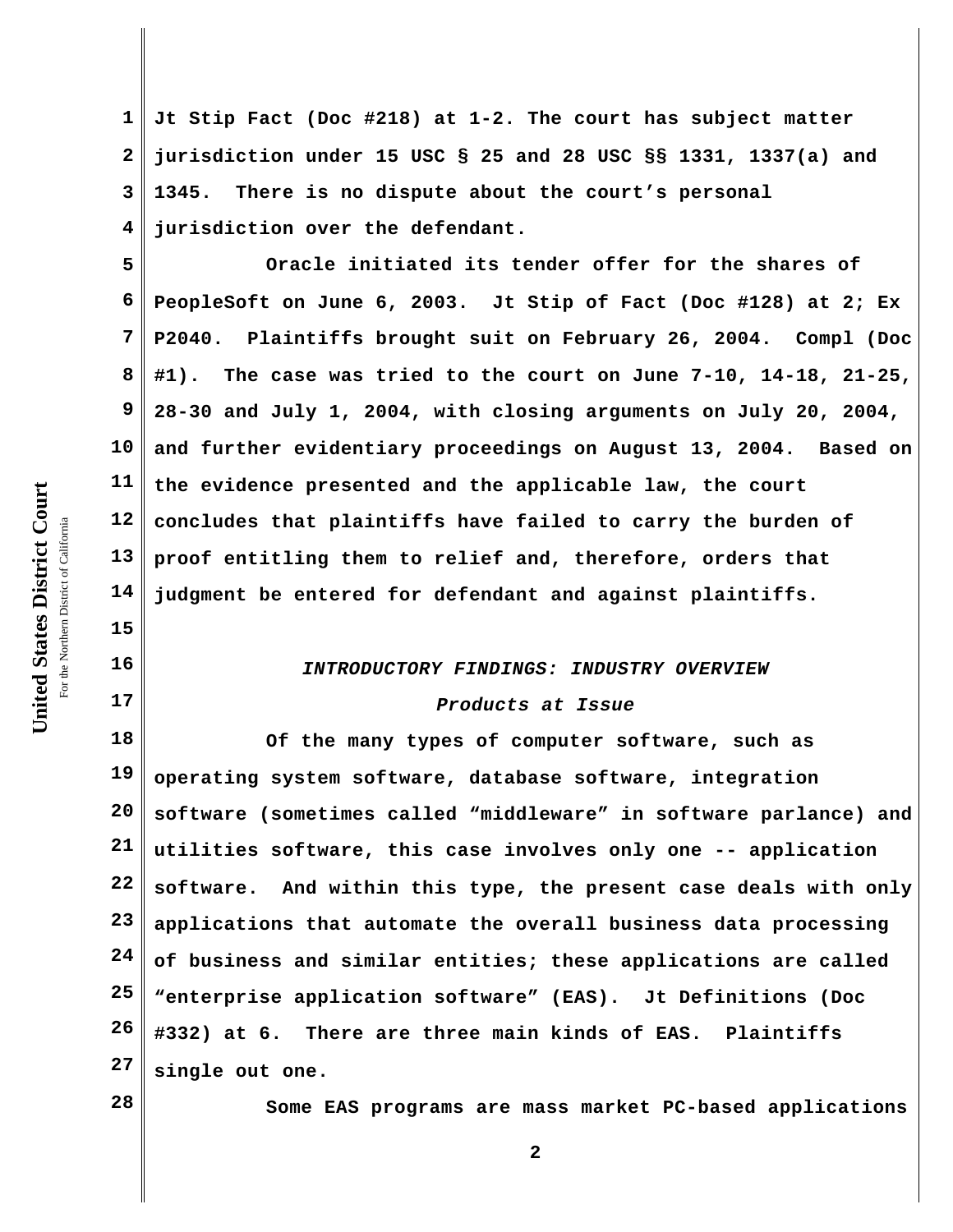**1 2 3 4 Jt Stip Fact (Doc #218) at 1-2. The court has subject matter jurisdiction under 15 USC § 25 and 28 USC §§ 1331, 1337(a) and 1345. There is no dispute about the court's personal jurisdiction over the defendant.**

**5 6 7 8 9 10 11 12 13 14 Oracle initiated its tender offer for the shares of PeopleSoft on June 6, 2003. Jt Stip of Fact (Doc #128) at 2; Ex P2040. Plaintiffs brought suit on February 26, 2004. Compl (Doc #1). The case was tried to the court on June 7-10, 14-18, 21-25, 28-30 and July 1, 2004, with closing arguments on July 20, 2004, and further evidentiary proceedings on August 13, 2004. Based on the evidence presented and the applicable law, the court concludes that plaintiffs have failed to carry the burden of proof entitling them to relief and, therefore, orders that judgment be entered for defendant and against plaintiffs.**

## *INTRODUCTORY FINDINGS: INDUSTRY OVERVIEW*

#### *Products at Issue*

**18 19 20 21 22 23 24 25 26 27 Of the many types of computer software, such as operating system software, database software, integration software (sometimes called "middleware" in software parlance) and utilities software, this case involves only one -- application software. And within this type, the present case deals with only applications that automate the overall business data processing of business and similar entities; these applications are called "enterprise application software" (EAS). Jt Definitions (Doc #332) at 6. There are three main kinds of EAS. Plaintiffs single out one.**

**28**

**Some EAS programs are mass market PC-based applications**

**15**

**16**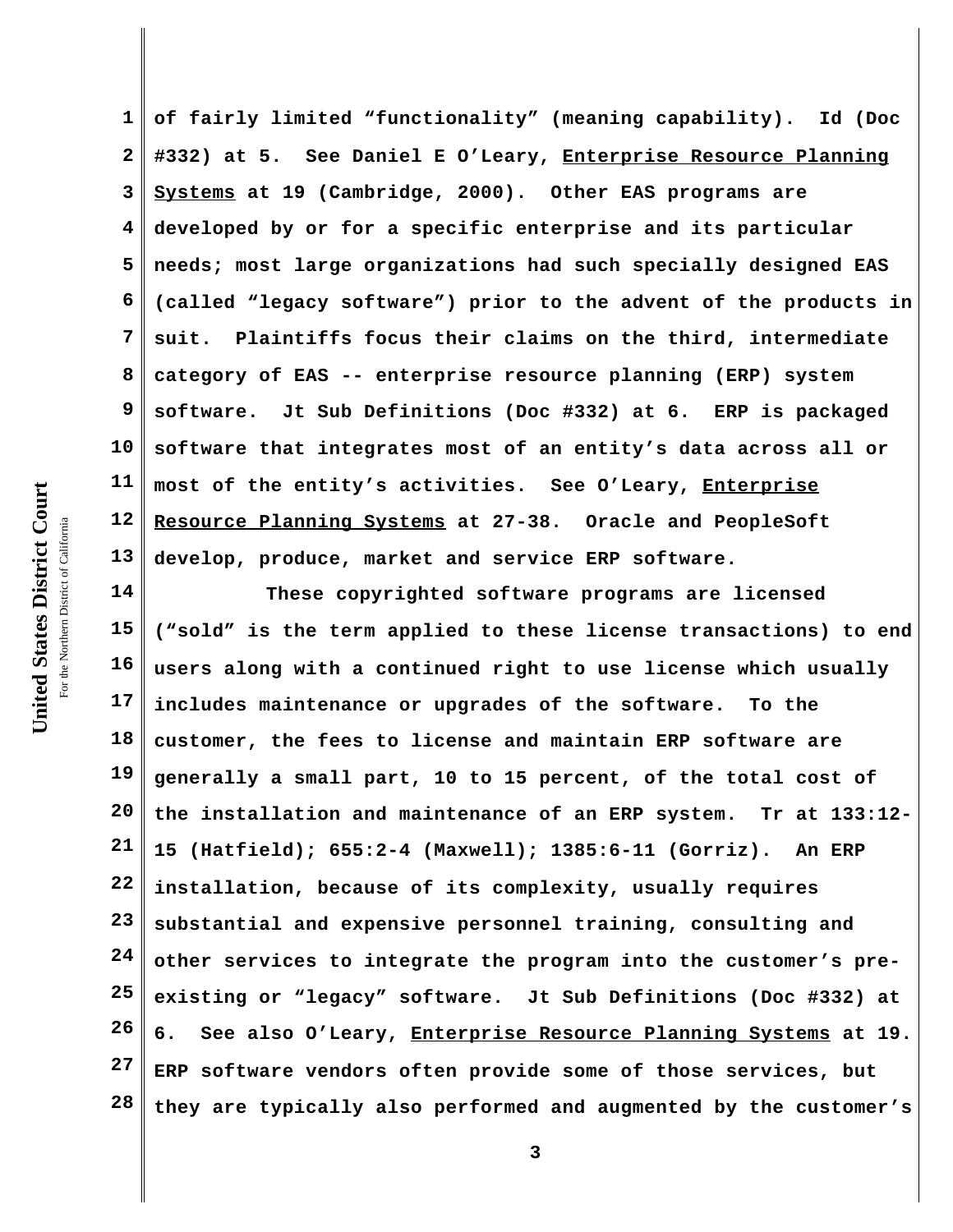**1 2 3 4 5 6 7 8 9 10 11 12 13 of fairly limited "functionality" (meaning capability). Id (Doc #332) at 5. See Daniel E O'Leary, Enterprise Resource Planning Systems at 19 (Cambridge, 2000). Other EAS programs are developed by or for a specific enterprise and its particular needs; most large organizations had such specially designed EAS (called "legacy software") prior to the advent of the products in suit. Plaintiffs focus their claims on the third, intermediate category of EAS -- enterprise resource planning (ERP) system software. Jt Sub Definitions (Doc #332) at 6. ERP is packaged software that integrates most of an entity's data across all or most of the entity's activities. See O'Leary, Enterprise Resource Planning Systems at 27-38. Oracle and PeopleSoft develop, produce, market and service ERP software.** 

**14 15 16 17 18 19 20 21 22 23 24 25 26 27 28 These copyrighted software programs are licensed ("sold" is the term applied to these license transactions) to end users along with a continued right to use license which usually includes maintenance or upgrades of the software. To the customer, the fees to license and maintain ERP software are generally a small part, 10 to 15 percent, of the total cost of the installation and maintenance of an ERP system. Tr at 133:12- 15 (Hatfield); 655:2-4 (Maxwell); 1385:6-11 (Gorriz). An ERP installation, because of its complexity, usually requires substantial and expensive personnel training, consulting and other services to integrate the program into the customer's preexisting or "legacy" software. Jt Sub Definitions (Doc #332) at 6. See also O'Leary, Enterprise Resource Planning Systems at 19. ERP software vendors often provide some of those services, but they are typically also performed and augmented by the customer's**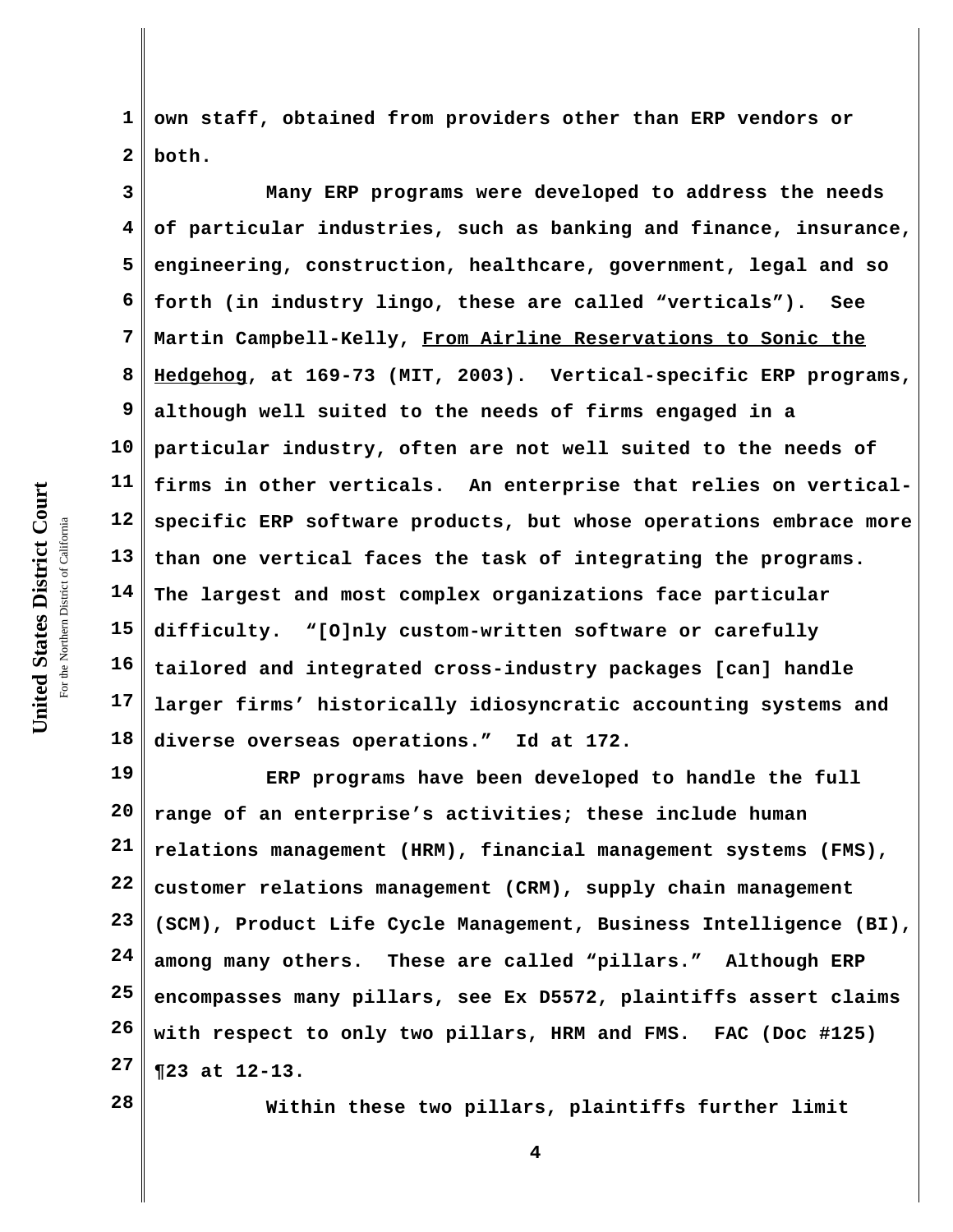United States District Court **United States District Court** For the Northern District of California the Northern District of California

**1 2 own staff, obtained from providers other than ERP vendors or both.** 

**3 4 5 6 7 8 9 10 11 12 13 14 15 16 17 18 Many ERP programs were developed to address the needs of particular industries, such as banking and finance, insurance, engineering, construction, healthcare, government, legal and so forth (in industry lingo, these are called "verticals"). See Martin Campbell-Kelly, From Airline Reservations to Sonic the Hedgehog, at 169-73 (MIT, 2003). Vertical-specific ERP programs, although well suited to the needs of firms engaged in a particular industry, often are not well suited to the needs of firms in other verticals. An enterprise that relies on verticalspecific ERP software products, but whose operations embrace more than one vertical faces the task of integrating the programs. The largest and most complex organizations face particular difficulty. "[O]nly custom-written software or carefully tailored and integrated cross-industry packages [can] handle larger firms' historically idiosyncratic accounting systems and diverse overseas operations." Id at 172.**

**19 20 21 22 23 24 25 26 27 ERP programs have been developed to handle the full range of an enterprise's activities; these include human relations management (HRM), financial management systems (FMS), customer relations management (CRM), supply chain management (SCM), Product Life Cycle Management, Business Intelligence (BI), among many others. These are called "pillars." Although ERP encompasses many pillars, see Ex D5572, plaintiffs assert claims with respect to only two pillars, HRM and FMS. FAC (Doc #125) ¶23 at 12-13.** 

**28**

**Within these two pillars, plaintiffs further limit**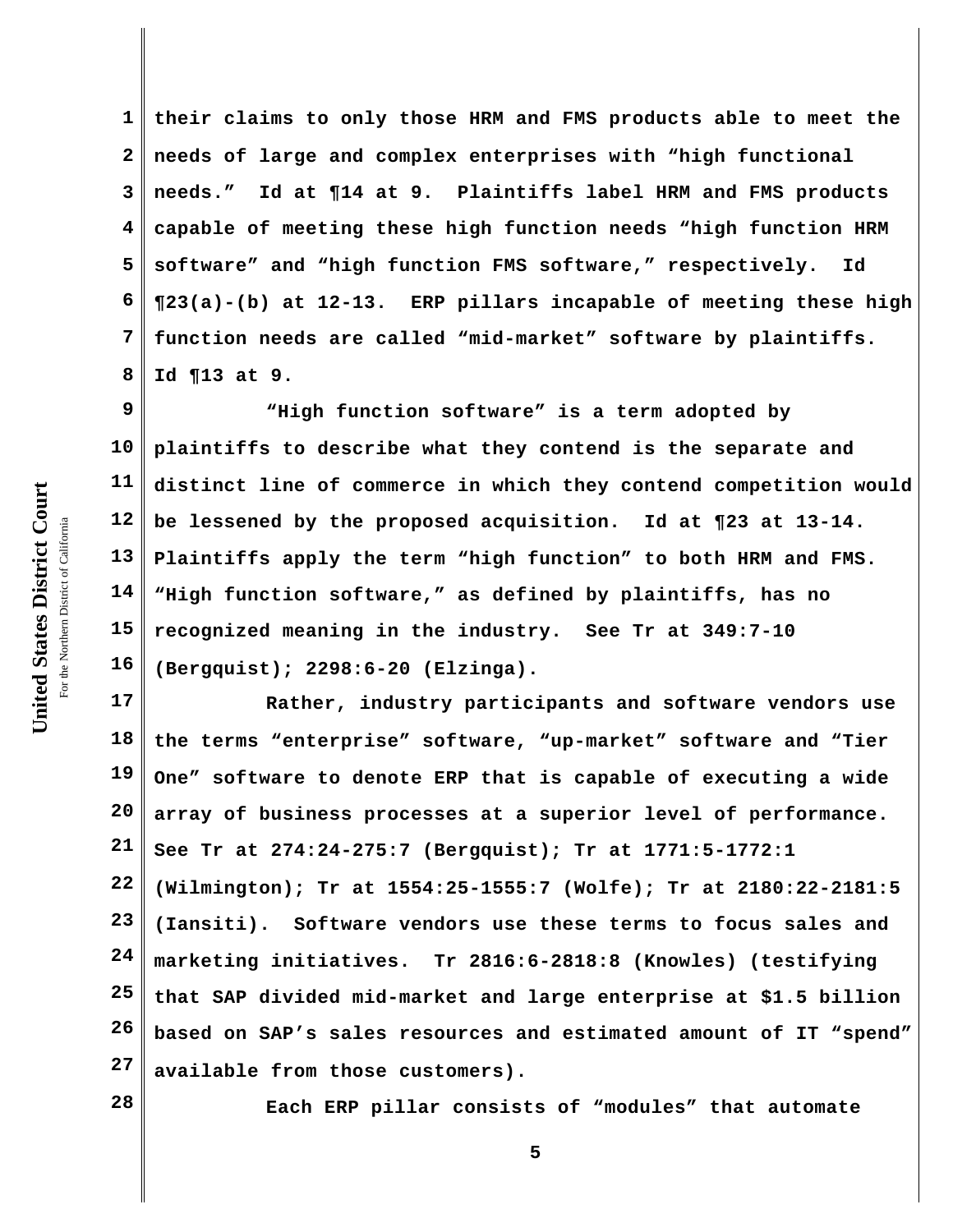**1 2 3 4 5 6 7 8 their claims to only those HRM and FMS products able to meet the needs of large and complex enterprises with "high functional needs." Id at ¶14 at 9. Plaintiffs label HRM and FMS products capable of meeting these high function needs "high function HRM software" and "high function FMS software," respectively. Id ¶23(a)-(b) at 12-13. ERP pillars incapable of meeting these high function needs are called "mid-market" software by plaintiffs. Id ¶13 at 9.**

**9 10 11 12 13 14 15 16 "High function software" is a term adopted by plaintiffs to describe what they contend is the separate and distinct line of commerce in which they contend competition would be lessened by the proposed acquisition. Id at ¶23 at 13-14. Plaintiffs apply the term "high function" to both HRM and FMS. "High function software," as defined by plaintiffs, has no recognized meaning in the industry. See Tr at 349:7-10 (Bergquist); 2298:6-20 (Elzinga).**

**17 18 19 20 21 22 23 24 25 26 27 Rather, industry participants and software vendors use the terms "enterprise" software, "up-market" software and "Tier One" software to denote ERP that is capable of executing a wide array of business processes at a superior level of performance. See Tr at 274:24-275:7 (Bergquist); Tr at 1771:5-1772:1 (Wilmington); Tr at 1554:25-1555:7 (Wolfe); Tr at 2180:22-2181:5 (Iansiti). Software vendors use these terms to focus sales and marketing initiatives. Tr 2816:6-2818:8 (Knowles) (testifying that SAP divided mid-market and large enterprise at \$1.5 billion based on SAP's sales resources and estimated amount of IT "spend" available from those customers).**

**28**

**Each ERP pillar consists of "modules" that automate**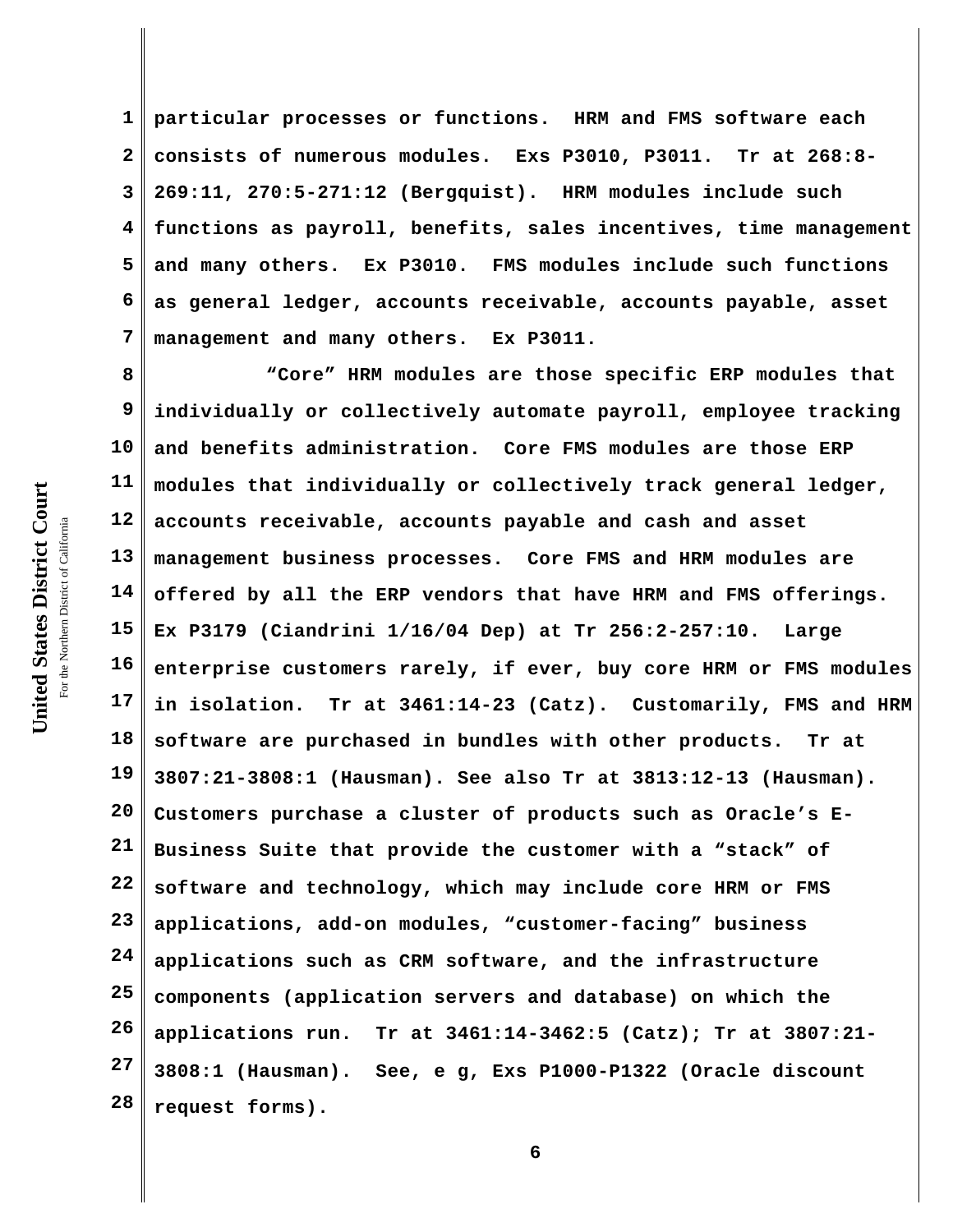**1 2 3 4 5 6 7 particular processes or functions. HRM and FMS software each consists of numerous modules. Exs P3010, P3011. Tr at 268:8- 269:11, 270:5-271:12 (Bergquist). HRM modules include such functions as payroll, benefits, sales incentives, time management and many others. Ex P3010. FMS modules include such functions as general ledger, accounts receivable, accounts payable, asset management and many others. Ex P3011.**

**8 9 10 11 12 13 14 15 16 17 18 19 20 21 22 23 24 25 26 27 28 "Core" HRM modules are those specific ERP modules that individually or collectively automate payroll, employee tracking and benefits administration. Core FMS modules are those ERP modules that individually or collectively track general ledger, accounts receivable, accounts payable and cash and asset management business processes. Core FMS and HRM modules are offered by all the ERP vendors that have HRM and FMS offerings. Ex P3179 (Ciandrini 1/16/04 Dep) at Tr 256:2-257:10. Large enterprise customers rarely, if ever, buy core HRM or FMS modules in isolation. Tr at 3461:14-23 (Catz). Customarily, FMS and HRM software are purchased in bundles with other products. Tr at 3807:21-3808:1 (Hausman). See also Tr at 3813:12-13 (Hausman). Customers purchase a cluster of products such as Oracle's E-Business Suite that provide the customer with a "stack" of software and technology, which may include core HRM or FMS applications, add-on modules, "customer-facing" business applications such as CRM software, and the infrastructure components (application servers and database) on which the applications run. Tr at 3461:14-3462:5 (Catz); Tr at 3807:21- 3808:1 (Hausman). See, e g, Exs P1000-P1322 (Oracle discount request forms).**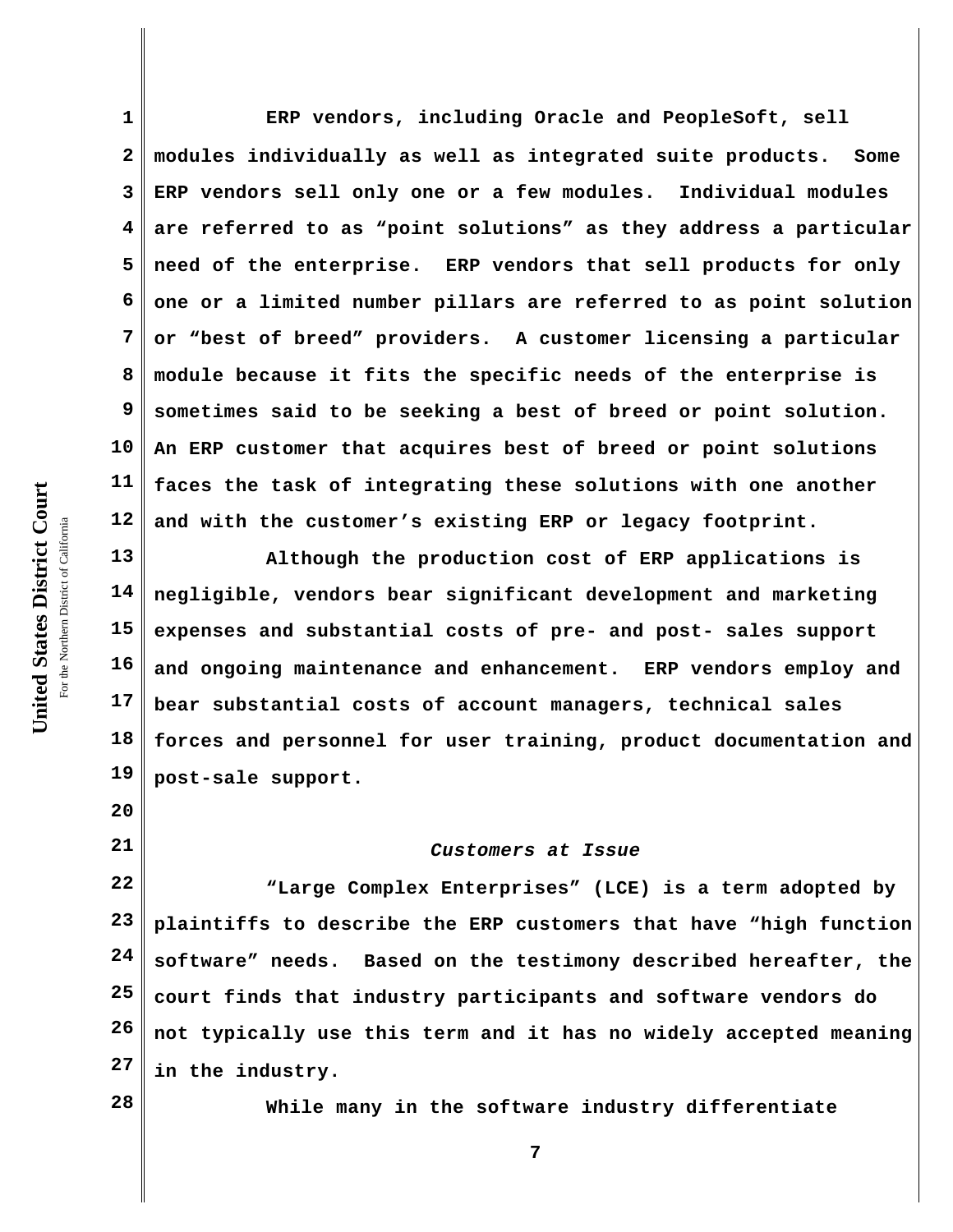**1 2 3 4 5 6 7 8 9 10 11 12 ERP vendors, including Oracle and PeopleSoft, sell modules individually as well as integrated suite products. Some ERP vendors sell only one or a few modules. Individual modules are referred to as "point solutions" as they address a particular need of the enterprise. ERP vendors that sell products for only one or a limited number pillars are referred to as point solution or "best of breed" providers. A customer licensing a particular module because it fits the specific needs of the enterprise is sometimes said to be seeking a best of breed or point solution. An ERP customer that acquires best of breed or point solutions faces the task of integrating these solutions with one another and with the customer's existing ERP or legacy footprint.**

**13 14 15 16 17 18 19 Although the production cost of ERP applications is negligible, vendors bear significant development and marketing expenses and substantial costs of pre- and post- sales support and ongoing maintenance and enhancement. ERP vendors employ and bear substantial costs of account managers, technical sales forces and personnel for user training, product documentation and post-sale support.**

#### *Customers at Issue*

**22 23 24 25 26 27 "Large Complex Enterprises" (LCE) is a term adopted by plaintiffs to describe the ERP customers that have "high function software" needs. Based on the testimony described hereafter, the court finds that industry participants and software vendors do not typically use this term and it has no widely accepted meaning in the industry.**

**28**

**20**

**21**

**While many in the software industry differentiate**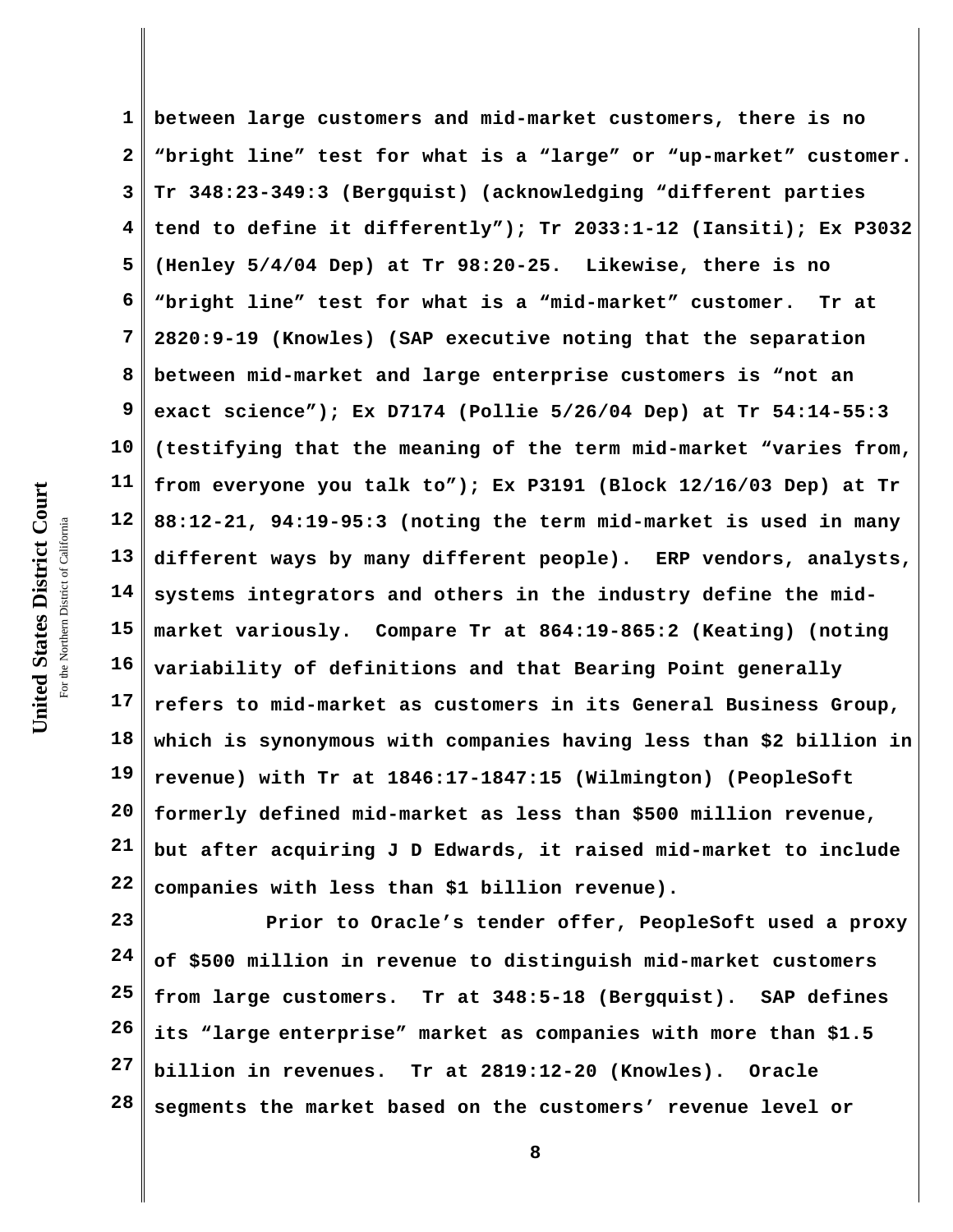**1 2 3 4 5 6 7 8 9 10 11 12 13 14 15 16 17 18 19 20 21 22 between large customers and mid-market customers, there is no "bright line" test for what is a "large" or "up-market" customer. Tr 348:23-349:3 (Bergquist) (acknowledging "different parties tend to define it differently"); Tr 2033:1-12 (Iansiti); Ex P3032 (Henley 5/4/04 Dep) at Tr 98:20-25. Likewise, there is no "bright line" test for what is a "mid-market" customer. Tr at 2820:9-19 (Knowles) (SAP executive noting that the separation between mid-market and large enterprise customers is "not an exact science"); Ex D7174 (Pollie 5/26/04 Dep) at Tr 54:14-55:3 (testifying that the meaning of the term mid-market "varies from, from everyone you talk to"); Ex P3191 (Block 12/16/03 Dep) at Tr 88:12-21, 94:19-95:3 (noting the term mid-market is used in many different ways by many different people). ERP vendors, analysts, systems integrators and others in the industry define the midmarket variously. Compare Tr at 864:19-865:2 (Keating) (noting variability of definitions and that Bearing Point generally refers to mid-market as customers in its General Business Group, which is synonymous with companies having less than \$2 billion in revenue) with Tr at 1846:17-1847:15 (Wilmington) (PeopleSoft formerly defined mid-market as less than \$500 million revenue, but after acquiring J D Edwards, it raised mid-market to include companies with less than \$1 billion revenue).** 

**23 24 25 26 27 28 Prior to Oracle's tender offer, PeopleSoft used a proxy of \$500 million in revenue to distinguish mid-market customers from large customers. Tr at 348:5-18 (Bergquist). SAP defines its "large enterprise" market as companies with more than \$1.5 billion in revenues. Tr at 2819:12-20 (Knowles). Oracle segments the market based on the customers' revenue level or**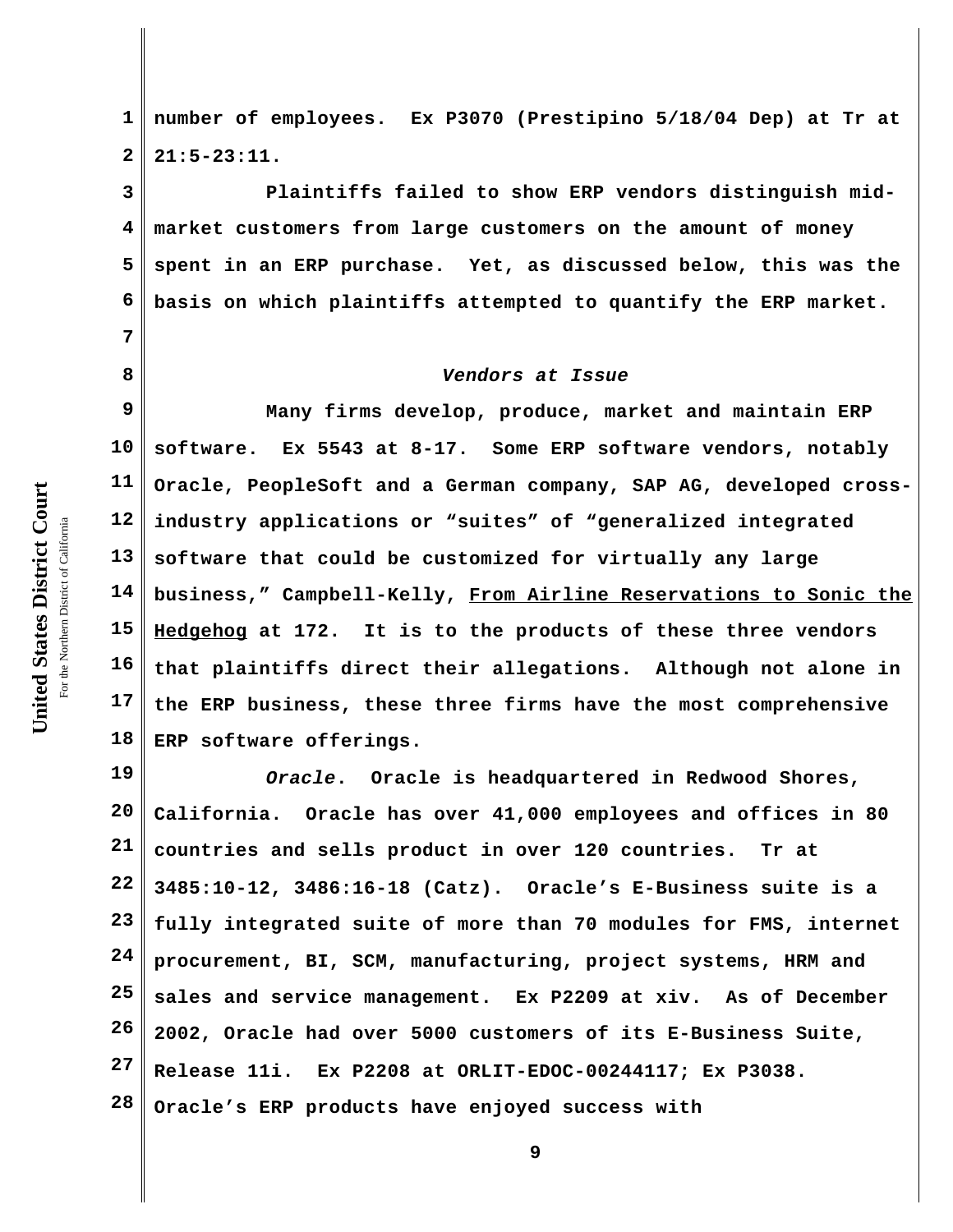United States District Court **United States District Court** For the Northern District of California the Northern District of California

**7**

**8**

**1 2 number of employees. Ex P3070 (Prestipino 5/18/04 Dep) at Tr at 21:5-23:11.** 

**3 4 5 6 Plaintiffs failed to show ERP vendors distinguish midmarket customers from large customers on the amount of money spent in an ERP purchase. Yet, as discussed below, this was the basis on which plaintiffs attempted to quantify the ERP market.**

## *Vendors at Issue*

**9 10 11 12 13 14 15 16 17 18 Many firms develop, produce, market and maintain ERP software. Ex 5543 at 8-17. Some ERP software vendors, notably Oracle, PeopleSoft and a German company, SAP AG, developed crossindustry applications or "suites" of "generalized integrated software that could be customized for virtually any large business," Campbell-Kelly, From Airline Reservations to Sonic the Hedgehog at 172. It is to the products of these three vendors that plaintiffs direct their allegations. Although not alone in the ERP business, these three firms have the most comprehensive ERP software offerings.**

**19 20 21 22 23 24 25 26 27 28** *Oracle***. Oracle is headquartered in Redwood Shores, California. Oracle has over 41,000 employees and offices in 80 countries and sells product in over 120 countries. Tr at 3485:10-12, 3486:16-18 (Catz). Oracle's E-Business suite is a fully integrated suite of more than 70 modules for FMS, internet procurement, BI, SCM, manufacturing, project systems, HRM and sales and service management. Ex P2209 at xiv. As of December 2002, Oracle had over 5000 customers of its E-Business Suite, Release 11i. Ex P2208 at ORLIT-EDOC-00244117; Ex P3038. Oracle's ERP products have enjoyed success with**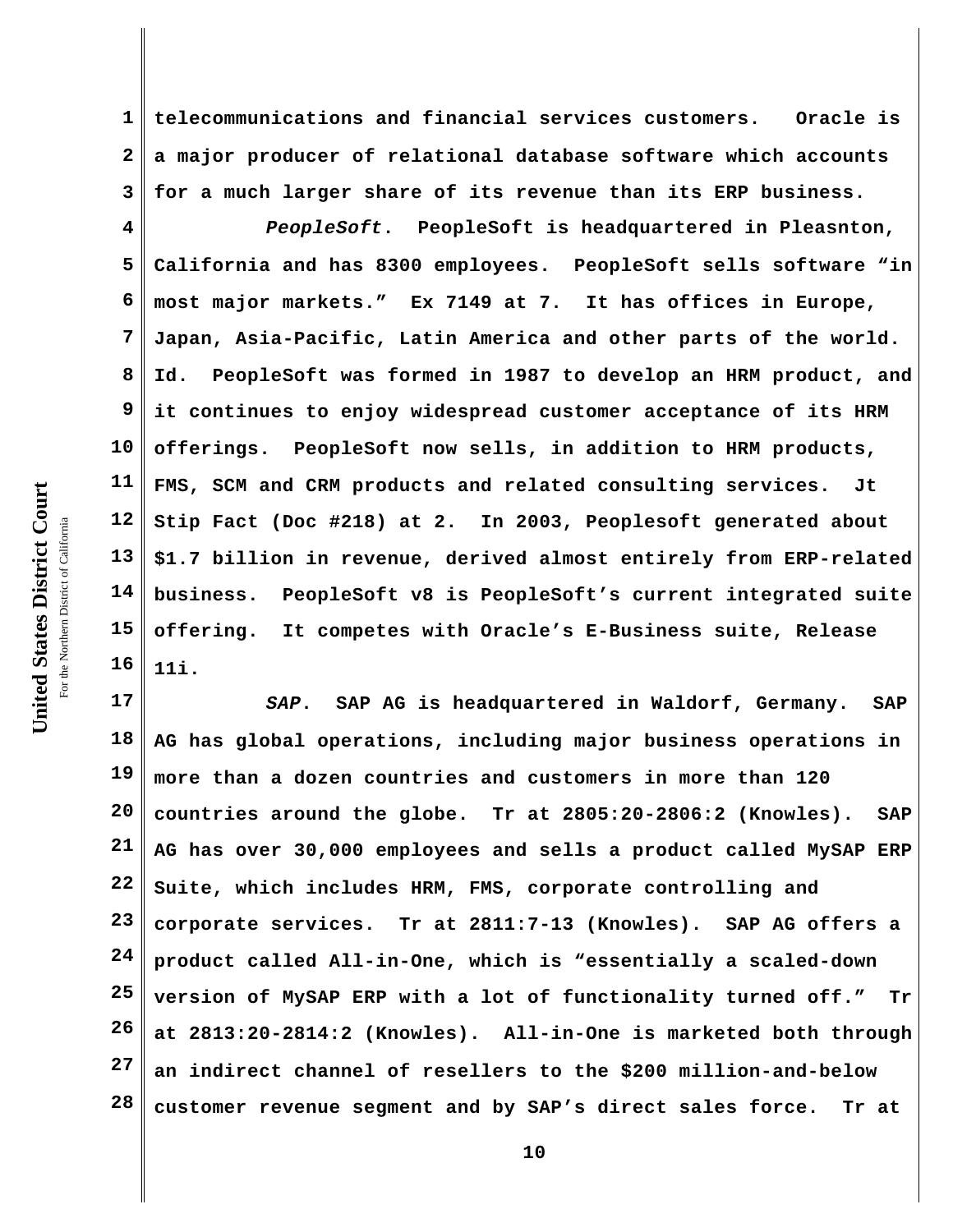**1 2 3 telecommunications and financial services customers. Oracle is a major producer of relational database software which accounts for a much larger share of its revenue than its ERP business.**

**4 5 6 7 8 9 10 11 12 13 14 15 16** *PeopleSoft***. PeopleSoft is headquartered in Pleasnton, California and has 8300 employees. PeopleSoft sells software "in most major markets." Ex 7149 at 7. It has offices in Europe, Japan, Asia-Pacific, Latin America and other parts of the world. Id. PeopleSoft was formed in 1987 to develop an HRM product, and it continues to enjoy widespread customer acceptance of its HRM offerings. PeopleSoft now sells, in addition to HRM products, FMS, SCM and CRM products and related consulting services. Jt Stip Fact (Doc #218) at 2. In 2003, Peoplesoft generated about \$1.7 billion in revenue, derived almost entirely from ERP-related business. PeopleSoft v8 is PeopleSoft's current integrated suite offering. It competes with Oracle's E-Business suite, Release 11i.**

**17 18 19 20 21 22 23 24 25 26 27 28** *SAP***. SAP AG is headquartered in Waldorf, Germany. SAP AG has global operations, including major business operations in more than a dozen countries and customers in more than 120 countries around the globe. Tr at 2805:20-2806:2 (Knowles). SAP AG has over 30,000 employees and sells a product called MySAP ERP Suite, which includes HRM, FMS, corporate controlling and corporate services. Tr at 2811:7-13 (Knowles). SAP AG offers a product called All-in-One, which is "essentially a scaled-down version of MySAP ERP with a lot of functionality turned off." Tr at 2813:20-2814:2 (Knowles). All-in-One is marketed both through an indirect channel of resellers to the \$200 million-and-below customer revenue segment and by SAP's direct sales force. Tr at**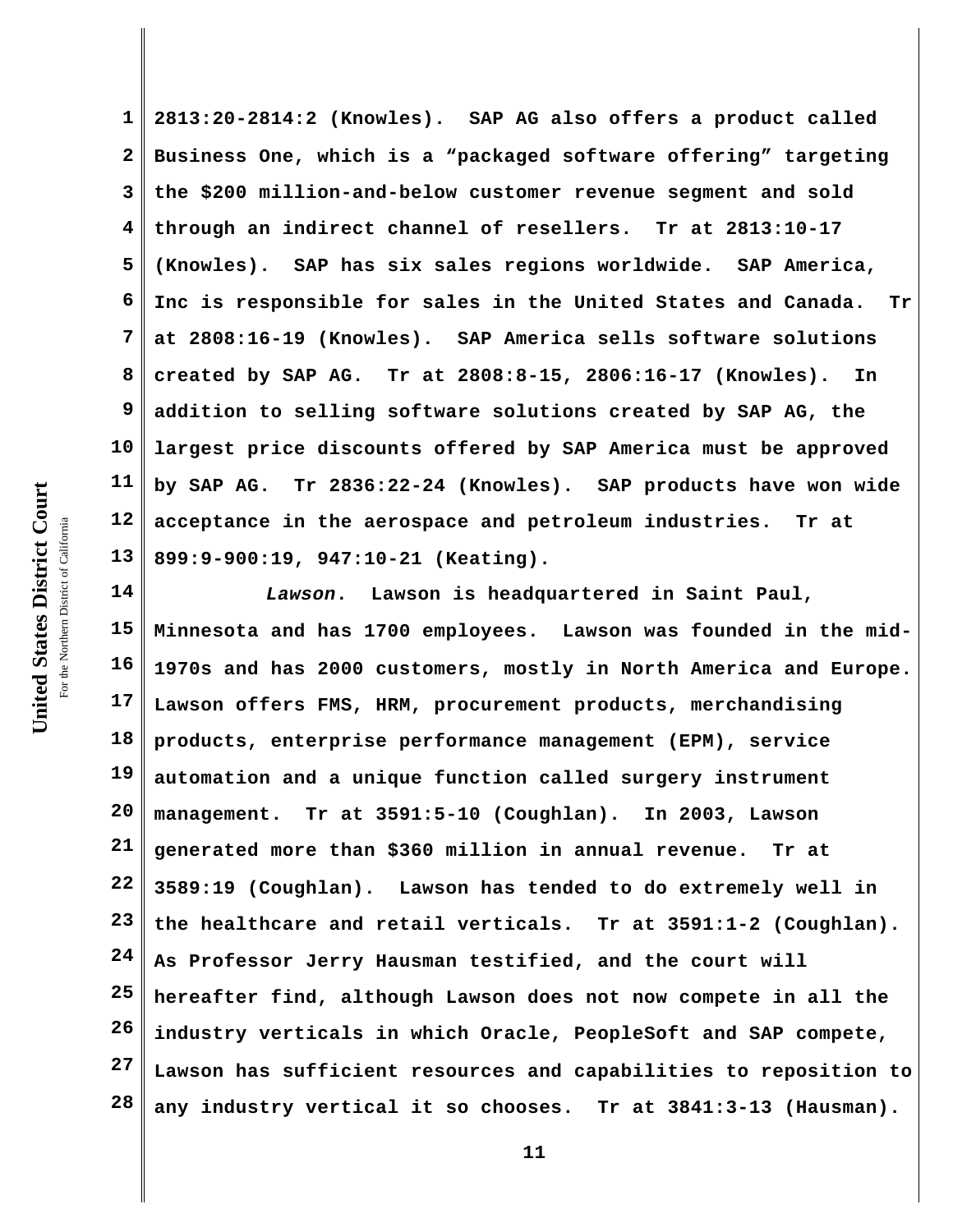**1 2 3 4 5 6 7 8 9 10 11 12 13 2813:20-2814:2 (Knowles). SAP AG also offers a product called Business One, which is a "packaged software offering" targeting the \$200 million-and-below customer revenue segment and sold through an indirect channel of resellers. Tr at 2813:10-17 (Knowles). SAP has six sales regions worldwide. SAP America, Inc is responsible for sales in the United States and Canada. Tr at 2808:16-19 (Knowles). SAP America sells software solutions created by SAP AG. Tr at 2808:8-15, 2806:16-17 (Knowles). In addition to selling software solutions created by SAP AG, the largest price discounts offered by SAP America must be approved by SAP AG. Tr 2836:22-24 (Knowles). SAP products have won wide acceptance in the aerospace and petroleum industries. Tr at 899:9-900:19, 947:10-21 (Keating).**

**14 15 16 17 18 19 20 21 22 23 24 25 26 27 28** *Lawson***. Lawson is headquartered in Saint Paul, Minnesota and has 1700 employees. Lawson was founded in the mid-1970s and has 2000 customers, mostly in North America and Europe. Lawson offers FMS, HRM, procurement products, merchandising products, enterprise performance management (EPM), service automation and a unique function called surgery instrument management. Tr at 3591:5-10 (Coughlan). In 2003, Lawson generated more than \$360 million in annual revenue. Tr at 3589:19 (Coughlan). Lawson has tended to do extremely well in the healthcare and retail verticals. Tr at 3591:1-2 (Coughlan). As Professor Jerry Hausman testified, and the court will hereafter find, although Lawson does not now compete in all the industry verticals in which Oracle, PeopleSoft and SAP compete, Lawson has sufficient resources and capabilities to reposition to any industry vertical it so chooses. Tr at 3841:3-13 (Hausman).**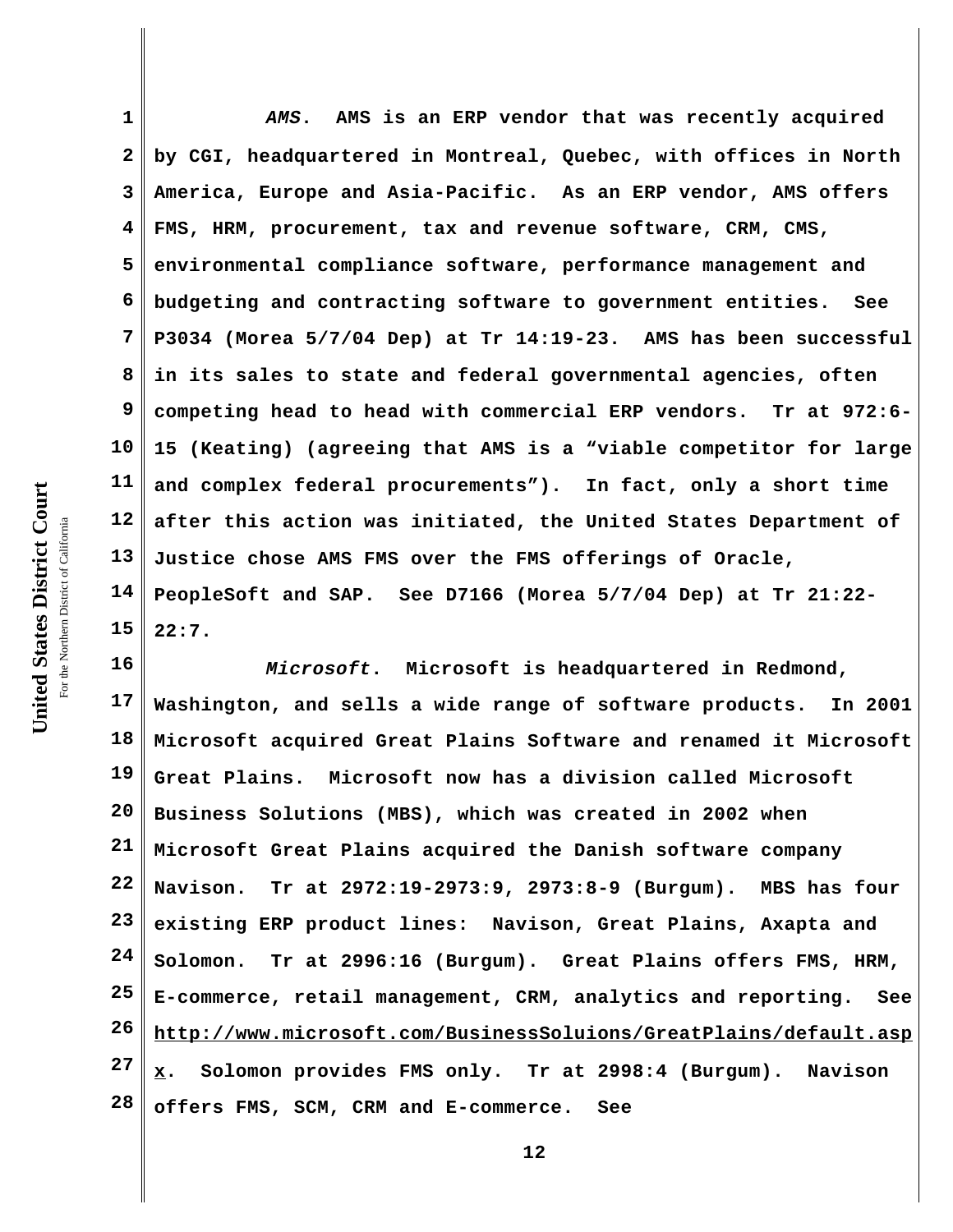**1 2 3 4 5 6 7 8 9 10 11 12 13 14 15** *AMS***. AMS is an ERP vendor that was recently acquired by CGI, headquartered in Montreal, Quebec, with offices in North America, Europe and Asia-Pacific. As an ERP vendor, AMS offers FMS, HRM, procurement, tax and revenue software, CRM, CMS, environmental compliance software, performance management and budgeting and contracting software to government entities. See P3034 (Morea 5/7/04 Dep) at Tr 14:19-23. AMS has been successful in its sales to state and federal governmental agencies, often competing head to head with commercial ERP vendors. Tr at 972:6- 15 (Keating) (agreeing that AMS is a "viable competitor for large and complex federal procurements"). In fact, only a short time after this action was initiated, the United States Department of Justice chose AMS FMS over the FMS offerings of Oracle, PeopleSoft and SAP. See D7166 (Morea 5/7/04 Dep) at Tr 21:22- 22:7.**

**16 17 18 19 20 21 22 23 24 25 26 27 28** *Microsoft***. Microsoft is headquartered in Redmond, Washington, and sells a wide range of software products. In 2001 Microsoft acquired Great Plains Software and renamed it Microsoft Great Plains. Microsoft now has a division called Microsoft Business Solutions (MBS), which was created in 2002 when Microsoft Great Plains acquired the Danish software company Navison. Tr at 2972:19-2973:9, 2973:8-9 (Burgum). MBS has four existing ERP product lines: Navison, Great Plains, Axapta and Solomon. Tr at 2996:16 (Burgum). Great Plains offers FMS, HRM, E-commerce, retail management, CRM, analytics and reporting. See http://www.microsoft.com/BusinessSoluions/GreatPlains/default.asp x. Solomon provides FMS only. Tr at 2998:4 (Burgum). Navison offers FMS, SCM, CRM and E-commerce. See**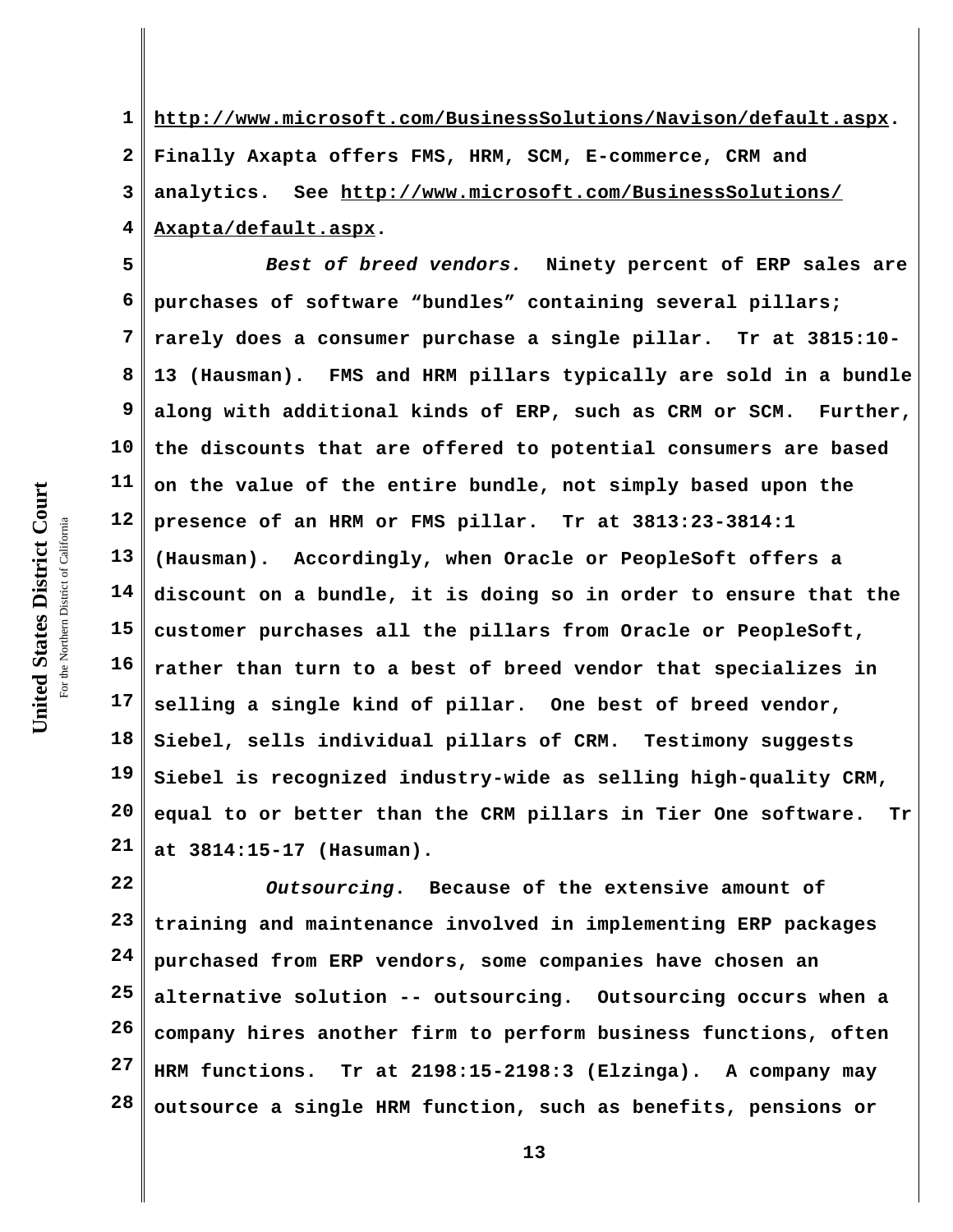**1 2 3 4 http://www.microsoft.com/BusinessSolutions/Navison/default.aspx. Finally Axapta offers FMS, HRM, SCM, E-commerce, CRM and analytics. See http://www.microsoft.com/BusinessSolutions/ Axapta/default.aspx.**

**5 6 7 8 9 10 11 12 13 14 15 16 17 18 19 20 21** *Best of breed vendors.* **Ninety percent of ERP sales are purchases of software "bundles" containing several pillars; rarely does a consumer purchase a single pillar. Tr at 3815:10- 13 (Hausman). FMS and HRM pillars typically are sold in a bundle along with additional kinds of ERP, such as CRM or SCM. Further, the discounts that are offered to potential consumers are based on the value of the entire bundle, not simply based upon the presence of an HRM or FMS pillar. Tr at 3813:23-3814:1 (Hausman). Accordingly, when Oracle or PeopleSoft offers a discount on a bundle, it is doing so in order to ensure that the customer purchases all the pillars from Oracle or PeopleSoft, rather than turn to a best of breed vendor that specializes in selling a single kind of pillar. One best of breed vendor, Siebel, sells individual pillars of CRM. Testimony suggests Siebel is recognized industry-wide as selling high-quality CRM, equal to or better than the CRM pillars in Tier One software. Tr at 3814:15-17 (Hasuman).**

**22 23 24 25 26 27 28** *Outsourcing***. Because of the extensive amount of training and maintenance involved in implementing ERP packages purchased from ERP vendors, some companies have chosen an alternative solution -- outsourcing. Outsourcing occurs when a company hires another firm to perform business functions, often HRM functions. Tr at 2198:15-2198:3 (Elzinga). A company may outsource a single HRM function, such as benefits, pensions or**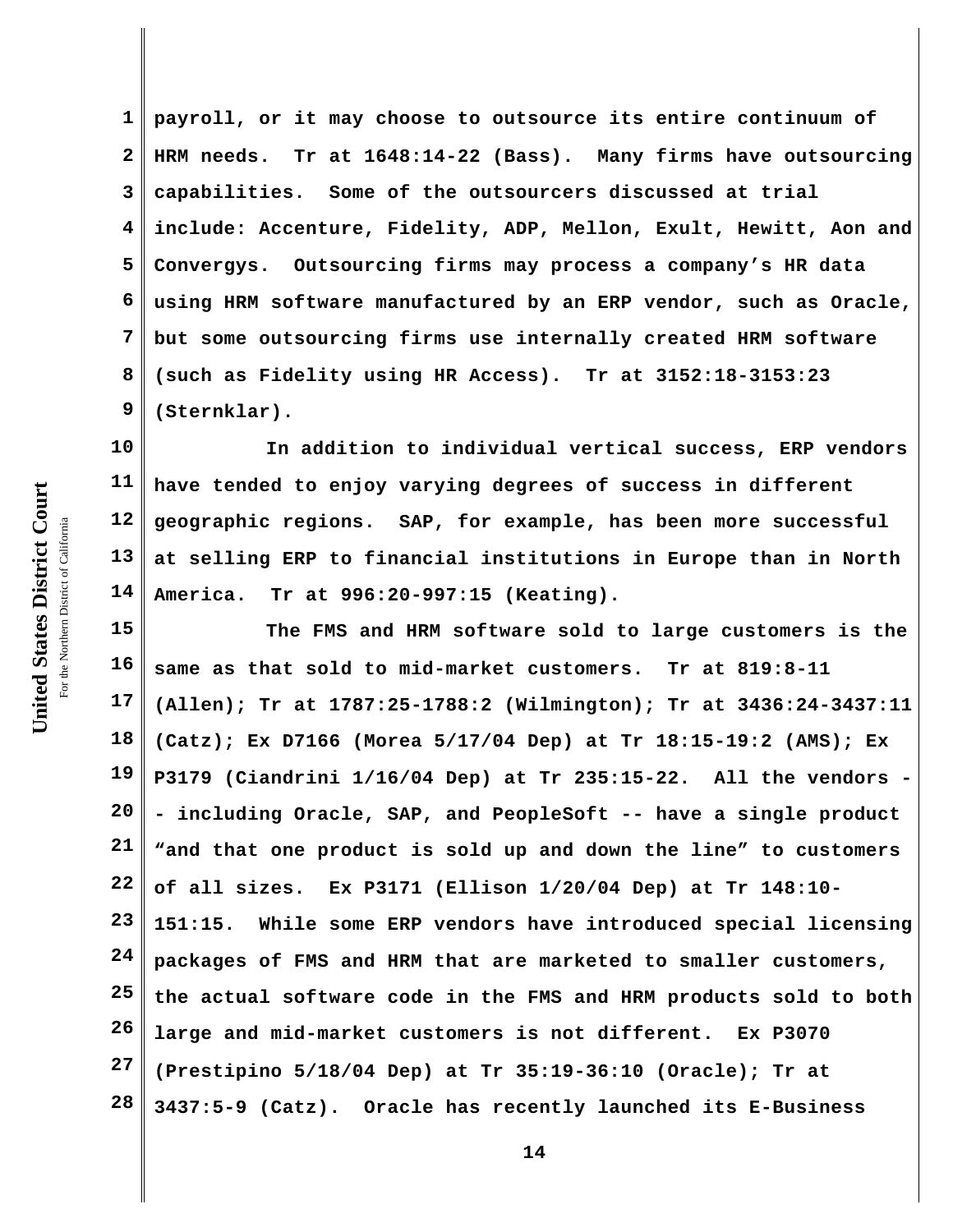**1 2 3 4 5 6 7 8 9 payroll, or it may choose to outsource its entire continuum of HRM needs. Tr at 1648:14-22 (Bass). Many firms have outsourcing capabilities. Some of the outsourcers discussed at trial include: Accenture, Fidelity, ADP, Mellon, Exult, Hewitt, Aon and Convergys. Outsourcing firms may process a company's HR data using HRM software manufactured by an ERP vendor, such as Oracle, but some outsourcing firms use internally created HRM software (such as Fidelity using HR Access). Tr at 3152:18-3153:23 (Sternklar).**

**10 11 12 13 14 In addition to individual vertical success, ERP vendors have tended to enjoy varying degrees of success in different geographic regions. SAP, for example, has been more successful at selling ERP to financial institutions in Europe than in North America. Tr at 996:20-997:15 (Keating).** 

**15 16 17 18 19 20 21 22 23 24 25 26 27 28 The FMS and HRM software sold to large customers is the same as that sold to mid-market customers. Tr at 819:8-11 (Allen); Tr at 1787:25-1788:2 (Wilmington); Tr at 3436:24-3437:11 (Catz); Ex D7166 (Morea 5/17/04 Dep) at Tr 18:15-19:2 (AMS); Ex P3179 (Ciandrini 1/16/04 Dep) at Tr 235:15-22. All the vendors - - including Oracle, SAP, and PeopleSoft -- have a single product "and that one product is sold up and down the line" to customers of all sizes. Ex P3171 (Ellison 1/20/04 Dep) at Tr 148:10- 151:15. While some ERP vendors have introduced special licensing packages of FMS and HRM that are marketed to smaller customers, the actual software code in the FMS and HRM products sold to both large and mid-market customers is not different. Ex P3070 (Prestipino 5/18/04 Dep) at Tr 35:19-36:10 (Oracle); Tr at 3437:5-9 (Catz). Oracle has recently launched its E-Business**

**United States District Court** For the Northern District of California the Northern District of California

United States District Court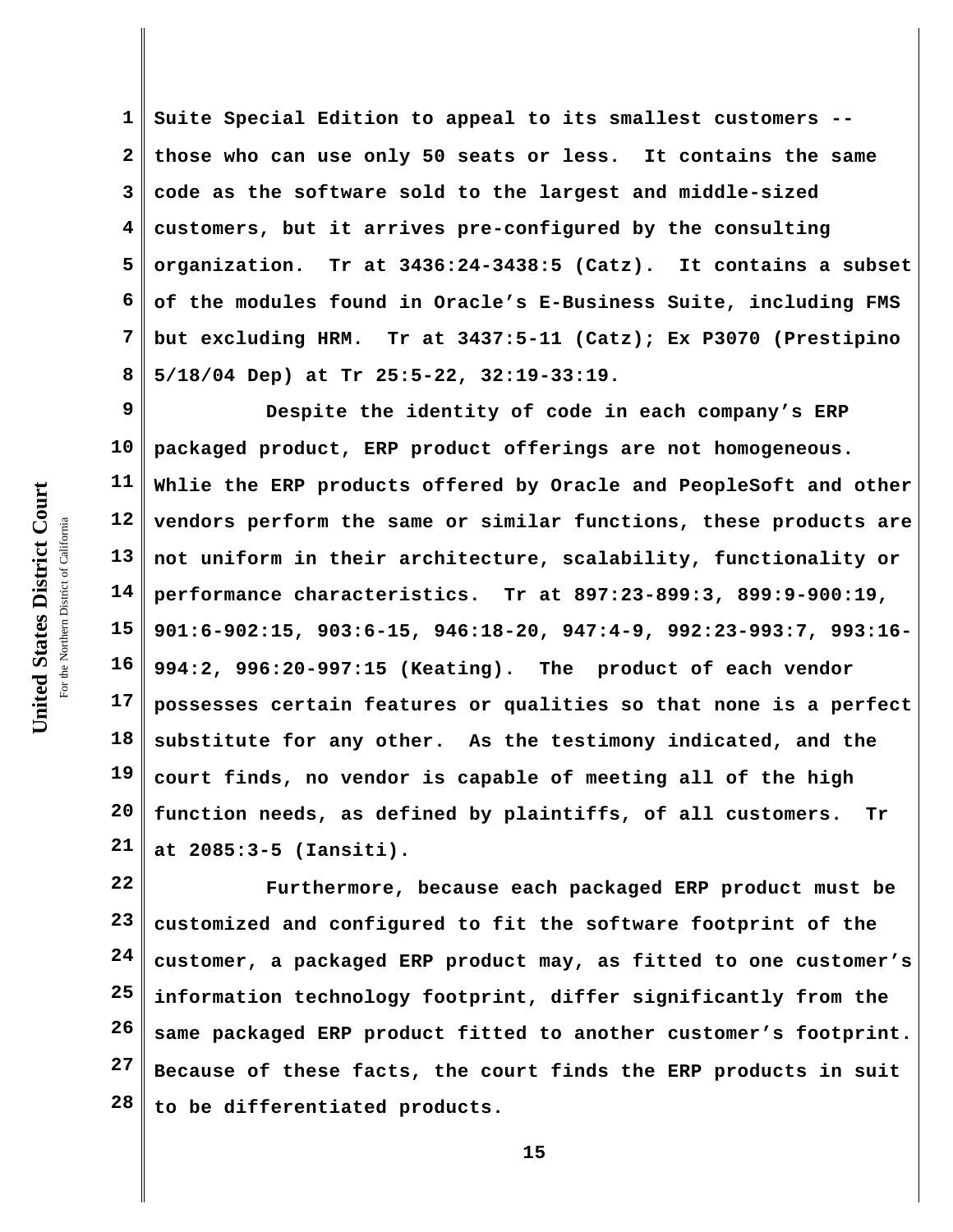**1 2 3 4 5 6 7 8 Suite Special Edition to appeal to its smallest customers - those who can use only 50 seats or less. It contains the same code as the software sold to the largest and middle-sized customers, but it arrives pre-configured by the consulting organization. Tr at 3436:24-3438:5 (Catz). It contains a subset of the modules found in Oracle's E-Business Suite, including FMS but excluding HRM. Tr at 3437:5-11 (Catz); Ex P3070 (Prestipino 5/18/04 Dep) at Tr 25:5-22, 32:19-33:19.**

**9 10 11 12 13 14 15 16 17 18 19 20 21 Despite the identity of code in each company's ERP packaged product, ERP product offerings are not homogeneous. Whlie the ERP products offered by Oracle and PeopleSoft and other vendors perform the same or similar functions, these products are not uniform in their architecture, scalability, functionality or performance characteristics. Tr at 897:23-899:3, 899:9-900:19, 901:6-902:15, 903:6-15, 946:18-20, 947:4-9, 992:23-993:7, 993:16- 994:2, 996:20-997:15 (Keating). The product of each vendor possesses certain features or qualities so that none is a perfect substitute for any other. As the testimony indicated, and the court finds, no vendor is capable of meeting all of the high function needs, as defined by plaintiffs, of all customers. Tr at 2085:3-5 (Iansiti).** 

**22 23 24 25 26 27 28 Furthermore, because each packaged ERP product must be customized and configured to fit the software footprint of the customer, a packaged ERP product may, as fitted to one customer's information technology footprint, differ significantly from the same packaged ERP product fitted to another customer's footprint. Because of these facts, the court finds the ERP products in suit to be differentiated products.**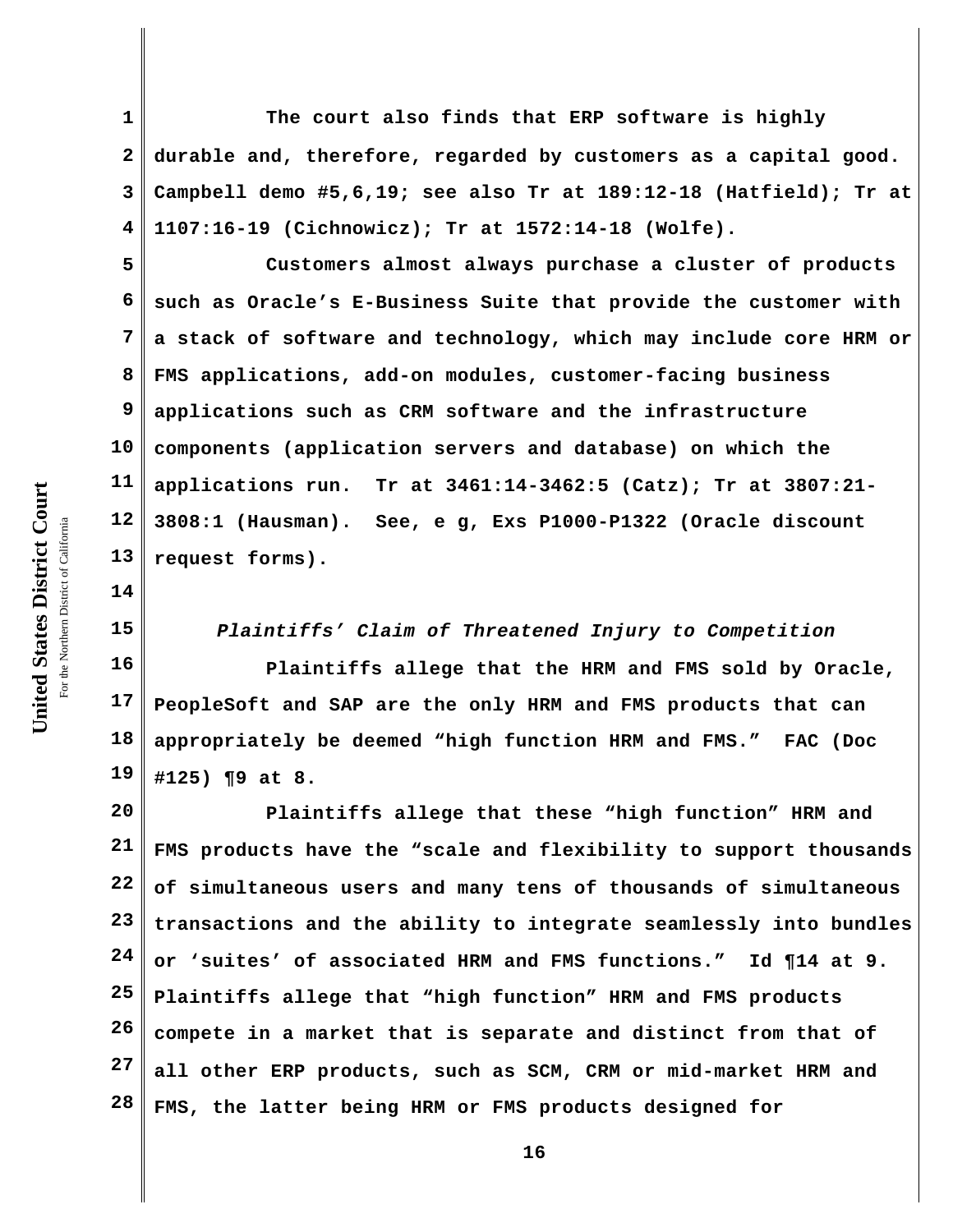**1 2 3 4 The court also finds that ERP software is highly durable and, therefore, regarded by customers as a capital good. Campbell demo #5,6,19; see also Tr at 189:12-18 (Hatfield); Tr at 1107:16-19 (Cichnowicz); Tr at 1572:14-18 (Wolfe).**

**5 6 7 8 9 10 11 12 13 Customers almost always purchase a cluster of products such as Oracle's E-Business Suite that provide the customer with a stack of software and technology, which may include core HRM or FMS applications, add-on modules, customer-facing business applications such as CRM software and the infrastructure components (application servers and database) on which the applications run. Tr at 3461:14-3462:5 (Catz); Tr at 3807:21- 3808:1 (Hausman). See, e g, Exs P1000-P1322 (Oracle discount request forms).** 

**14 15**

*Plaintiffs' Claim of Threatened Injury to Competition* 

**16 17 18 19 Plaintiffs allege that the HRM and FMS sold by Oracle, PeopleSoft and SAP are the only HRM and FMS products that can appropriately be deemed "high function HRM and FMS." FAC (Doc #125) ¶9 at 8.**

**20 21 22 23 24 25 26 27 28 Plaintiffs allege that these "high function" HRM and FMS products have the "scale and flexibility to support thousands of simultaneous users and many tens of thousands of simultaneous transactions and the ability to integrate seamlessly into bundles or 'suites' of associated HRM and FMS functions." Id ¶14 at 9. Plaintiffs allege that "high function" HRM and FMS products compete in a market that is separate and distinct from that of all other ERP products, such as SCM, CRM or mid-market HRM and FMS, the latter being HRM or FMS products designed for**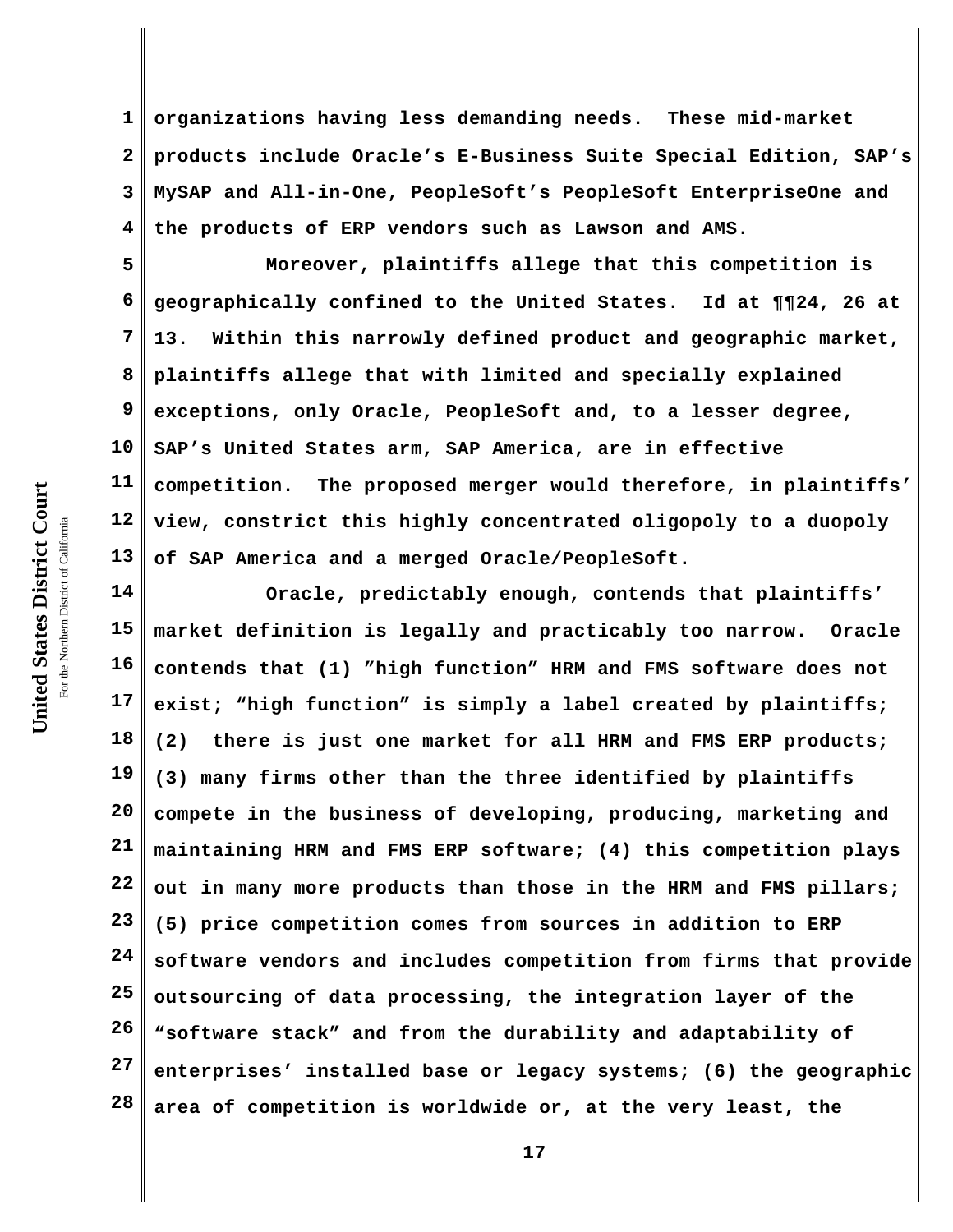**1 2 3 4 organizations having less demanding needs. These mid-market products include Oracle's E-Business Suite Special Edition, SAP's MySAP and All-in-One, PeopleSoft's PeopleSoft EnterpriseOne and the products of ERP vendors such as Lawson and AMS.** 

**5 6 7 8 9 10 11 12 13 Moreover, plaintiffs allege that this competition is geographically confined to the United States. Id at ¶¶24, 26 at 13. Within this narrowly defined product and geographic market, plaintiffs allege that with limited and specially explained exceptions, only Oracle, PeopleSoft and, to a lesser degree, SAP's United States arm, SAP America, are in effective competition. The proposed merger would therefore, in plaintiffs' view, constrict this highly concentrated oligopoly to a duopoly of SAP America and a merged Oracle/PeopleSoft.**

**14 15 16 17 18 19 20 21 22 23 24 25 26 27 28 Oracle, predictably enough, contends that plaintiffs' market definition is legally and practicably too narrow. Oracle contends that (1) "high function" HRM and FMS software does not exist; "high function" is simply a label created by plaintiffs; (2) there is just one market for all HRM and FMS ERP products; (3) many firms other than the three identified by plaintiffs compete in the business of developing, producing, marketing and maintaining HRM and FMS ERP software; (4) this competition plays out in many more products than those in the HRM and FMS pillars; (5) price competition comes from sources in addition to ERP software vendors and includes competition from firms that provide outsourcing of data processing, the integration layer of the "software stack" and from the durability and adaptability of enterprises' installed base or legacy systems; (6) the geographic area of competition is worldwide or, at the very least, the**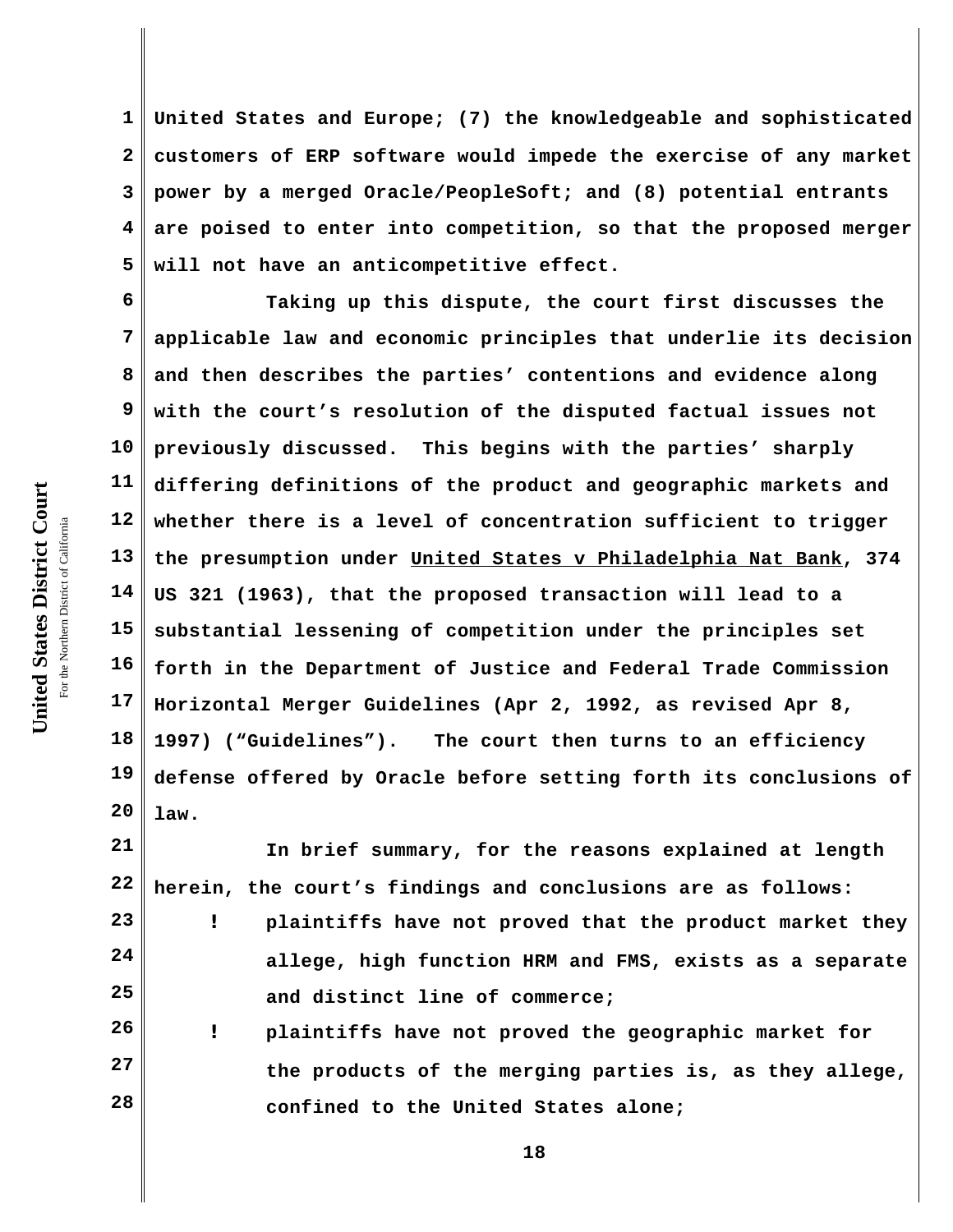**1 2 3 4 5 United States and Europe; (7) the knowledgeable and sophisticated customers of ERP software would impede the exercise of any market power by a merged Oracle/PeopleSoft; and (8) potential entrants are poised to enter into competition, so that the proposed merger will not have an anticompetitive effect.** 

**6 7 8 9 10 11 12 13 14 15 16 17 18 19 20 Taking up this dispute, the court first discusses the applicable law and economic principles that underlie its decision and then describes the parties' contentions and evidence along with the court's resolution of the disputed factual issues not previously discussed. This begins with the parties' sharply differing definitions of the product and geographic markets and whether there is a level of concentration sufficient to trigger the presumption under United States v Philadelphia Nat Bank, 374 US 321 (1963), that the proposed transaction will lead to a substantial lessening of competition under the principles set forth in the Department of Justice and Federal Trade Commission Horizontal Merger Guidelines (Apr 2, 1992, as revised Apr 8, 1997) ("Guidelines"). The court then turns to an efficiency defense offered by Oracle before setting forth its conclusions of law.**

**21 22 In brief summary, for the reasons explained at length herein, the court's findings and conclusions are as follows:** 

**23 24 25 ! plaintiffs have not proved that the product market they allege, high function HRM and FMS, exists as a separate and distinct line of commerce;**

**26 27 28 ! plaintiffs have not proved the geographic market for the products of the merging parties is, as they allege, confined to the United States alone;**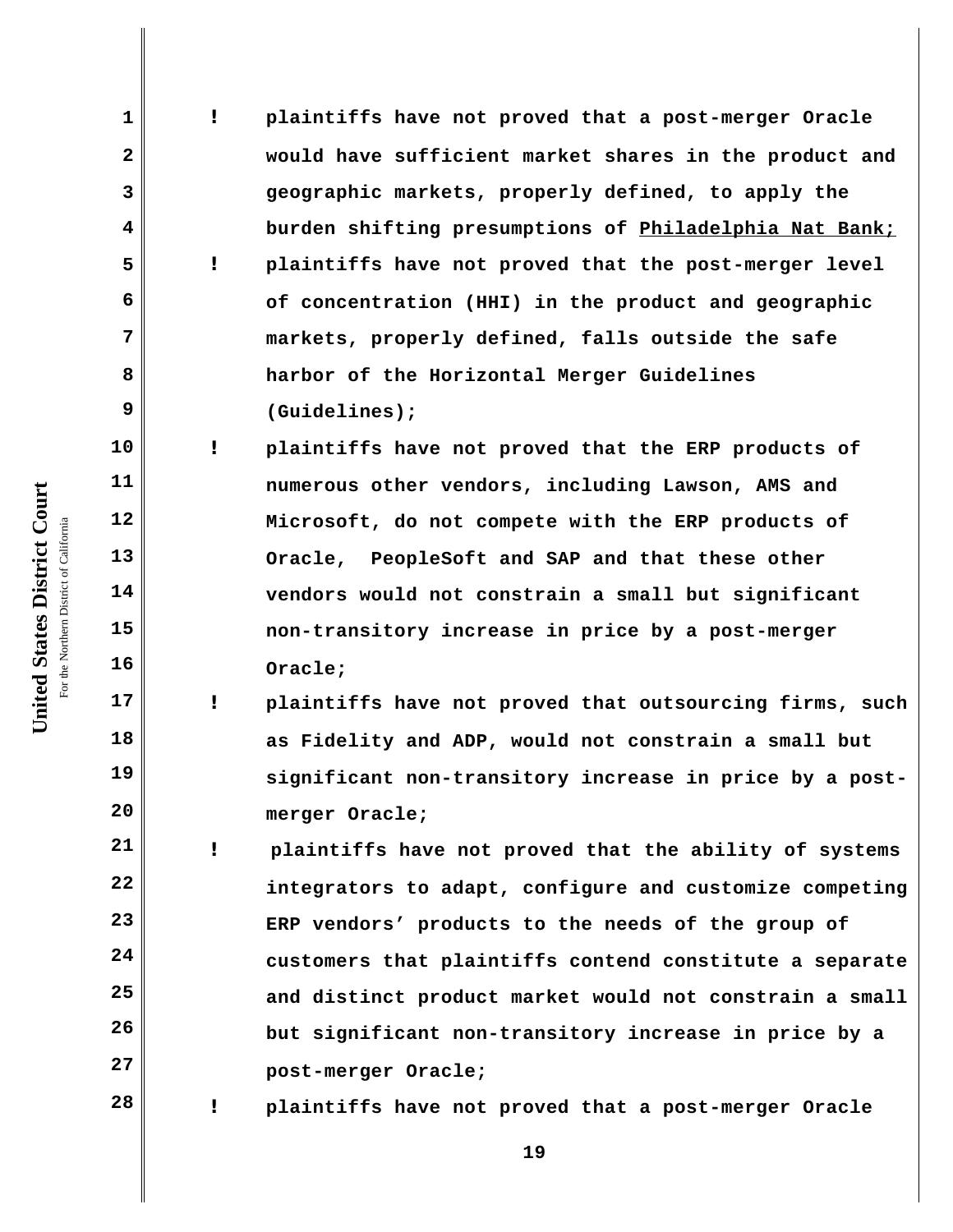**! plaintiffs have not proved that a post-merger Oracle would have sufficient market shares in the product and geographic markets, properly defined, to apply the burden shifting presumptions of Philadelphia Nat Bank; ! plaintiffs have not proved that the post-merger level of concentration (HHI) in the product and geographic markets, properly defined, falls outside the safe harbor of the Horizontal Merger Guidelines (Guidelines);**

**! plaintiffs have not proved that the ERP products of numerous other vendors, including Lawson, AMS and Microsoft, do not compete with the ERP products of Oracle, PeopleSoft and SAP and that these other vendors would not constrain a small but significant non-transitory increase in price by a post-merger Oracle;**

**! plaintiffs have not proved that outsourcing firms, such as Fidelity and ADP, would not constrain a small but significant non-transitory increase in price by a postmerger Oracle;**

**21 22 23 24 25 26 27 ! plaintiffs have not proved that the ability of systems integrators to adapt, configure and customize competing ERP vendors' products to the needs of the group of customers that plaintiffs contend constitute a separate and distinct product market would not constrain a small but significant non-transitory increase in price by a post-merger Oracle;**

**! plaintiffs have not proved that a post-merger Oracle**

**19**

**1**

**2**

**3**

**4**

**5**

**6**

**7**

**8**

**9**

**10**

**11**

**12**

**13**

**14**

**15**

**16**

**17**

**18**

**19**

**20**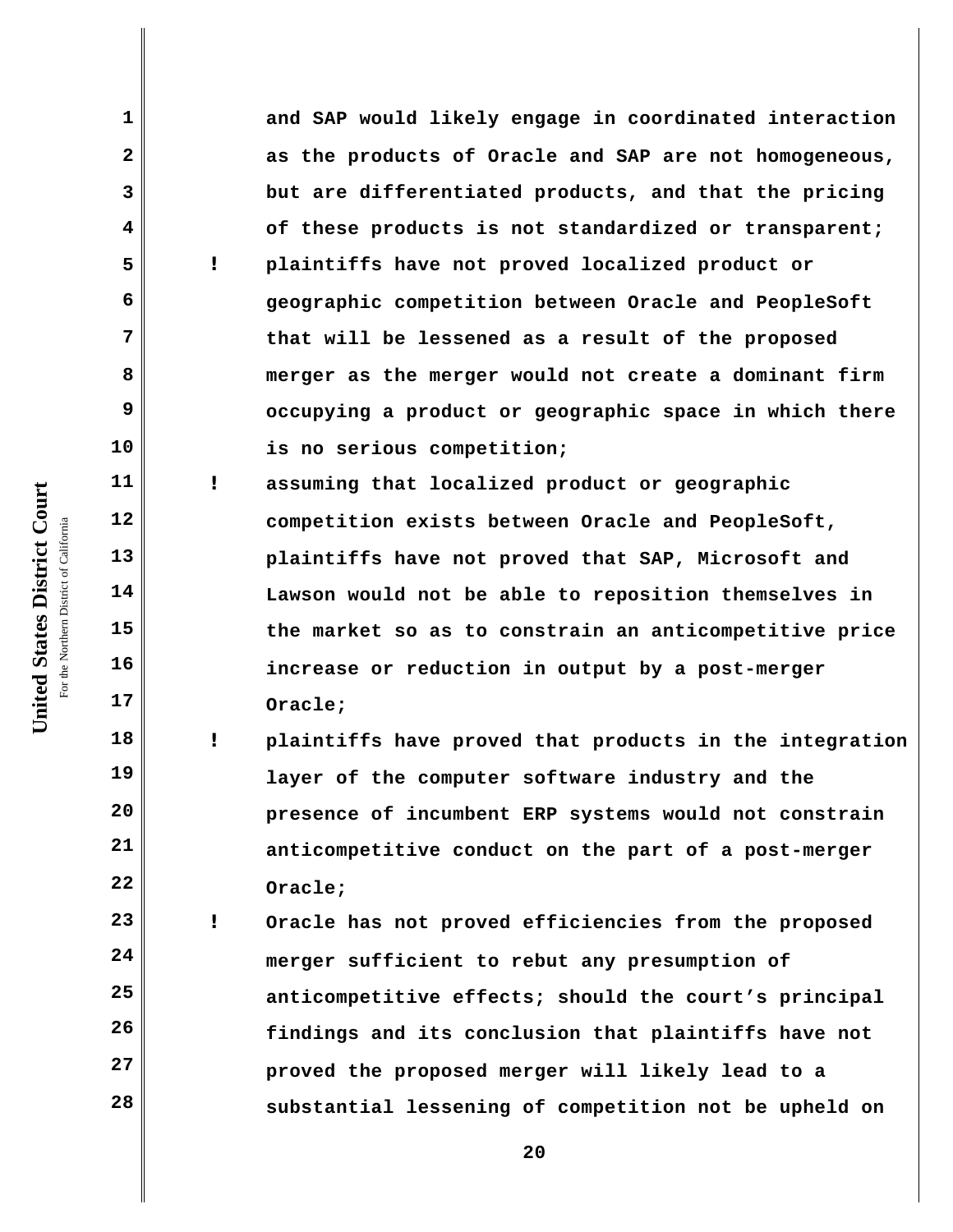**and SAP would likely engage in coordinated interaction as the products of Oracle and SAP are not homogeneous, but are differentiated products, and that the pricing of these products is not standardized or transparent; ! plaintiffs have not proved localized product or geographic competition between Oracle and PeopleSoft that will be lessened as a result of the proposed merger as the merger would not create a dominant firm occupying a product or geographic space in which there is no serious competition;**

**! assuming that localized product or geographic competition exists between Oracle and PeopleSoft, plaintiffs have not proved that SAP, Microsoft and Lawson would not be able to reposition themselves in the market so as to constrain an anticompetitive price increase or reduction in output by a post-merger Oracle;** 

**! plaintiffs have proved that products in the integration layer of the computer software industry and the presence of incumbent ERP systems would not constrain anticompetitive conduct on the part of a post-merger Oracle;**

**23 24 25 26 27 28 ! Oracle has not proved efficiencies from the proposed merger sufficient to rebut any presumption of anticompetitive effects; should the court's principal findings and its conclusion that plaintiffs have not proved the proposed merger will likely lead to a substantial lessening of competition not be upheld on**

United States District Court **United States District Court** For the Northern District of California the Northern District of California

**1**

**2**

**3**

**4**

**5**

**6**

**7**

**8**

**9**

**10**

**11**

**12**

**13**

**14**

**15**

**16**

**17**

**18**

**19**

**20**

**21**

**22**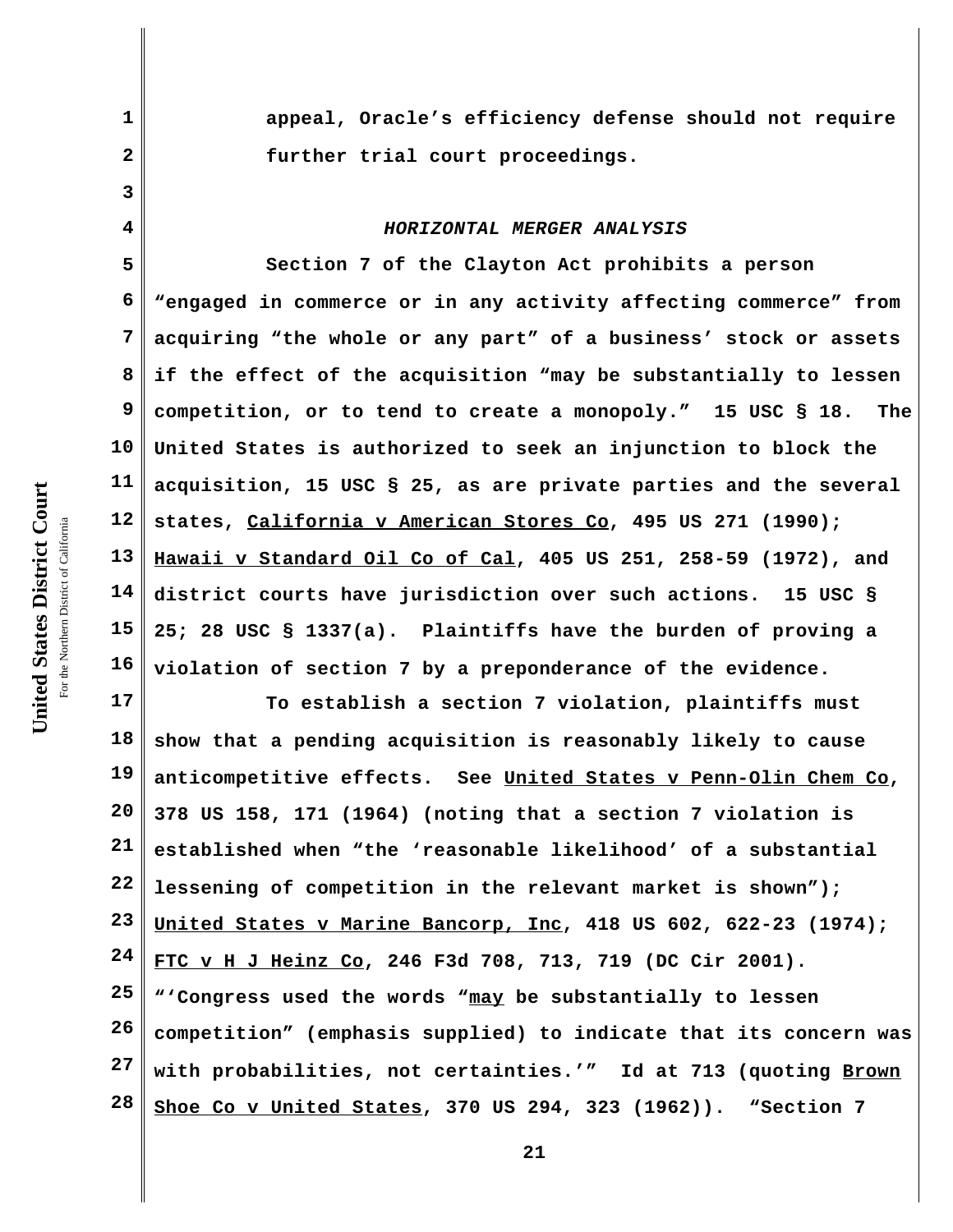**appeal, Oracle's efficiency defense should not require further trial court proceedings.** 

#### *HORIZONTAL MERGER ANALYSIS*

**5 6 7 8 9 10 11 12 13 14 15 16 Section 7 of the Clayton Act prohibits a person "engaged in commerce or in any activity affecting commerce" from acquiring "the whole or any part" of a business' stock or assets if the effect of the acquisition "may be substantially to lessen competition, or to tend to create a monopoly." 15 USC § 18. The United States is authorized to seek an injunction to block the acquisition, 15 USC § 25, as are private parties and the several states, California v American Stores Co, 495 US 271 (1990); Hawaii v Standard Oil Co of Cal, 405 US 251, 258-59 (1972), and district courts have jurisdiction over such actions. 15 USC § 25; 28 USC § 1337(a). Plaintiffs have the burden of proving a violation of section 7 by a preponderance of the evidence.** 

**17 18 19 20 21 22 23 24 25 26 27 28 To establish a section 7 violation, plaintiffs must show that a pending acquisition is reasonably likely to cause anticompetitive effects. See United States v Penn-Olin Chem Co, 378 US 158, 171 (1964) (noting that a section 7 violation is established when "the 'reasonable likelihood' of a substantial lessening of competition in the relevant market is shown"); United States v Marine Bancorp, Inc, 418 US 602, 622-23 (1974); FTC v H J Heinz Co, 246 F3d 708, 713, 719 (DC Cir 2001). "'Congress used the words "may be substantially to lessen competition" (emphasis supplied) to indicate that its concern was with probabilities, not certainties.'" Id at 713 (quoting Brown Shoe Co v United States, 370 US 294, 323 (1962)). "Section 7**

**1**

**2**

**3**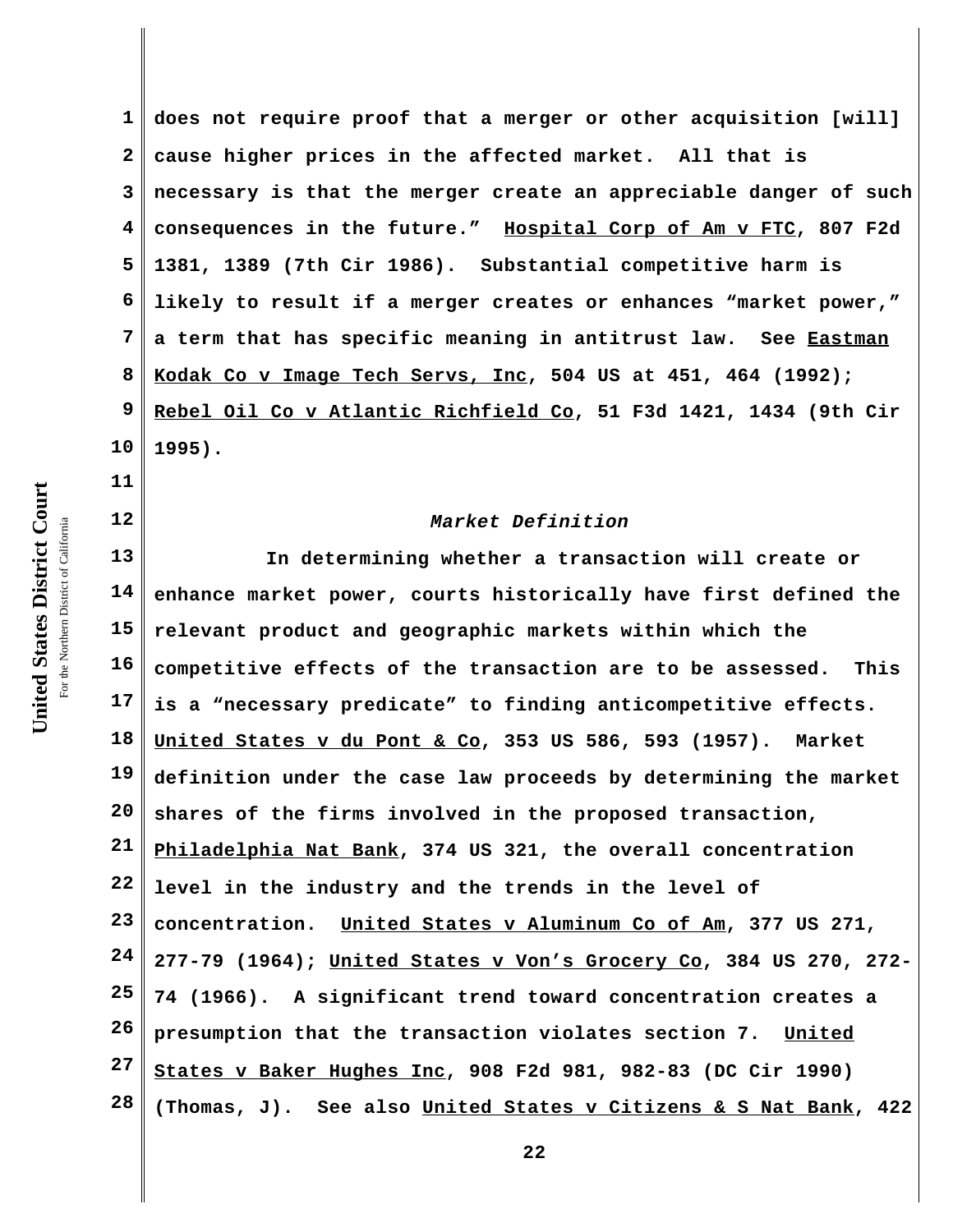**1 2 3 4 5 6 7 8 9 10 does not require proof that a merger or other acquisition [will] cause higher prices in the affected market. All that is necessary is that the merger create an appreciable danger of such consequences in the future." Hospital Corp of Am v FTC, 807 F2d 1381, 1389 (7th Cir 1986). Substantial competitive harm is likely to result if a merger creates or enhances "market power," a term that has specific meaning in antitrust law. See Eastman Kodak Co v Image Tech Servs, Inc, 504 US at 451, 464 (1992); Rebel Oil Co v Atlantic Richfield Co, 51 F3d 1421, 1434 (9th Cir 1995).**

# *Market Definition*

**13 14 15 16 17 18 19 20 21 22 23 24 25 26 27 28 In determining whether a transaction will create or enhance market power, courts historically have first defined the relevant product and geographic markets within which the competitive effects of the transaction are to be assessed. This is a "necessary predicate" to finding anticompetitive effects. United States v du Pont & Co, 353 US 586, 593 (1957). Market definition under the case law proceeds by determining the market shares of the firms involved in the proposed transaction, Philadelphia Nat Bank, 374 US 321, the overall concentration level in the industry and the trends in the level of concentration. United States v Aluminum Co of Am, 377 US 271, 277-79 (1964); United States v Von's Grocery Co, 384 US 270, 272- 74 (1966). A significant trend toward concentration creates a presumption that the transaction violates section 7. United States v Baker Hughes Inc, 908 F2d 981, 982-83 (DC Cir 1990) (Thomas, J). See also United States v Citizens & S Nat Bank, 422**

**11**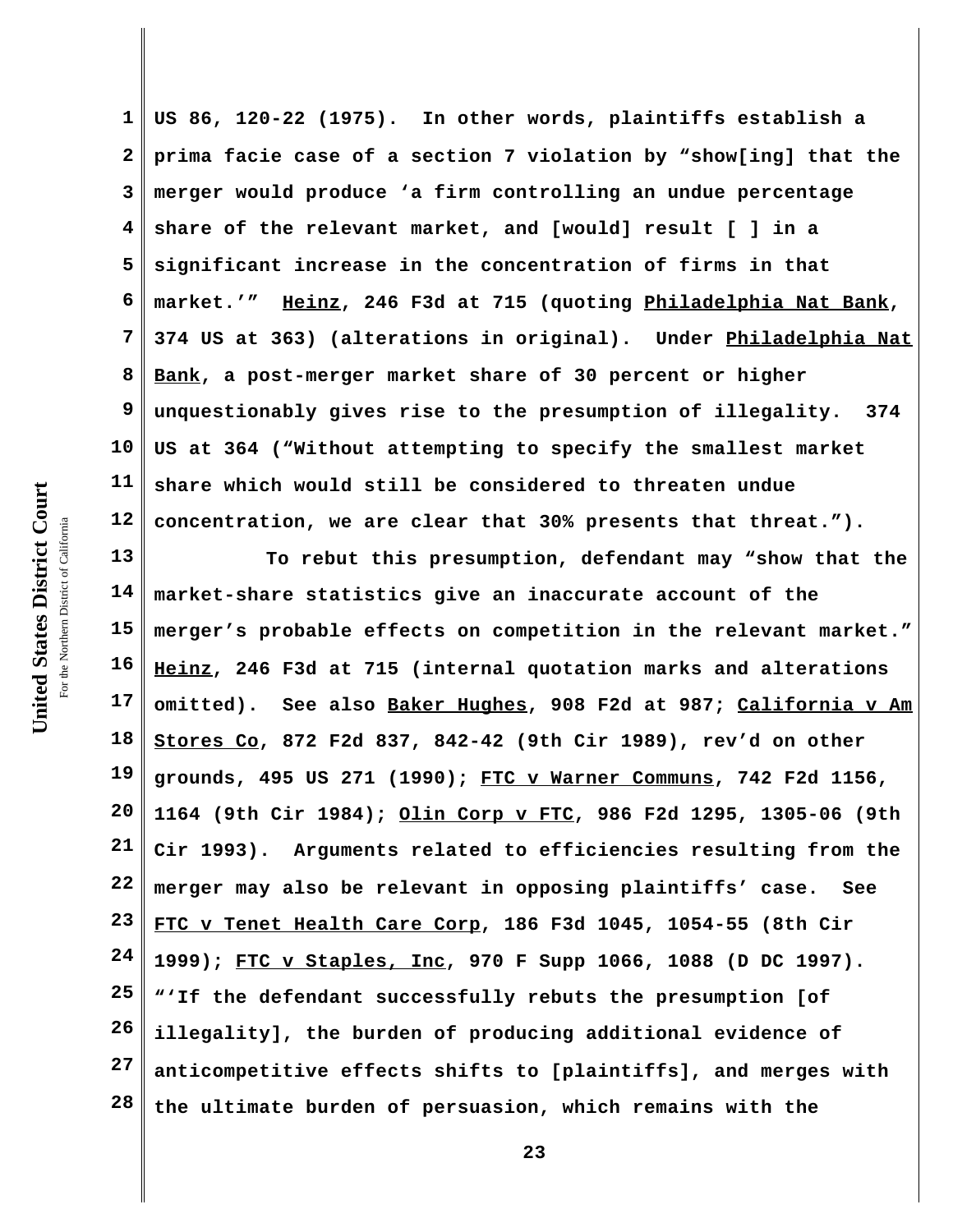**1 2 3 4 5 6 7 8 9 10 11 12 US 86, 120-22 (1975). In other words, plaintiffs establish a prima facie case of a section 7 violation by "show[ing] that the merger would produce 'a firm controlling an undue percentage share of the relevant market, and [would] result [ ] in a significant increase in the concentration of firms in that market.'" Heinz, 246 F3d at 715 (quoting Philadelphia Nat Bank, 374 US at 363) (alterations in original). Under Philadelphia Nat Bank, a post-merger market share of 30 percent or higher unquestionably gives rise to the presumption of illegality. 374 US at 364 ("Without attempting to specify the smallest market share which would still be considered to threaten undue concentration, we are clear that 30% presents that threat.").** 

**13 14 15 16 17 18 19 20 21 22 23 24 25 26 27 28 To rebut this presumption, defendant may "show that the market-share statistics give an inaccurate account of the merger's probable effects on competition in the relevant market." Heinz, 246 F3d at 715 (internal quotation marks and alterations omitted). See also Baker Hughes, 908 F2d at 987; California v Am Stores Co, 872 F2d 837, 842-42 (9th Cir 1989), rev'd on other grounds, 495 US 271 (1990); FTC v Warner Communs, 742 F2d 1156, 1164 (9th Cir 1984); Olin Corp v FTC, 986 F2d 1295, 1305-06 (9th Cir 1993). Arguments related to efficiencies resulting from the merger may also be relevant in opposing plaintiffs' case. See FTC v Tenet Health Care Corp, 186 F3d 1045, 1054-55 (8th Cir 1999); FTC v Staples, Inc, 970 F Supp 1066, 1088 (D DC 1997). "'If the defendant successfully rebuts the presumption [of illegality], the burden of producing additional evidence of anticompetitive effects shifts to [plaintiffs], and merges with the ultimate burden of persuasion, which remains with the**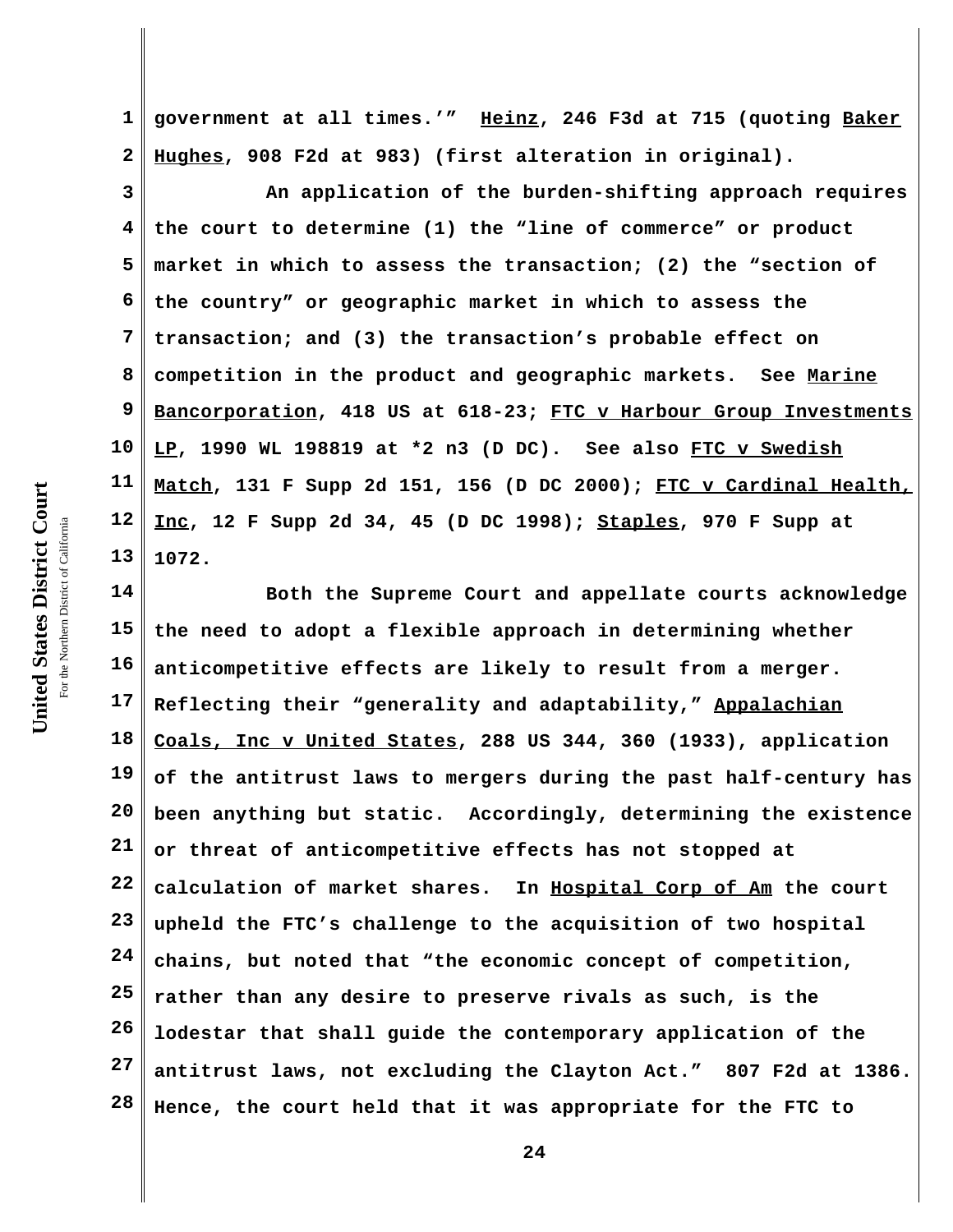United States District Court **United States District Court** For the Northern District of California the Northern District of California

**1 2 government at all times.'" Heinz, 246 F3d at 715 (quoting Baker Hughes, 908 F2d at 983) (first alteration in original).**

**3 4 5 6 7 8 9 10 11 12 13 An application of the burden-shifting approach requires the court to determine (1) the "line of commerce" or product market in which to assess the transaction; (2) the "section of the country" or geographic market in which to assess the transaction; and (3) the transaction's probable effect on competition in the product and geographic markets. See Marine Bancorporation, 418 US at 618-23; FTC v Harbour Group Investments LP, 1990 WL 198819 at \*2 n3 (D DC). See also FTC v Swedish Match, 131 F Supp 2d 151, 156 (D DC 2000); FTC v Cardinal Health, Inc, 12 F Supp 2d 34, 45 (D DC 1998); Staples, 970 F Supp at 1072.**

**14 15 16 17 18 19 20 21 22 23 24 25 26 27 28 Both the Supreme Court and appellate courts acknowledge the need to adopt a flexible approach in determining whether anticompetitive effects are likely to result from a merger. Reflecting their "generality and adaptability," Appalachian Coals, Inc v United States, 288 US 344, 360 (1933), application of the antitrust laws to mergers during the past half-century has been anything but static. Accordingly, determining the existence or threat of anticompetitive effects has not stopped at calculation of market shares. In Hospital Corp of Am the court upheld the FTC's challenge to the acquisition of two hospital chains, but noted that "the economic concept of competition, rather than any desire to preserve rivals as such, is the lodestar that shall guide the contemporary application of the antitrust laws, not excluding the Clayton Act." 807 F2d at 1386. Hence, the court held that it was appropriate for the FTC to**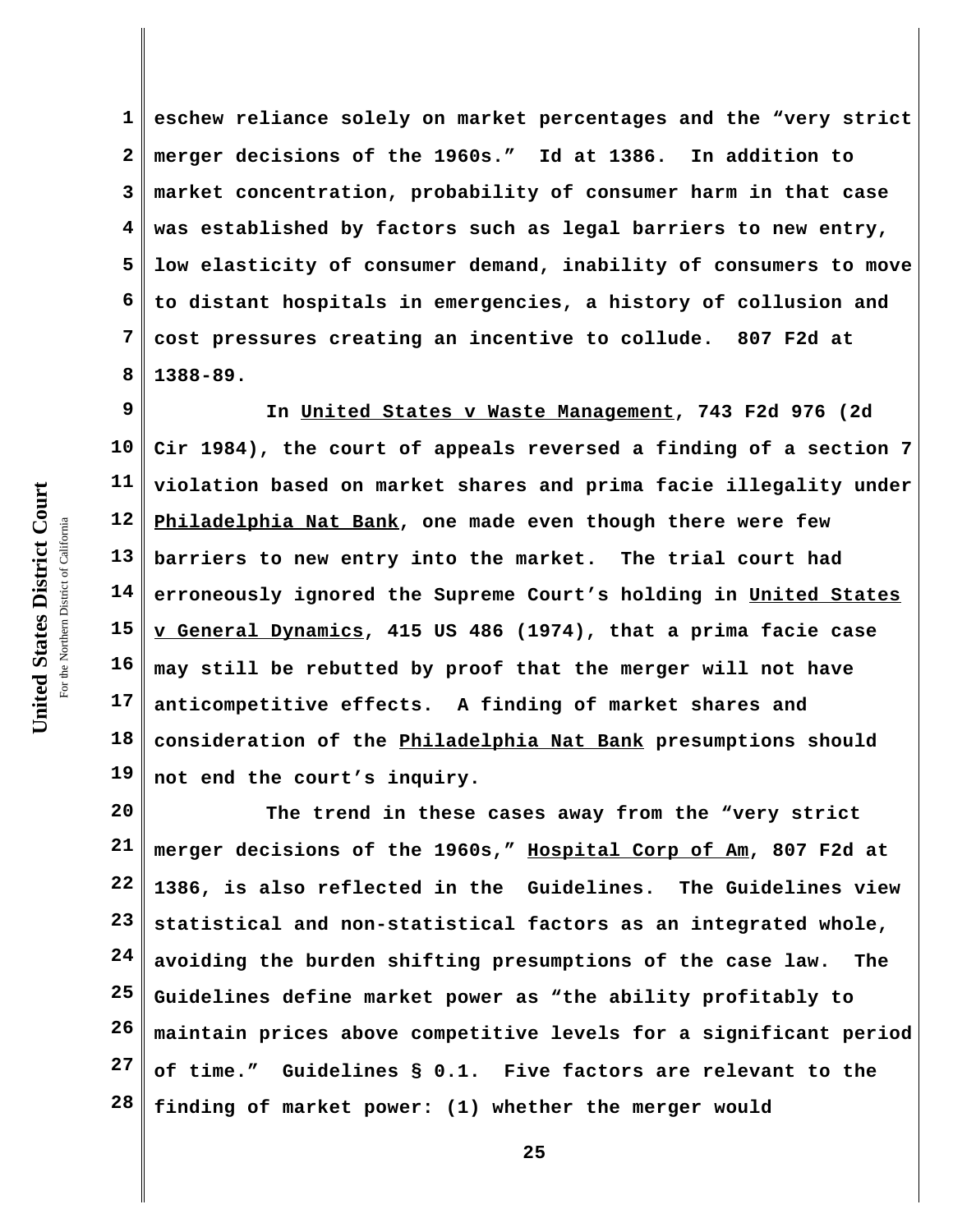**1 2 3 4 5 6 7 8 eschew reliance solely on market percentages and the "very strict merger decisions of the 1960s." Id at 1386. In addition to market concentration, probability of consumer harm in that case was established by factors such as legal barriers to new entry, low elasticity of consumer demand, inability of consumers to move to distant hospitals in emergencies, a history of collusion and cost pressures creating an incentive to collude. 807 F2d at 1388-89.**

**9 10 11 12 13 14 15 16 17 18 19 In United States v Waste Management, 743 F2d 976 (2d Cir 1984), the court of appeals reversed a finding of a section 7 violation based on market shares and prima facie illegality under Philadelphia Nat Bank, one made even though there were few barriers to new entry into the market. The trial court had erroneously ignored the Supreme Court's holding in United States v General Dynamics, 415 US 486 (1974), that a prima facie case may still be rebutted by proof that the merger will not have anticompetitive effects. A finding of market shares and consideration of the Philadelphia Nat Bank presumptions should not end the court's inquiry.**

**20 21 22 23 24 25 26 27 28 The trend in these cases away from the "very strict merger decisions of the 1960s," Hospital Corp of Am, 807 F2d at 1386, is also reflected in the Guidelines. The Guidelines view statistical and non-statistical factors as an integrated whole, avoiding the burden shifting presumptions of the case law. The Guidelines define market power as "the ability profitably to maintain prices above competitive levels for a significant period of time." Guidelines § 0.1. Five factors are relevant to the finding of market power: (1) whether the merger would**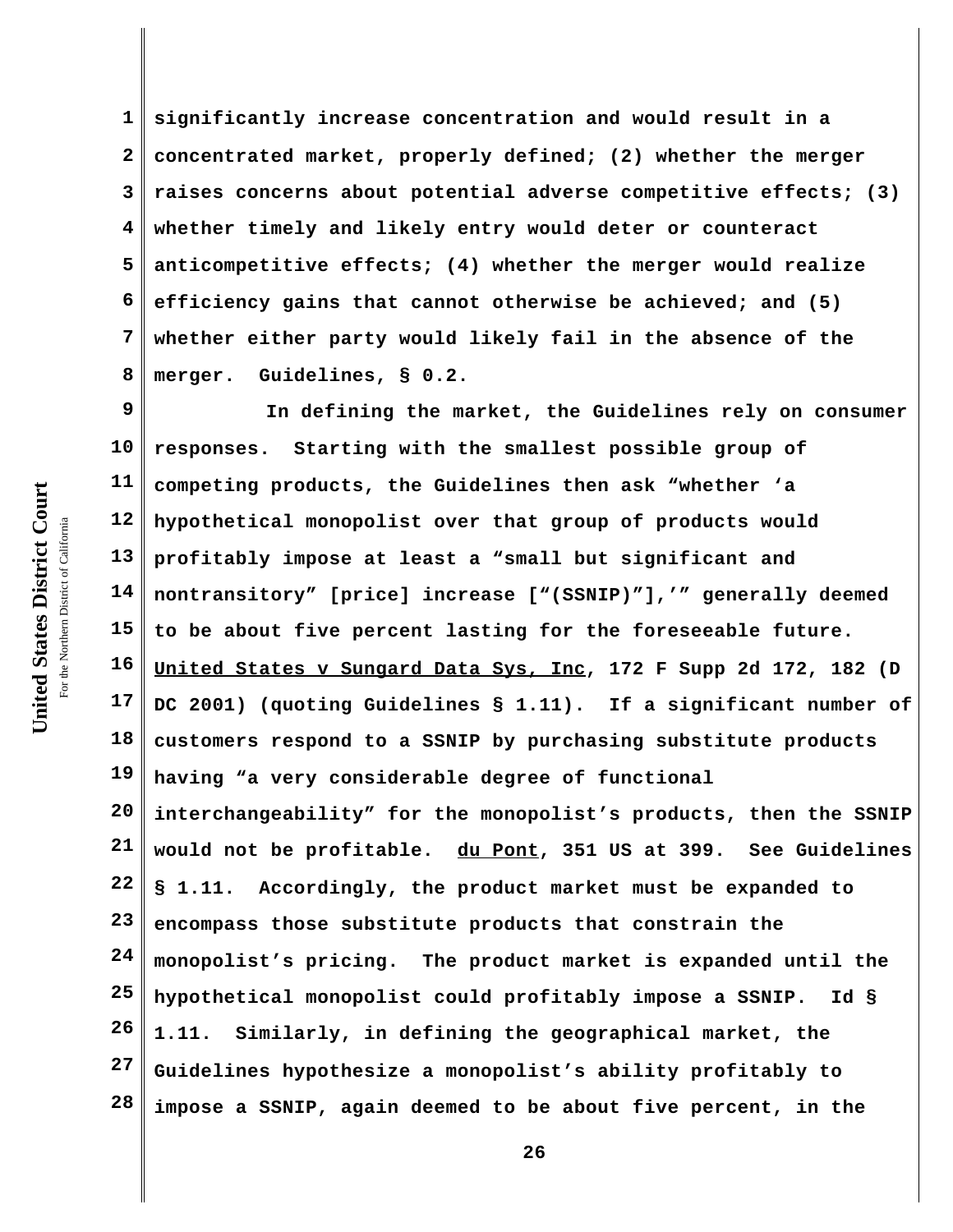**1 2 3 4 5 6 7 8 significantly increase concentration and would result in a concentrated market, properly defined; (2) whether the merger raises concerns about potential adverse competitive effects; (3) whether timely and likely entry would deter or counteract anticompetitive effects; (4) whether the merger would realize efficiency gains that cannot otherwise be achieved; and (5) whether either party would likely fail in the absence of the merger. Guidelines, § 0.2.**

**9 10 11 12 13 14 15 16 17 18 19 20 21 22 23 24 25 26 27 28 In defining the market, the Guidelines rely on consumer responses. Starting with the smallest possible group of competing products, the Guidelines then ask "whether 'a hypothetical monopolist over that group of products would profitably impose at least a "small but significant and nontransitory" [price] increase ["(SSNIP)"],'" generally deemed to be about five percent lasting for the foreseeable future. United States v Sungard Data Sys, Inc, 172 F Supp 2d 172, 182 (D DC 2001) (quoting Guidelines § 1.11). If a significant number of customers respond to a SSNIP by purchasing substitute products having "a very considerable degree of functional interchangeability" for the monopolist's products, then the SSNIP would not be profitable. du Pont, 351 US at 399. See Guidelines § 1.11. Accordingly, the product market must be expanded to encompass those substitute products that constrain the monopolist's pricing. The product market is expanded until the hypothetical monopolist could profitably impose a SSNIP. Id § 1.11. Similarly, in defining the geographical market, the Guidelines hypothesize a monopolist's ability profitably to impose a SSNIP, again deemed to be about five percent, in the**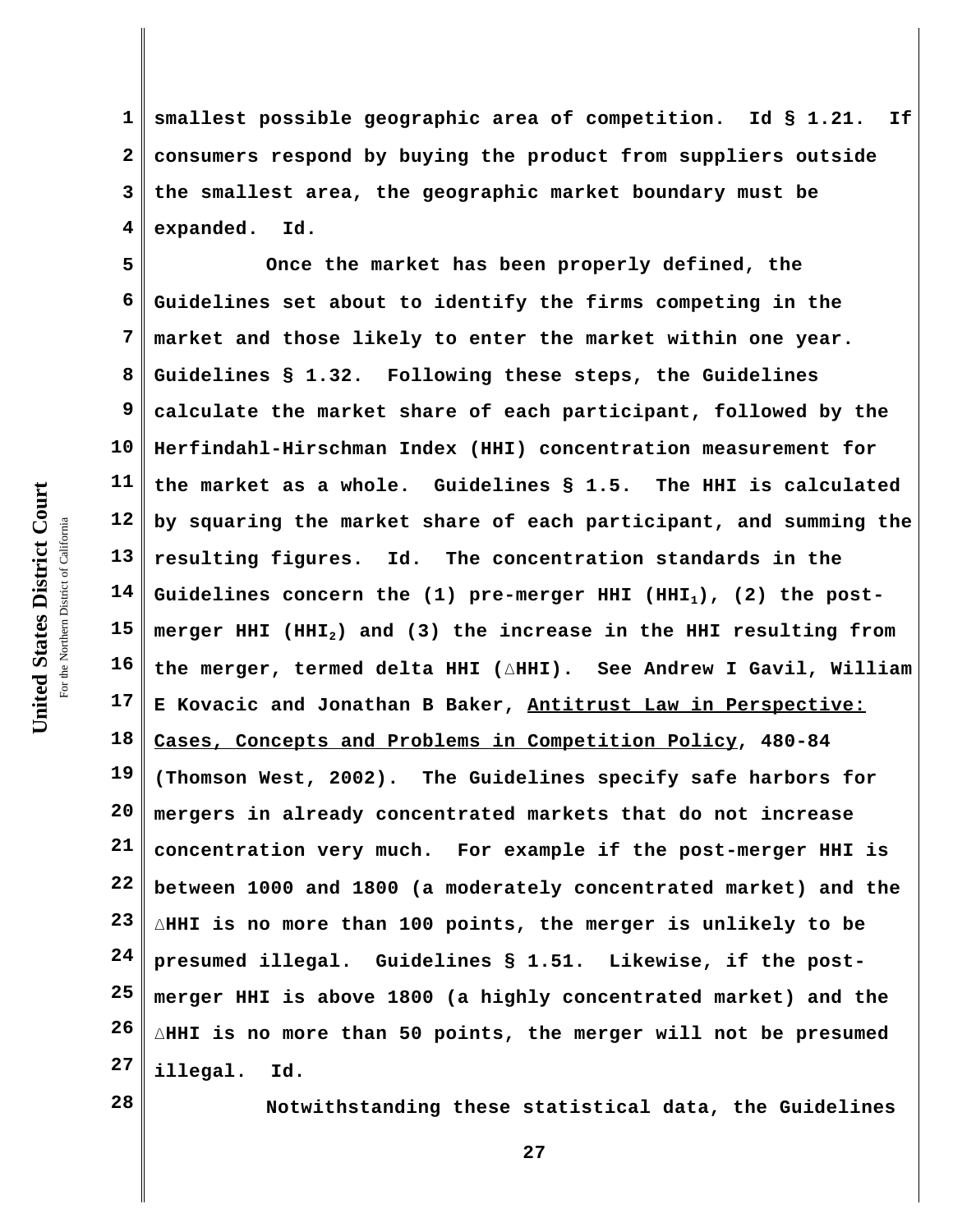United States District Court **United States District Court** For the Northern District of California the Northern District of California

**1 2 3 4 smallest possible geographic area of competition. Id § 1.21. If consumers respond by buying the product from suppliers outside the smallest area, the geographic market boundary must be expanded. Id.** 

**5 6 7 8 9 10 11 12 13 14 15 16 17 18 19 20 21 22 23 24 25 26 27 Once the market has been properly defined, the Guidelines set about to identify the firms competing in the market and those likely to enter the market within one year. Guidelines § 1.32. Following these steps, the Guidelines calculate the market share of each participant, followed by the Herfindahl-Hirschman Index (HHI) concentration measurement for the market as a whole. Guidelines § 1.5. The HHI is calculated by squaring the market share of each participant, and summing the resulting figures. Id. The concentration standards in the Guidelines concern the (1) pre-merger HHI (HHI1), (2) the postmerger HHI (HHI2) and (3) the increase in the HHI resulting from** the merger, termed delta HHI (AHHI). See Andrew I Gavil, William **E Kovacic and Jonathan B Baker, Antitrust Law in Perspective: Cases, Concepts and Problems in Competition Policy, 480-84 (Thomson West, 2002). The Guidelines specify safe harbors for mergers in already concentrated markets that do not increase concentration very much. For example if the post-merger HHI is between 1000 and 1800 (a moderately concentrated market) and the** )**HHI is no more than 100 points, the merger is unlikely to be presumed illegal. Guidelines § 1.51. Likewise, if the postmerger HHI is above 1800 (a highly concentrated market) and the** )**HHI is no more than 50 points, the merger will not be presumed illegal. Id.**

**28**

**Notwithstanding these statistical data, the Guidelines**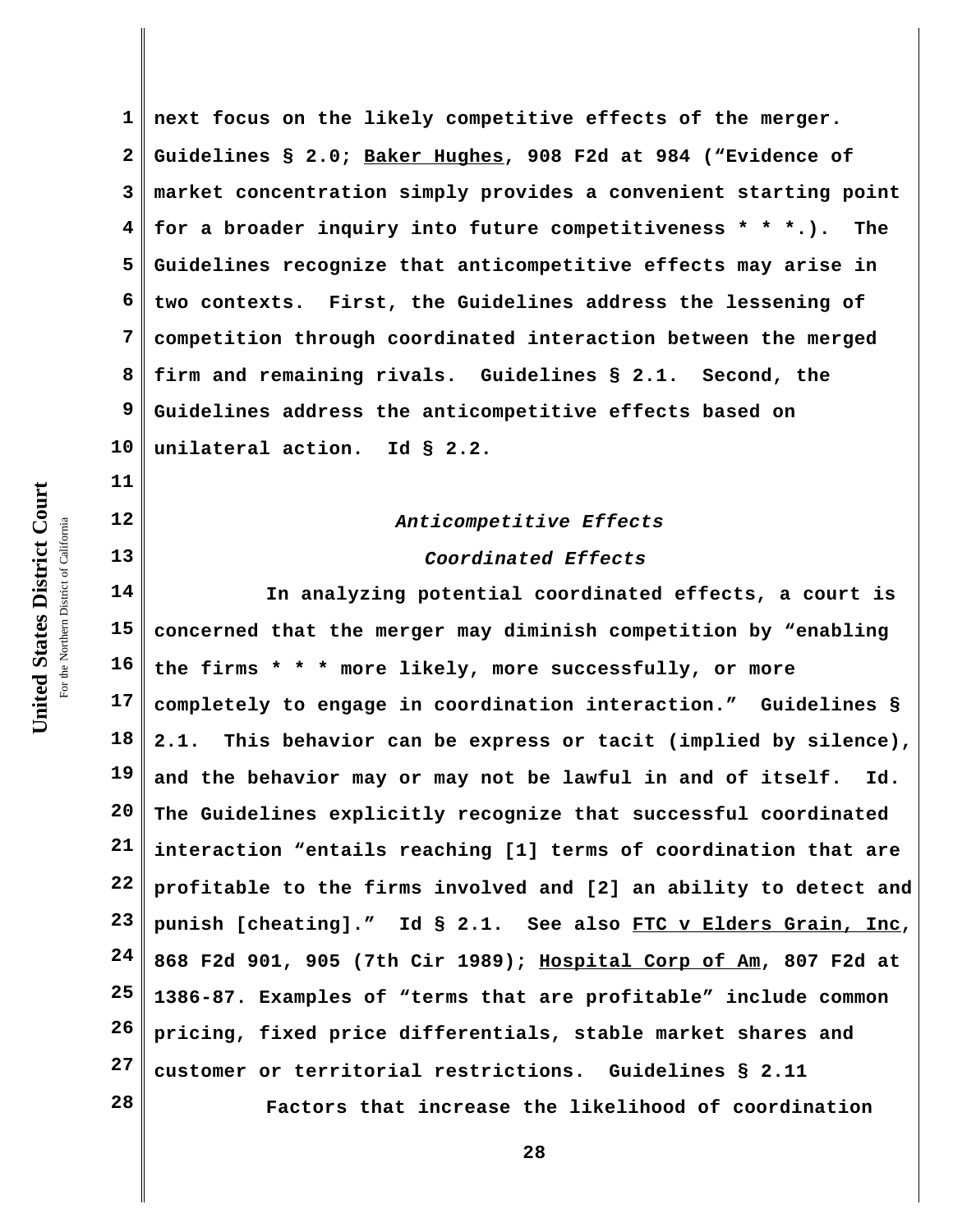**1 2 3 4 5 6 7 8 9 10 next focus on the likely competitive effects of the merger. Guidelines § 2.0; Baker Hughes, 908 F2d at 984 ("Evidence of market concentration simply provides a convenient starting point for a broader inquiry into future competitiveness \* \* \*.). The Guidelines recognize that anticompetitive effects may arise in two contexts. First, the Guidelines address the lessening of competition through coordinated interaction between the merged firm and remaining rivals. Guidelines § 2.1. Second, the Guidelines address the anticompetitive effects based on unilateral action. Id § 2.2.**

# *Anticompetitive Effects*

#### *Coordinated Effects*

**14 15 16 17 18 19 20 21 22 23 24 25 26 27 28 In analyzing potential coordinated effects, a court is concerned that the merger may diminish competition by "enabling the firms \* \* \* more likely, more successfully, or more completely to engage in coordination interaction." Guidelines § 2.1. This behavior can be express or tacit (implied by silence), and the behavior may or may not be lawful in and of itself. Id. The Guidelines explicitly recognize that successful coordinated interaction "entails reaching [1] terms of coordination that are profitable to the firms involved and [2] an ability to detect and punish [cheating]." Id § 2.1. See also FTC v Elders Grain, Inc, 868 F2d 901, 905 (7th Cir 1989); Hospital Corp of Am, 807 F2d at 1386-87. Examples of "terms that are profitable" include common pricing, fixed price differentials, stable market shares and customer or territorial restrictions. Guidelines § 2.11 Factors that increase the likelihood of coordination**

United States District Court **United States District Court** For the Northern District of California the Northern District of California

**11**

**12**

**13**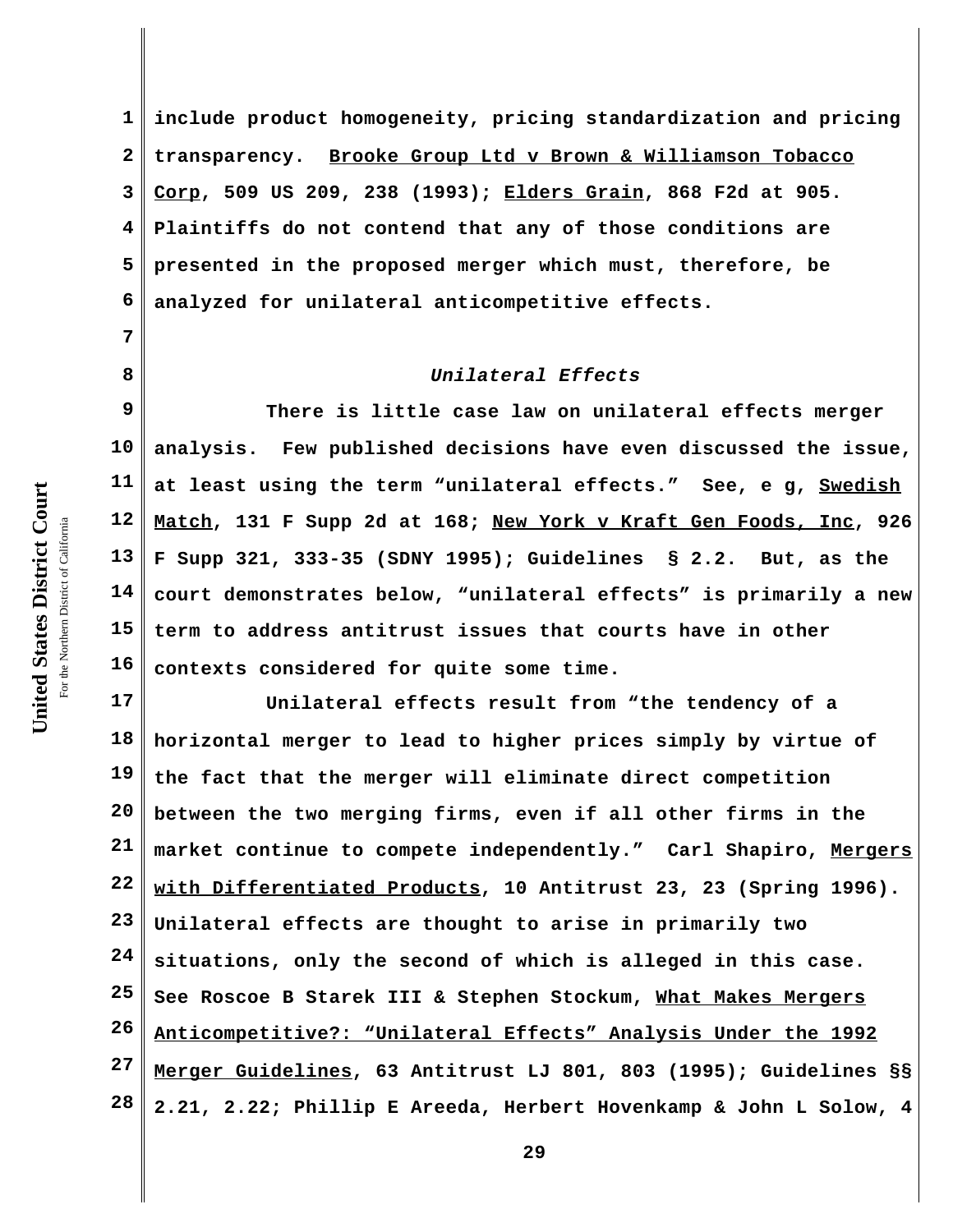**7**

**8**

**1 2 3 4 5 6 include product homogeneity, pricing standardization and pricing transparency. Brooke Group Ltd v Brown & Williamson Tobacco Corp, 509 US 209, 238 (1993); Elders Grain, 868 F2d at 905. Plaintiffs do not contend that any of those conditions are presented in the proposed merger which must, therefore, be analyzed for unilateral anticompetitive effects.** 

### *Unilateral Effects*

**9 10 11 12 13 14 15 16 There is little case law on unilateral effects merger analysis. Few published decisions have even discussed the issue, at least using the term "unilateral effects." See, e g, Swedish Match, 131 F Supp 2d at 168; New York v Kraft Gen Foods, Inc, 926 F Supp 321, 333-35 (SDNY 1995); Guidelines § 2.2. But, as the court demonstrates below, "unilateral effects" is primarily a new term to address antitrust issues that courts have in other contexts considered for quite some time.**

**17 18 19 20 21 22 23 24 25 26 27 28 Unilateral effects result from "the tendency of a horizontal merger to lead to higher prices simply by virtue of the fact that the merger will eliminate direct competition between the two merging firms, even if all other firms in the market continue to compete independently." Carl Shapiro, Mergers with Differentiated Products, 10 Antitrust 23, 23 (Spring 1996). Unilateral effects are thought to arise in primarily two situations, only the second of which is alleged in this case. See Roscoe B Starek III & Stephen Stockum, What Makes Mergers Anticompetitive?: "Unilateral Effects" Analysis Under the 1992 Merger Guidelines, 63 Antitrust LJ 801, 803 (1995); Guidelines §§ 2.21, 2.22; Phillip E Areeda, Herbert Hovenkamp & John L Solow, 4**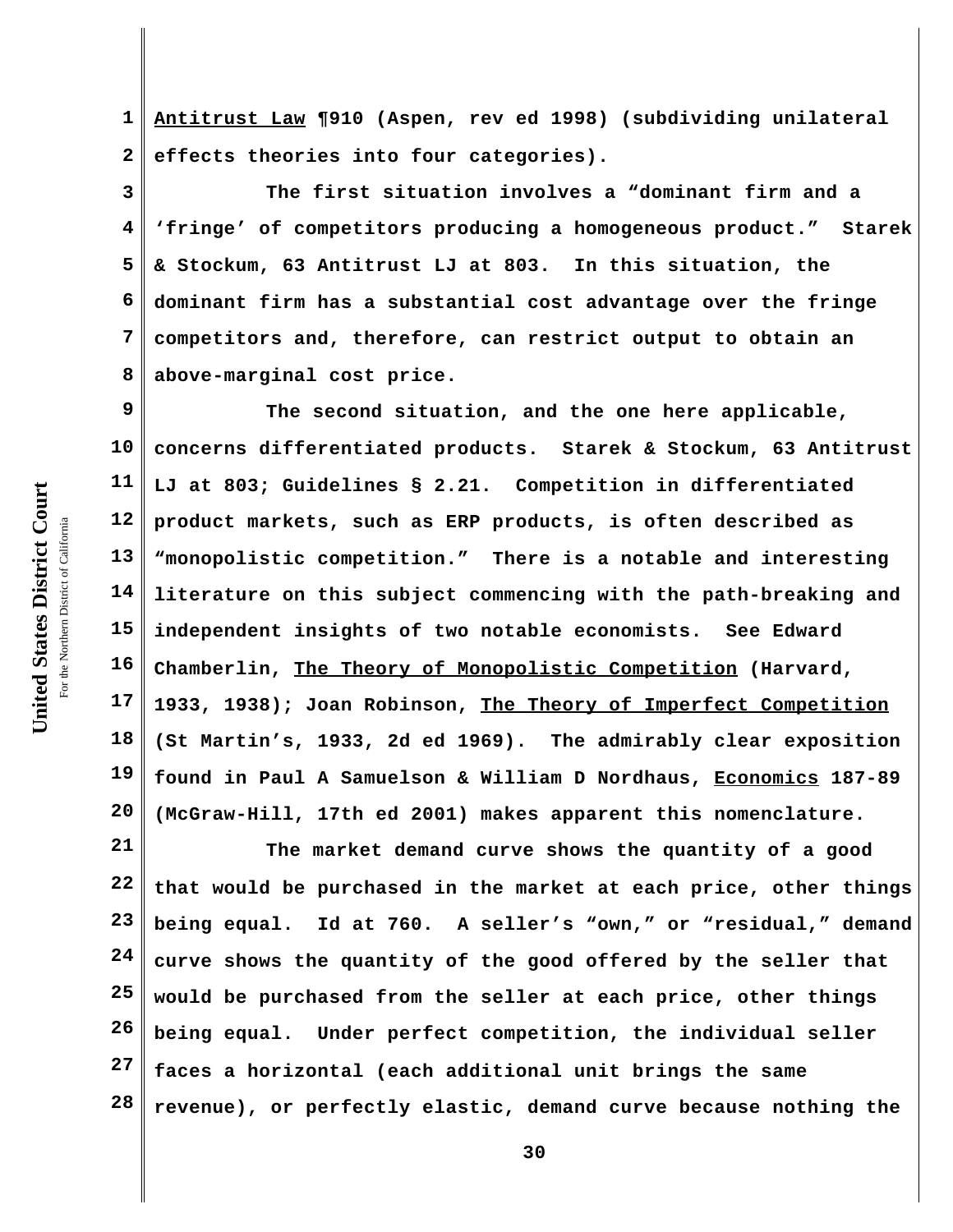**1 2 Antitrust Law ¶910 (Aspen, rev ed 1998) (subdividing unilateral effects theories into four categories).** 

**3 4 5 6 7 8 The first situation involves a "dominant firm and a 'fringe' of competitors producing a homogeneous product." Starek & Stockum, 63 Antitrust LJ at 803. In this situation, the dominant firm has a substantial cost advantage over the fringe competitors and, therefore, can restrict output to obtain an above-marginal cost price.**

**9 10 11 12 13 14 15 16 17 18 19 20 The second situation, and the one here applicable, concerns differentiated products. Starek & Stockum, 63 Antitrust LJ at 803; Guidelines § 2.21. Competition in differentiated product markets, such as ERP products, is often described as "monopolistic competition." There is a notable and interesting literature on this subject commencing with the path-breaking and independent insights of two notable economists. See Edward Chamberlin, The Theory of Monopolistic Competition (Harvard, 1933, 1938); Joan Robinson, The Theory of Imperfect Competition (St Martin's, 1933, 2d ed 1969). The admirably clear exposition found in Paul A Samuelson & William D Nordhaus, Economics 187-89 (McGraw-Hill, 17th ed 2001) makes apparent this nomenclature.** 

**21 22 23 24 25 26 27 28 The market demand curve shows the quantity of a good that would be purchased in the market at each price, other things being equal. Id at 760. A seller's "own," or "residual," demand curve shows the quantity of the good offered by the seller that would be purchased from the seller at each price, other things being equal. Under perfect competition, the individual seller faces a horizontal (each additional unit brings the same revenue), or perfectly elastic, demand curve because nothing the**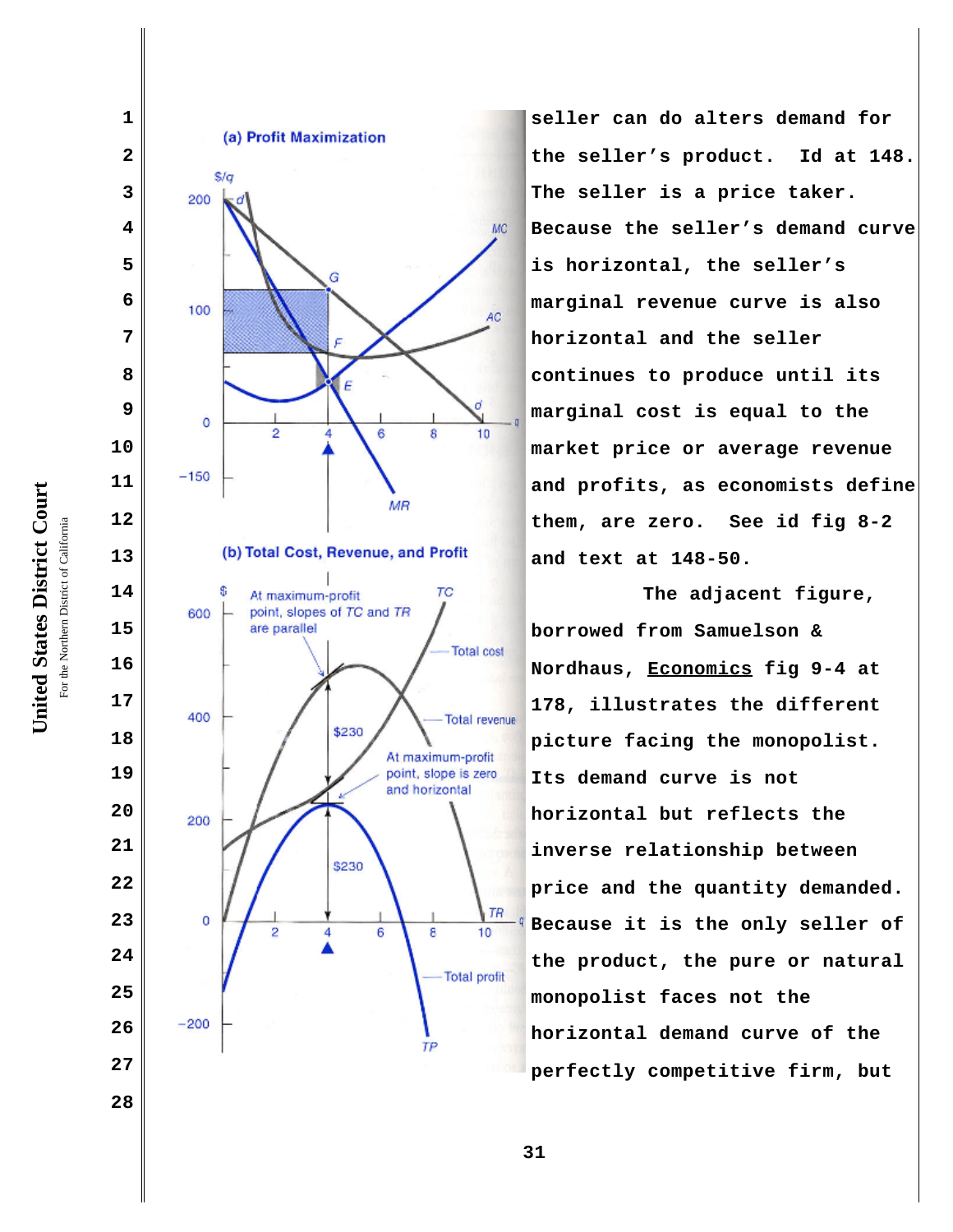



**seller can do alters demand for the seller's product. Id at 148. The seller is a price taker. Because the seller's demand curve is horizontal, the seller's marginal revenue curve is also horizontal and the seller continues to produce until its marginal cost is equal to the market price or average revenue and profits, as economists define them, are zero. See id fig 8-2 and text at 148-50.** 

**The adjacent figure, borrowed from Samuelson & Nordhaus, Economics fig 9-4 at 178, illustrates the different picture facing the monopolist. Its demand curve is not horizontal but reflects the inverse relationship between price and the quantity demanded. Because it is the only seller of the product, the pure or natural monopolist faces not the horizontal demand curve of the perfectly competitive firm, but**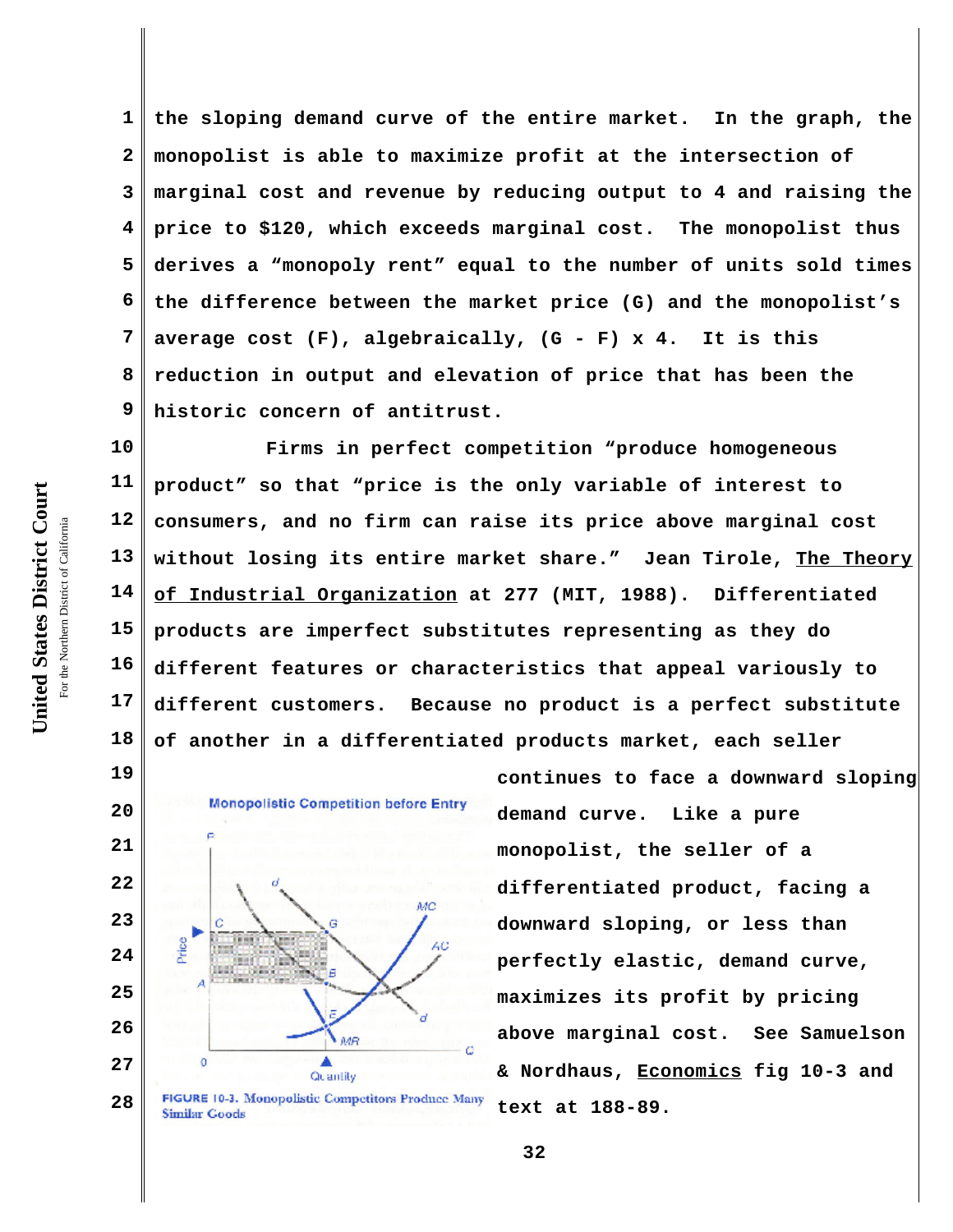**1 2 3 4 5 6 7 8 9 the sloping demand curve of the entire market. In the graph, the monopolist is able to maximize profit at the intersection of marginal cost and revenue by reducing output to 4 and raising the price to \$120, which exceeds marginal cost. The monopolist thus derives a "monopoly rent" equal to the number of units sold times the difference between the market price (G) and the monopolist's average cost (F), algebraically, (G - F) x 4. It is this reduction in output and elevation of price that has been the historic concern of antitrust.**

**10 11 12 13 14 15 16 17 18 Firms in perfect competition "produce homogeneous product" so that "price is the only variable of interest to consumers, and no firm can raise its price above marginal cost without losing its entire market share." Jean Tirole, The Theory of Industrial Organization at 277 (MIT, 1988). Differentiated products are imperfect substitutes representing as they do different features or characteristics that appeal variously to different customers. Because no product is a perfect substitute of another in a differentiated products market, each seller**



FIGURE 10-3. Monopolistic Competitors Produce Many **28 Similar Goods** 

**continues to face a downward sloping demand curve. Like a pure monopolist, the seller of a differentiated product, facing a downward sloping, or less than perfectly elastic, demand curve, maximizes its profit by pricing above marginal cost. See Samuelson & Nordhaus, Economics fig 10-3 and text at 188-89.** 

United States District Court **United States District Court** For the Northern District of California the Northern District of California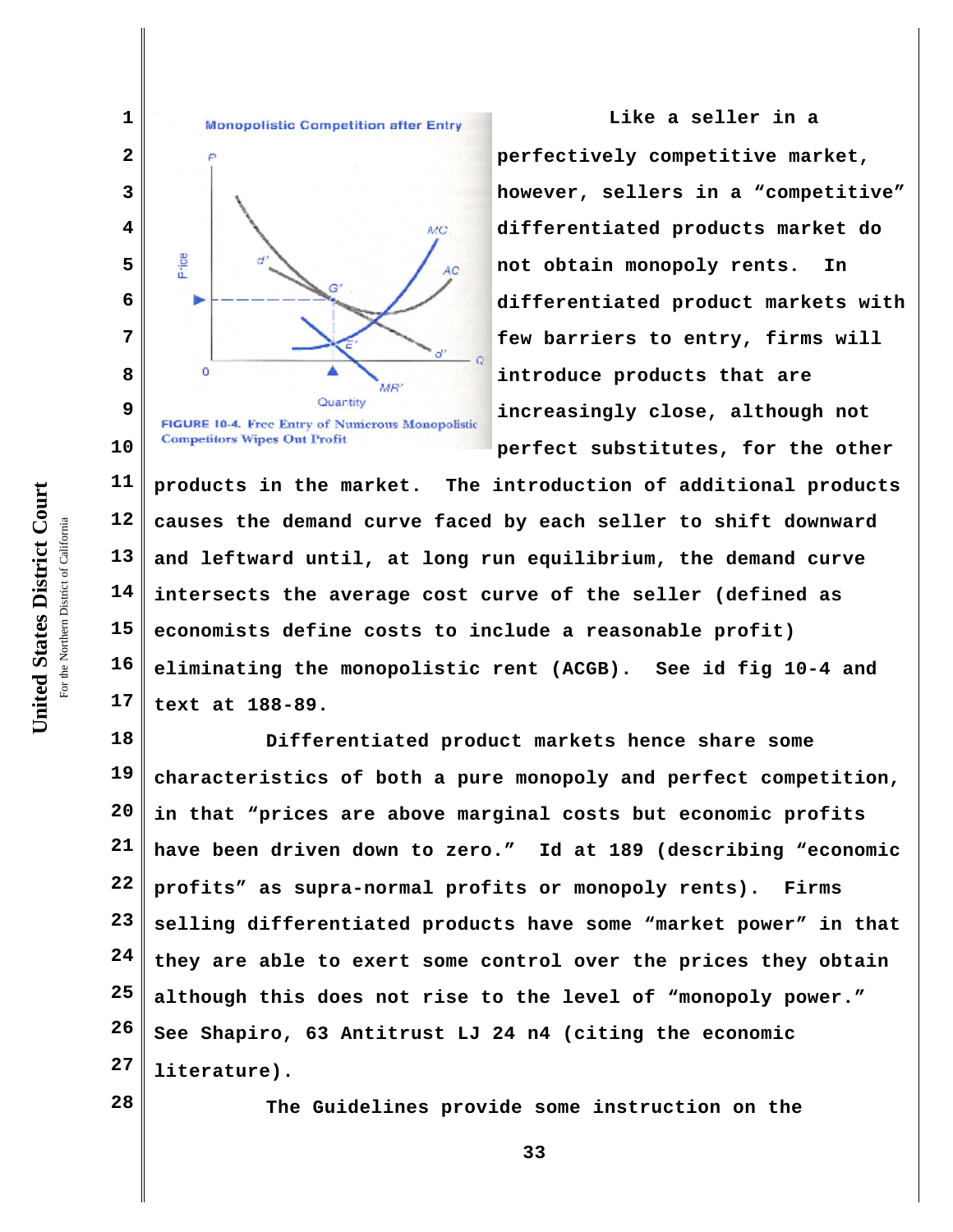



**Like a seller in a perfectively competitive market, however, sellers in a "competitive" differentiated products market do not obtain monopoly rents. In differentiated product markets with few barriers to entry, firms will introduce products that are increasingly close, although not perfect substitutes, for the other**

**11 12 13 14 15 16 17 products in the market. The introduction of additional products causes the demand curve faced by each seller to shift downward and leftward until, at long run equilibrium, the demand curve intersects the average cost curve of the seller (defined as economists define costs to include a reasonable profit) eliminating the monopolistic rent (ACGB). See id fig 10-4 and text at 188-89.**

**18 19 20 21 22 23 24 25 26 27 Differentiated product markets hence share some characteristics of both a pure monopoly and perfect competition, in that "prices are above marginal costs but economic profits have been driven down to zero." Id at 189 (describing "economic profits" as supra-normal profits or monopoly rents). Firms selling differentiated products have some "market power" in that they are able to exert some control over the prices they obtain although this does not rise to the level of "monopoly power." See Shapiro, 63 Antitrust LJ 24 n4 (citing the economic literature).** 

**28**

**The Guidelines provide some instruction on the**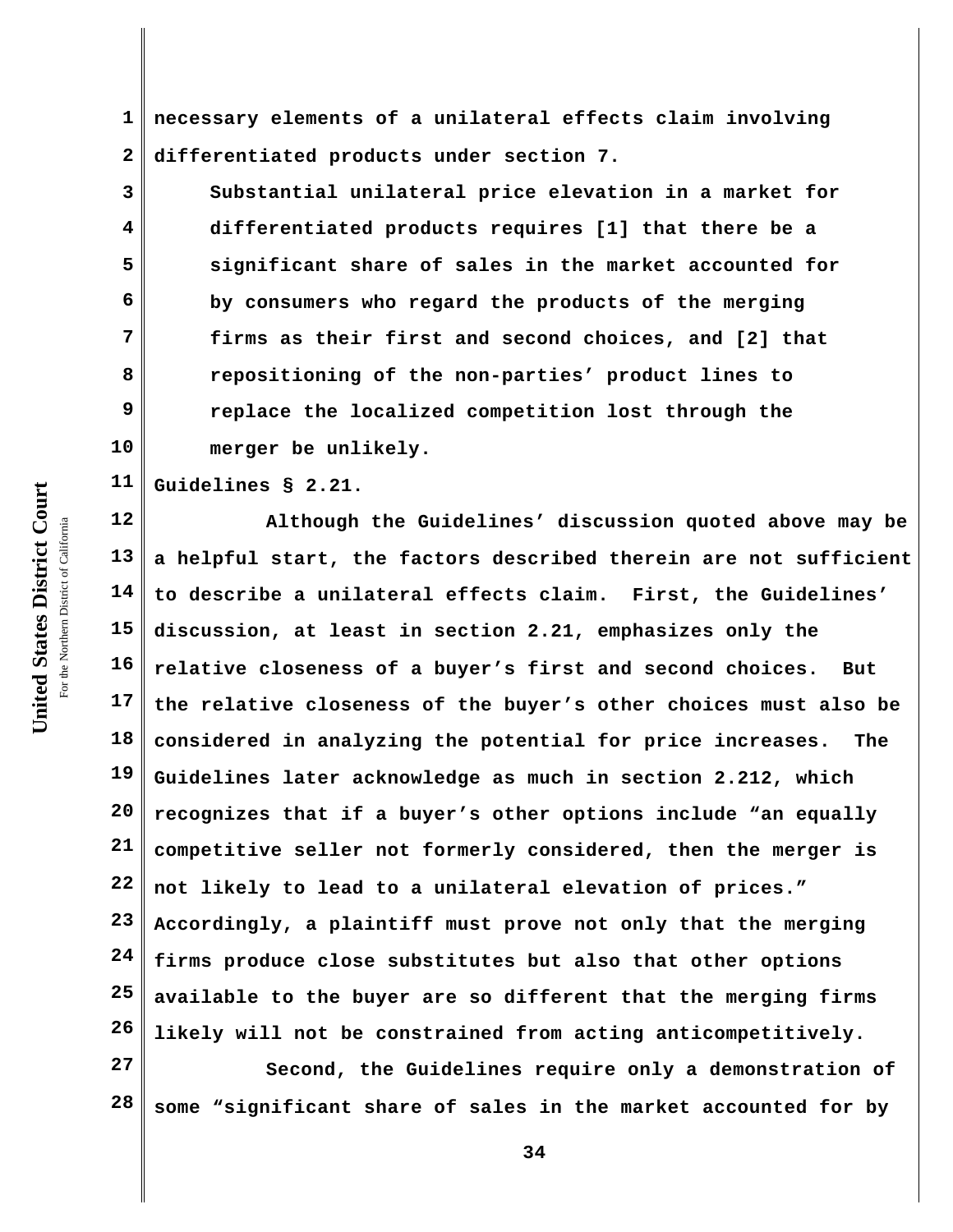**1 2 necessary elements of a unilateral effects claim involving differentiated products under section 7.** 

**Substantial unilateral price elevation in a market for differentiated products requires [1] that there be a significant share of sales in the market accounted for by consumers who regard the products of the merging firms as their first and second choices, and [2] that repositioning of the non-parties' product lines to replace the localized competition lost through the merger be unlikely.** 

**11 Guidelines § 2.21.**

**12 13 14 15 16 17 18 19 20 21 22 23 24 25 26 Although the Guidelines' discussion quoted above may be a helpful start, the factors described therein are not sufficient to describe a unilateral effects claim. First, the Guidelines' discussion, at least in section 2.21, emphasizes only the relative closeness of a buyer's first and second choices. But the relative closeness of the buyer's other choices must also be considered in analyzing the potential for price increases. The Guidelines later acknowledge as much in section 2.212, which recognizes that if a buyer's other options include "an equally competitive seller not formerly considered, then the merger is not likely to lead to a unilateral elevation of prices." Accordingly, a plaintiff must prove not only that the merging firms produce close substitutes but also that other options available to the buyer are so different that the merging firms likely will not be constrained from acting anticompetitively.**

**27 28 Second, the Guidelines require only a demonstration of some "significant share of sales in the market accounted for by**

United States District Court **United States District Court** For the Northern District of California the Northern District of California

**3**

**4**

**5**

**6**

**7**

**8**

**9**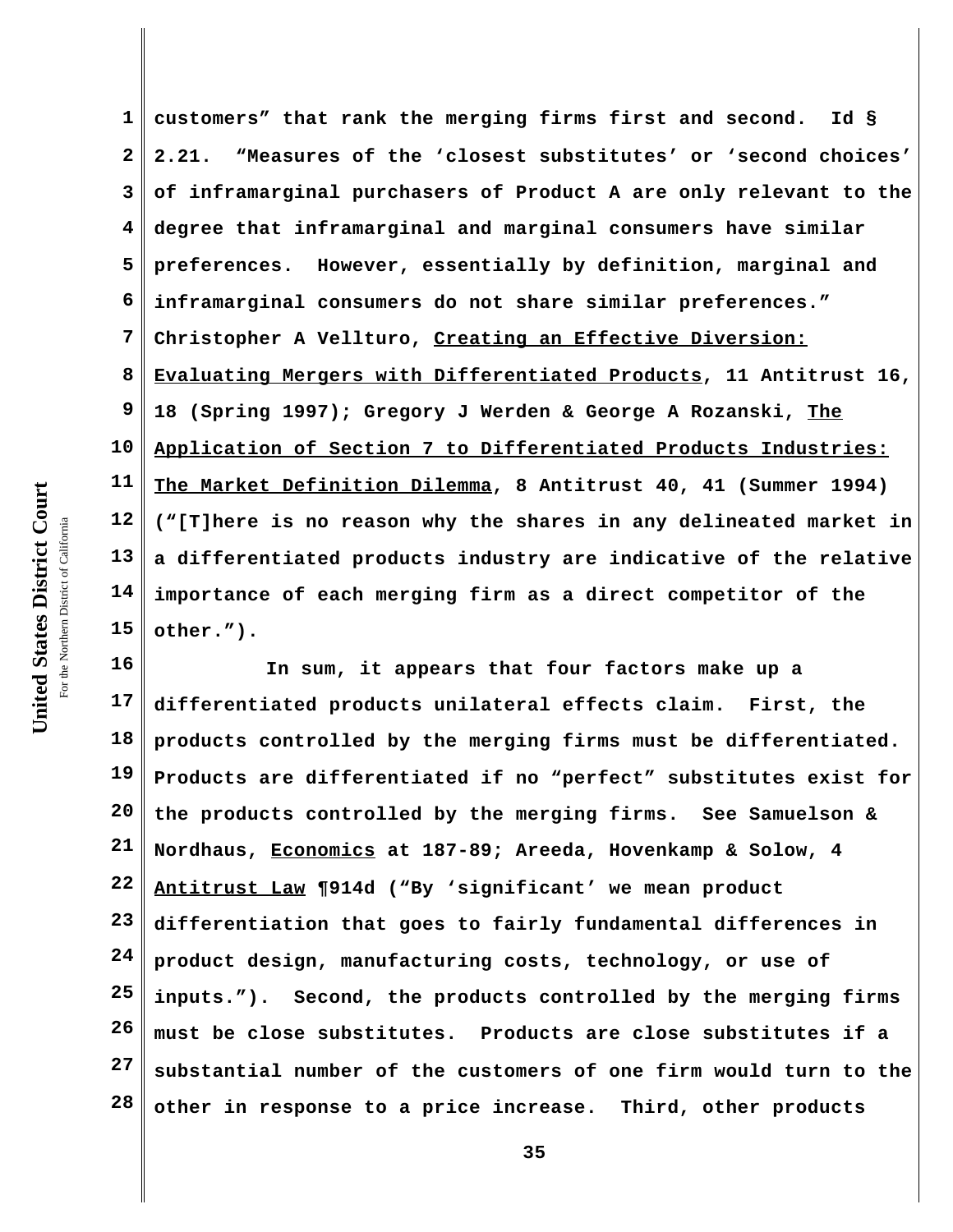**1 2 3 4 5 6 7 8 9 10 11 12 13 14 15 customers" that rank the merging firms first and second. Id § 2.21. "Measures of the 'closest substitutes' or 'second choices' of inframarginal purchasers of Product A are only relevant to the degree that inframarginal and marginal consumers have similar preferences. However, essentially by definition, marginal and inframarginal consumers do not share similar preferences." Christopher A Vellturo, Creating an Effective Diversion: Evaluating Mergers with Differentiated Products, 11 Antitrust 16, 18 (Spring 1997); Gregory J Werden & George A Rozanski, The Application of Section 7 to Differentiated Products Industries: The Market Definition Dilemma, 8 Antitrust 40, 41 (Summer 1994) ("[T]here is no reason why the shares in any delineated market in a differentiated products industry are indicative of the relative importance of each merging firm as a direct competitor of the other.").**

**16 17 18 19 20 21 22 23 24 25 26 27 28 In sum, it appears that four factors make up a differentiated products unilateral effects claim. First, the products controlled by the merging firms must be differentiated. Products are differentiated if no "perfect" substitutes exist for the products controlled by the merging firms. See Samuelson & Nordhaus, Economics at 187-89; Areeda, Hovenkamp & Solow, 4 Antitrust Law ¶914d ("By 'significant' we mean product differentiation that goes to fairly fundamental differences in product design, manufacturing costs, technology, or use of inputs."). Second, the products controlled by the merging firms must be close substitutes. Products are close substitutes if a substantial number of the customers of one firm would turn to the other in response to a price increase. Third, other products**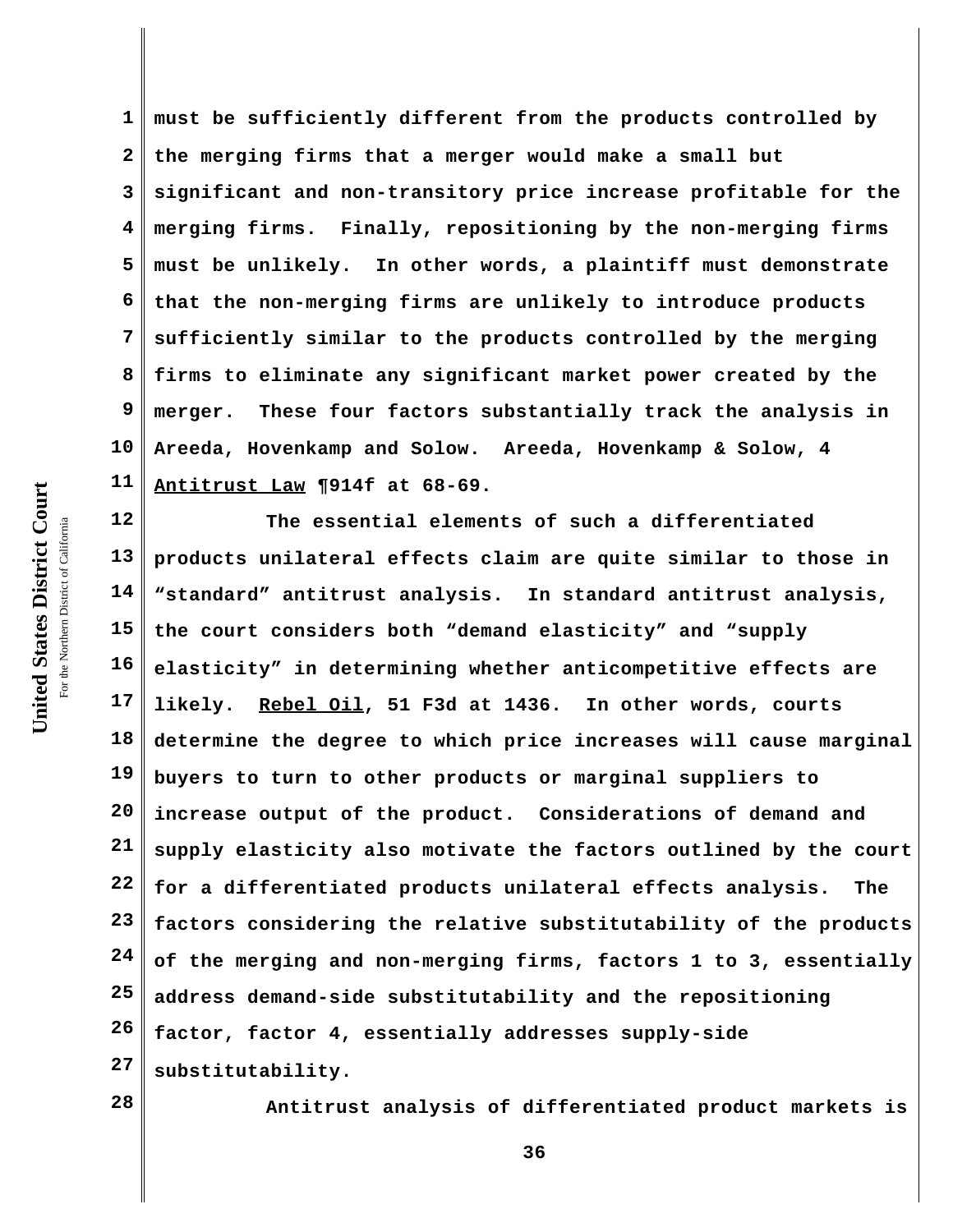**1 2 3 4 5 6 7 8 9 10 11 must be sufficiently different from the products controlled by the merging firms that a merger would make a small but significant and non-transitory price increase profitable for the merging firms. Finally, repositioning by the non-merging firms must be unlikely. In other words, a plaintiff must demonstrate that the non-merging firms are unlikely to introduce products sufficiently similar to the products controlled by the merging firms to eliminate any significant market power created by the merger. These four factors substantially track the analysis in Areeda, Hovenkamp and Solow. Areeda, Hovenkamp & Solow, 4 Antitrust Law ¶914f at 68-69.**

**12 13 14 15 16 17 18 19 20 21 22 23 24 25 26 27 The essential elements of such a differentiated products unilateral effects claim are quite similar to those in "standard" antitrust analysis. In standard antitrust analysis, the court considers both "demand elasticity" and "supply elasticity" in determining whether anticompetitive effects are likely. Rebel Oil, 51 F3d at 1436. In other words, courts determine the degree to which price increases will cause marginal buyers to turn to other products or marginal suppliers to increase output of the product. Considerations of demand and supply elasticity also motivate the factors outlined by the court for a differentiated products unilateral effects analysis. The factors considering the relative substitutability of the products of the merging and non-merging firms, factors 1 to 3, essentially address demand-side substitutability and the repositioning factor, factor 4, essentially addresses supply-side substitutability.**

**28**

**Antitrust analysis of differentiated product markets is**

United States District Court **United States District Court** For the Northern District of California the Northern District of California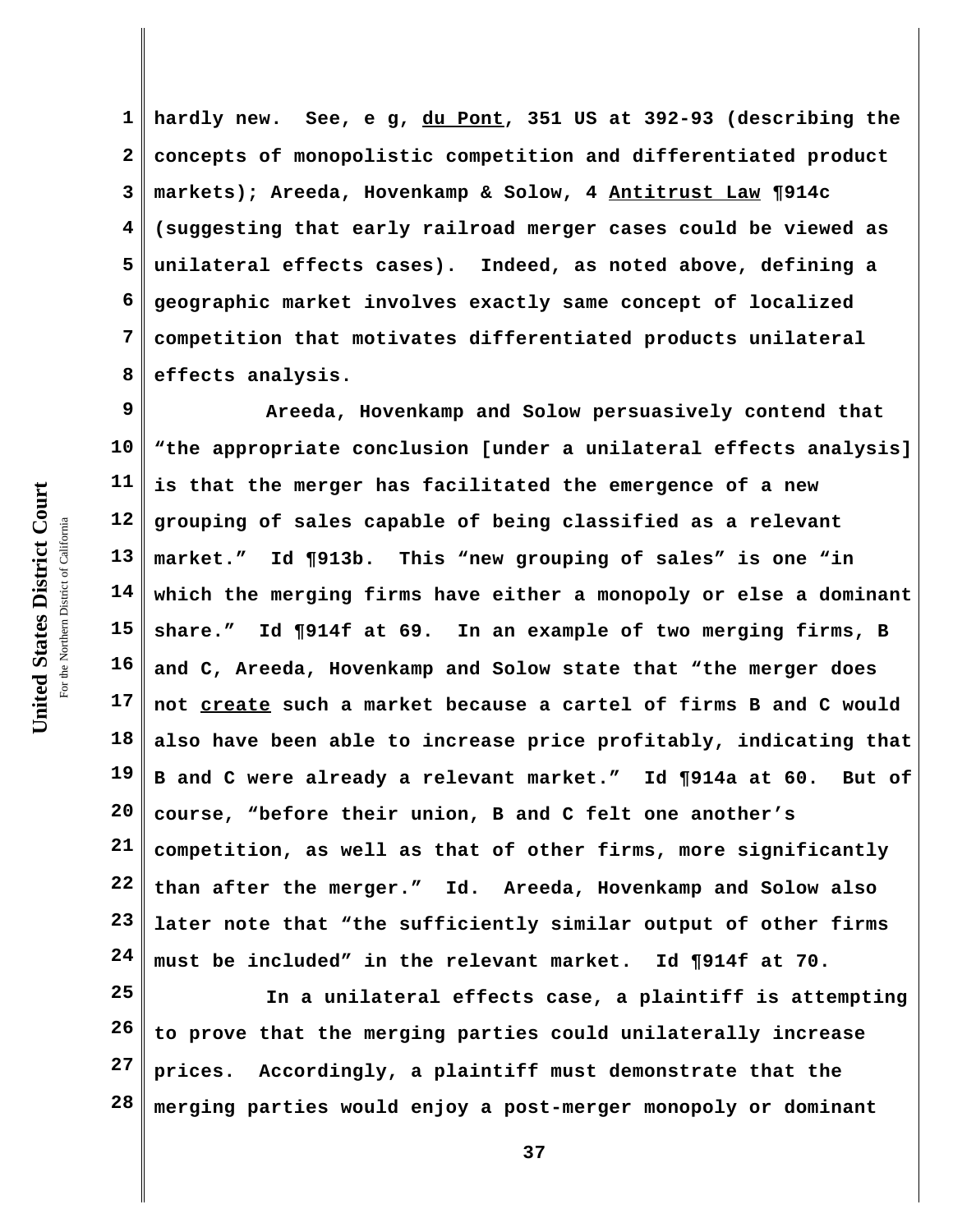**1 2 3 4 5 6 7 8 hardly new. See, e g, du Pont, 351 US at 392-93 (describing the concepts of monopolistic competition and differentiated product markets); Areeda, Hovenkamp & Solow, 4 Antitrust Law ¶914c (suggesting that early railroad merger cases could be viewed as unilateral effects cases). Indeed, as noted above, defining a geographic market involves exactly same concept of localized competition that motivates differentiated products unilateral effects analysis.**

**9 10 11 12 13 14 15 16 17 18 19 20 21 22 23 24 Areeda, Hovenkamp and Solow persuasively contend that "the appropriate conclusion [under a unilateral effects analysis] is that the merger has facilitated the emergence of a new grouping of sales capable of being classified as a relevant market." Id ¶913b. This "new grouping of sales" is one "in which the merging firms have either a monopoly or else a dominant share." Id ¶914f at 69. In an example of two merging firms, B and C, Areeda, Hovenkamp and Solow state that "the merger does not create such a market because a cartel of firms B and C would also have been able to increase price profitably, indicating that B and C were already a relevant market." Id ¶914a at 60. But of course, "before their union, B and C felt one another's competition, as well as that of other firms, more significantly than after the merger." Id. Areeda, Hovenkamp and Solow also later note that "the sufficiently similar output of other firms must be included" in the relevant market. Id ¶914f at 70.**

**25 26 27 28 In a unilateral effects case, a plaintiff is attempting to prove that the merging parties could unilaterally increase prices. Accordingly, a plaintiff must demonstrate that the merging parties would enjoy a post-merger monopoly or dominant**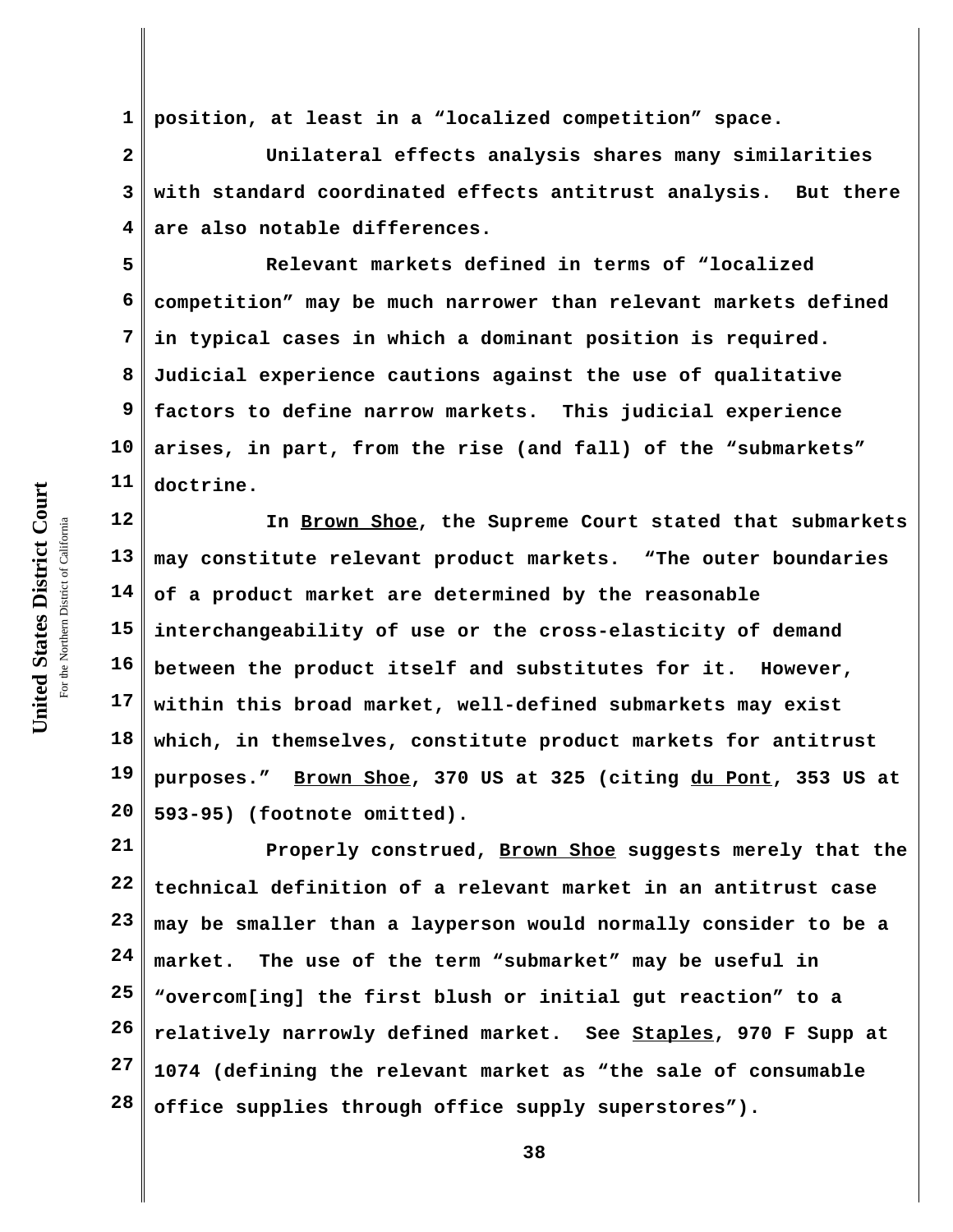**1 position, at least in a "localized competition" space.** 

**2 3 4 Unilateral effects analysis shares many similarities with standard coordinated effects antitrust analysis. But there are also notable differences.**

**5 6 7 8 9 10 11 Relevant markets defined in terms of "localized competition" may be much narrower than relevant markets defined in typical cases in which a dominant position is required. Judicial experience cautions against the use of qualitative factors to define narrow markets. This judicial experience arises, in part, from the rise (and fall) of the "submarkets" doctrine.**

**12 13 14 15 16 17 18 19 20 In Brown Shoe, the Supreme Court stated that submarkets may constitute relevant product markets. "The outer boundaries of a product market are determined by the reasonable interchangeability of use or the cross-elasticity of demand between the product itself and substitutes for it. However, within this broad market, well-defined submarkets may exist which, in themselves, constitute product markets for antitrust purposes." Brown Shoe, 370 US at 325 (citing du Pont, 353 US at 593-95) (footnote omitted).**

**21 22 23 24 25 26 27 28 Properly construed, Brown Shoe suggests merely that the technical definition of a relevant market in an antitrust case may be smaller than a layperson would normally consider to be a market. The use of the term "submarket" may be useful in "overcom[ing] the first blush or initial gut reaction" to a relatively narrowly defined market. See Staples, 970 F Supp at 1074 (defining the relevant market as "the sale of consumable office supplies through office supply superstores").**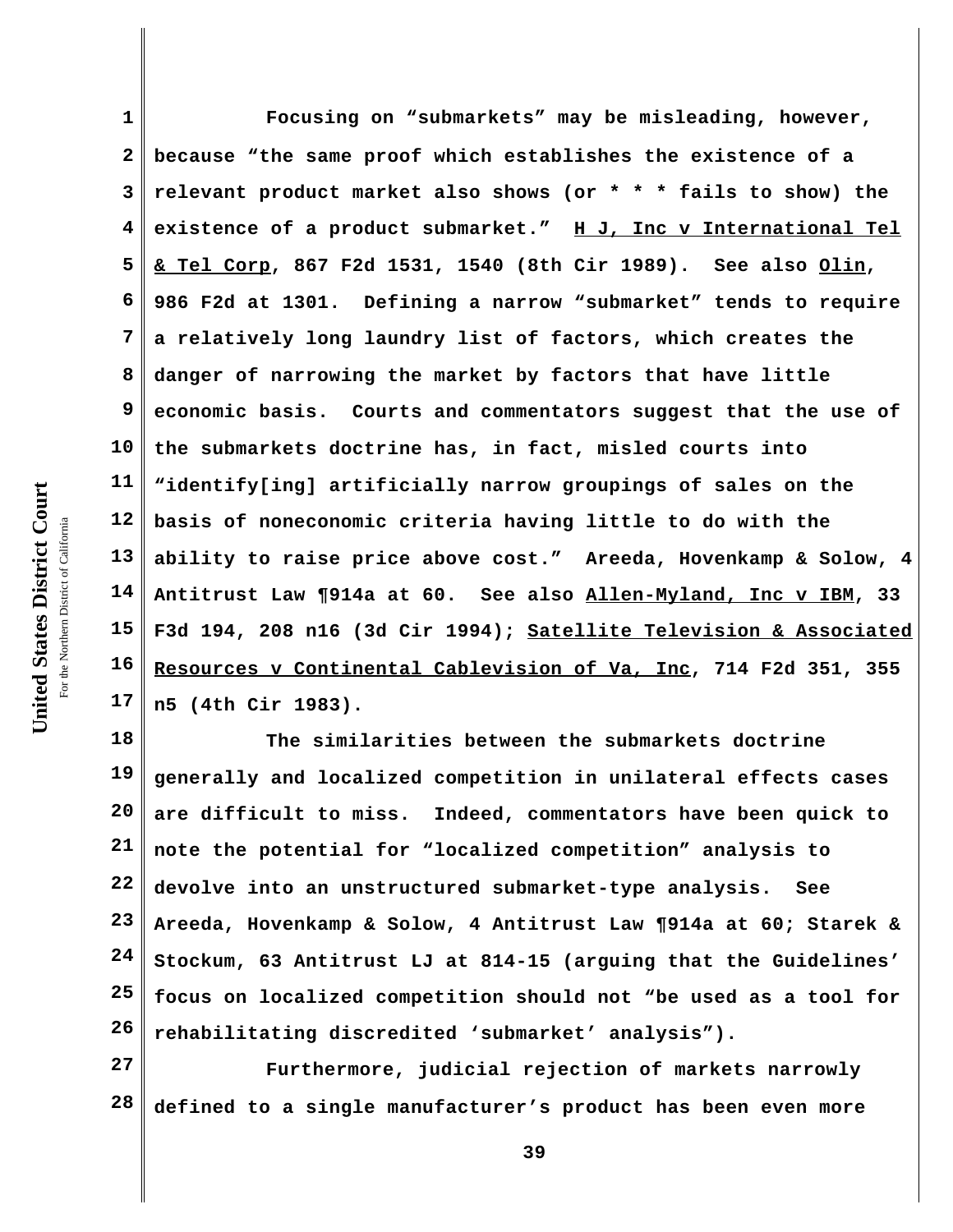**1 2 3 4 5 6 7 8 9 10 11 12 13 14 15 16 17 Focusing on "submarkets" may be misleading, however, because "the same proof which establishes the existence of a relevant product market also shows (or \* \* \* fails to show) the existence of a product submarket." H J, Inc v International Tel & Tel Corp, 867 F2d 1531, 1540 (8th Cir 1989). See also Olin, 986 F2d at 1301. Defining a narrow "submarket" tends to require a relatively long laundry list of factors, which creates the danger of narrowing the market by factors that have little economic basis. Courts and commentators suggest that the use of the submarkets doctrine has, in fact, misled courts into "identify[ing] artificially narrow groupings of sales on the basis of noneconomic criteria having little to do with the ability to raise price above cost." Areeda, Hovenkamp & Solow, 4 Antitrust Law ¶914a at 60. See also Allen-Myland, Inc v IBM, 33 F3d 194, 208 n16 (3d Cir 1994); Satellite Television & Associated Resources v Continental Cablevision of Va, Inc, 714 F2d 351, 355 n5 (4th Cir 1983).**

**18 19 20 21 22 23 24 25 26 The similarities between the submarkets doctrine generally and localized competition in unilateral effects cases are difficult to miss. Indeed, commentators have been quick to note the potential for "localized competition" analysis to devolve into an unstructured submarket-type analysis. See Areeda, Hovenkamp & Solow, 4 Antitrust Law ¶914a at 60; Starek & Stockum, 63 Antitrust LJ at 814-15 (arguing that the Guidelines' focus on localized competition should not "be used as a tool for rehabilitating discredited 'submarket' analysis").** 

**27 28 Furthermore, judicial rejection of markets narrowly defined to a single manufacturer's product has been even more**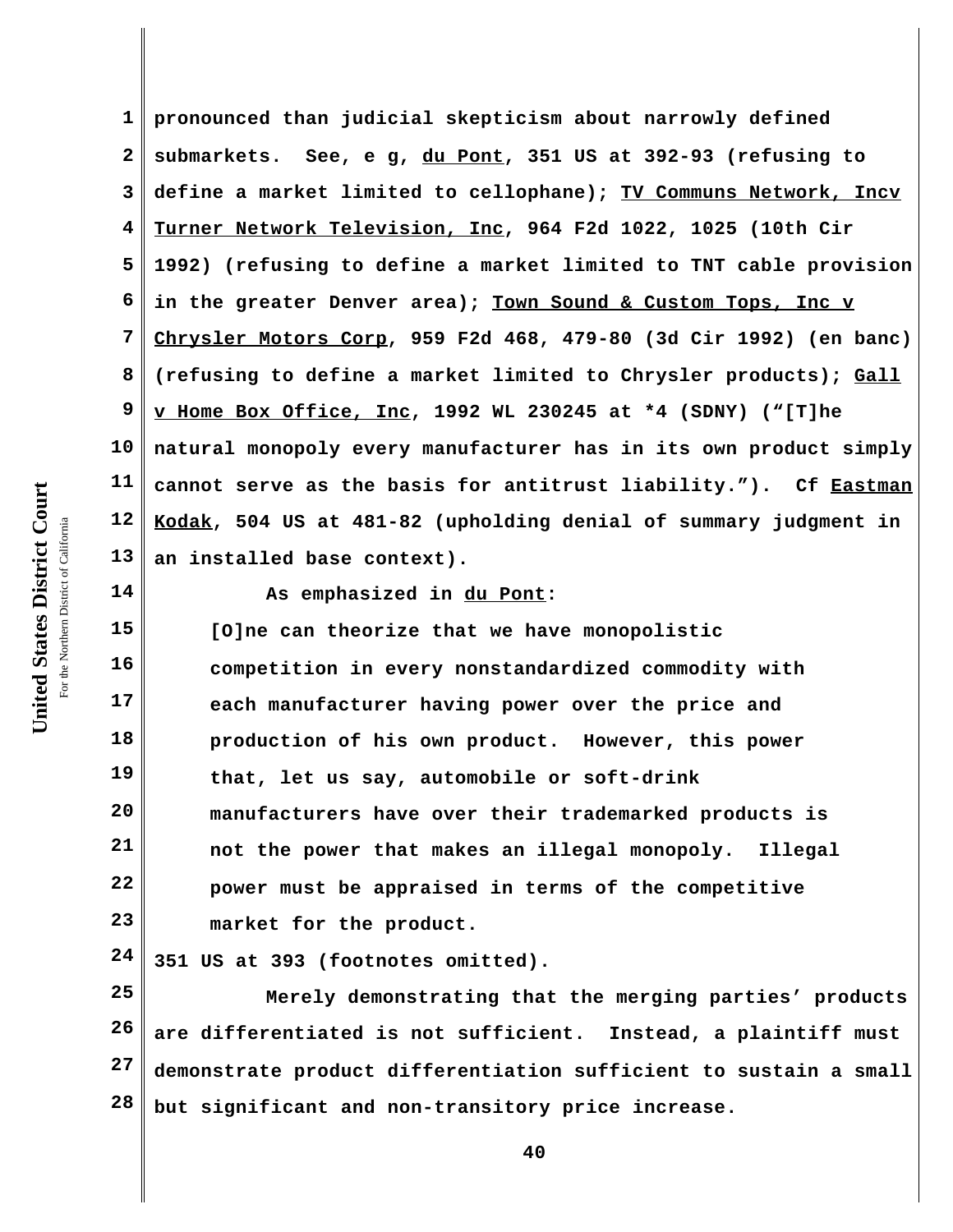**1 2 3 4 5 6 7 8 9 10 11 12 13 pronounced than judicial skepticism about narrowly defined submarkets. See, e g, du Pont, 351 US at 392-93 (refusing to define a market limited to cellophane); TV Communs Network, Incv Turner Network Television, Inc, 964 F2d 1022, 1025 (10th Cir 1992) (refusing to define a market limited to TNT cable provision in the greater Denver area); Town Sound & Custom Tops, Inc v Chrysler Motors Corp, 959 F2d 468, 479-80 (3d Cir 1992) (en banc) (refusing to define a market limited to Chrysler products); Gall v Home Box Office, Inc, 1992 WL 230245 at \*4 (SDNY) ("[T]he natural monopoly every manufacturer has in its own product simply cannot serve as the basis for antitrust liability."). Cf Eastman Kodak, 504 US at 481-82 (upholding denial of summary judgment in an installed base context).**

**14 15**

**As emphasized in du Pont:**

**16 17 18 19 20 21 22 23 [O]ne can theorize that we have monopolistic competition in every nonstandardized commodity with each manufacturer having power over the price and production of his own product. However, this power that, let us say, automobile or soft-drink manufacturers have over their trademarked products is not the power that makes an illegal monopoly. Illegal power must be appraised in terms of the competitive market for the product.**

**24 351 US at 393 (footnotes omitted).** 

**25 26 27 28 Merely demonstrating that the merging parties' products are differentiated is not sufficient. Instead, a plaintiff must demonstrate product differentiation sufficient to sustain a small but significant and non-transitory price increase.**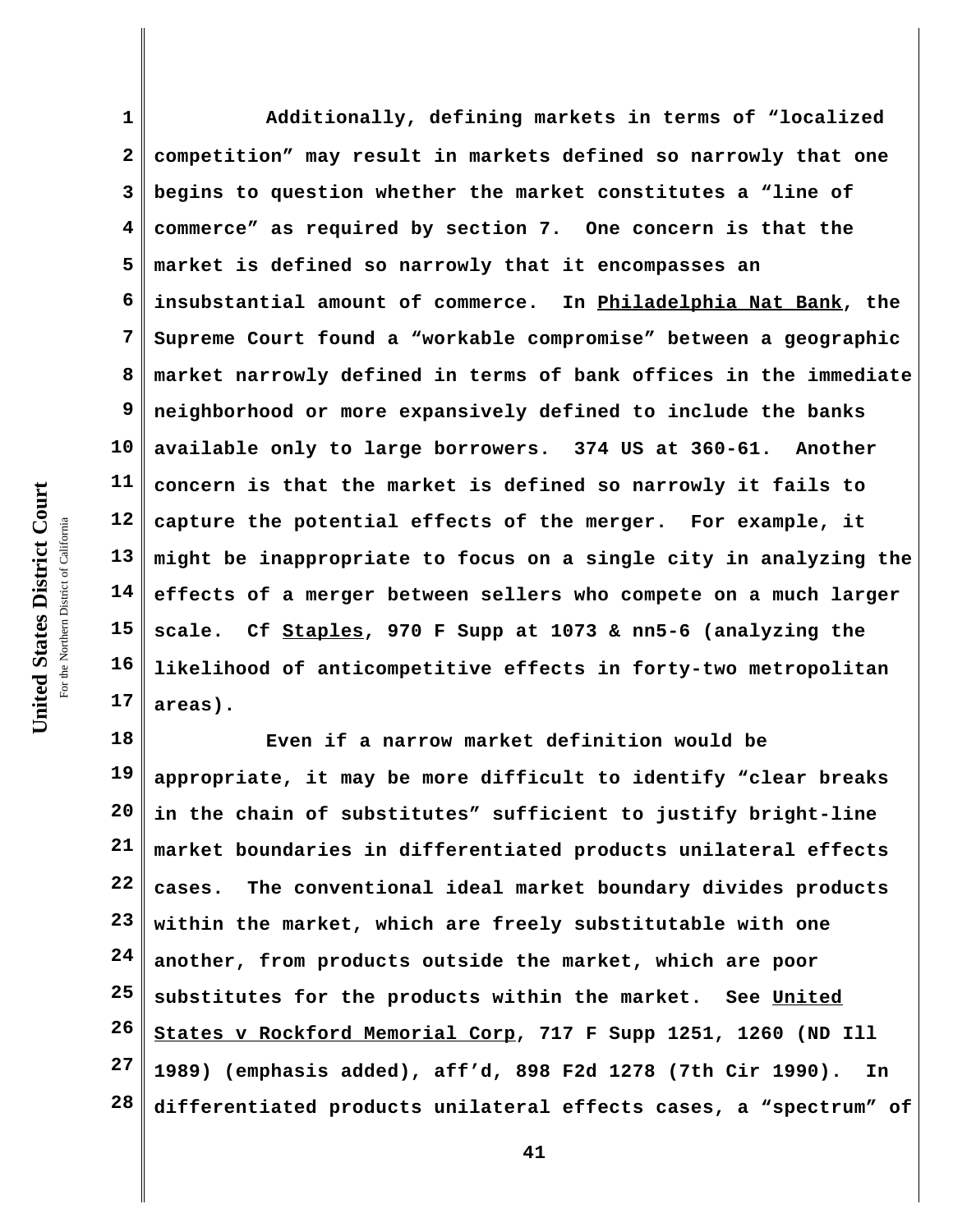**United States District Court** For the Northern District of California the Northern District of California

United States District Court

**1 2 3 4 5 6 7 8 9 10 11 12 13 14 15 16 17 Additionally, defining markets in terms of "localized competition" may result in markets defined so narrowly that one begins to question whether the market constitutes a "line of commerce" as required by section 7. One concern is that the market is defined so narrowly that it encompasses an insubstantial amount of commerce. In Philadelphia Nat Bank, the Supreme Court found a "workable compromise" between a geographic market narrowly defined in terms of bank offices in the immediate neighborhood or more expansively defined to include the banks available only to large borrowers. 374 US at 360-61. Another concern is that the market is defined so narrowly it fails to capture the potential effects of the merger. For example, it might be inappropriate to focus on a single city in analyzing the effects of a merger between sellers who compete on a much larger scale. Cf Staples, 970 F Supp at 1073 & nn5-6 (analyzing the likelihood of anticompetitive effects in forty-two metropolitan areas).**

**18 19 20 21 22 23 24 25 26 27 28 Even if a narrow market definition would be appropriate, it may be more difficult to identify "clear breaks in the chain of substitutes" sufficient to justify bright-line market boundaries in differentiated products unilateral effects cases. The conventional ideal market boundary divides products within the market, which are freely substitutable with one another, from products outside the market, which are poor substitutes for the products within the market. See United States v Rockford Memorial Corp, 717 F Supp 1251, 1260 (ND Ill 1989) (emphasis added), aff'd, 898 F2d 1278 (7th Cir 1990). In differentiated products unilateral effects cases, a "spectrum" of**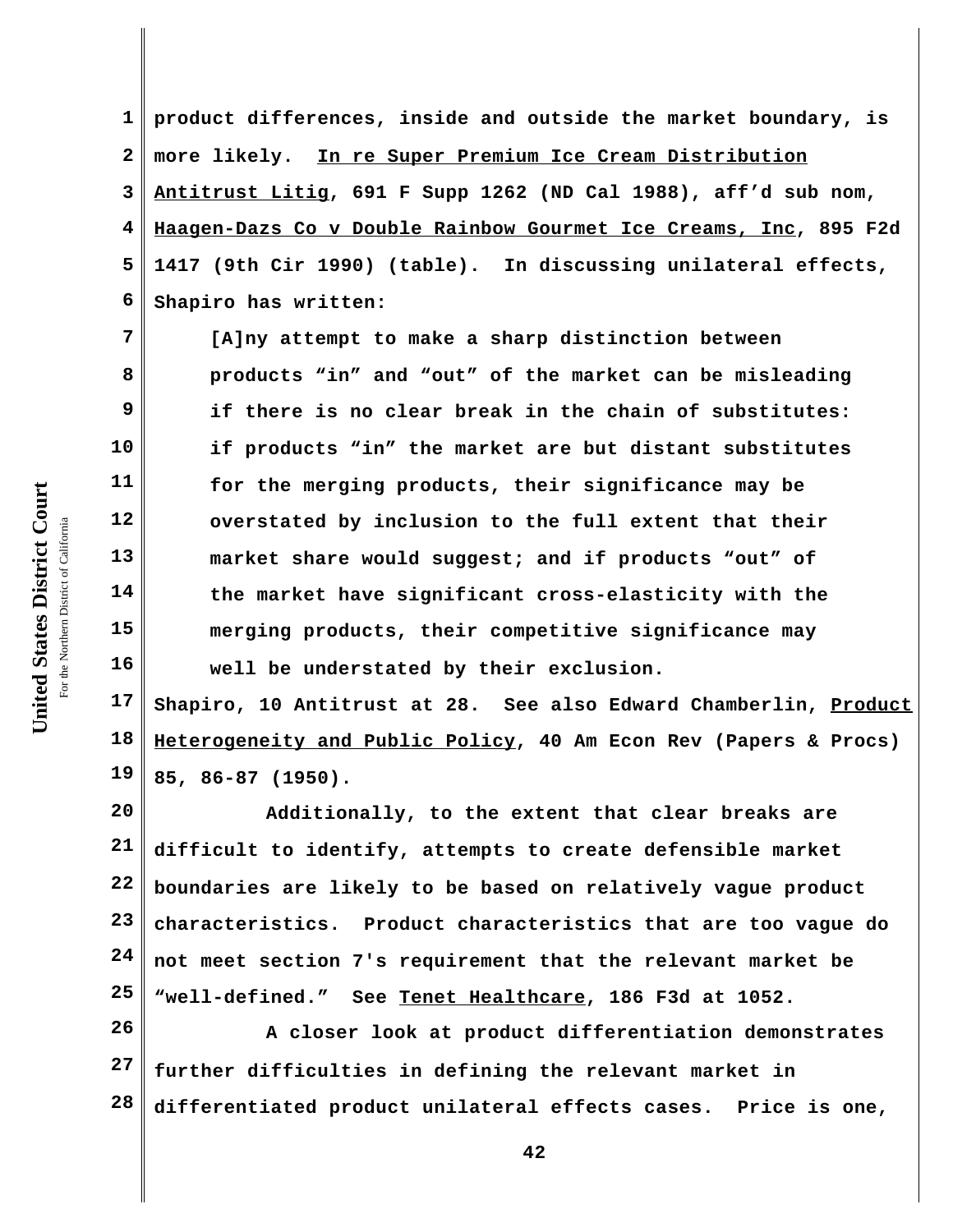**1 2 3 4 5 6 product differences, inside and outside the market boundary, is more likely. In re Super Premium Ice Cream Distribution Antitrust Litig, 691 F Supp 1262 (ND Cal 1988), aff'd sub nom, Haagen-Dazs Co v Double Rainbow Gourmet Ice Creams, Inc, 895 F2d 1417 (9th Cir 1990) (table). In discussing unilateral effects, Shapiro has written:**

**[A]ny attempt to make a sharp distinction between products "in" and "out" of the market can be misleading if there is no clear break in the chain of substitutes: if products "in" the market are but distant substitutes for the merging products, their significance may be overstated by inclusion to the full extent that their market share would suggest; and if products "out" of the market have significant cross-elasticity with the merging products, their competitive significance may well be understated by their exclusion.**

**17 18 19 Shapiro, 10 Antitrust at 28. See also Edward Chamberlin, Product Heterogeneity and Public Policy, 40 Am Econ Rev (Papers & Procs) 85, 86-87 (1950).** 

**20 21 22 23 24 25 Additionally, to the extent that clear breaks are difficult to identify, attempts to create defensible market boundaries are likely to be based on relatively vague product characteristics. Product characteristics that are too vague do not meet section 7's requirement that the relevant market be "well-defined." See Tenet Healthcare, 186 F3d at 1052.**

**26 27 28 A closer look at product differentiation demonstrates further difficulties in defining the relevant market in differentiated product unilateral effects cases. Price is one,**

**7**

**8**

**9**

**10**

**11**

**12**

**13**

**14**

**15**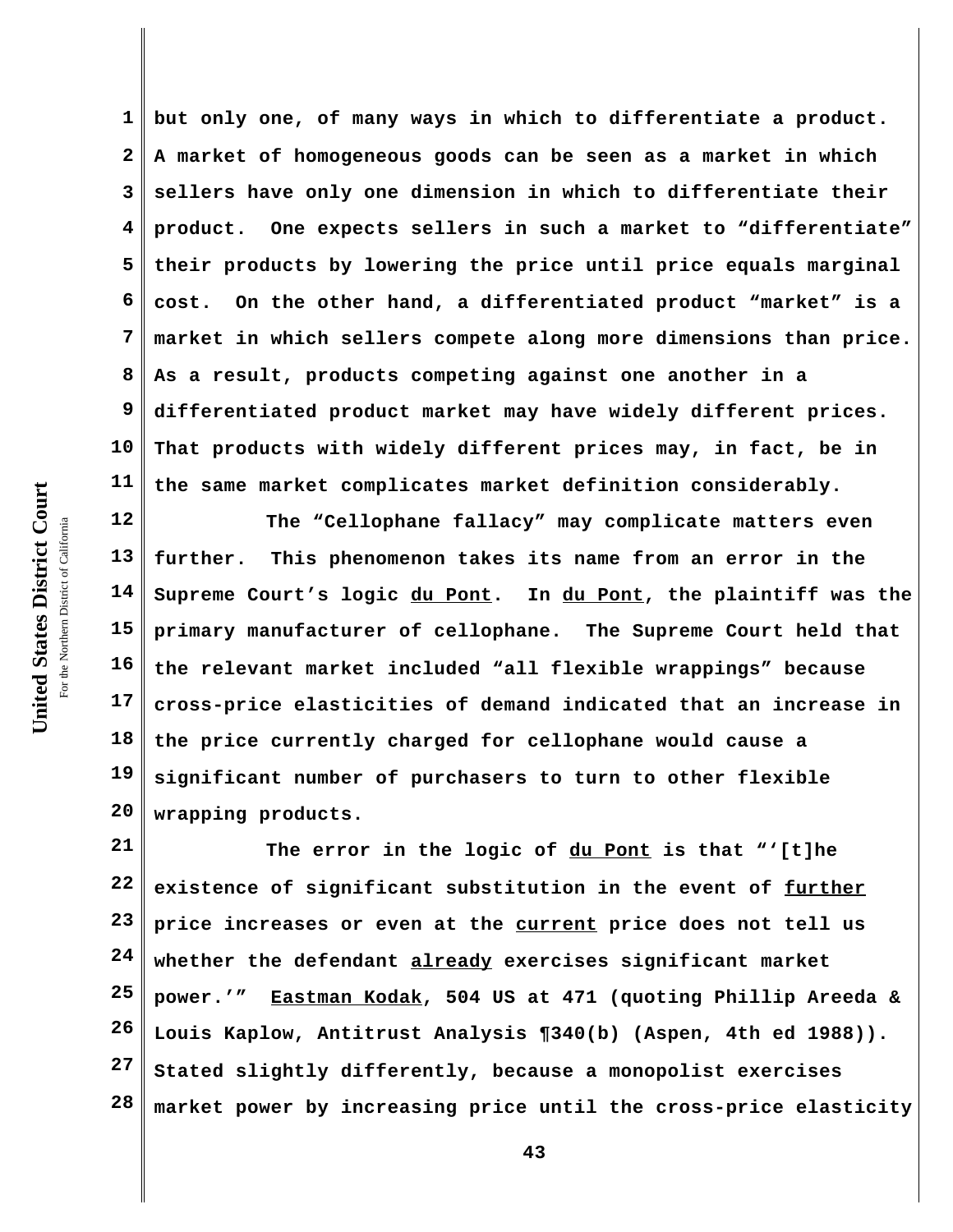**1 2 3 4 5 6 7 8 9 10 11 but only one, of many ways in which to differentiate a product. A market of homogeneous goods can be seen as a market in which sellers have only one dimension in which to differentiate their product. One expects sellers in such a market to "differentiate" their products by lowering the price until price equals marginal cost. On the other hand, a differentiated product "market" is a market in which sellers compete along more dimensions than price. As a result, products competing against one another in a differentiated product market may have widely different prices. That products with widely different prices may, in fact, be in the same market complicates market definition considerably.**

**12 13 14 15 16 17 18 19 20 The "Cellophane fallacy" may complicate matters even further. This phenomenon takes its name from an error in the Supreme Court's logic du Pont. In du Pont, the plaintiff was the primary manufacturer of cellophane. The Supreme Court held that the relevant market included "all flexible wrappings" because cross-price elasticities of demand indicated that an increase in the price currently charged for cellophane would cause a significant number of purchasers to turn to other flexible wrapping products.** 

**21 22 23 24 25 26 27 28 The error in the logic of du Pont is that "'[t]he existence of significant substitution in the event of further price increases or even at the current price does not tell us whether the defendant already exercises significant market power.'" Eastman Kodak, 504 US at 471 (quoting Phillip Areeda & Louis Kaplow, Antitrust Analysis ¶340(b) (Aspen, 4th ed 1988)). Stated slightly differently, because a monopolist exercises market power by increasing price until the cross-price elasticity**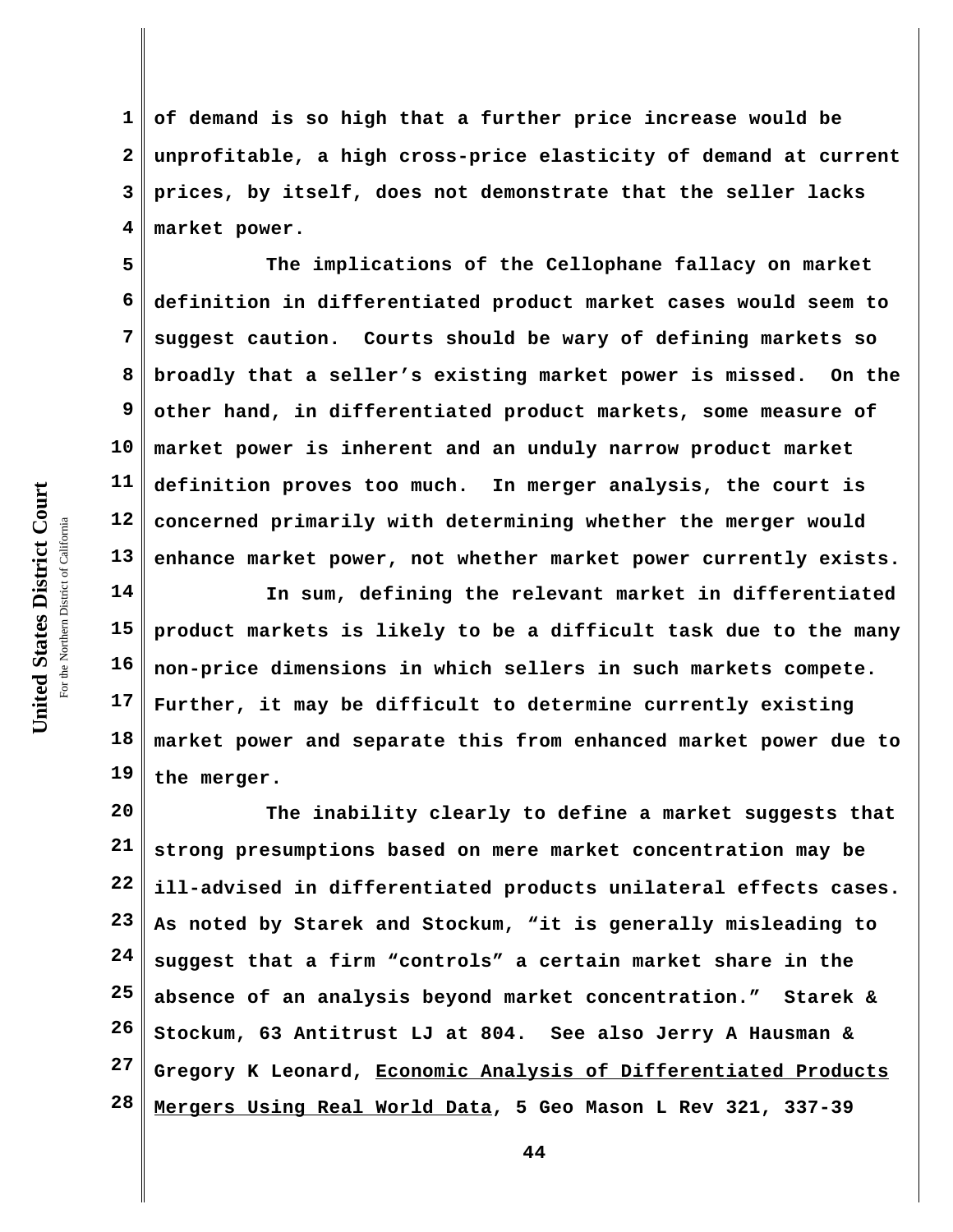**3 4 5 6 7 8 prices, by itself, does not demonstrate that the seller lacks market power. The implications of the Cellophane fallacy on market**

**9 10 11 12 13 definition in differentiated product market cases would seem to suggest caution. Courts should be wary of defining markets so broadly that a seller's existing market power is missed. On the other hand, in differentiated product markets, some measure of market power is inherent and an unduly narrow product market definition proves too much. In merger analysis, the court is concerned primarily with determining whether the merger would enhance market power, not whether market power currently exists.** 

**of demand is so high that a further price increase would be**

**unprofitable, a high cross-price elasticity of demand at current**

**14 15 16 17 18 19 In sum, defining the relevant market in differentiated product markets is likely to be a difficult task due to the many non-price dimensions in which sellers in such markets compete. Further, it may be difficult to determine currently existing market power and separate this from enhanced market power due to the merger.**

**20 21 22 23 24 25 26 27 28 The inability clearly to define a market suggests that strong presumptions based on mere market concentration may be ill-advised in differentiated products unilateral effects cases. As noted by Starek and Stockum, "it is generally misleading to suggest that a firm "controls" a certain market share in the absence of an analysis beyond market concentration." Starek & Stockum, 63 Antitrust LJ at 804. See also Jerry A Hausman & Gregory K Leonard, Economic Analysis of Differentiated Products Mergers Using Real World Data, 5 Geo Mason L Rev 321, 337-39**

**1**

**2**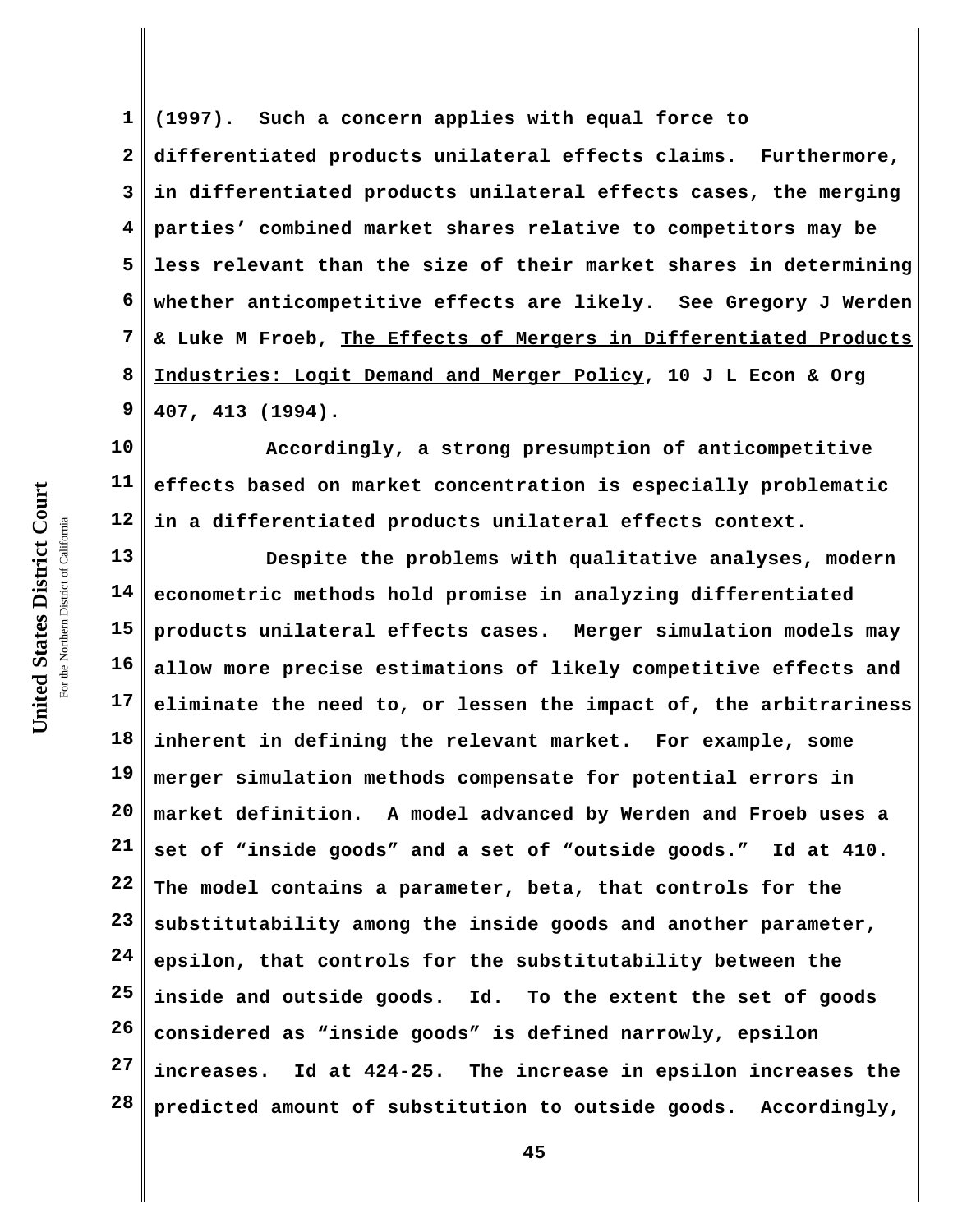**1 2 3 4 5 6 7 8 9 (1997). Such a concern applies with equal force to differentiated products unilateral effects claims. Furthermore, in differentiated products unilateral effects cases, the merging parties' combined market shares relative to competitors may be less relevant than the size of their market shares in determining whether anticompetitive effects are likely. See Gregory J Werden & Luke M Froeb, The Effects of Mergers in Differentiated Products Industries: Logit Demand and Merger Policy, 10 J L Econ & Org 407, 413 (1994).**

**10 11 12 Accordingly, a strong presumption of anticompetitive effects based on market concentration is especially problematic in a differentiated products unilateral effects context.**

**13 14 15 16 17 18 19 20 21 22 23 24 25 26 27 28 Despite the problems with qualitative analyses, modern econometric methods hold promise in analyzing differentiated products unilateral effects cases. Merger simulation models may allow more precise estimations of likely competitive effects and eliminate the need to, or lessen the impact of, the arbitrariness inherent in defining the relevant market. For example, some merger simulation methods compensate for potential errors in market definition. A model advanced by Werden and Froeb uses a set of "inside goods" and a set of "outside goods." Id at 410. The model contains a parameter, beta, that controls for the substitutability among the inside goods and another parameter, epsilon, that controls for the substitutability between the inside and outside goods. Id. To the extent the set of goods considered as "inside goods" is defined narrowly, epsilon increases. Id at 424-25. The increase in epsilon increases the predicted amount of substitution to outside goods. Accordingly,**

United States District Court **United States District Court** For the Northern District of California the Northern District of California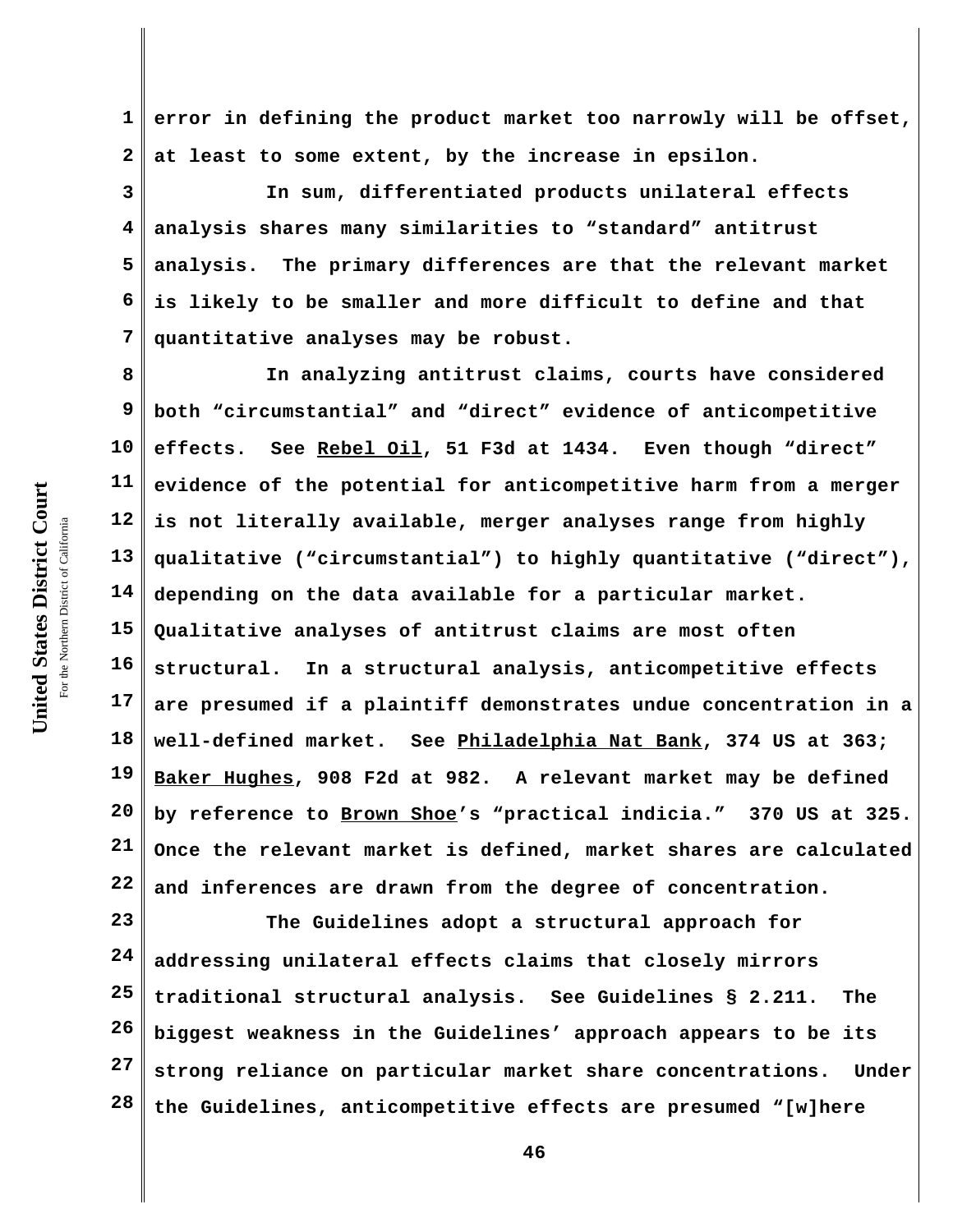**1 2 error in defining the product market too narrowly will be offset, at least to some extent, by the increase in epsilon.** 

**3 4 5 6 7 In sum, differentiated products unilateral effects analysis shares many similarities to "standard" antitrust analysis. The primary differences are that the relevant market is likely to be smaller and more difficult to define and that quantitative analyses may be robust.**

**8 9 10 11 12 13 14 15 16 17 18 19 20 21 22 In analyzing antitrust claims, courts have considered both "circumstantial" and "direct" evidence of anticompetitive effects. See Rebel Oil, 51 F3d at 1434. Even though "direct" evidence of the potential for anticompetitive harm from a merger is not literally available, merger analyses range from highly qualitative ("circumstantial") to highly quantitative ("direct"), depending on the data available for a particular market. Qualitative analyses of antitrust claims are most often structural. In a structural analysis, anticompetitive effects are presumed if a plaintiff demonstrates undue concentration in a well-defined market. See Philadelphia Nat Bank, 374 US at 363; Baker Hughes, 908 F2d at 982. A relevant market may be defined by reference to Brown Shoe's "practical indicia." 370 US at 325. Once the relevant market is defined, market shares are calculated and inferences are drawn from the degree of concentration.**

**23 24 25 26 27 28 The Guidelines adopt a structural approach for addressing unilateral effects claims that closely mirrors traditional structural analysis. See Guidelines § 2.211. The biggest weakness in the Guidelines' approach appears to be its strong reliance on particular market share concentrations. Under the Guidelines, anticompetitive effects are presumed "[w]here**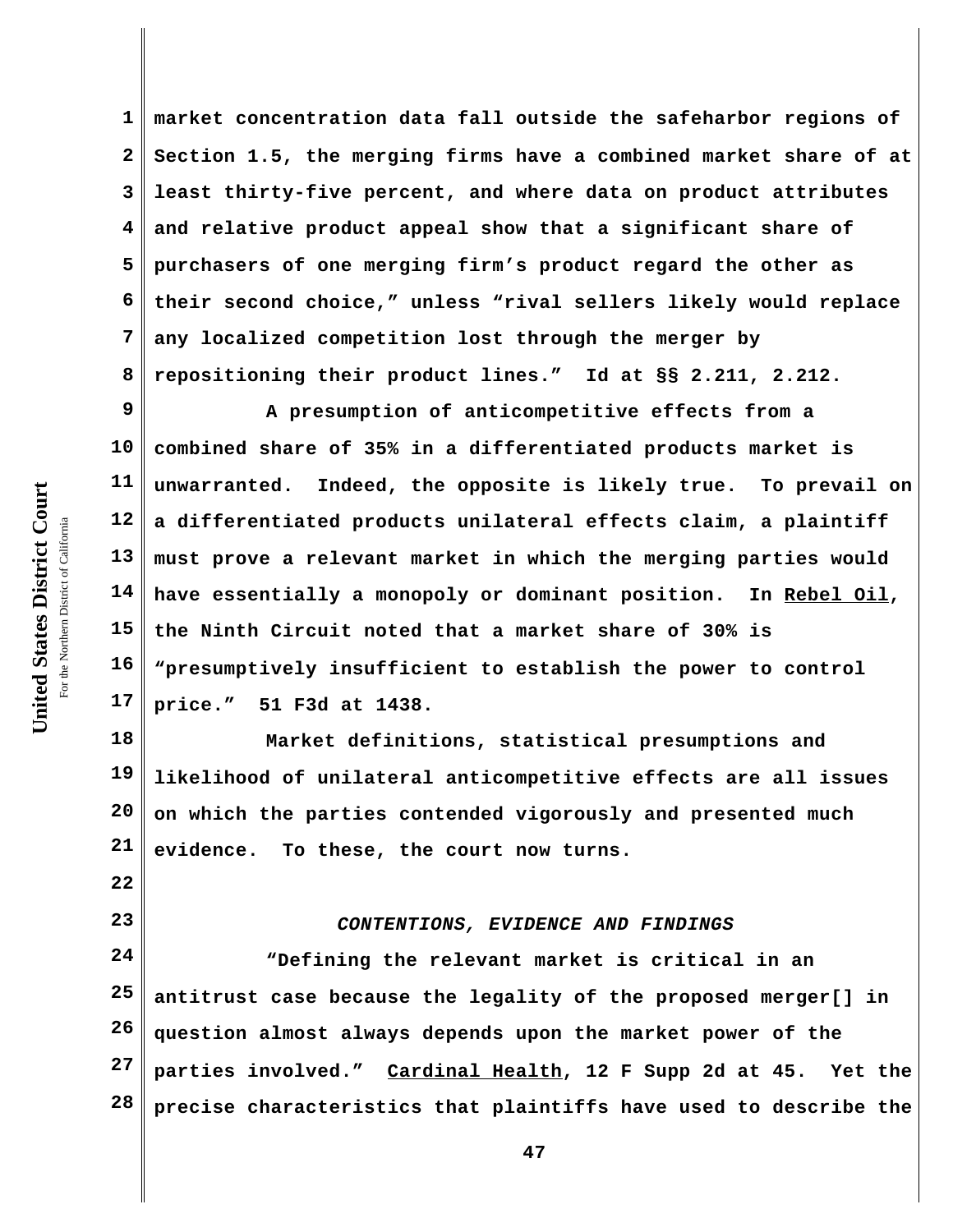**1 2 3 4 5 6 7 8 market concentration data fall outside the safeharbor regions of Section 1.5, the merging firms have a combined market share of at least thirty-five percent, and where data on product attributes and relative product appeal show that a significant share of purchasers of one merging firm's product regard the other as their second choice," unless "rival sellers likely would replace any localized competition lost through the merger by repositioning their product lines." Id at §§ 2.211, 2.212.** 

**9 10 11 12 13 14 15 16 17 A presumption of anticompetitive effects from a combined share of 35% in a differentiated products market is unwarranted. Indeed, the opposite is likely true. To prevail on a differentiated products unilateral effects claim, a plaintiff must prove a relevant market in which the merging parties would have essentially a monopoly or dominant position. In Rebel Oil, the Ninth Circuit noted that a market share of 30% is "presumptively insufficient to establish the power to control price." 51 F3d at 1438.** 

**18 19 20 21 Market definitions, statistical presumptions and likelihood of unilateral anticompetitive effects are all issues on which the parties contended vigorously and presented much evidence. To these, the court now turns.** 

**22**

**23**

## *CONTENTIONS, EVIDENCE AND FINDINGS*

**24 25 26 27 28 "Defining the relevant market is critical in an antitrust case because the legality of the proposed merger[] in question almost always depends upon the market power of the parties involved." Cardinal Health, 12 F Supp 2d at 45. Yet the precise characteristics that plaintiffs have used to describe the**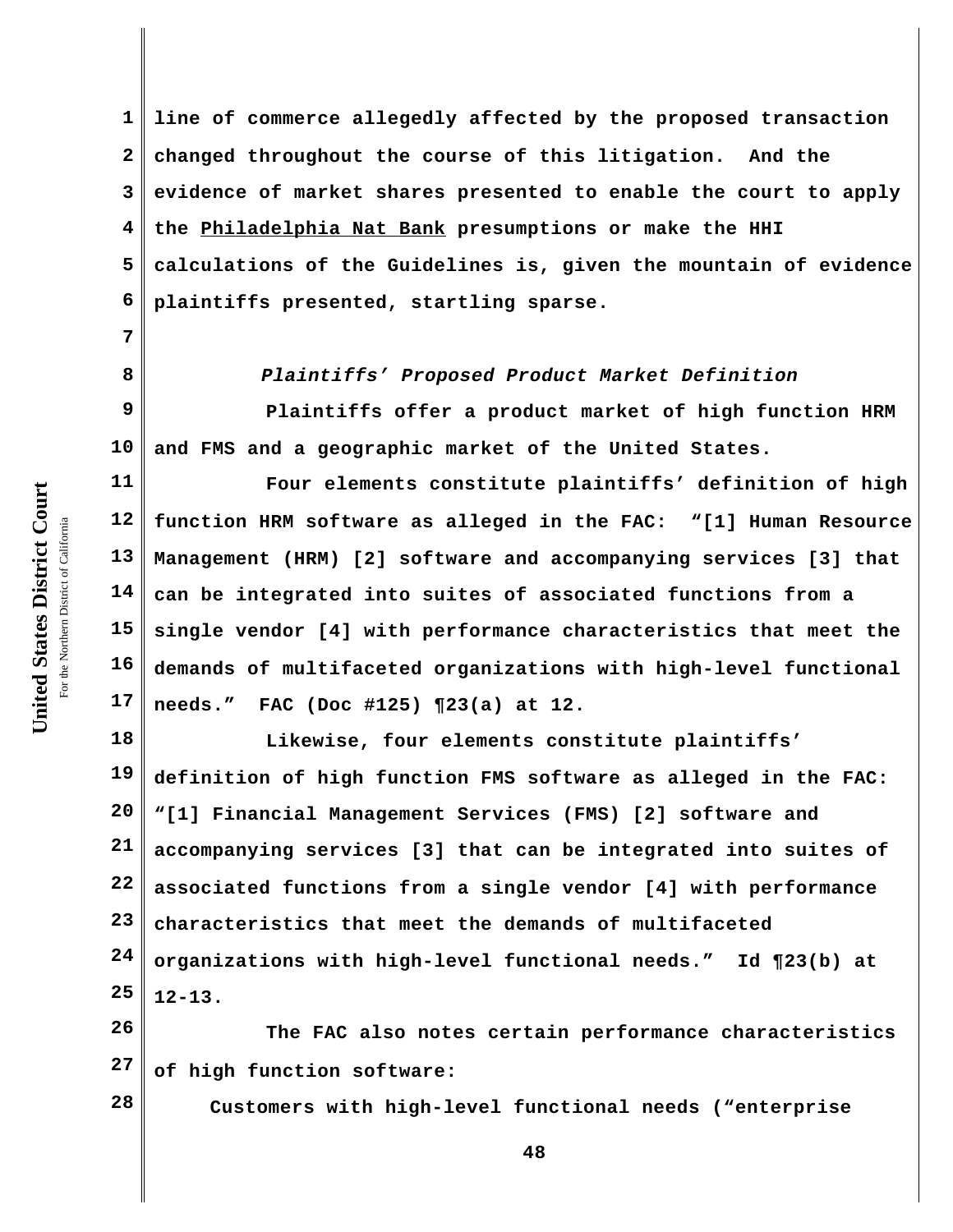**7**

**8**

**1 2 3 4 5 6 line of commerce allegedly affected by the proposed transaction changed throughout the course of this litigation. And the evidence of market shares presented to enable the court to apply the Philadelphia Nat Bank presumptions or make the HHI calculations of the Guidelines is, given the mountain of evidence plaintiffs presented, startling sparse.** 

*Plaintiffs' Proposed Product Market Definition*

**9 10 Plaintiffs offer a product market of high function HRM and FMS and a geographic market of the United States.** 

**11 12 13 14 15 16 17 Four elements constitute plaintiffs' definition of high function HRM software as alleged in the FAC: "[1] Human Resource Management (HRM) [2] software and accompanying services [3] that can be integrated into suites of associated functions from a single vendor [4] with performance characteristics that meet the demands of multifaceted organizations with high-level functional needs." FAC (Doc #125) ¶23(a) at 12.**

**18 19 20 21 22 23 24 25 Likewise, four elements constitute plaintiffs' definition of high function FMS software as alleged in the FAC: "[1] Financial Management Services (FMS) [2] software and accompanying services [3] that can be integrated into suites of associated functions from a single vendor [4] with performance characteristics that meet the demands of multifaceted organizations with high-level functional needs." Id ¶23(b) at 12-13.**

**26 27 The FAC also notes certain performance characteristics of high function software:** 

**28**

**Customers with high-level functional needs ("enterprise**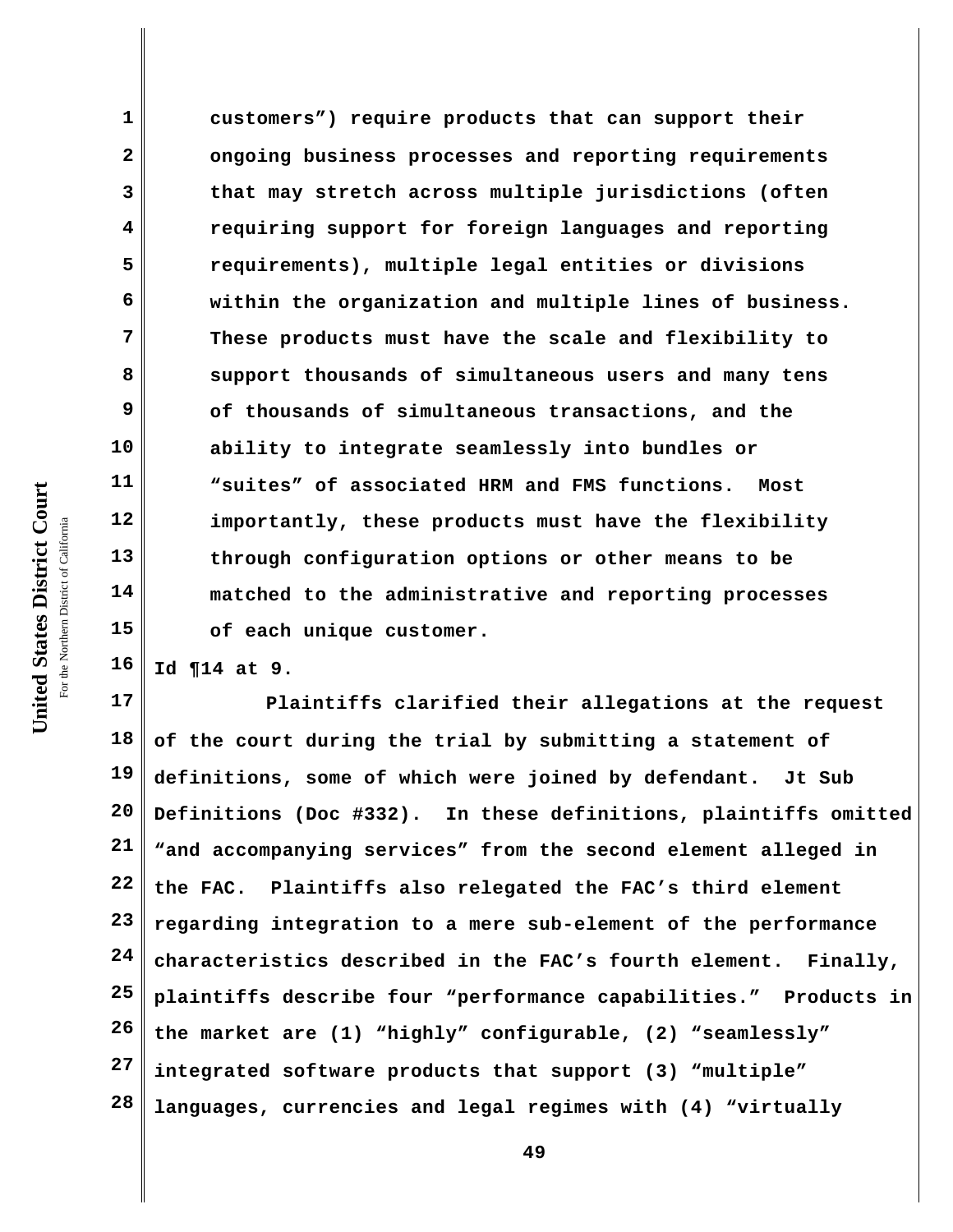**customers") require products that can support their ongoing business processes and reporting requirements that may stretch across multiple jurisdictions (often requiring support for foreign languages and reporting requirements), multiple legal entities or divisions within the organization and multiple lines of business. These products must have the scale and flexibility to support thousands of simultaneous users and many tens of thousands of simultaneous transactions, and the ability to integrate seamlessly into bundles or "suites" of associated HRM and FMS functions. Most importantly, these products must have the flexibility through configuration options or other means to be matched to the administrative and reporting processes of each unique customer.**

**16 Id ¶14 at 9.**

**17 18 19 20 21 22 23 24 25 26 27 28 Plaintiffs clarified their allegations at the request of the court during the trial by submitting a statement of definitions, some of which were joined by defendant. Jt Sub Definitions (Doc #332). In these definitions, plaintiffs omitted "and accompanying services" from the second element alleged in the FAC. Plaintiffs also relegated the FAC's third element regarding integration to a mere sub-element of the performance characteristics described in the FAC's fourth element. Finally, plaintiffs describe four "performance capabilities." Products in the market are (1) "highly" configurable, (2) "seamlessly" integrated software products that support (3) "multiple" languages, currencies and legal regimes with (4) "virtually**

**1**

**2**

**3**

**4**

**5**

**6**

**7**

**8**

**9**

**10**

**11**

**12**

**13**

**14**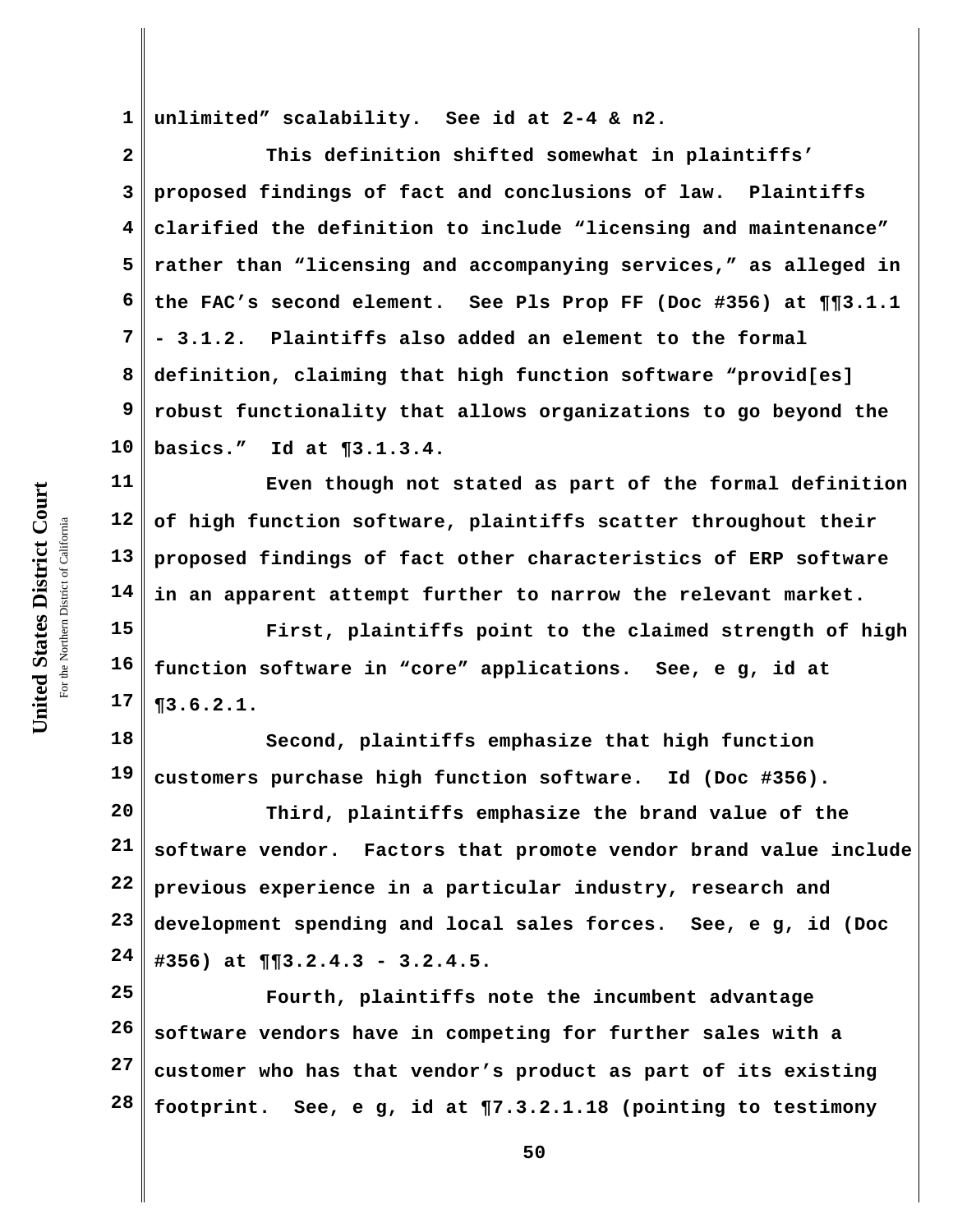**1 unlimited" scalability. See id at 2-4 & n2.**

**2 3 4 5 6 7 8 9 10 This definition shifted somewhat in plaintiffs' proposed findings of fact and conclusions of law. Plaintiffs clarified the definition to include "licensing and maintenance" rather than "licensing and accompanying services," as alleged in the FAC's second element. See Pls Prop FF (Doc #356) at ¶¶3.1.1 - 3.1.2. Plaintiffs also added an element to the formal definition, claiming that high function software "provid[es] robust functionality that allows organizations to go beyond the basics." Id at ¶3.1.3.4.**

**11 12 13 14 Even though not stated as part of the formal definition of high function software, plaintiffs scatter throughout their proposed findings of fact other characteristics of ERP software in an apparent attempt further to narrow the relevant market.**

**15 16 17 First, plaintiffs point to the claimed strength of high function software in "core" applications. See, e g, id at ¶3.6.2.1.**

**18 19 Second, plaintiffs emphasize that high function customers purchase high function software. Id (Doc #356).**

**20 21 22 23 24 Third, plaintiffs emphasize the brand value of the software vendor. Factors that promote vendor brand value include previous experience in a particular industry, research and development spending and local sales forces. See, e g, id (Doc #356) at ¶¶3.2.4.3 - 3.2.4.5.** 

**25 26 27 28 Fourth, plaintiffs note the incumbent advantage software vendors have in competing for further sales with a customer who has that vendor's product as part of its existing footprint. See, e g, id at ¶7.3.2.1.18 (pointing to testimony**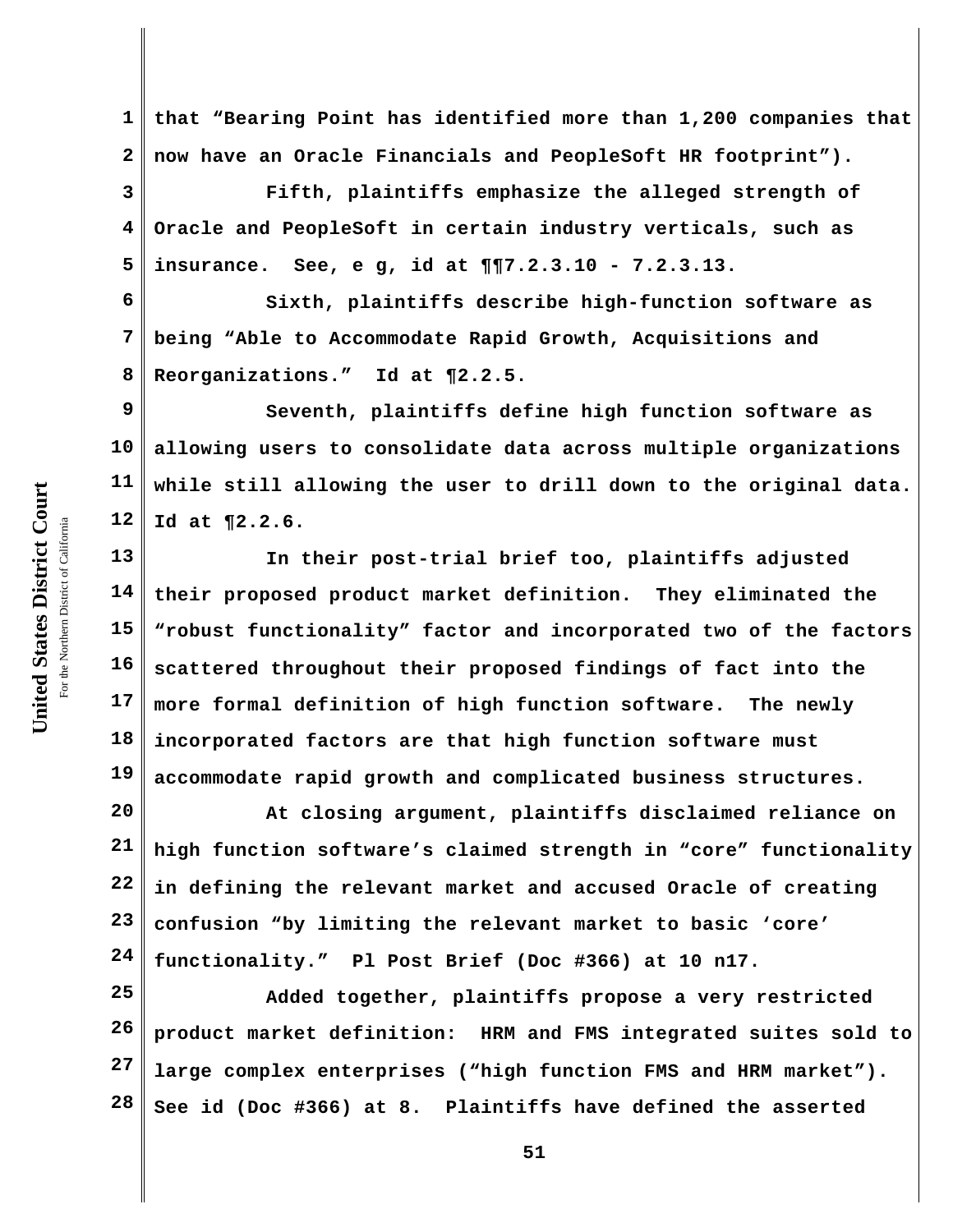**1 2 that "Bearing Point has identified more than 1,200 companies that now have an Oracle Financials and PeopleSoft HR footprint").** 

**3 4 5 Fifth, plaintiffs emphasize the alleged strength of Oracle and PeopleSoft in certain industry verticals, such as insurance. See, e g, id at ¶¶7.2.3.10 - 7.2.3.13.**

**6 7 8 Sixth, plaintiffs describe high-function software as being "Able to Accommodate Rapid Growth, Acquisitions and Reorganizations." Id at ¶2.2.5.**

**9 10 11 12 Seventh, plaintiffs define high function software as allowing users to consolidate data across multiple organizations while still allowing the user to drill down to the original data. Id at ¶2.2.6.**

**13 14 15 16 17 18 19 In their post-trial brief too, plaintiffs adjusted their proposed product market definition. They eliminated the "robust functionality" factor and incorporated two of the factors scattered throughout their proposed findings of fact into the more formal definition of high function software. The newly incorporated factors are that high function software must accommodate rapid growth and complicated business structures.**

**20 21 22 23 24 At closing argument, plaintiffs disclaimed reliance on high function software's claimed strength in "core" functionality in defining the relevant market and accused Oracle of creating confusion "by limiting the relevant market to basic 'core' functionality." Pl Post Brief (Doc #366) at 10 n17.**

**25 26 27 28 Added together, plaintiffs propose a very restricted product market definition: HRM and FMS integrated suites sold to large complex enterprises ("high function FMS and HRM market"). See id (Doc #366) at 8. Plaintiffs have defined the asserted**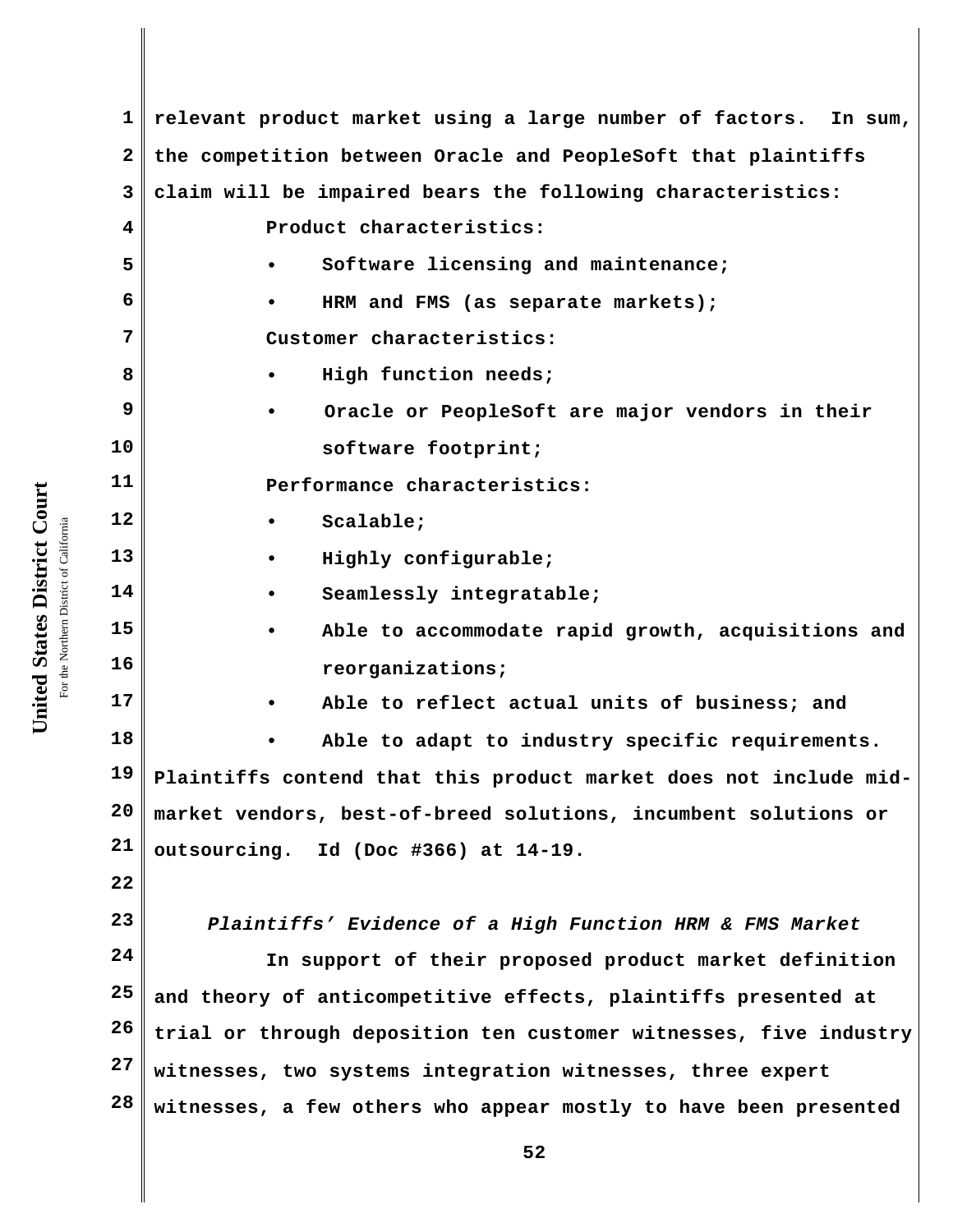**1 2 3 4 5 6 7 8 9 10 11 12 13 14 15 16 17 18 19 20 21 22 23 24 25 26 27 28 52 relevant product market using a large number of factors. In sum, the competition between Oracle and PeopleSoft that plaintiffs claim will be impaired bears the following characteristics: Product characteristics: • Software licensing and maintenance; • HRM and FMS (as separate markets); Customer characteristics: • High function needs; • Oracle or PeopleSoft are major vendors in their software footprint; Performance characteristics: • Scalable; • Highly configurable; • Seamlessly integratable; • Able to accommodate rapid growth, acquisitions and reorganizations; • Able to reflect actual units of business; and • Able to adapt to industry specific requirements. Plaintiffs contend that this product market does not include midmarket vendors, best-of-breed solutions, incumbent solutions or outsourcing. Id (Doc #366) at 14-19.** *Plaintiffs' Evidence of a High Function HRM & FMS Market* **In support of their proposed product market definition and theory of anticompetitive effects, plaintiffs presented at trial or through deposition ten customer witnesses, five industry witnesses, two systems integration witnesses, three expert witnesses, a few others who appear mostly to have been presented**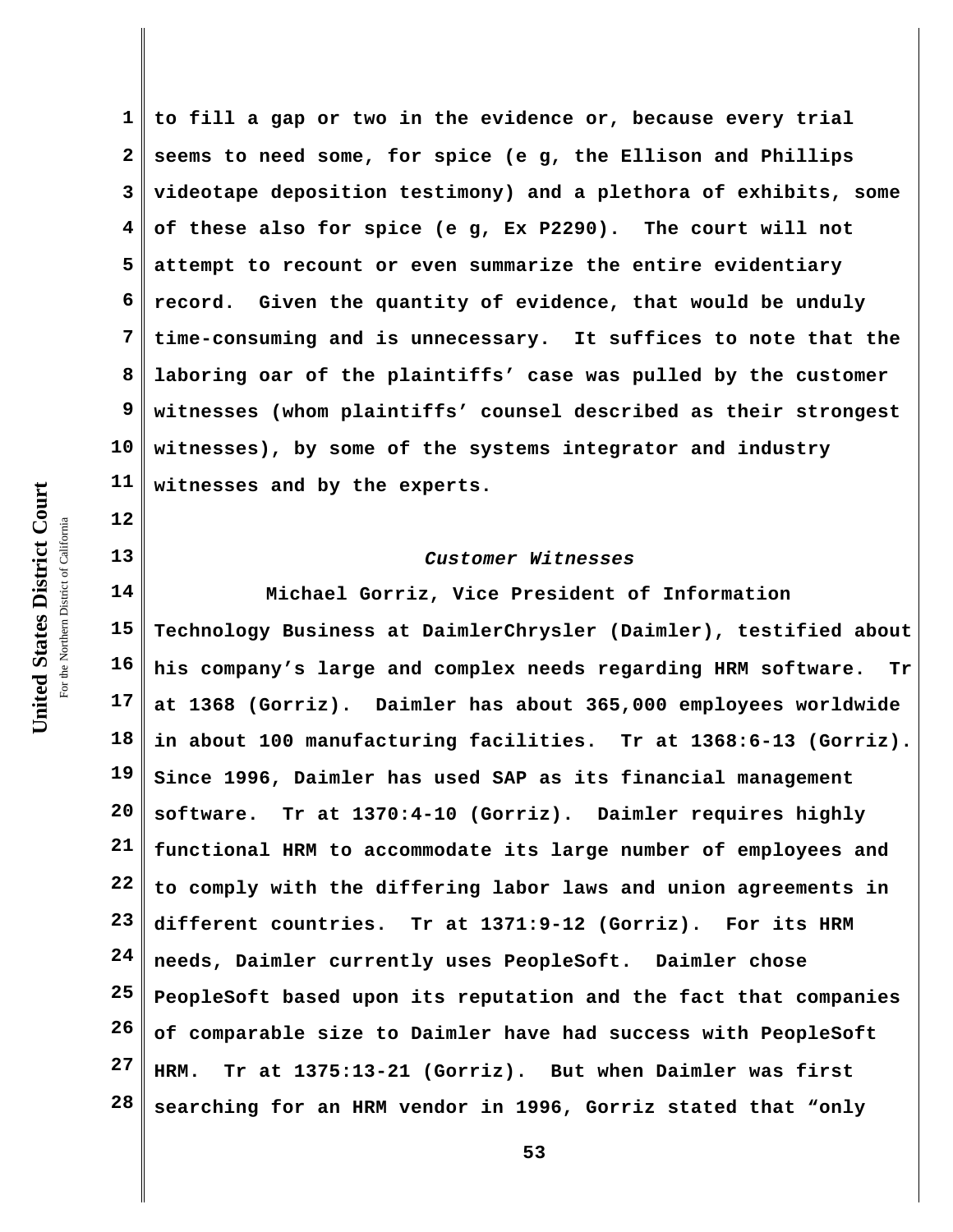**1 2 3 4 5 6 7 8 9 10 11 to fill a gap or two in the evidence or, because every trial seems to need some, for spice (e g, the Ellison and Phillips videotape deposition testimony) and a plethora of exhibits, some of these also for spice (e g, Ex P2290). The court will not attempt to recount or even summarize the entire evidentiary record. Given the quantity of evidence, that would be unduly time-consuming and is unnecessary. It suffices to note that the laboring oar of the plaintiffs' case was pulled by the customer witnesses (whom plaintiffs' counsel described as their strongest witnesses), by some of the systems integrator and industry witnesses and by the experts.**

## *Customer Witnesses*

**14 15 16 17 18 19 20 21 22 23 24 25 26 27 28 Michael Gorriz, Vice President of Information Technology Business at DaimlerChrysler (Daimler), testified about his company's large and complex needs regarding HRM software. Tr at 1368 (Gorriz). Daimler has about 365,000 employees worldwide in about 100 manufacturing facilities. Tr at 1368:6-13 (Gorriz). Since 1996, Daimler has used SAP as its financial management software. Tr at 1370:4-10 (Gorriz). Daimler requires highly functional HRM to accommodate its large number of employees and to comply with the differing labor laws and union agreements in different countries. Tr at 1371:9-12 (Gorriz). For its HRM needs, Daimler currently uses PeopleSoft. Daimler chose PeopleSoft based upon its reputation and the fact that companies of comparable size to Daimler have had success with PeopleSoft HRM. Tr at 1375:13-21 (Gorriz). But when Daimler was first searching for an HRM vendor in 1996, Gorriz stated that "only**

**12**

**13**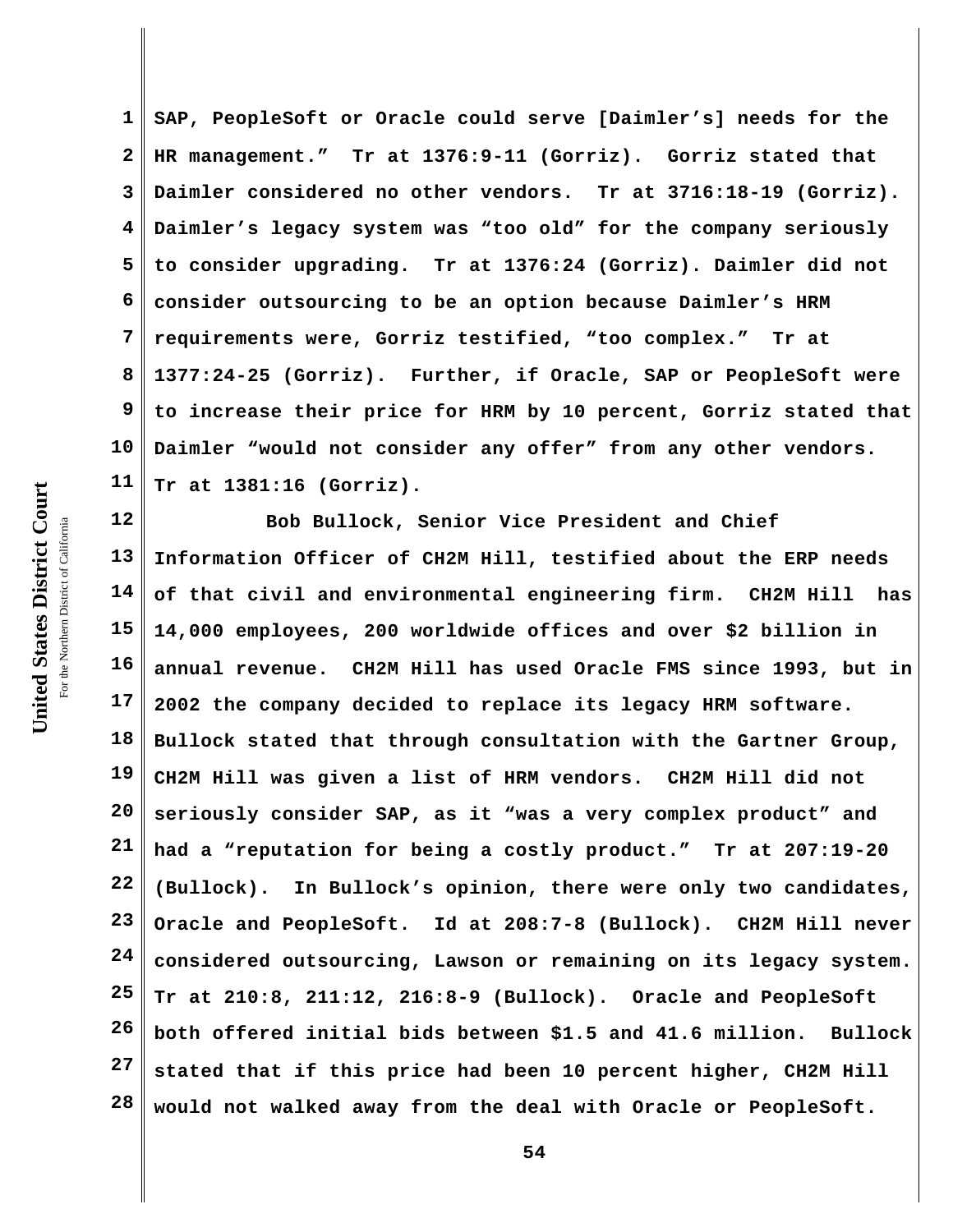**1 2 3 4 5 6 7 8 9 10 11 SAP, PeopleSoft or Oracle could serve [Daimler's] needs for the HR management." Tr at 1376:9-11 (Gorriz). Gorriz stated that Daimler considered no other vendors. Tr at 3716:18-19 (Gorriz). Daimler's legacy system was "too old" for the company seriously to consider upgrading. Tr at 1376:24 (Gorriz). Daimler did not consider outsourcing to be an option because Daimler's HRM requirements were, Gorriz testified, "too complex." Tr at 1377:24-25 (Gorriz). Further, if Oracle, SAP or PeopleSoft were to increase their price for HRM by 10 percent, Gorriz stated that Daimler "would not consider any offer" from any other vendors. Tr at 1381:16 (Gorriz).** 

**12 13 14 15 16 17 18 19 20 21 22 23 24 25 26 27 28 Bob Bullock, Senior Vice President and Chief Information Officer of CH2M Hill, testified about the ERP needs of that civil and environmental engineering firm. CH2M Hill has 14,000 employees, 200 worldwide offices and over \$2 billion in annual revenue. CH2M Hill has used Oracle FMS since 1993, but in 2002 the company decided to replace its legacy HRM software. Bullock stated that through consultation with the Gartner Group, CH2M Hill was given a list of HRM vendors. CH2M Hill did not seriously consider SAP, as it "was a very complex product" and had a "reputation for being a costly product." Tr at 207:19-20 (Bullock). In Bullock's opinion, there were only two candidates, Oracle and PeopleSoft. Id at 208:7-8 (Bullock). CH2M Hill never considered outsourcing, Lawson or remaining on its legacy system. Tr at 210:8, 211:12, 216:8-9 (Bullock). Oracle and PeopleSoft both offered initial bids between \$1.5 and 41.6 million. Bullock stated that if this price had been 10 percent higher, CH2M Hill would not walked away from the deal with Oracle or PeopleSoft.**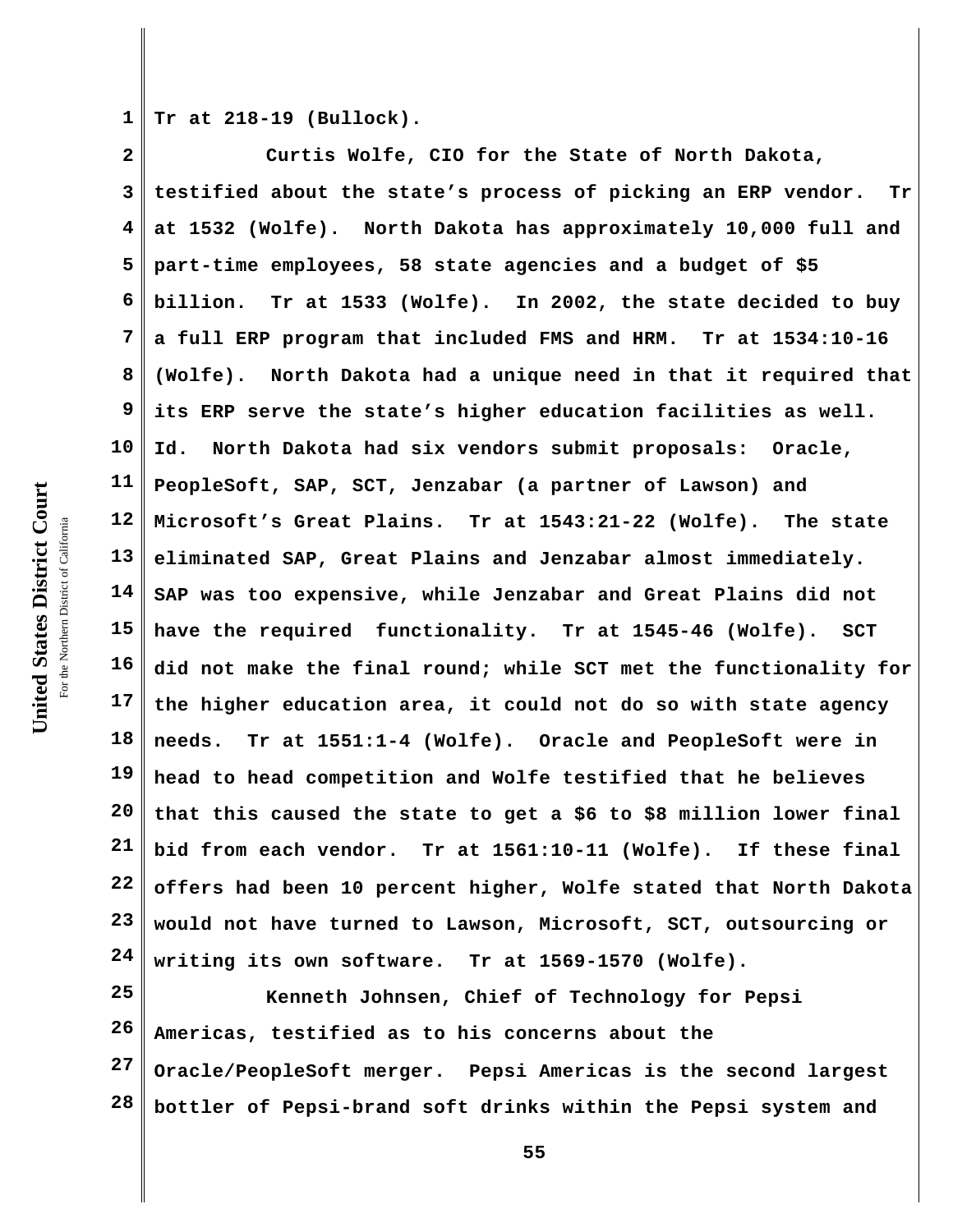United States District Court **United States District Court** For the Northern District of California the Northern District of California

**1 Tr at 218-19 (Bullock).** 

**2 3 4 5 6 7 8 9 10 11 12 13 14 15 16 17 18 19 20 21 22 23 24 Curtis Wolfe, CIO for the State of North Dakota, testified about the state's process of picking an ERP vendor. Tr at 1532 (Wolfe). North Dakota has approximately 10,000 full and part-time employees, 58 state agencies and a budget of \$5 billion. Tr at 1533 (Wolfe). In 2002, the state decided to buy a full ERP program that included FMS and HRM. Tr at 1534:10-16 (Wolfe). North Dakota had a unique need in that it required that its ERP serve the state's higher education facilities as well. Id. North Dakota had six vendors submit proposals: Oracle, PeopleSoft, SAP, SCT, Jenzabar (a partner of Lawson) and Microsoft's Great Plains. Tr at 1543:21-22 (Wolfe). The state eliminated SAP, Great Plains and Jenzabar almost immediately. SAP was too expensive, while Jenzabar and Great Plains did not have the required functionality. Tr at 1545-46 (Wolfe). SCT did not make the final round; while SCT met the functionality for the higher education area, it could not do so with state agency needs. Tr at 1551:1-4 (Wolfe). Oracle and PeopleSoft were in head to head competition and Wolfe testified that he believes that this caused the state to get a \$6 to \$8 million lower final bid from each vendor. Tr at 1561:10-11 (Wolfe). If these final offers had been 10 percent higher, Wolfe stated that North Dakota would not have turned to Lawson, Microsoft, SCT, outsourcing or writing its own software. Tr at 1569-1570 (Wolfe).** 

**25 26 27 28 Kenneth Johnsen, Chief of Technology for Pepsi Americas, testified as to his concerns about the Oracle/PeopleSoft merger. Pepsi Americas is the second largest bottler of Pepsi-brand soft drinks within the Pepsi system and**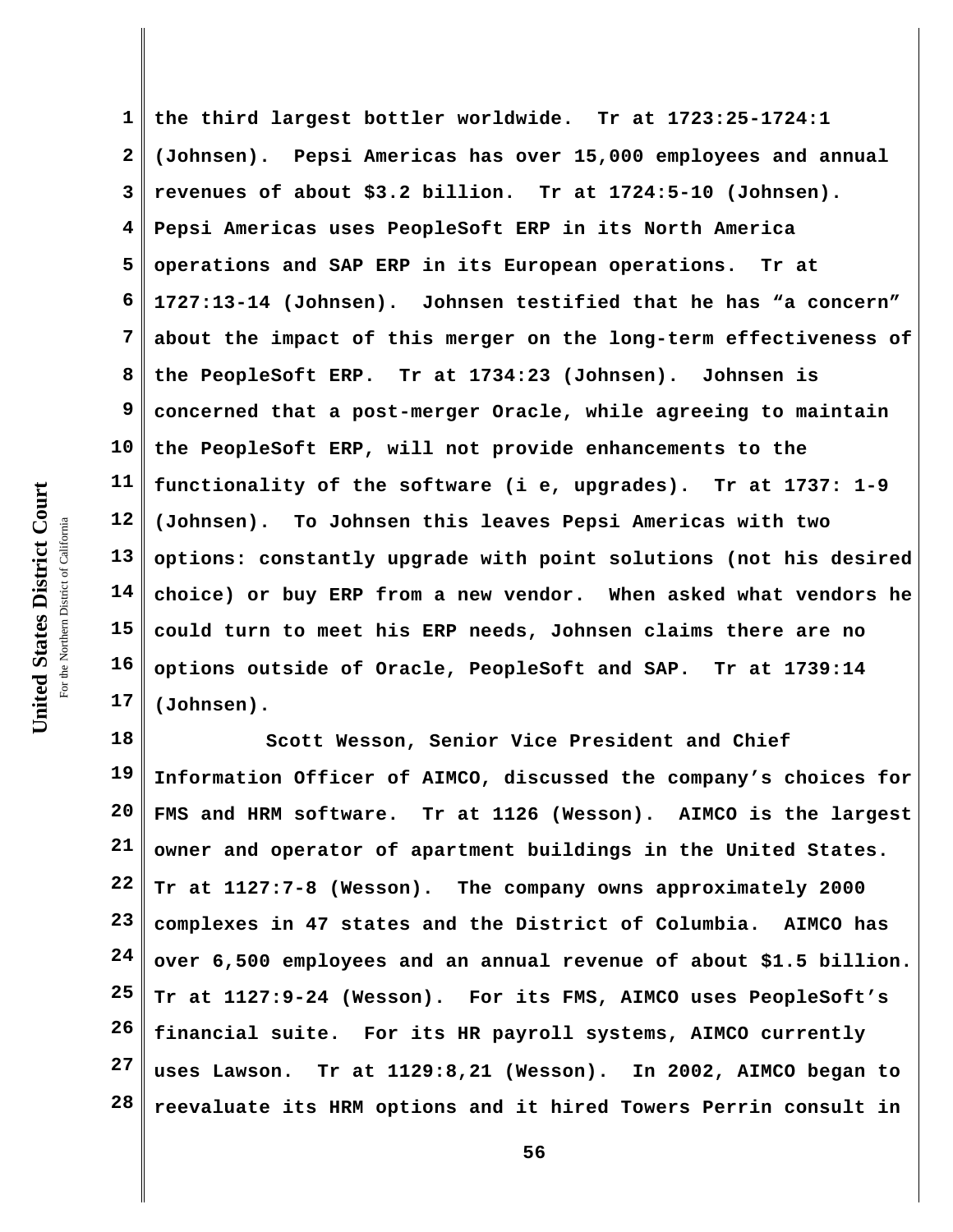**the third largest bottler worldwide. Tr at 1723:25-1724:1 2 (Johnsen). Pepsi Americas has over 15,000 employees and annual 3 revenues of about \$3.2 billion. Tr at 1724:5-10 (Johnsen). 4 Pepsi Americas uses PeopleSoft ERP in its North America 5 operations and SAP ERP in its European operations. Tr at 6 1727:13-14 (Johnsen). Johnsen testified that he has "a concern" 7 about the impact of this merger on the long-term effectiveness of 8 the PeopleSoft ERP. Tr at 1734:23 (Johnsen). Johnsen is 9 concerned that a post-merger Oracle, while agreeing to maintain 10 the PeopleSoft ERP, will not provide enhancements to the 11 functionality of the software (i e, upgrades). Tr at 1737: 1-9** United States District Court **United States District Court 12 (Johnsen). To Johnsen this leaves Pepsi Americas with two** For the Northern District of California the Northern District of California **13 options: constantly upgrade with point solutions (not his desired 14 choice) or buy ERP from a new vendor. When asked what vendors he 15 could turn to meet his ERP needs, Johnsen claims there are no 16 options outside of Oracle, PeopleSoft and SAP. Tr at 1739:14 17 (Johnsen).**

**18 19 20 21 22 23 24 25 26 27 28 Scott Wesson, Senior Vice President and Chief Information Officer of AIMCO, discussed the company's choices for FMS and HRM software. Tr at 1126 (Wesson). AIMCO is the largest owner and operator of apartment buildings in the United States. Tr at 1127:7-8 (Wesson). The company owns approximately 2000 complexes in 47 states and the District of Columbia. AIMCO has over 6,500 employees and an annual revenue of about \$1.5 billion. Tr at 1127:9-24 (Wesson). For its FMS, AIMCO uses PeopleSoft's financial suite. For its HR payroll systems, AIMCO currently uses Lawson. Tr at 1129:8,21 (Wesson). In 2002, AIMCO began to reevaluate its HRM options and it hired Towers Perrin consult in**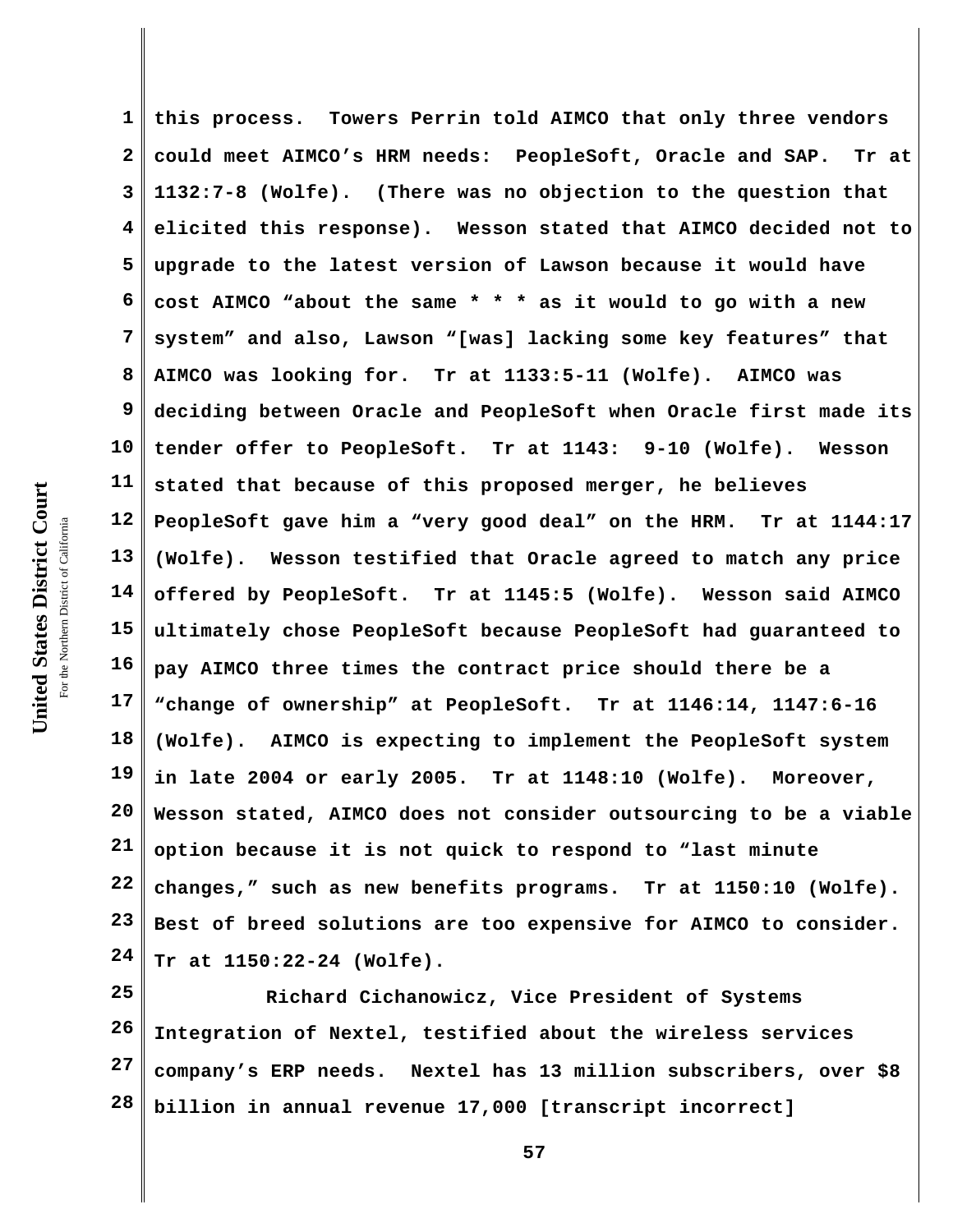**1 2 3 4 5 6 7 8 9 10 11 12 13 14 15 16 17 18 19 20 21 22 23 24 this process. Towers Perrin told AIMCO that only three vendors could meet AIMCO's HRM needs: PeopleSoft, Oracle and SAP. Tr at 1132:7-8 (Wolfe). (There was no objection to the question that elicited this response). Wesson stated that AIMCO decided not to upgrade to the latest version of Lawson because it would have cost AIMCO "about the same \* \* \* as it would to go with a new system" and also, Lawson "[was] lacking some key features" that AIMCO was looking for. Tr at 1133:5-11 (Wolfe). AIMCO was deciding between Oracle and PeopleSoft when Oracle first made its tender offer to PeopleSoft. Tr at 1143: 9-10 (Wolfe). Wesson stated that because of this proposed merger, he believes PeopleSoft gave him a "very good deal" on the HRM. Tr at 1144:17 (Wolfe). Wesson testified that Oracle agreed to match any price offered by PeopleSoft. Tr at 1145:5 (Wolfe). Wesson said AIMCO ultimately chose PeopleSoft because PeopleSoft had guaranteed to pay AIMCO three times the contract price should there be a "change of ownership" at PeopleSoft. Tr at 1146:14, 1147:6-16 (Wolfe). AIMCO is expecting to implement the PeopleSoft system in late 2004 or early 2005. Tr at 1148:10 (Wolfe). Moreover, Wesson stated, AIMCO does not consider outsourcing to be a viable option because it is not quick to respond to "last minute changes," such as new benefits programs. Tr at 1150:10 (Wolfe). Best of breed solutions are too expensive for AIMCO to consider. Tr at 1150:22-24 (Wolfe).**

**25 26 27 28 Richard Cichanowicz, Vice President of Systems Integration of Nextel, testified about the wireless services company's ERP needs. Nextel has 13 million subscribers, over \$8 billion in annual revenue 17,000 [transcript incorrect]**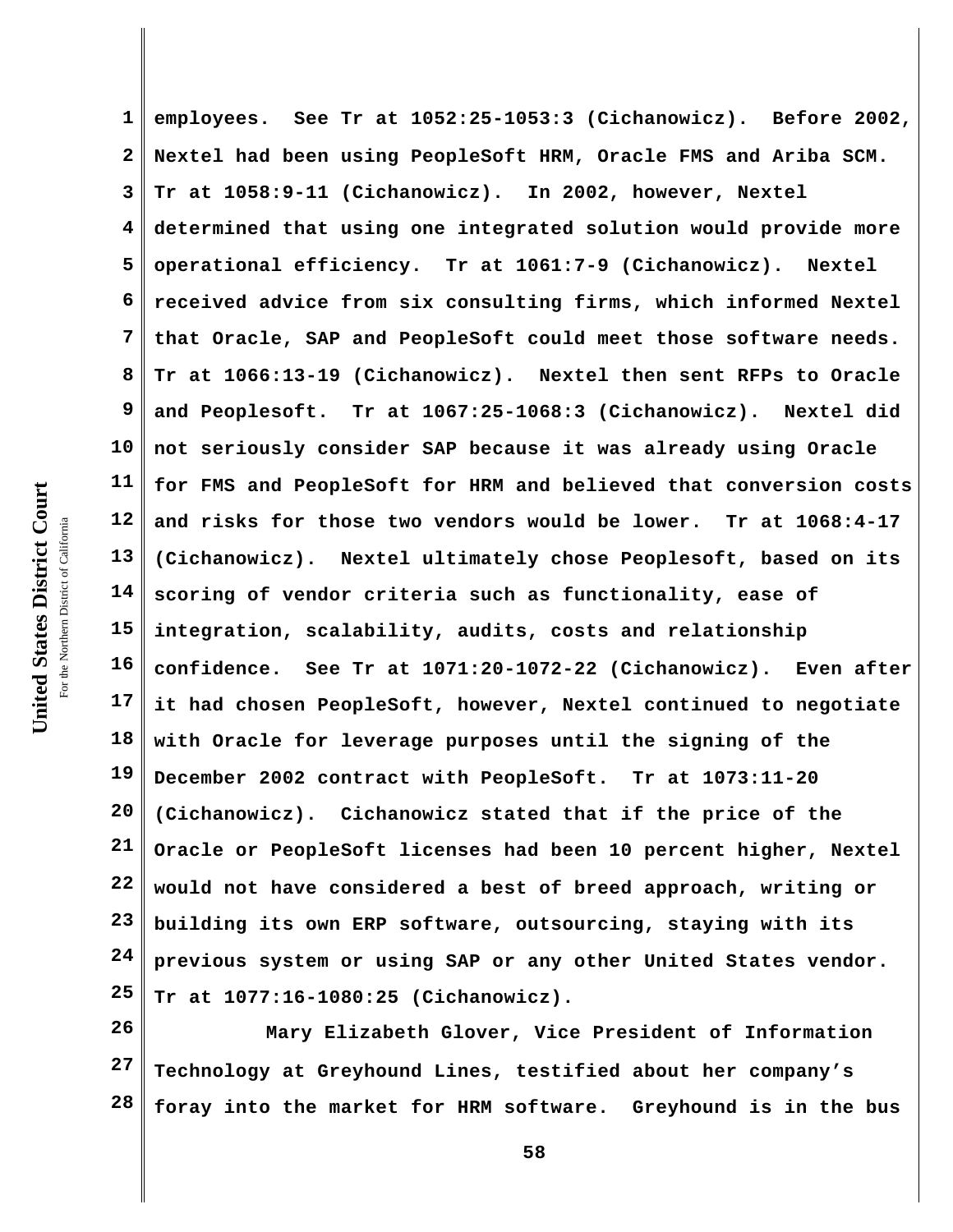**1 2 3 4 5 6 7 8 9 10 11 12 13 14 15 16 17 18 19 20 21 22 23 24 25 employees. See Tr at 1052:25-1053:3 (Cichanowicz). Before 2002, Nextel had been using PeopleSoft HRM, Oracle FMS and Ariba SCM. Tr at 1058:9-11 (Cichanowicz). In 2002, however, Nextel determined that using one integrated solution would provide more operational efficiency. Tr at 1061:7-9 (Cichanowicz). Nextel received advice from six consulting firms, which informed Nextel that Oracle, SAP and PeopleSoft could meet those software needs. Tr at 1066:13-19 (Cichanowicz). Nextel then sent RFPs to Oracle and Peoplesoft. Tr at 1067:25-1068:3 (Cichanowicz). Nextel did not seriously consider SAP because it was already using Oracle for FMS and PeopleSoft for HRM and believed that conversion costs and risks for those two vendors would be lower. Tr at 1068:4-17 (Cichanowicz). Nextel ultimately chose Peoplesoft, based on its scoring of vendor criteria such as functionality, ease of integration, scalability, audits, costs and relationship confidence. See Tr at 1071:20-1072-22 (Cichanowicz). Even after it had chosen PeopleSoft, however, Nextel continued to negotiate with Oracle for leverage purposes until the signing of the December 2002 contract with PeopleSoft. Tr at 1073:11-20 (Cichanowicz). Cichanowicz stated that if the price of the Oracle or PeopleSoft licenses had been 10 percent higher, Nextel would not have considered a best of breed approach, writing or building its own ERP software, outsourcing, staying with its previous system or using SAP or any other United States vendor. Tr at 1077:16-1080:25 (Cichanowicz).** 

**26 27 28 Mary Elizabeth Glover, Vice President of Information Technology at Greyhound Lines, testified about her company's foray into the market for HRM software. Greyhound is in the bus**

United States District Court **United States District Court** For the Northern District of California the Northern District of California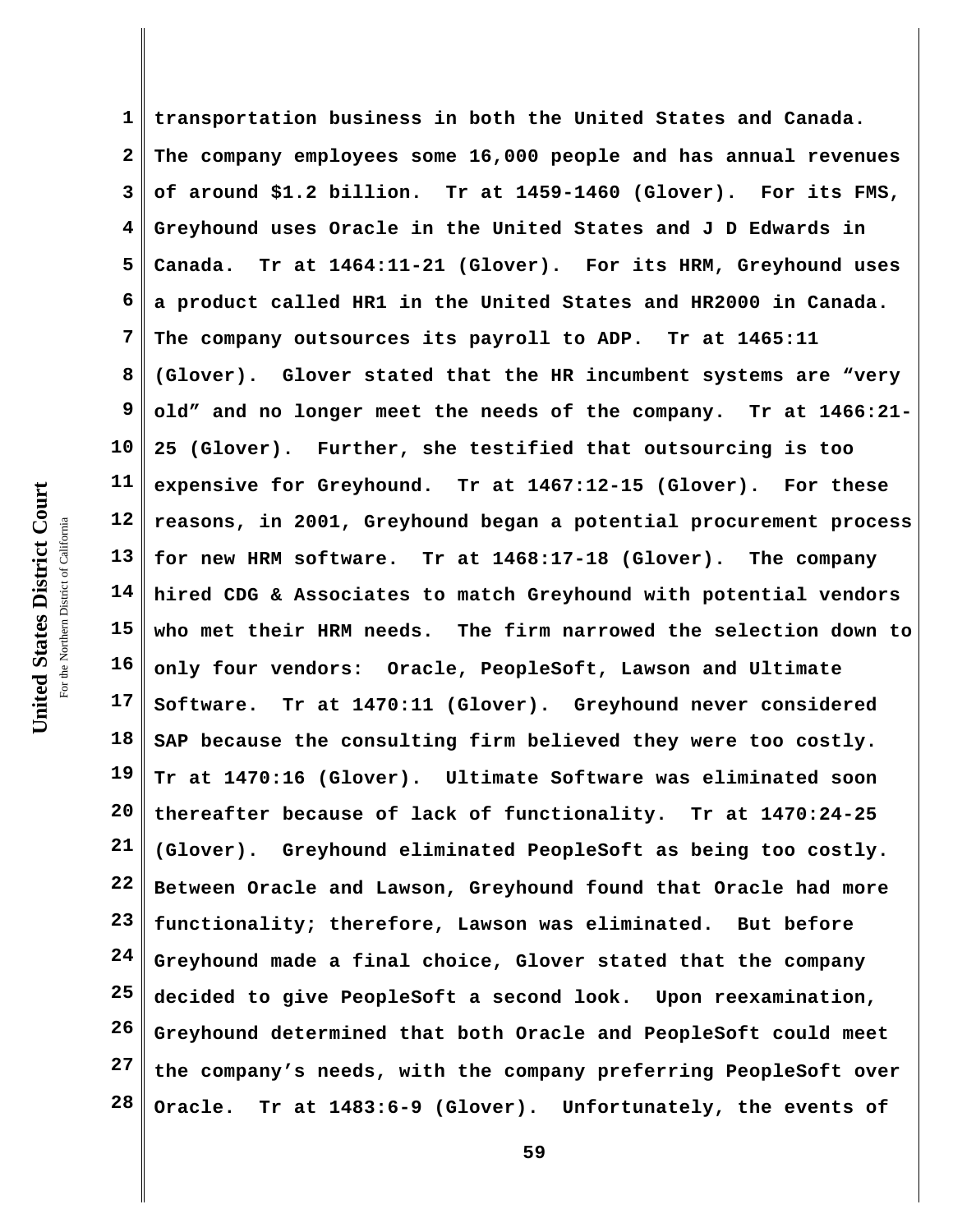United States District Court **United States District Court** For the Northern District of California the Northern District of California

**1 2 3 4 5 6 7 8 9 10 11 12 13 14 15 16 17 18 19 20 21 22 23 24 25 26 27 28 transportation business in both the United States and Canada. The company employees some 16,000 people and has annual revenues of around \$1.2 billion. Tr at 1459-1460 (Glover). For its FMS, Greyhound uses Oracle in the United States and J D Edwards in Canada. Tr at 1464:11-21 (Glover). For its HRM, Greyhound uses a product called HR1 in the United States and HR2000 in Canada. The company outsources its payroll to ADP. Tr at 1465:11 (Glover). Glover stated that the HR incumbent systems are "very old" and no longer meet the needs of the company. Tr at 1466:21- 25 (Glover). Further, she testified that outsourcing is too expensive for Greyhound. Tr at 1467:12-15 (Glover). For these reasons, in 2001, Greyhound began a potential procurement process for new HRM software. Tr at 1468:17-18 (Glover). The company hired CDG & Associates to match Greyhound with potential vendors who met their HRM needs. The firm narrowed the selection down to only four vendors: Oracle, PeopleSoft, Lawson and Ultimate Software. Tr at 1470:11 (Glover). Greyhound never considered SAP because the consulting firm believed they were too costly. Tr at 1470:16 (Glover). Ultimate Software was eliminated soon thereafter because of lack of functionality. Tr at 1470:24-25 (Glover). Greyhound eliminated PeopleSoft as being too costly. Between Oracle and Lawson, Greyhound found that Oracle had more functionality; therefore, Lawson was eliminated. But before Greyhound made a final choice, Glover stated that the company decided to give PeopleSoft a second look. Upon reexamination, Greyhound determined that both Oracle and PeopleSoft could meet the company's needs, with the company preferring PeopleSoft over Oracle. Tr at 1483:6-9 (Glover). Unfortunately, the events of**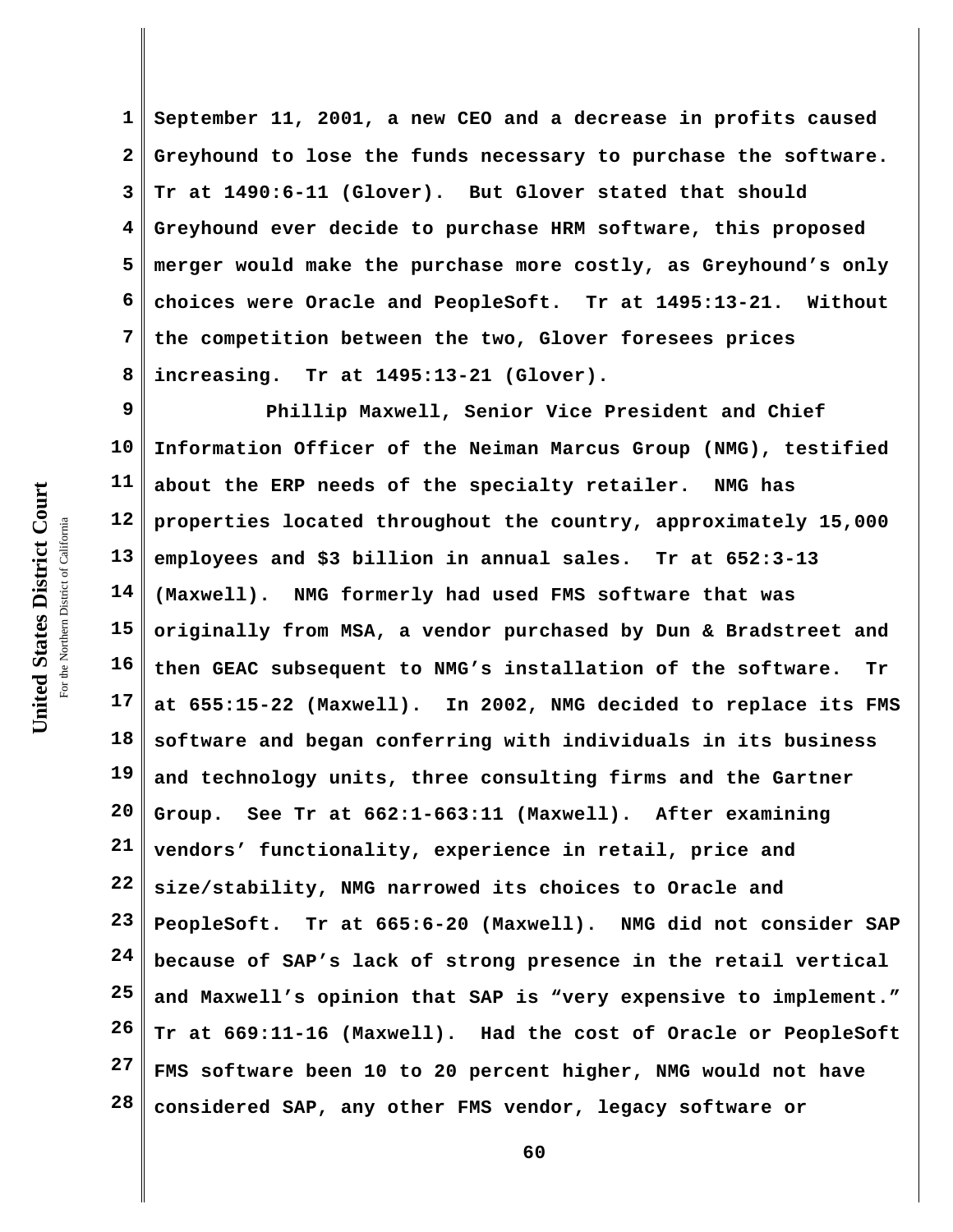**1 2 3 4 5 6 7 8 September 11, 2001, a new CEO and a decrease in profits caused Greyhound to lose the funds necessary to purchase the software. Tr at 1490:6-11 (Glover). But Glover stated that should Greyhound ever decide to purchase HRM software, this proposed merger would make the purchase more costly, as Greyhound's only choices were Oracle and PeopleSoft. Tr at 1495:13-21. Without the competition between the two, Glover foresees prices increasing. Tr at 1495:13-21 (Glover).** 

**9 10 11 12 13 14 15 16 17 18 19 20 21 22 23 24 25 26 27 28 Phillip Maxwell, Senior Vice President and Chief Information Officer of the Neiman Marcus Group (NMG), testified about the ERP needs of the specialty retailer. NMG has properties located throughout the country, approximately 15,000 employees and \$3 billion in annual sales. Tr at 652:3-13 (Maxwell). NMG formerly had used FMS software that was originally from MSA, a vendor purchased by Dun & Bradstreet and then GEAC subsequent to NMG's installation of the software. Tr at 655:15-22 (Maxwell). In 2002, NMG decided to replace its FMS software and began conferring with individuals in its business and technology units, three consulting firms and the Gartner Group. See Tr at 662:1-663:11 (Maxwell). After examining vendors' functionality, experience in retail, price and size/stability, NMG narrowed its choices to Oracle and PeopleSoft. Tr at 665:6-20 (Maxwell). NMG did not consider SAP because of SAP's lack of strong presence in the retail vertical and Maxwell's opinion that SAP is "very expensive to implement." Tr at 669:11-16 (Maxwell). Had the cost of Oracle or PeopleSoft FMS software been 10 to 20 percent higher, NMG would not have considered SAP, any other FMS vendor, legacy software or**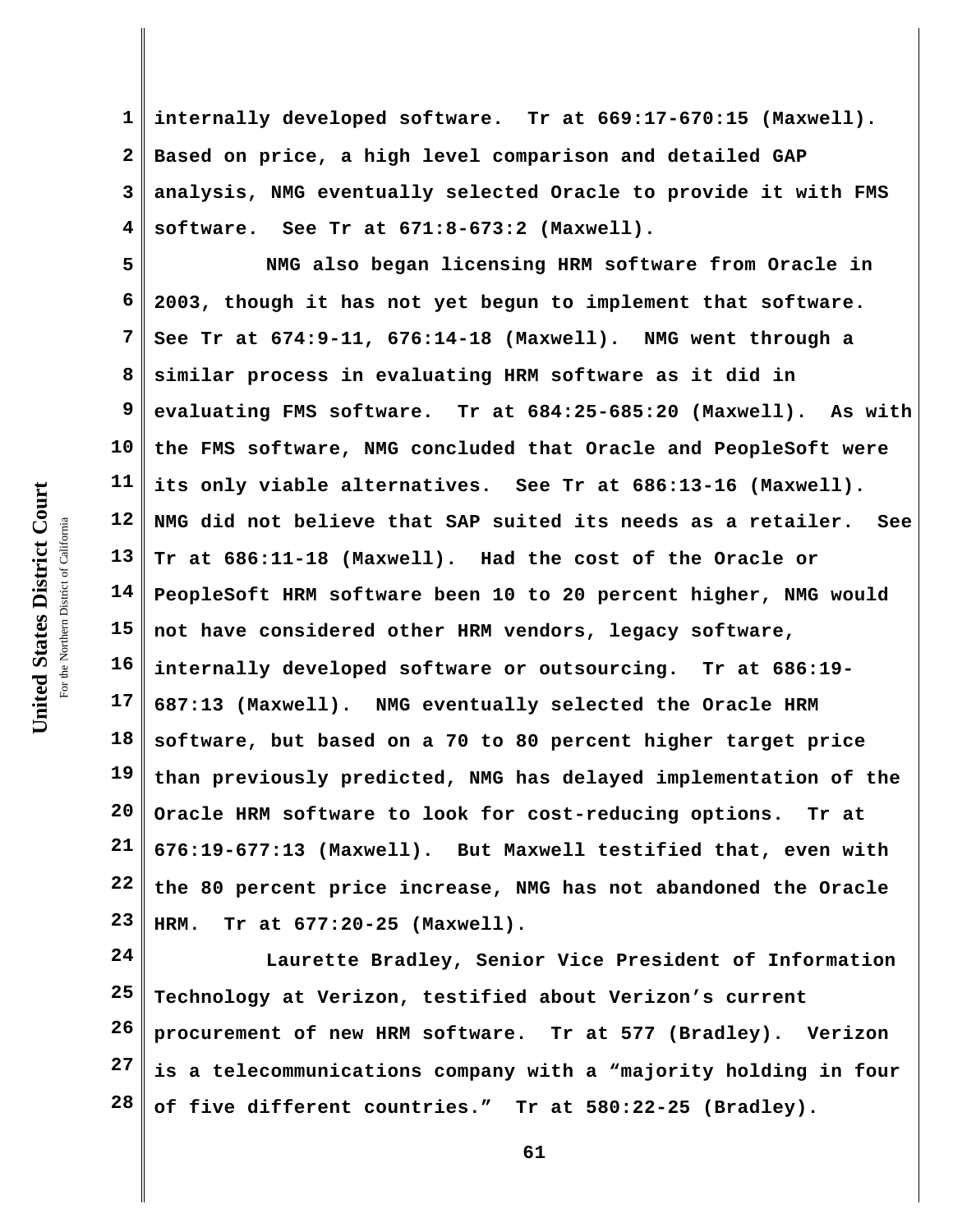**1 2 3 4 internally developed software. Tr at 669:17-670:15 (Maxwell). Based on price, a high level comparison and detailed GAP analysis, NMG eventually selected Oracle to provide it with FMS software. See Tr at 671:8-673:2 (Maxwell).**

**5 6 7 8 9 10 11 12 13 14 15 16 17 18 19 20 21 22 23 NMG also began licensing HRM software from Oracle in 2003, though it has not yet begun to implement that software. See Tr at 674:9-11, 676:14-18 (Maxwell). NMG went through a similar process in evaluating HRM software as it did in evaluating FMS software. Tr at 684:25-685:20 (Maxwell). As with the FMS software, NMG concluded that Oracle and PeopleSoft were its only viable alternatives. See Tr at 686:13-16 (Maxwell). NMG did not believe that SAP suited its needs as a retailer. See Tr at 686:11-18 (Maxwell). Had the cost of the Oracle or PeopleSoft HRM software been 10 to 20 percent higher, NMG would not have considered other HRM vendors, legacy software, internally developed software or outsourcing. Tr at 686:19- 687:13 (Maxwell). NMG eventually selected the Oracle HRM software, but based on a 70 to 80 percent higher target price than previously predicted, NMG has delayed implementation of the Oracle HRM software to look for cost-reducing options. Tr at 676:19-677:13 (Maxwell). But Maxwell testified that, even with the 80 percent price increase, NMG has not abandoned the Oracle HRM. Tr at 677:20-25 (Maxwell).** 

**24 25 26 27 28 Laurette Bradley, Senior Vice President of Information Technology at Verizon, testified about Verizon's current procurement of new HRM software. Tr at 577 (Bradley). Verizon is a telecommunications company with a "majority holding in four of five different countries." Tr at 580:22-25 (Bradley).**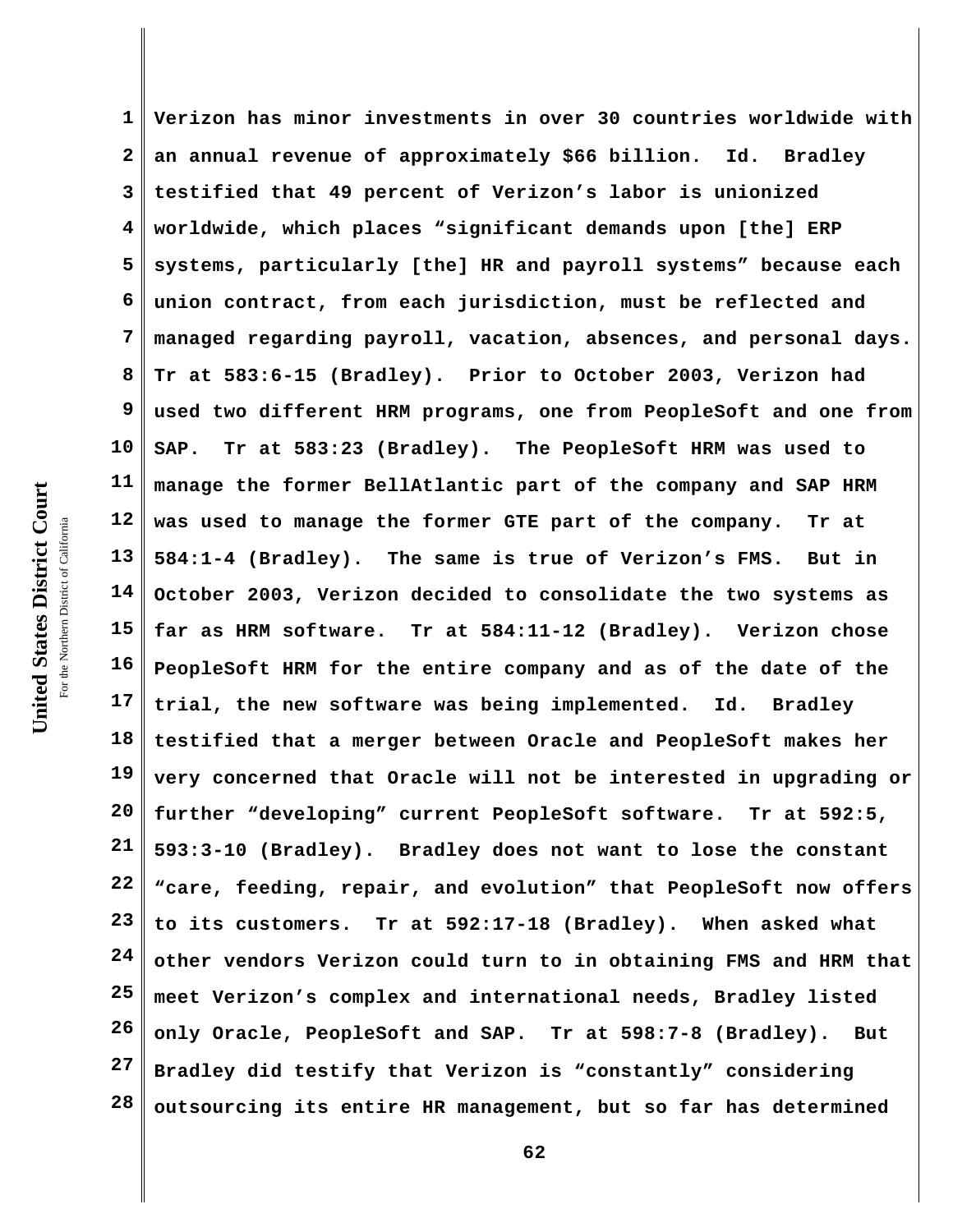**1 2 3 4 5 6 7 8 9 10 11 12 13 14 15 16 17 18 19 20 21 22 23 24 25 26 27 28 Verizon has minor investments in over 30 countries worldwide with an annual revenue of approximately \$66 billion. Id. Bradley testified that 49 percent of Verizon's labor is unionized worldwide, which places "significant demands upon [the] ERP systems, particularly [the] HR and payroll systems" because each union contract, from each jurisdiction, must be reflected and managed regarding payroll, vacation, absences, and personal days. Tr at 583:6-15 (Bradley). Prior to October 2003, Verizon had used two different HRM programs, one from PeopleSoft and one from SAP. Tr at 583:23 (Bradley). The PeopleSoft HRM was used to manage the former BellAtlantic part of the company and SAP HRM was used to manage the former GTE part of the company. Tr at 584:1-4 (Bradley). The same is true of Verizon's FMS. But in October 2003, Verizon decided to consolidate the two systems as far as HRM software. Tr at 584:11-12 (Bradley). Verizon chose PeopleSoft HRM for the entire company and as of the date of the trial, the new software was being implemented. Id. Bradley testified that a merger between Oracle and PeopleSoft makes her very concerned that Oracle will not be interested in upgrading or further "developing" current PeopleSoft software. Tr at 592:5, 593:3-10 (Bradley). Bradley does not want to lose the constant "care, feeding, repair, and evolution" that PeopleSoft now offers to its customers. Tr at 592:17-18 (Bradley). When asked what other vendors Verizon could turn to in obtaining FMS and HRM that meet Verizon's complex and international needs, Bradley listed only Oracle, PeopleSoft and SAP. Tr at 598:7-8 (Bradley). But Bradley did testify that Verizon is "constantly" considering outsourcing its entire HR management, but so far has determined**

United States District Court **United States District Court** For the Northern District of California the Northern District of California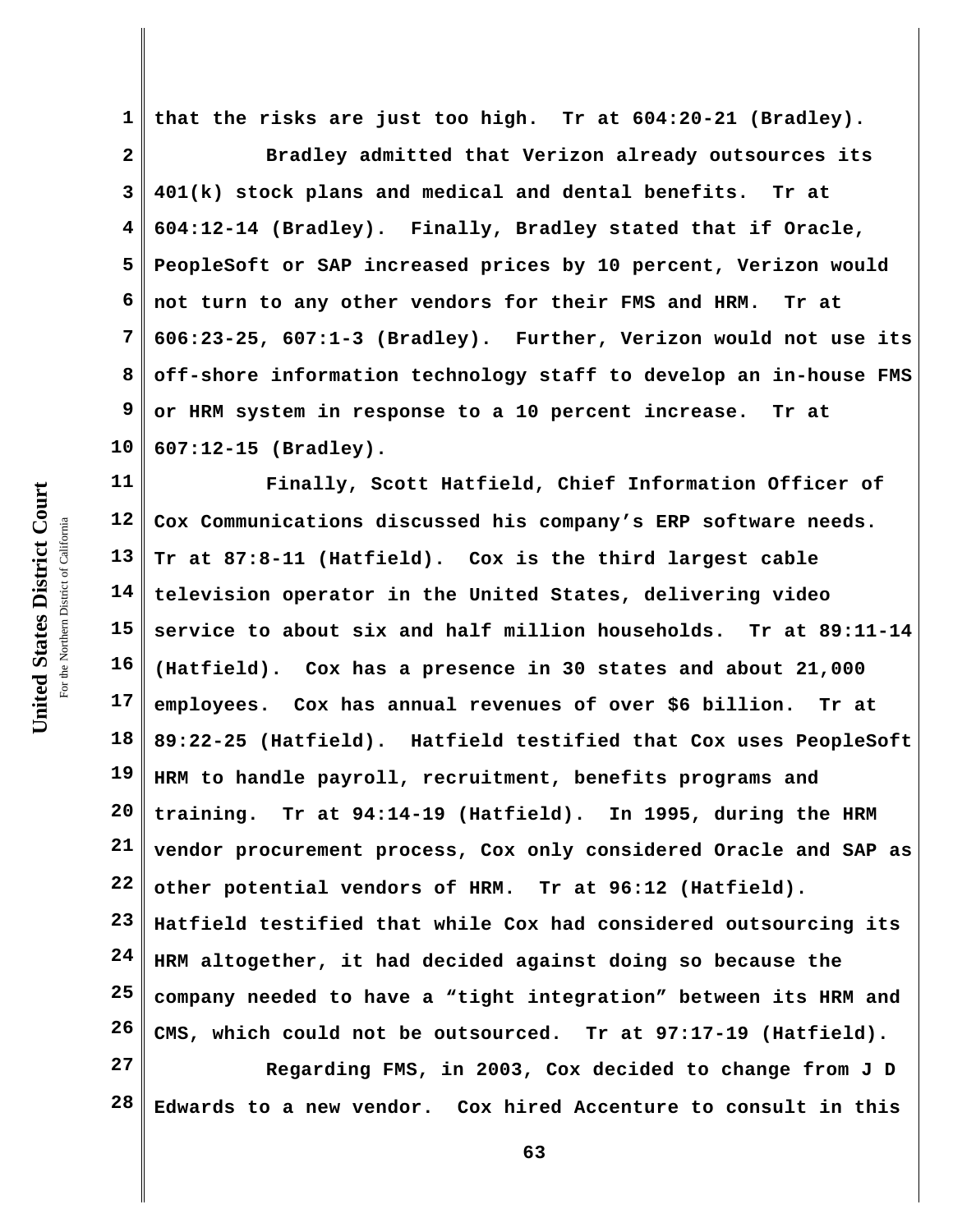**1 that the risks are just too high. Tr at 604:20-21 (Bradley).** 

**2 3 4 5 6 7 8 9 10 Bradley admitted that Verizon already outsources its 401(k) stock plans and medical and dental benefits. Tr at 604:12-14 (Bradley). Finally, Bradley stated that if Oracle, PeopleSoft or SAP increased prices by 10 percent, Verizon would not turn to any other vendors for their FMS and HRM. Tr at 606:23-25, 607:1-3 (Bradley). Further, Verizon would not use its off-shore information technology staff to develop an in-house FMS or HRM system in response to a 10 percent increase. Tr at 607:12-15 (Bradley).**

**11 12 13 14 15 16 17 18 19 20 21 22 23 24 25 26 27 Finally, Scott Hatfield, Chief Information Officer of Cox Communications discussed his company's ERP software needs. Tr at 87:8-11 (Hatfield). Cox is the third largest cable television operator in the United States, delivering video service to about six and half million households. Tr at 89:11-14 (Hatfield). Cox has a presence in 30 states and about 21,000 employees. Cox has annual revenues of over \$6 billion. Tr at 89:22-25 (Hatfield). Hatfield testified that Cox uses PeopleSoft HRM to handle payroll, recruitment, benefits programs and training. Tr at 94:14-19 (Hatfield). In 1995, during the HRM vendor procurement process, Cox only considered Oracle and SAP as other potential vendors of HRM. Tr at 96:12 (Hatfield). Hatfield testified that while Cox had considered outsourcing its HRM altogether, it had decided against doing so because the company needed to have a "tight integration" between its HRM and CMS, which could not be outsourced. Tr at 97:17-19 (Hatfield).**

**28 Regarding FMS, in 2003, Cox decided to change from J D Edwards to a new vendor. Cox hired Accenture to consult in this**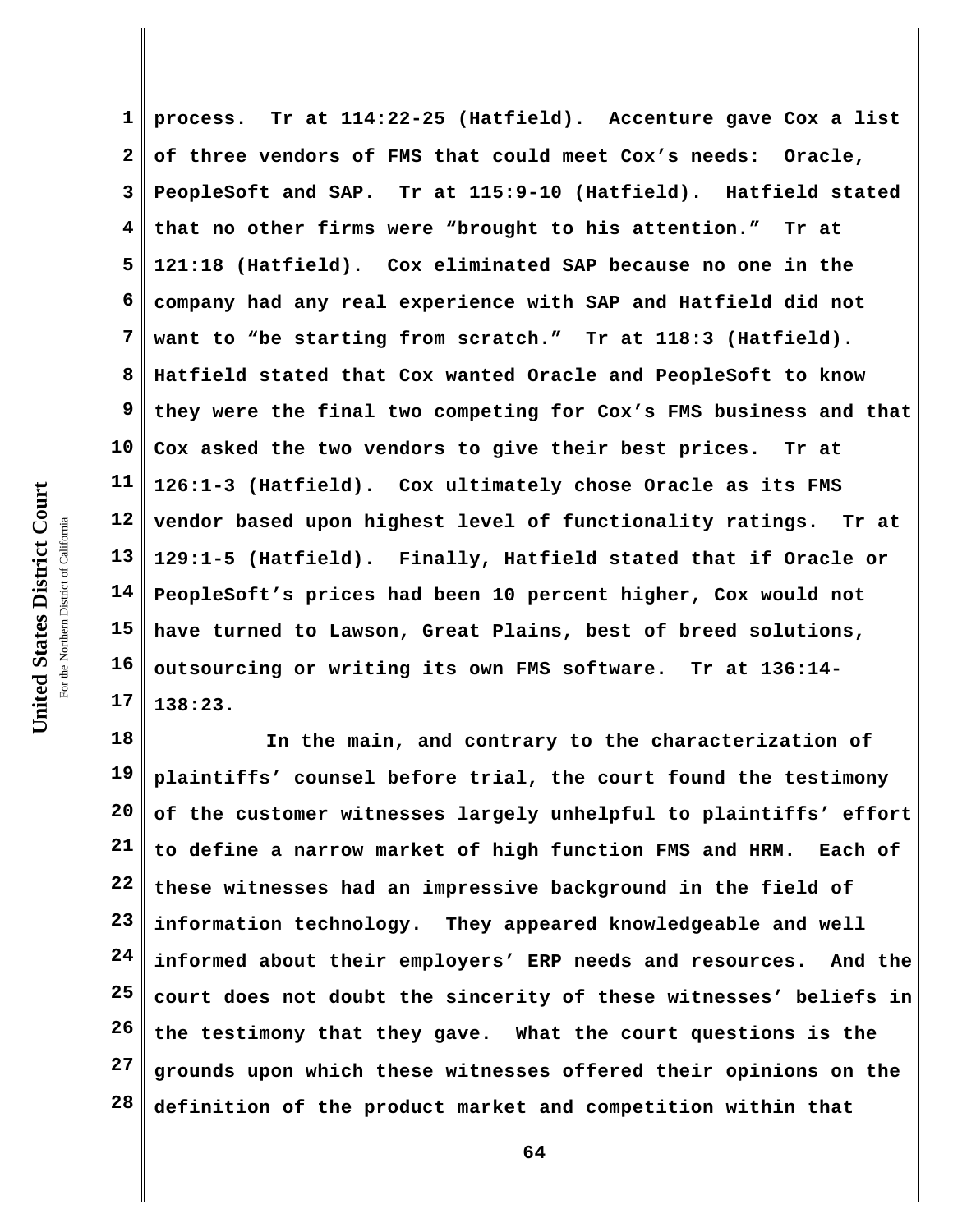**1 2 3 4 5 6 7 8 9 10 11 12 13 14 15 16 17 process. Tr at 114:22-25 (Hatfield). Accenture gave Cox a list of three vendors of FMS that could meet Cox's needs: Oracle, PeopleSoft and SAP. Tr at 115:9-10 (Hatfield). Hatfield stated that no other firms were "brought to his attention." Tr at 121:18 (Hatfield). Cox eliminated SAP because no one in the company had any real experience with SAP and Hatfield did not want to "be starting from scratch." Tr at 118:3 (Hatfield). Hatfield stated that Cox wanted Oracle and PeopleSoft to know they were the final two competing for Cox's FMS business and that Cox asked the two vendors to give their best prices. Tr at 126:1-3 (Hatfield). Cox ultimately chose Oracle as its FMS vendor based upon highest level of functionality ratings. Tr at 129:1-5 (Hatfield). Finally, Hatfield stated that if Oracle or PeopleSoft's prices had been 10 percent higher, Cox would not have turned to Lawson, Great Plains, best of breed solutions, outsourcing or writing its own FMS software. Tr at 136:14- 138:23.**

**18 19 20 21 22 23 24 25 26 27 28 In the main, and contrary to the characterization of plaintiffs' counsel before trial, the court found the testimony of the customer witnesses largely unhelpful to plaintiffs' effort to define a narrow market of high function FMS and HRM. Each of these witnesses had an impressive background in the field of information technology. They appeared knowledgeable and well informed about their employers' ERP needs and resources. And the court does not doubt the sincerity of these witnesses' beliefs in the testimony that they gave. What the court questions is the grounds upon which these witnesses offered their opinions on the definition of the product market and competition within that**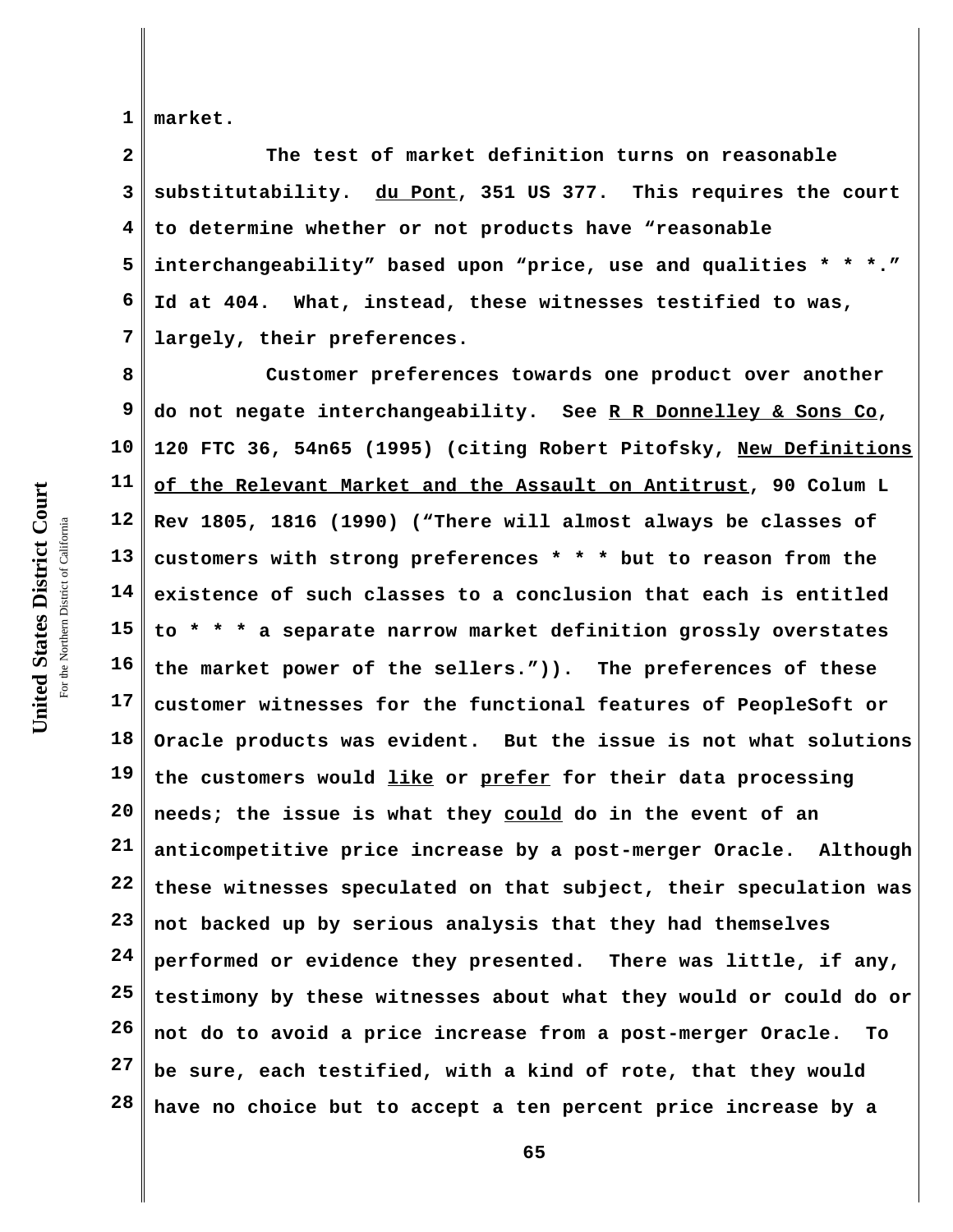**1 market.** 

**2 3 4 5 6 7 The test of market definition turns on reasonable substitutability. du Pont, 351 US 377. This requires the court to determine whether or not products have "reasonable interchangeability" based upon "price, use and qualities \* \* \*." Id at 404. What, instead, these witnesses testified to was, largely, their preferences.** 

**8 9 10 11 12 13 14 15 16 17 18 19 20 21 22 23 24 25 26 27 28 Customer preferences towards one product over another do not negate interchangeability. See R R Donnelley & Sons Co, 120 FTC 36, 54n65 (1995) (citing Robert Pitofsky, New Definitions of the Relevant Market and the Assault on Antitrust, 90 Colum L Rev 1805, 1816 (1990) ("There will almost always be classes of customers with strong preferences \* \* \* but to reason from the existence of such classes to a conclusion that each is entitled to \* \* \* a separate narrow market definition grossly overstates the market power of the sellers.")). The preferences of these customer witnesses for the functional features of PeopleSoft or Oracle products was evident. But the issue is not what solutions the customers would like or prefer for their data processing needs; the issue is what they could do in the event of an anticompetitive price increase by a post-merger Oracle. Although these witnesses speculated on that subject, their speculation was not backed up by serious analysis that they had themselves performed or evidence they presented. There was little, if any, testimony by these witnesses about what they would or could do or not do to avoid a price increase from a post-merger Oracle. To be sure, each testified, with a kind of rote, that they would have no choice but to accept a ten percent price increase by a**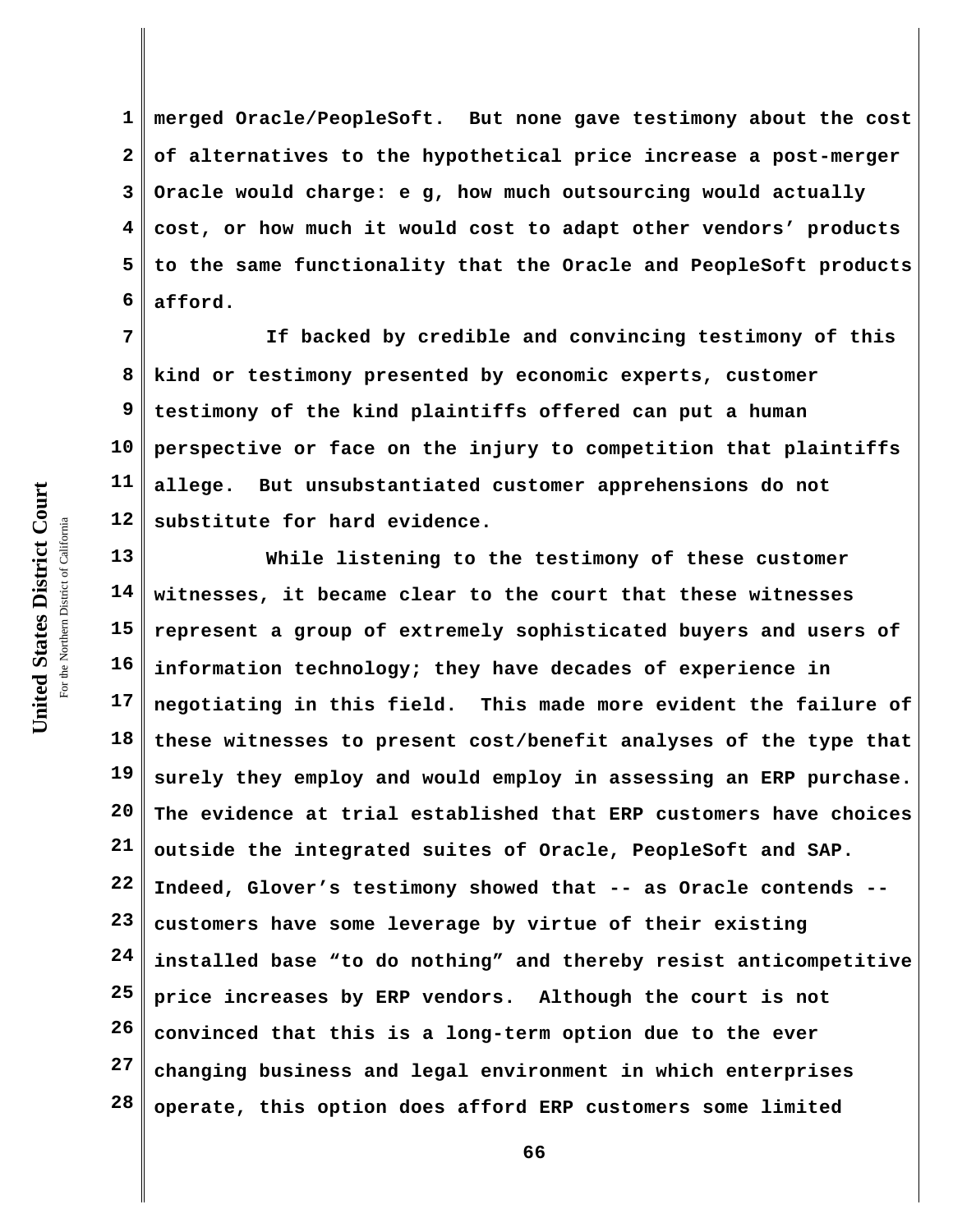United States District Court **United States District Court** For the Northern District of California the Northern District of California

**1 2 3 4 5 6 merged Oracle/PeopleSoft. But none gave testimony about the cost of alternatives to the hypothetical price increase a post-merger Oracle would charge: e g, how much outsourcing would actually cost, or how much it would cost to adapt other vendors' products to the same functionality that the Oracle and PeopleSoft products afford.** 

**7 8 9 10 11 12 If backed by credible and convincing testimony of this kind or testimony presented by economic experts, customer testimony of the kind plaintiffs offered can put a human perspective or face on the injury to competition that plaintiffs allege. But unsubstantiated customer apprehensions do not substitute for hard evidence.**

**13 14 15 16 17 18 19 20 21 22 23 24 25 26 27 28 While listening to the testimony of these customer witnesses, it became clear to the court that these witnesses represent a group of extremely sophisticated buyers and users of information technology; they have decades of experience in negotiating in this field. This made more evident the failure of these witnesses to present cost/benefit analyses of the type that surely they employ and would employ in assessing an ERP purchase. The evidence at trial established that ERP customers have choices outside the integrated suites of Oracle, PeopleSoft and SAP. Indeed, Glover's testimony showed that -- as Oracle contends - customers have some leverage by virtue of their existing installed base "to do nothing" and thereby resist anticompetitive price increases by ERP vendors. Although the court is not convinced that this is a long-term option due to the ever changing business and legal environment in which enterprises operate, this option does afford ERP customers some limited**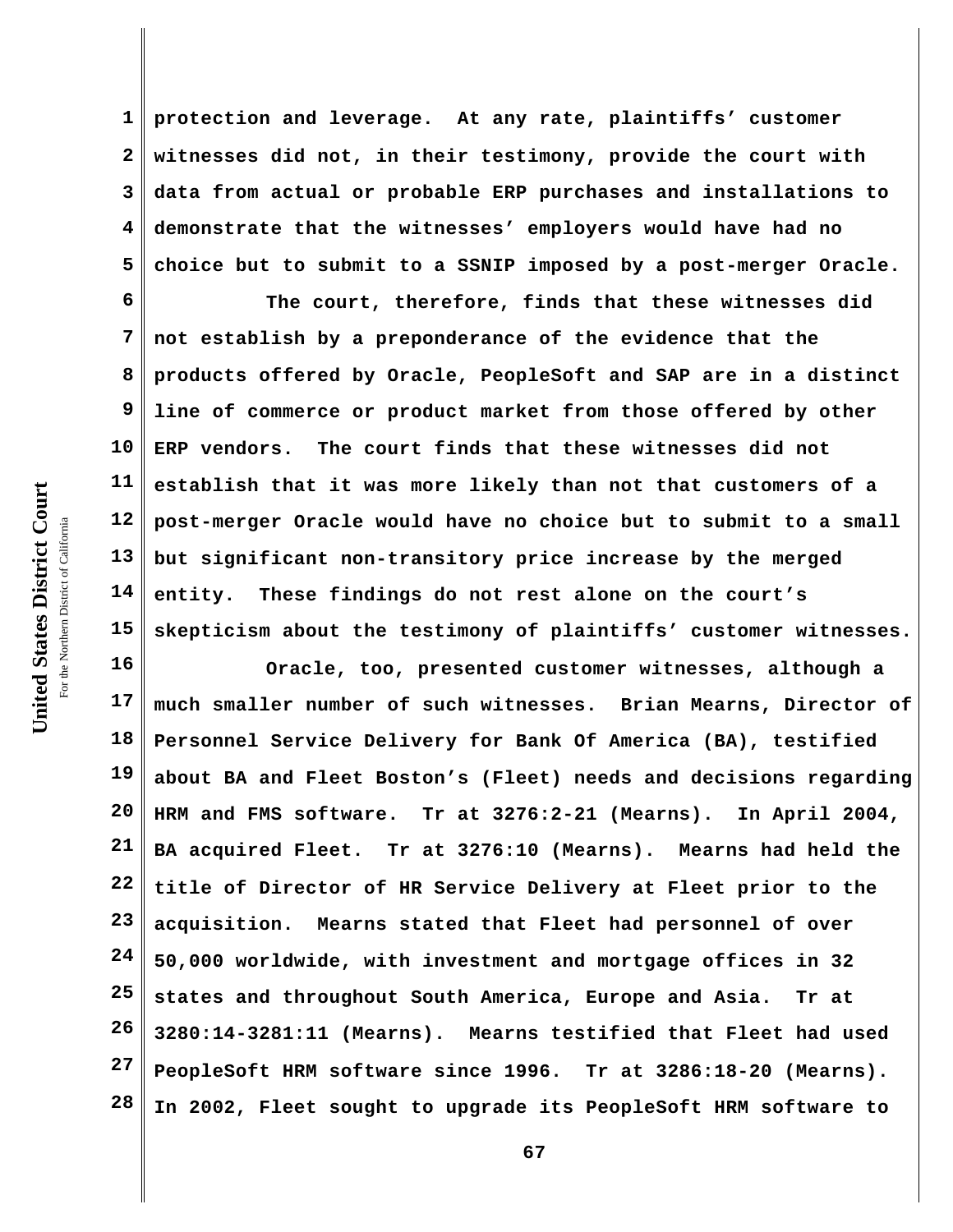**1 2 3 4 5 protection and leverage. At any rate, plaintiffs' customer witnesses did not, in their testimony, provide the court with data from actual or probable ERP purchases and installations to demonstrate that the witnesses' employers would have had no choice but to submit to a SSNIP imposed by a post-merger Oracle.**

**6 7 8 9 10 11 12 13 14 15 The court, therefore, finds that these witnesses did not establish by a preponderance of the evidence that the products offered by Oracle, PeopleSoft and SAP are in a distinct line of commerce or product market from those offered by other ERP vendors. The court finds that these witnesses did not establish that it was more likely than not that customers of a post-merger Oracle would have no choice but to submit to a small but significant non-transitory price increase by the merged entity. These findings do not rest alone on the court's skepticism about the testimony of plaintiffs' customer witnesses.**

**16 17 18 19 20 21 22 23 24 25 26 27 28 Oracle, too, presented customer witnesses, although a much smaller number of such witnesses. Brian Mearns, Director of Personnel Service Delivery for Bank Of America (BA), testified about BA and Fleet Boston's (Fleet) needs and decisions regarding HRM and FMS software. Tr at 3276:2-21 (Mearns). In April 2004, BA acquired Fleet. Tr at 3276:10 (Mearns). Mearns had held the title of Director of HR Service Delivery at Fleet prior to the acquisition. Mearns stated that Fleet had personnel of over 50,000 worldwide, with investment and mortgage offices in 32 states and throughout South America, Europe and Asia. Tr at 3280:14-3281:11 (Mearns). Mearns testified that Fleet had used PeopleSoft HRM software since 1996. Tr at 3286:18-20 (Mearns). In 2002, Fleet sought to upgrade its PeopleSoft HRM software to**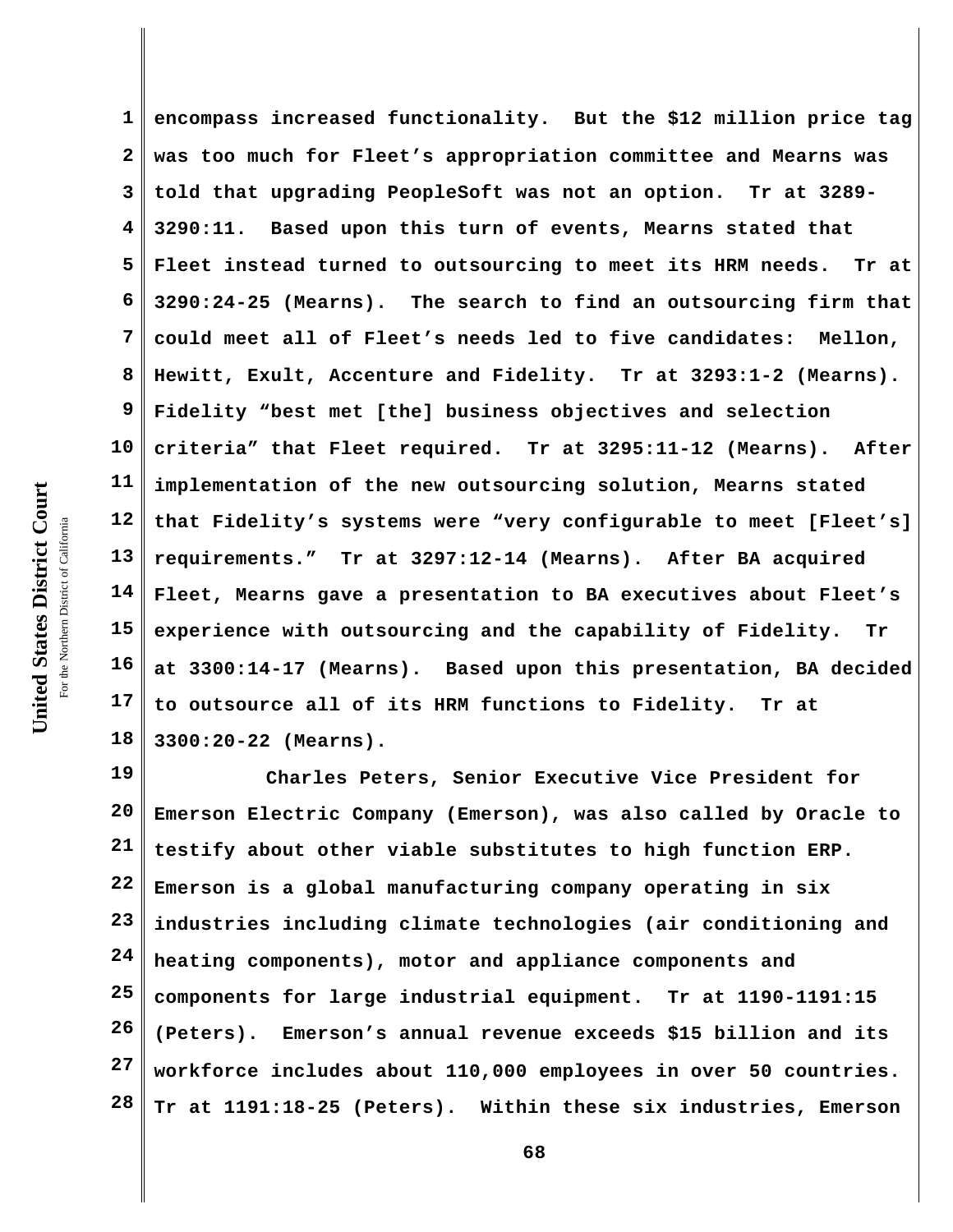**1 2 3 4 5 6 7 8 9 10 11 12 13 14 15 16 17 18 encompass increased functionality. But the \$12 million price tag was too much for Fleet's appropriation committee and Mearns was told that upgrading PeopleSoft was not an option. Tr at 3289- 3290:11. Based upon this turn of events, Mearns stated that Fleet instead turned to outsourcing to meet its HRM needs. Tr at 3290:24-25 (Mearns). The search to find an outsourcing firm that could meet all of Fleet's needs led to five candidates: Mellon, Hewitt, Exult, Accenture and Fidelity. Tr at 3293:1-2 (Mearns). Fidelity "best met [the] business objectives and selection criteria" that Fleet required. Tr at 3295:11-12 (Mearns). After implementation of the new outsourcing solution, Mearns stated that Fidelity's systems were "very configurable to meet [Fleet's] requirements." Tr at 3297:12-14 (Mearns). After BA acquired Fleet, Mearns gave a presentation to BA executives about Fleet's experience with outsourcing and the capability of Fidelity. Tr at 3300:14-17 (Mearns). Based upon this presentation, BA decided to outsource all of its HRM functions to Fidelity. Tr at 3300:20-22 (Mearns).** 

**19 20 21 22 23 24 25 26 27 28 Charles Peters, Senior Executive Vice President for Emerson Electric Company (Emerson), was also called by Oracle to testify about other viable substitutes to high function ERP. Emerson is a global manufacturing company operating in six industries including climate technologies (air conditioning and heating components), motor and appliance components and components for large industrial equipment. Tr at 1190-1191:15 (Peters). Emerson's annual revenue exceeds \$15 billion and its workforce includes about 110,000 employees in over 50 countries. Tr at 1191:18-25 (Peters). Within these six industries, Emerson**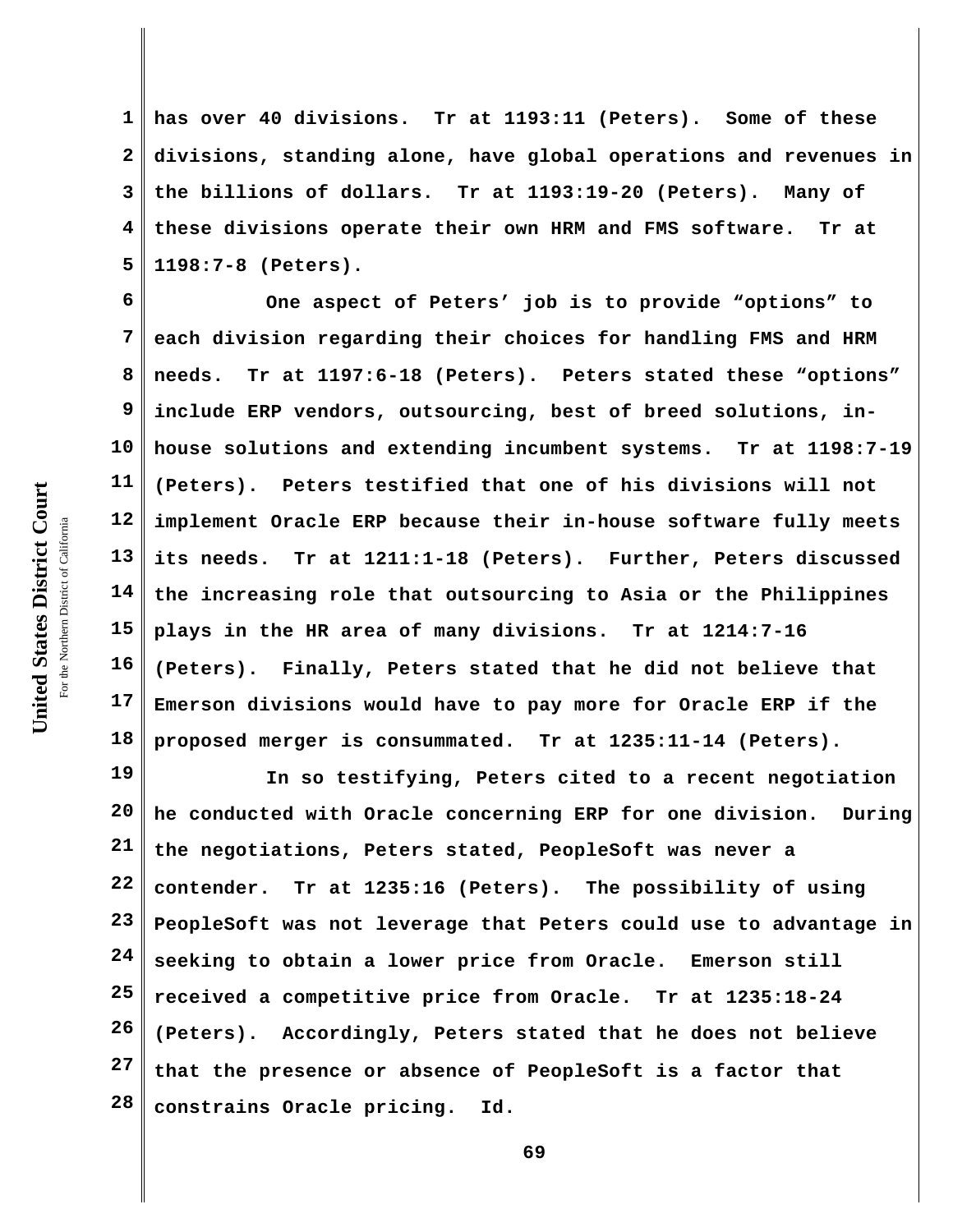**1 2 3 4 5 has over 40 divisions. Tr at 1193:11 (Peters). Some of these divisions, standing alone, have global operations and revenues in the billions of dollars. Tr at 1193:19-20 (Peters). Many of these divisions operate their own HRM and FMS software. Tr at 1198:7-8 (Peters).**

**6 7 8 9 10 11 12 13 14 15 16 17 18 One aspect of Peters' job is to provide "options" to each division regarding their choices for handling FMS and HRM needs. Tr at 1197:6-18 (Peters). Peters stated these "options" include ERP vendors, outsourcing, best of breed solutions, inhouse solutions and extending incumbent systems. Tr at 1198:7-19 (Peters). Peters testified that one of his divisions will not implement Oracle ERP because their in-house software fully meets its needs. Tr at 1211:1-18 (Peters). Further, Peters discussed the increasing role that outsourcing to Asia or the Philippines plays in the HR area of many divisions. Tr at 1214:7-16 (Peters). Finally, Peters stated that he did not believe that Emerson divisions would have to pay more for Oracle ERP if the proposed merger is consummated. Tr at 1235:11-14 (Peters).** 

**19 20 21 22 23 24 25 26 27 28 In so testifying, Peters cited to a recent negotiation he conducted with Oracle concerning ERP for one division. During the negotiations, Peters stated, PeopleSoft was never a contender. Tr at 1235:16 (Peters). The possibility of using PeopleSoft was not leverage that Peters could use to advantage in seeking to obtain a lower price from Oracle. Emerson still received a competitive price from Oracle. Tr at 1235:18-24 (Peters). Accordingly, Peters stated that he does not believe that the presence or absence of PeopleSoft is a factor that constrains Oracle pricing. Id.**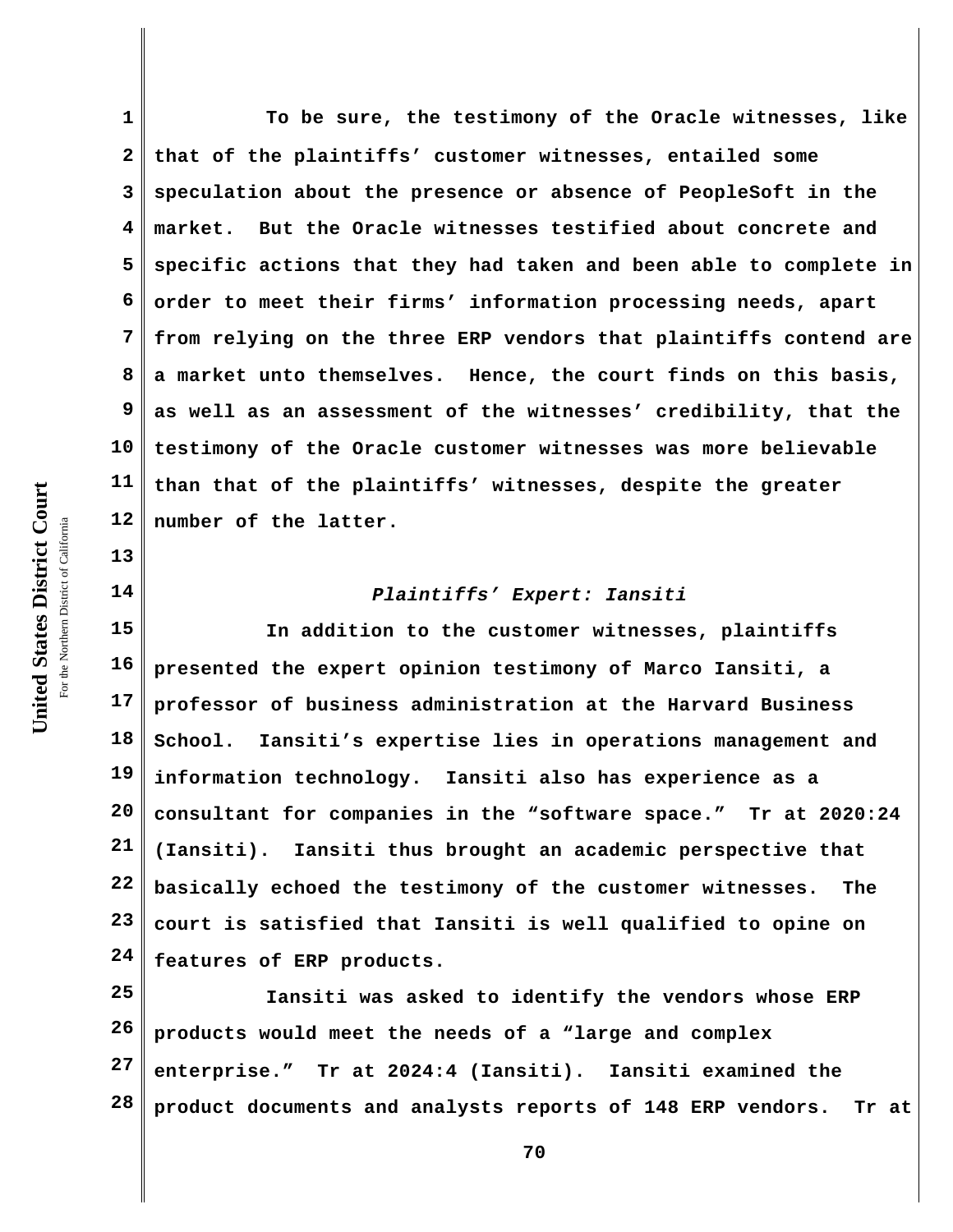**2 3 4 5 6 7 8 9 10 11 12 that of the plaintiffs' customer witnesses, entailed some speculation about the presence or absence of PeopleSoft in the market. But the Oracle witnesses testified about concrete and specific actions that they had taken and been able to complete in order to meet their firms' information processing needs, apart from relying on the three ERP vendors that plaintiffs contend are a market unto themselves. Hence, the court finds on this basis, as well as an assessment of the witnesses' credibility, that the testimony of the Oracle customer witnesses was more believable than that of the plaintiffs' witnesses, despite the greater number of the latter.**

**To be sure, the testimony of the Oracle witnesses, like**

## *Plaintiffs' Expert: Iansiti*

**15 16 17 18 19 20 21 22 23 24 In addition to the customer witnesses, plaintiffs presented the expert opinion testimony of Marco Iansiti, a professor of business administration at the Harvard Business School. Iansiti's expertise lies in operations management and information technology. Iansiti also has experience as a consultant for companies in the "software space." Tr at 2020:24 (Iansiti). Iansiti thus brought an academic perspective that basically echoed the testimony of the customer witnesses. The court is satisfied that Iansiti is well qualified to opine on features of ERP products.**

**25 26 27 28 Iansiti was asked to identify the vendors whose ERP products would meet the needs of a "large and complex enterprise." Tr at 2024:4 (Iansiti). Iansiti examined the product documents and analysts reports of 148 ERP vendors. Tr at**

United States District Court **United States District Court** For the Northern District of California the Northern District of California

**13**

**14**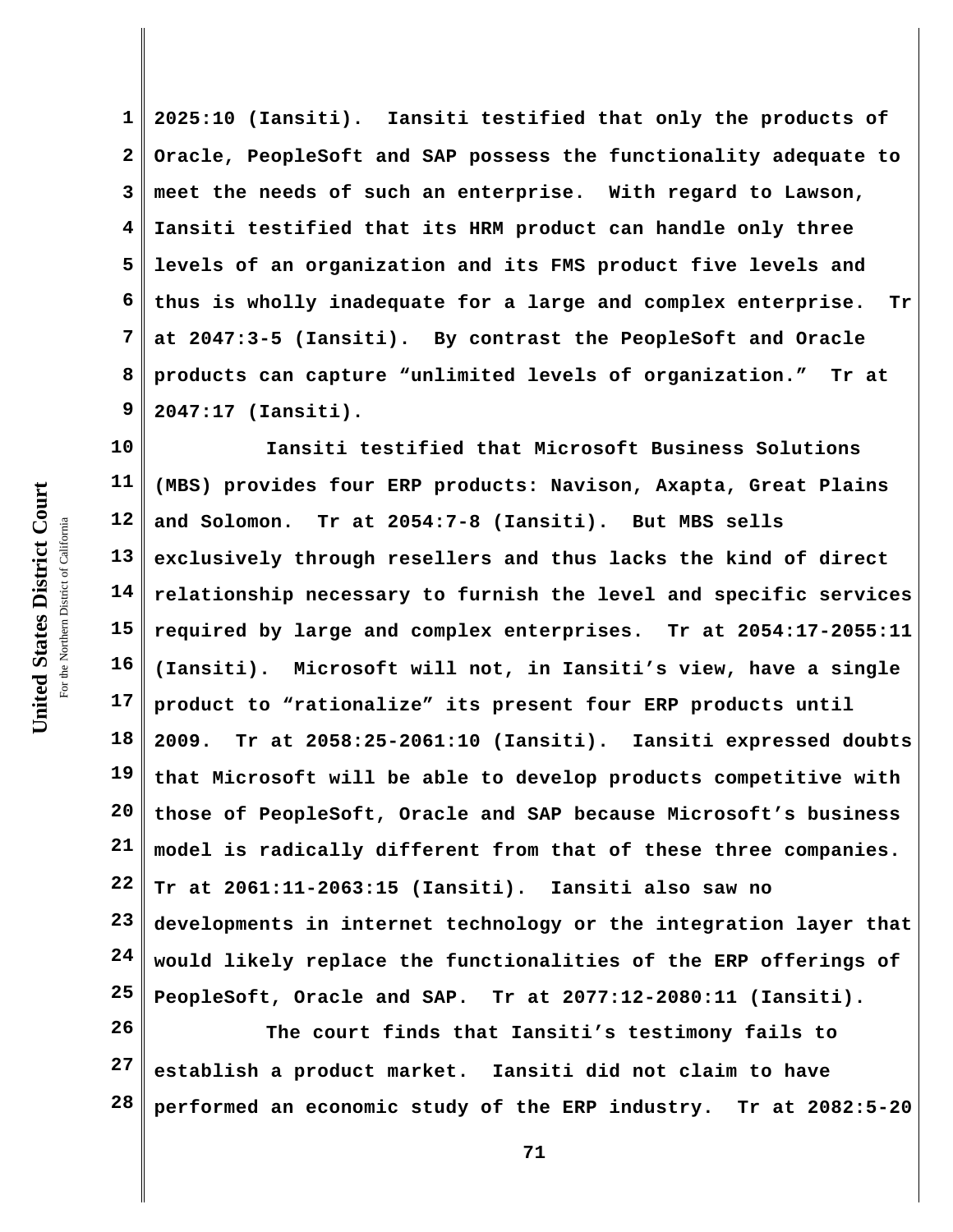**1 2 3 4 5 6 7 8 9 2025:10 (Iansiti). Iansiti testified that only the products of Oracle, PeopleSoft and SAP possess the functionality adequate to meet the needs of such an enterprise. With regard to Lawson, Iansiti testified that its HRM product can handle only three levels of an organization and its FMS product five levels and thus is wholly inadequate for a large and complex enterprise. Tr at 2047:3-5 (Iansiti). By contrast the PeopleSoft and Oracle products can capture "unlimited levels of organization." Tr at 2047:17 (Iansiti).** 

**10 11 12 13 14 15 16 17 18 19 20 21 22 23 24 25 Iansiti testified that Microsoft Business Solutions (MBS) provides four ERP products: Navison, Axapta, Great Plains and Solomon. Tr at 2054:7-8 (Iansiti). But MBS sells exclusively through resellers and thus lacks the kind of direct relationship necessary to furnish the level and specific services required by large and complex enterprises. Tr at 2054:17-2055:11 (Iansiti). Microsoft will not, in Iansiti's view, have a single product to "rationalize" its present four ERP products until 2009. Tr at 2058:25-2061:10 (Iansiti). Iansiti expressed doubts that Microsoft will be able to develop products competitive with those of PeopleSoft, Oracle and SAP because Microsoft's business model is radically different from that of these three companies. Tr at 2061:11-2063:15 (Iansiti). Iansiti also saw no developments in internet technology or the integration layer that would likely replace the functionalities of the ERP offerings of PeopleSoft, Oracle and SAP. Tr at 2077:12-2080:11 (Iansiti).**

**26 27 28 The court finds that Iansiti's testimony fails to establish a product market. Iansiti did not claim to have performed an economic study of the ERP industry. Tr at 2082:5-20**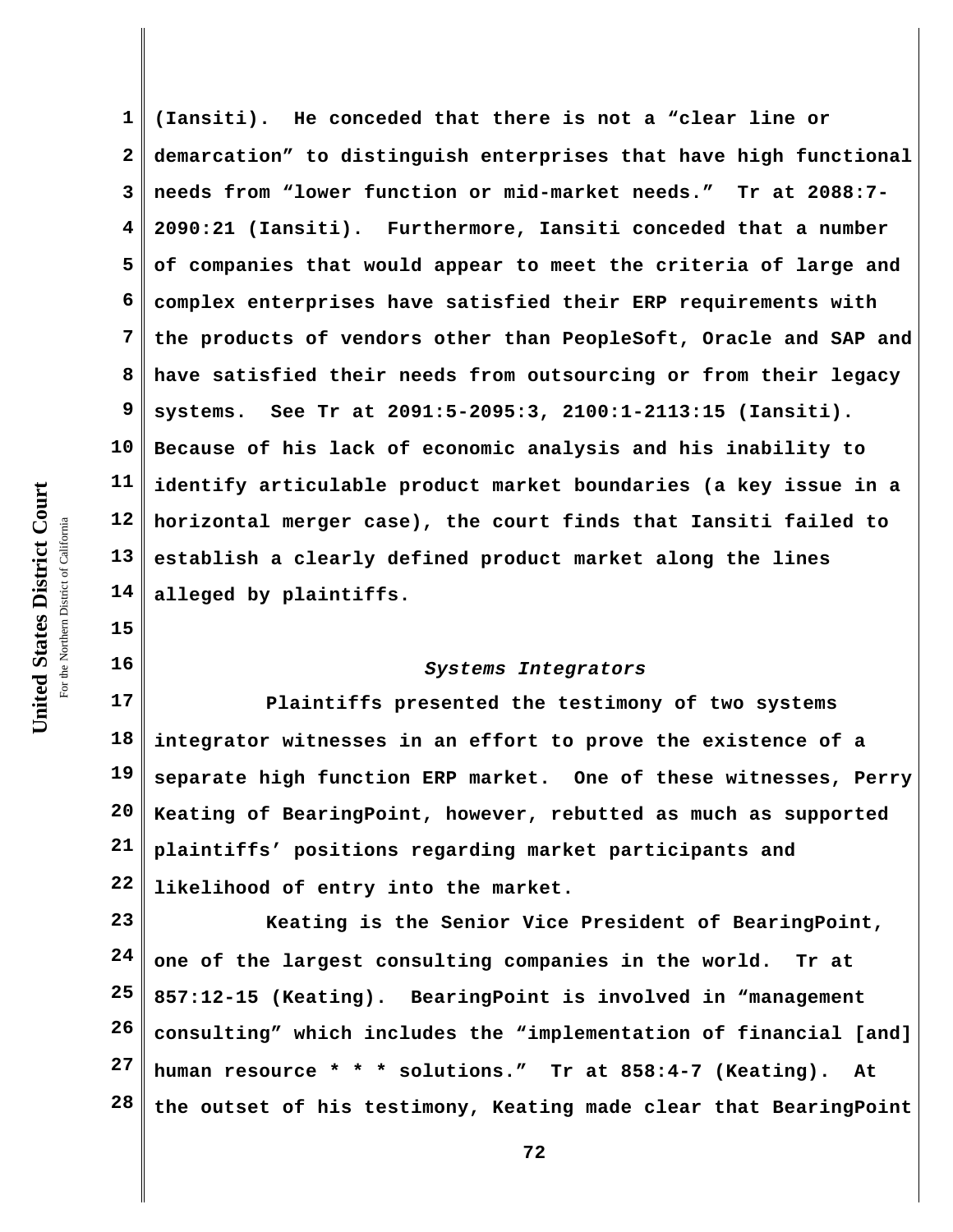United States District Court **United States District Court** For the Northern District of California the Northern District of California

**15**

**16**

**1 2 3 4 5 6 7 8 9 10 11 12 13 14 (Iansiti). He conceded that there is not a "clear line or demarcation" to distinguish enterprises that have high functional needs from "lower function or mid-market needs." Tr at 2088:7- 2090:21 (Iansiti). Furthermore, Iansiti conceded that a number of companies that would appear to meet the criteria of large and complex enterprises have satisfied their ERP requirements with the products of vendors other than PeopleSoft, Oracle and SAP and have satisfied their needs from outsourcing or from their legacy systems. See Tr at 2091:5-2095:3, 2100:1-2113:15 (Iansiti). Because of his lack of economic analysis and his inability to identify articulable product market boundaries (a key issue in a horizontal merger case), the court finds that Iansiti failed to establish a clearly defined product market along the lines alleged by plaintiffs.**

## *Systems Integrators*

**17 18 19 20 21 22 Plaintiffs presented the testimony of two systems integrator witnesses in an effort to prove the existence of a separate high function ERP market. One of these witnesses, Perry Keating of BearingPoint, however, rebutted as much as supported plaintiffs' positions regarding market participants and likelihood of entry into the market.**

**23 24 25 26 27 28 Keating is the Senior Vice President of BearingPoint, one of the largest consulting companies in the world. Tr at 857:12-15 (Keating). BearingPoint is involved in "management consulting" which includes the "implementation of financial [and] human resource \* \* \* solutions." Tr at 858:4-7 (Keating). At the outset of his testimony, Keating made clear that BearingPoint**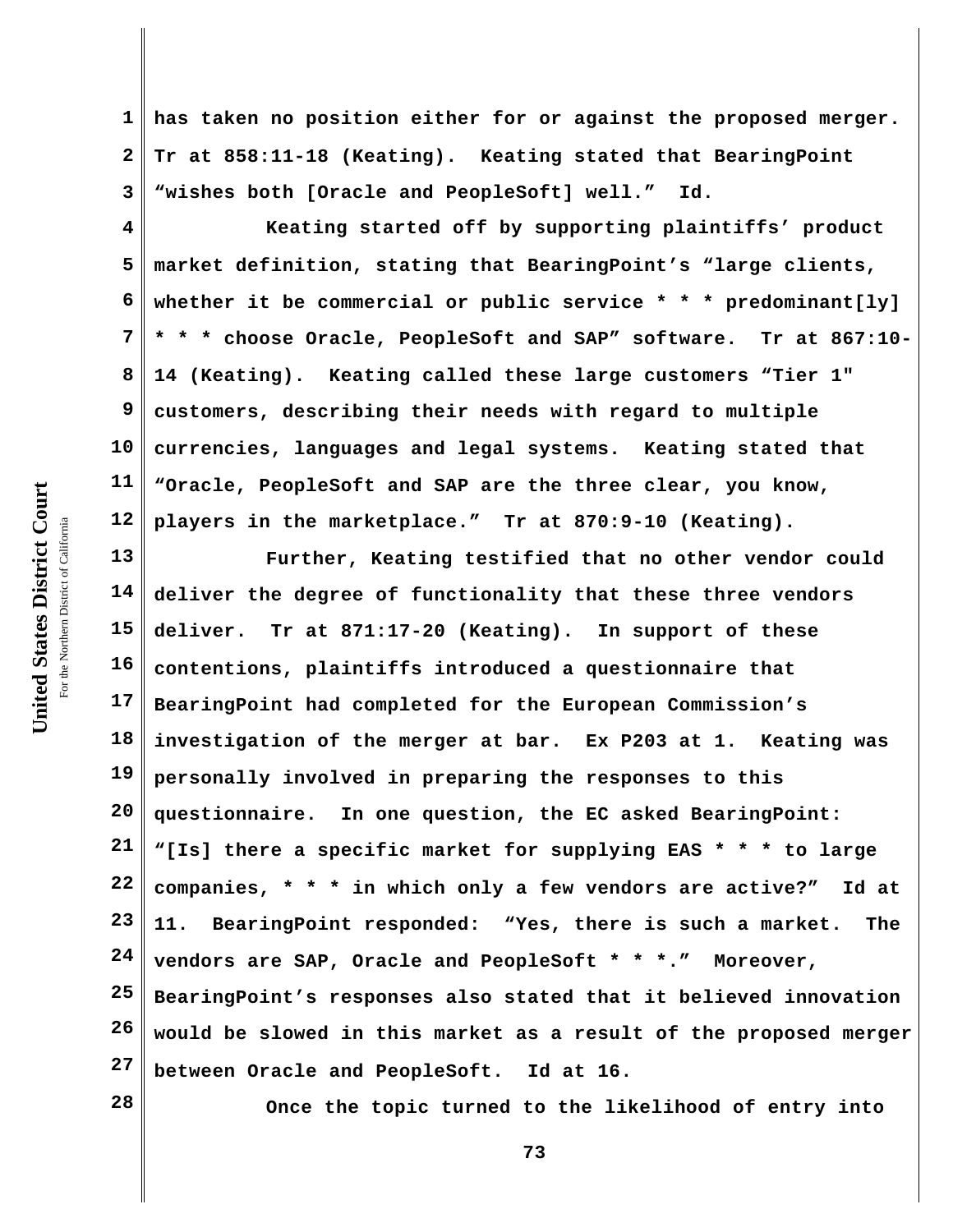**1 2 3 has taken no position either for or against the proposed merger. Tr at 858:11-18 (Keating). Keating stated that BearingPoint "wishes both [Oracle and PeopleSoft] well." Id.** 

**4 5 6 7 8 9 10 11 12 Keating started off by supporting plaintiffs' product market definition, stating that BearingPoint's "large clients, whether it be commercial or public service \* \* \* predominant[ly] \* \* \* choose Oracle, PeopleSoft and SAP" software. Tr at 867:10- 14 (Keating). Keating called these large customers "Tier 1" customers, describing their needs with regard to multiple currencies, languages and legal systems. Keating stated that "Oracle, PeopleSoft and SAP are the three clear, you know, players in the marketplace." Tr at 870:9-10 (Keating).** 

**13 14 15 16 17 18 19 20 21 22 23 24 25 26 27 Further, Keating testified that no other vendor could deliver the degree of functionality that these three vendors deliver. Tr at 871:17-20 (Keating). In support of these contentions, plaintiffs introduced a questionnaire that BearingPoint had completed for the European Commission's investigation of the merger at bar. Ex P203 at 1. Keating was personally involved in preparing the responses to this questionnaire. In one question, the EC asked BearingPoint: "[Is] there a specific market for supplying EAS \* \* \* to large companies, \* \* \* in which only a few vendors are active?" Id at 11. BearingPoint responded: "Yes, there is such a market. The vendors are SAP, Oracle and PeopleSoft \* \* \*." Moreover, BearingPoint's responses also stated that it believed innovation would be slowed in this market as a result of the proposed merger between Oracle and PeopleSoft. Id at 16.** 

**28**

**Once the topic turned to the likelihood of entry into**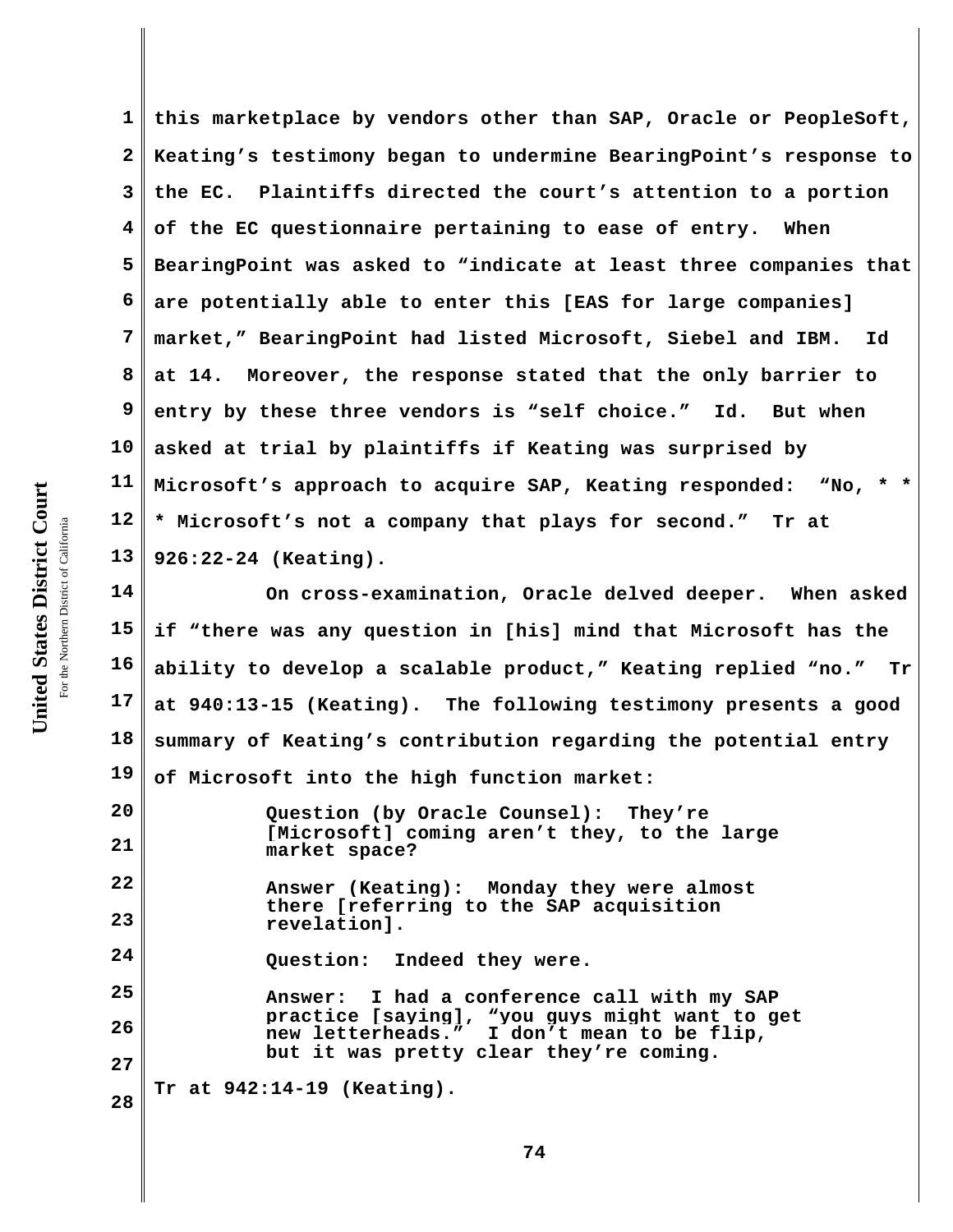**1 2 3 4 5 6 7 8 9 10 11 12 13 this marketplace by vendors other than SAP, Oracle or PeopleSoft, Keating's testimony began to undermine BearingPoint's response to the EC. Plaintiffs directed the court's attention to a portion of the EC questionnaire pertaining to ease of entry. When BearingPoint was asked to "indicate at least three companies that are potentially able to enter this [EAS for large companies] market," BearingPoint had listed Microsoft, Siebel and IBM. Id at 14. Moreover, the response stated that the only barrier to entry by these three vendors is "self choice." Id. But when asked at trial by plaintiffs if Keating was surprised by Microsoft's approach to acquire SAP, Keating responded: "No, \* \* \* Microsoft's not a company that plays for second." Tr at 926:22-24 (Keating).** 

**14 15 16 17 18 19 On cross-examination, Oracle delved deeper. When asked if "there was any question in [his] mind that Microsoft has the ability to develop a scalable product," Keating replied "no." Tr at 940:13-15 (Keating). The following testimony presents a good summary of Keating's contribution regarding the potential entry of Microsoft into the high function market:**

**20 21 22 23 24 25 26 27 28 Question (by Oracle Counsel): They're [Microsoft] coming aren't they, to the large market space? Answer (Keating): Monday they were almost there [referring to the SAP acquisition revelation]. Question: Indeed they were. Answer: I had a conference call with my SAP practice [saying], "you guys might want to get new letterheads." I don't mean to be flip, but it was pretty clear they're coming. Tr at 942:14-19 (Keating).**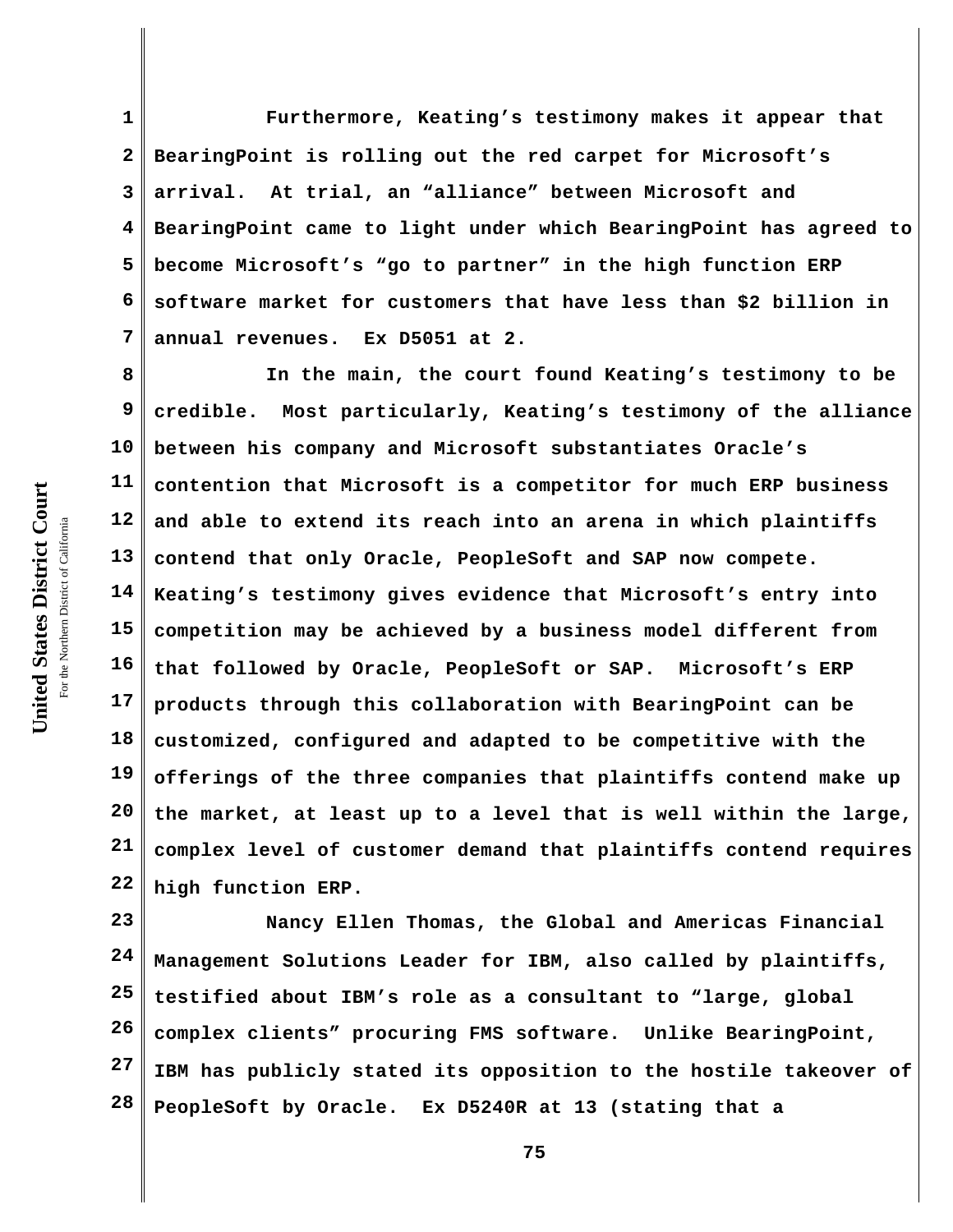**1 2 3 4 5 6 7 Furthermore, Keating's testimony makes it appear that BearingPoint is rolling out the red carpet for Microsoft's arrival. At trial, an "alliance" between Microsoft and BearingPoint came to light under which BearingPoint has agreed to become Microsoft's "go to partner" in the high function ERP software market for customers that have less than \$2 billion in annual revenues. Ex D5051 at 2.**

**8 9 10 11 12 13 14 15 16 17 18 19 20 21 22 In the main, the court found Keating's testimony to be credible. Most particularly, Keating's testimony of the alliance between his company and Microsoft substantiates Oracle's contention that Microsoft is a competitor for much ERP business and able to extend its reach into an arena in which plaintiffs contend that only Oracle, PeopleSoft and SAP now compete. Keating's testimony gives evidence that Microsoft's entry into competition may be achieved by a business model different from that followed by Oracle, PeopleSoft or SAP. Microsoft's ERP products through this collaboration with BearingPoint can be customized, configured and adapted to be competitive with the offerings of the three companies that plaintiffs contend make up the market, at least up to a level that is well within the large, complex level of customer demand that plaintiffs contend requires high function ERP.** 

**23 24 25 26 27 28 Nancy Ellen Thomas, the Global and Americas Financial Management Solutions Leader for IBM, also called by plaintiffs, testified about IBM's role as a consultant to "large, global complex clients" procuring FMS software. Unlike BearingPoint, IBM has publicly stated its opposition to the hostile takeover of PeopleSoft by Oracle. Ex D5240R at 13 (stating that a**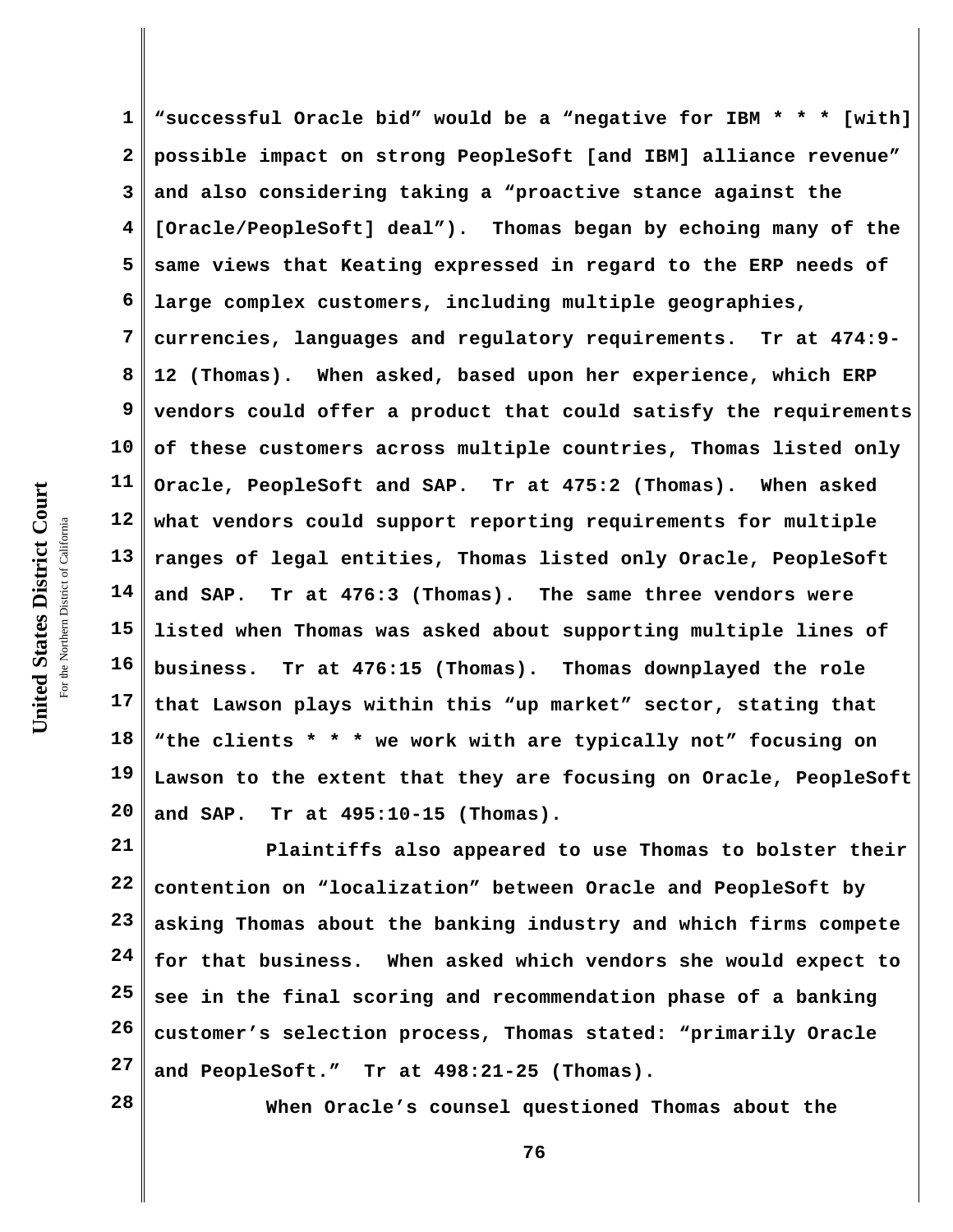United States District Court **United States District Court** For the Northern District of California the Northern District of California

**1 2 3 4 5 6 7 8 9 10 11 12 13 14 15 16 17 18 19 20 "successful Oracle bid" would be a "negative for IBM \* \* \* [with] possible impact on strong PeopleSoft [and IBM] alliance revenue" and also considering taking a "proactive stance against the [Oracle/PeopleSoft] deal"). Thomas began by echoing many of the same views that Keating expressed in regard to the ERP needs of large complex customers, including multiple geographies, currencies, languages and regulatory requirements. Tr at 474:9- 12 (Thomas). When asked, based upon her experience, which ERP vendors could offer a product that could satisfy the requirements of these customers across multiple countries, Thomas listed only Oracle, PeopleSoft and SAP. Tr at 475:2 (Thomas). When asked what vendors could support reporting requirements for multiple ranges of legal entities, Thomas listed only Oracle, PeopleSoft and SAP. Tr at 476:3 (Thomas). The same three vendors were listed when Thomas was asked about supporting multiple lines of business. Tr at 476:15 (Thomas). Thomas downplayed the role that Lawson plays within this "up market" sector, stating that "the clients \* \* \* we work with are typically not" focusing on Lawson to the extent that they are focusing on Oracle, PeopleSoft and SAP. Tr at 495:10-15 (Thomas).** 

**21 22 23 24 25 26 27 Plaintiffs also appeared to use Thomas to bolster their contention on "localization" between Oracle and PeopleSoft by asking Thomas about the banking industry and which firms compete for that business. When asked which vendors she would expect to see in the final scoring and recommendation phase of a banking customer's selection process, Thomas stated: "primarily Oracle and PeopleSoft." Tr at 498:21-25 (Thomas).** 

**28**

**When Oracle's counsel questioned Thomas about the**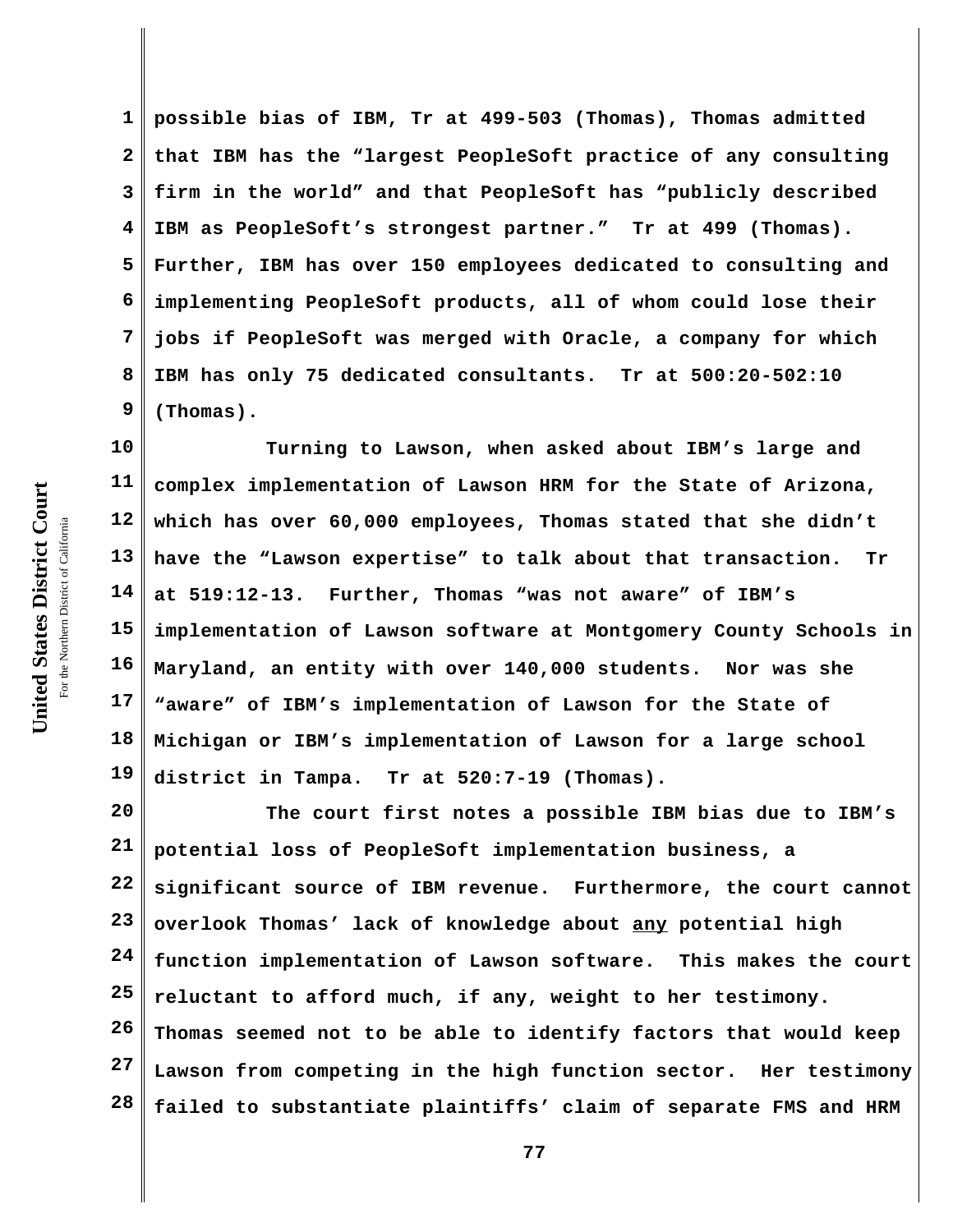**1 2 3 4 5 6 7 8 9 possible bias of IBM, Tr at 499-503 (Thomas), Thomas admitted that IBM has the "largest PeopleSoft practice of any consulting firm in the world" and that PeopleSoft has "publicly described IBM as PeopleSoft's strongest partner." Tr at 499 (Thomas). Further, IBM has over 150 employees dedicated to consulting and implementing PeopleSoft products, all of whom could lose their jobs if PeopleSoft was merged with Oracle, a company for which IBM has only 75 dedicated consultants. Tr at 500:20-502:10 (Thomas).** 

**10 11 12 13 14 15 16 17 18 19 Turning to Lawson, when asked about IBM's large and complex implementation of Lawson HRM for the State of Arizona, which has over 60,000 employees, Thomas stated that she didn't have the "Lawson expertise" to talk about that transaction. Tr at 519:12-13. Further, Thomas "was not aware" of IBM's implementation of Lawson software at Montgomery County Schools in Maryland, an entity with over 140,000 students. Nor was she "aware" of IBM's implementation of Lawson for the State of Michigan or IBM's implementation of Lawson for a large school district in Tampa. Tr at 520:7-19 (Thomas).** 

**20 21 22 23 24 25 26 27 28 The court first notes a possible IBM bias due to IBM's potential loss of PeopleSoft implementation business, a significant source of IBM revenue. Furthermore, the court cannot overlook Thomas' lack of knowledge about any potential high function implementation of Lawson software. This makes the court reluctant to afford much, if any, weight to her testimony. Thomas seemed not to be able to identify factors that would keep Lawson from competing in the high function sector. Her testimony failed to substantiate plaintiffs' claim of separate FMS and HRM**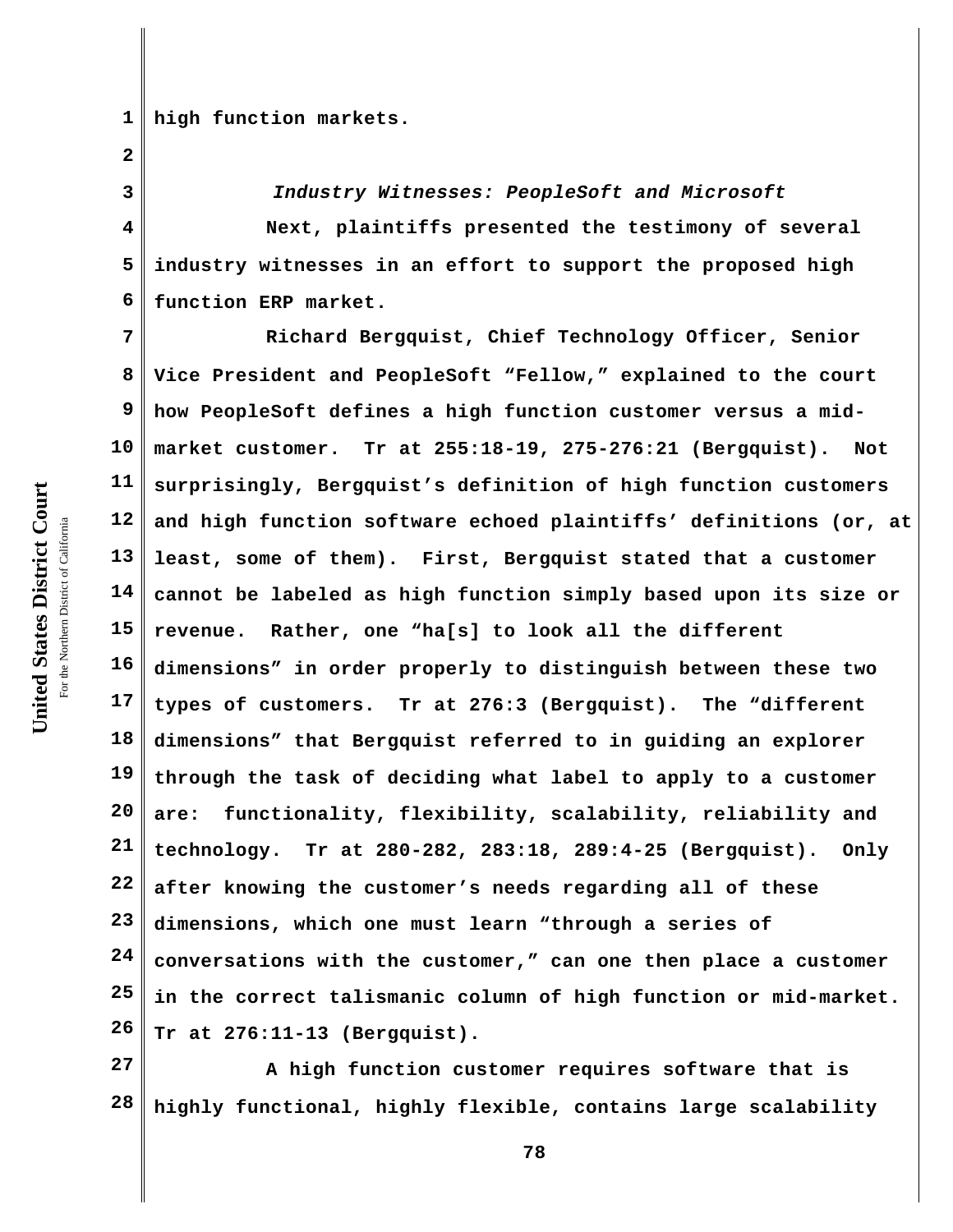**1 high function markets.**

**2**

**3**

**4**

**5**

**6** *Industry Witnesses: PeopleSoft and Microsoft*  **Next, plaintiffs presented the testimony of several industry witnesses in an effort to support the proposed high function ERP market.**

**7 8 9 10 11 12 13 14 15 16 17 18 19 20 21 22 23 24 25 26 Richard Bergquist, Chief Technology Officer, Senior Vice President and PeopleSoft "Fellow," explained to the court how PeopleSoft defines a high function customer versus a midmarket customer. Tr at 255:18-19, 275-276:21 (Bergquist). Not surprisingly, Bergquist's definition of high function customers and high function software echoed plaintiffs' definitions (or, at least, some of them). First, Bergquist stated that a customer cannot be labeled as high function simply based upon its size or revenue. Rather, one "ha[s] to look all the different dimensions" in order properly to distinguish between these two types of customers. Tr at 276:3 (Bergquist). The "different dimensions" that Bergquist referred to in guiding an explorer through the task of deciding what label to apply to a customer are: functionality, flexibility, scalability, reliability and technology. Tr at 280-282, 283:18, 289:4-25 (Bergquist). Only after knowing the customer's needs regarding all of these dimensions, which one must learn "through a series of conversations with the customer," can one then place a customer in the correct talismanic column of high function or mid-market. Tr at 276:11-13 (Bergquist).**

**27 28 A high function customer requires software that is highly functional, highly flexible, contains large scalability**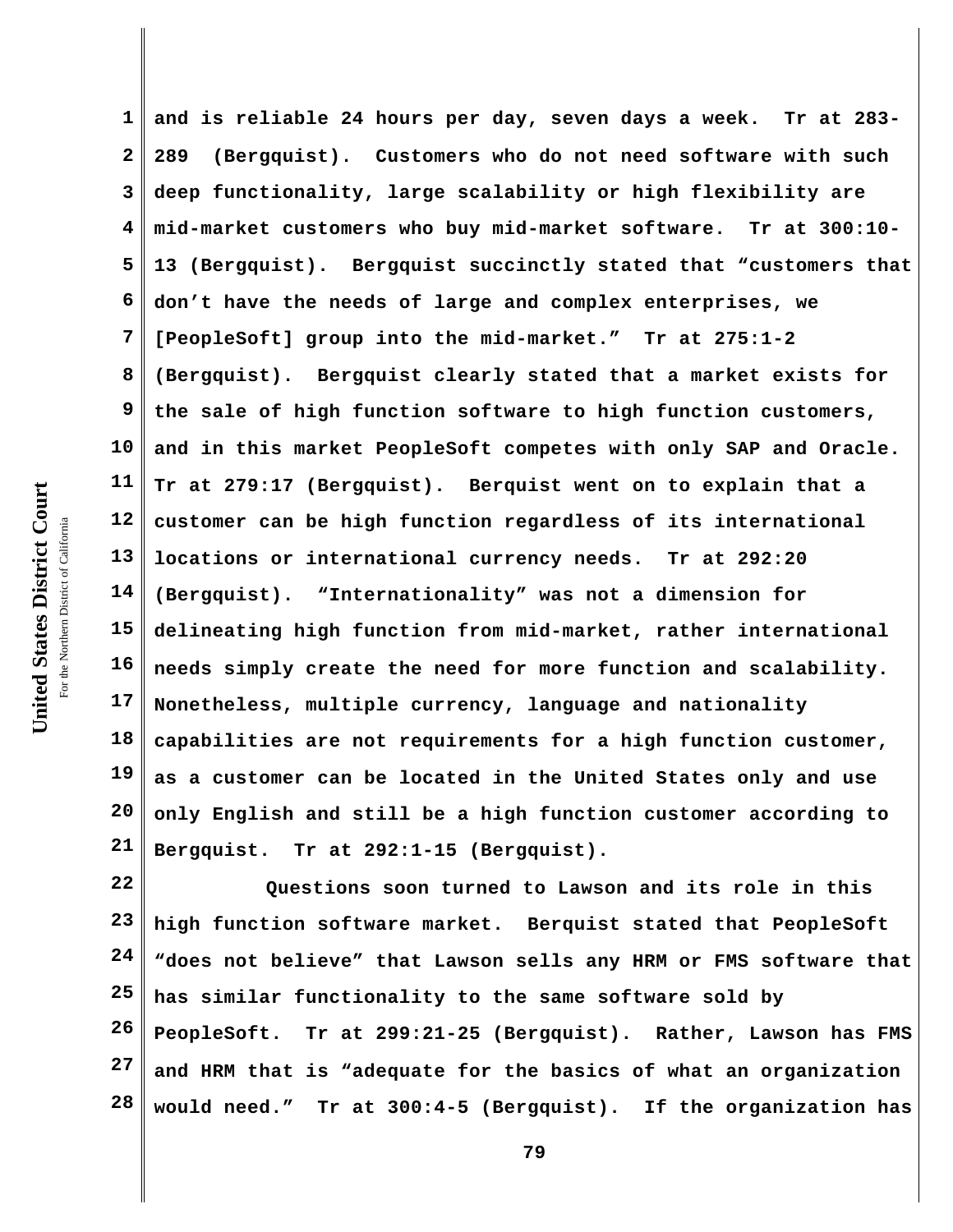**1 2 3 4 5 6 7 8 9 10 11 12 13 14 15 16 17 18 19 20 and is reliable 24 hours per day, seven days a week. Tr at 283- 289 (Bergquist). Customers who do not need software with such deep functionality, large scalability or high flexibility are mid-market customers who buy mid-market software. Tr at 300:10- 13 (Bergquist). Bergquist succinctly stated that "customers that don't have the needs of large and complex enterprises, we [PeopleSoft] group into the mid-market." Tr at 275:1-2 (Bergquist). Bergquist clearly stated that a market exists for the sale of high function software to high function customers, and in this market PeopleSoft competes with only SAP and Oracle. Tr at 279:17 (Bergquist). Berquist went on to explain that a customer can be high function regardless of its international locations or international currency needs. Tr at 292:20 (Bergquist). "Internationality" was not a dimension for delineating high function from mid-market, rather international needs simply create the need for more function and scalability. Nonetheless, multiple currency, language and nationality capabilities are not requirements for a high function customer, as a customer can be located in the United States only and use only English and still be a high function customer according to**

**Bergquist. Tr at 292:1-15 (Bergquist).**

**22 23 24 25 26 27 28 Questions soon turned to Lawson and its role in this high function software market. Berquist stated that PeopleSoft "does not believe" that Lawson sells any HRM or FMS software that has similar functionality to the same software sold by PeopleSoft. Tr at 299:21-25 (Bergquist). Rather, Lawson has FMS and HRM that is "adequate for the basics of what an organization would need." Tr at 300:4-5 (Bergquist). If the organization has**

**21**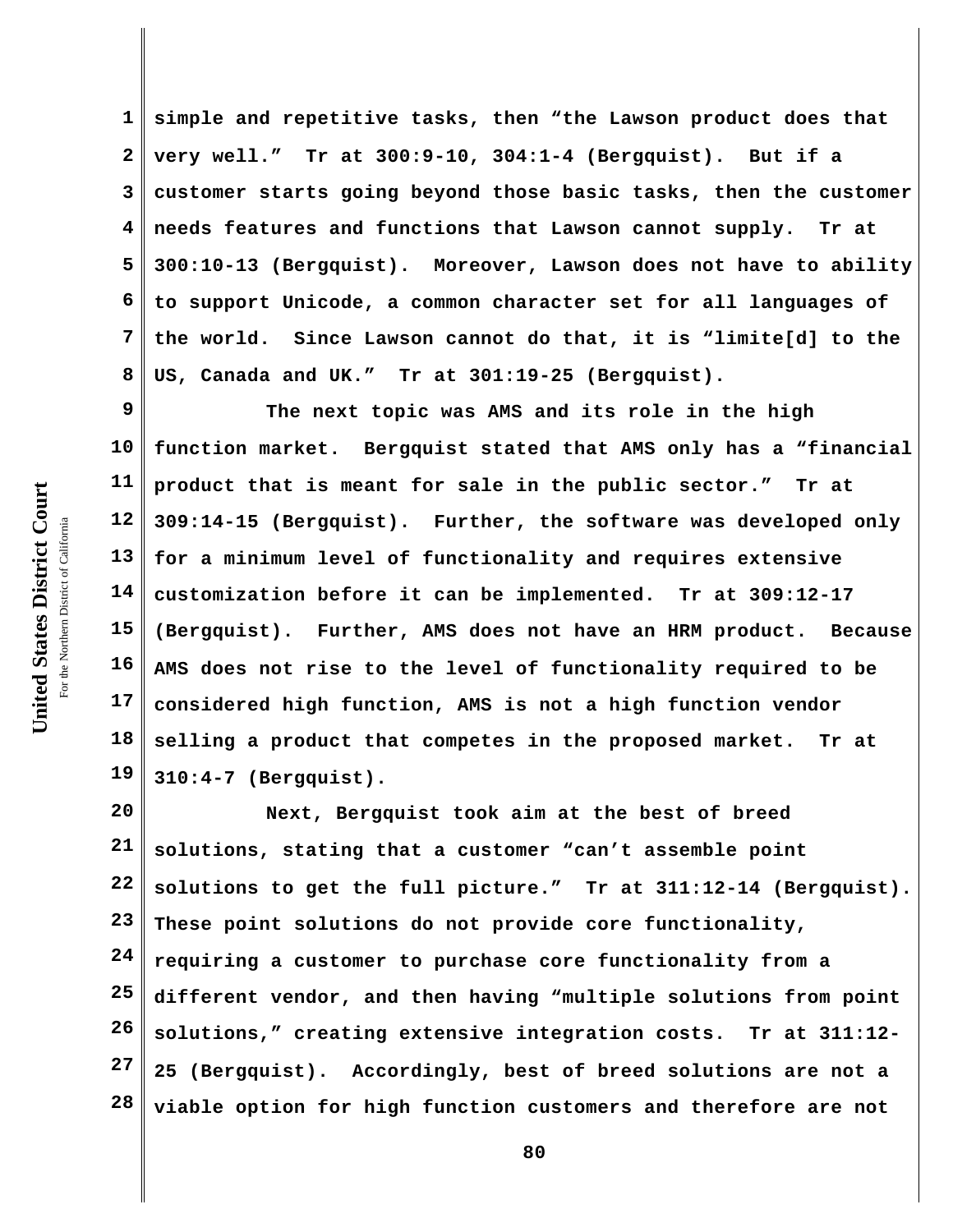**1 2 3 4 5 6 7 8 simple and repetitive tasks, then "the Lawson product does that very well." Tr at 300:9-10, 304:1-4 (Bergquist). But if a customer starts going beyond those basic tasks, then the customer needs features and functions that Lawson cannot supply. Tr at 300:10-13 (Bergquist). Moreover, Lawson does not have to ability to support Unicode, a common character set for all languages of the world. Since Lawson cannot do that, it is "limite[d] to the US, Canada and UK." Tr at 301:19-25 (Bergquist).**

**9 10 11 12 13 14 15 16 17 18 19 The next topic was AMS and its role in the high function market. Bergquist stated that AMS only has a "financial product that is meant for sale in the public sector." Tr at 309:14-15 (Bergquist). Further, the software was developed only for a minimum level of functionality and requires extensive customization before it can be implemented. Tr at 309:12-17 (Bergquist). Further, AMS does not have an HRM product. Because AMS does not rise to the level of functionality required to be considered high function, AMS is not a high function vendor selling a product that competes in the proposed market. Tr at 310:4-7 (Bergquist).**

**20 21 22 23 24 25 26 27 28 Next, Bergquist took aim at the best of breed solutions, stating that a customer "can't assemble point solutions to get the full picture." Tr at 311:12-14 (Bergquist). These point solutions do not provide core functionality, requiring a customer to purchase core functionality from a different vendor, and then having "multiple solutions from point solutions," creating extensive integration costs. Tr at 311:12- 25 (Bergquist). Accordingly, best of breed solutions are not a viable option for high function customers and therefore are not**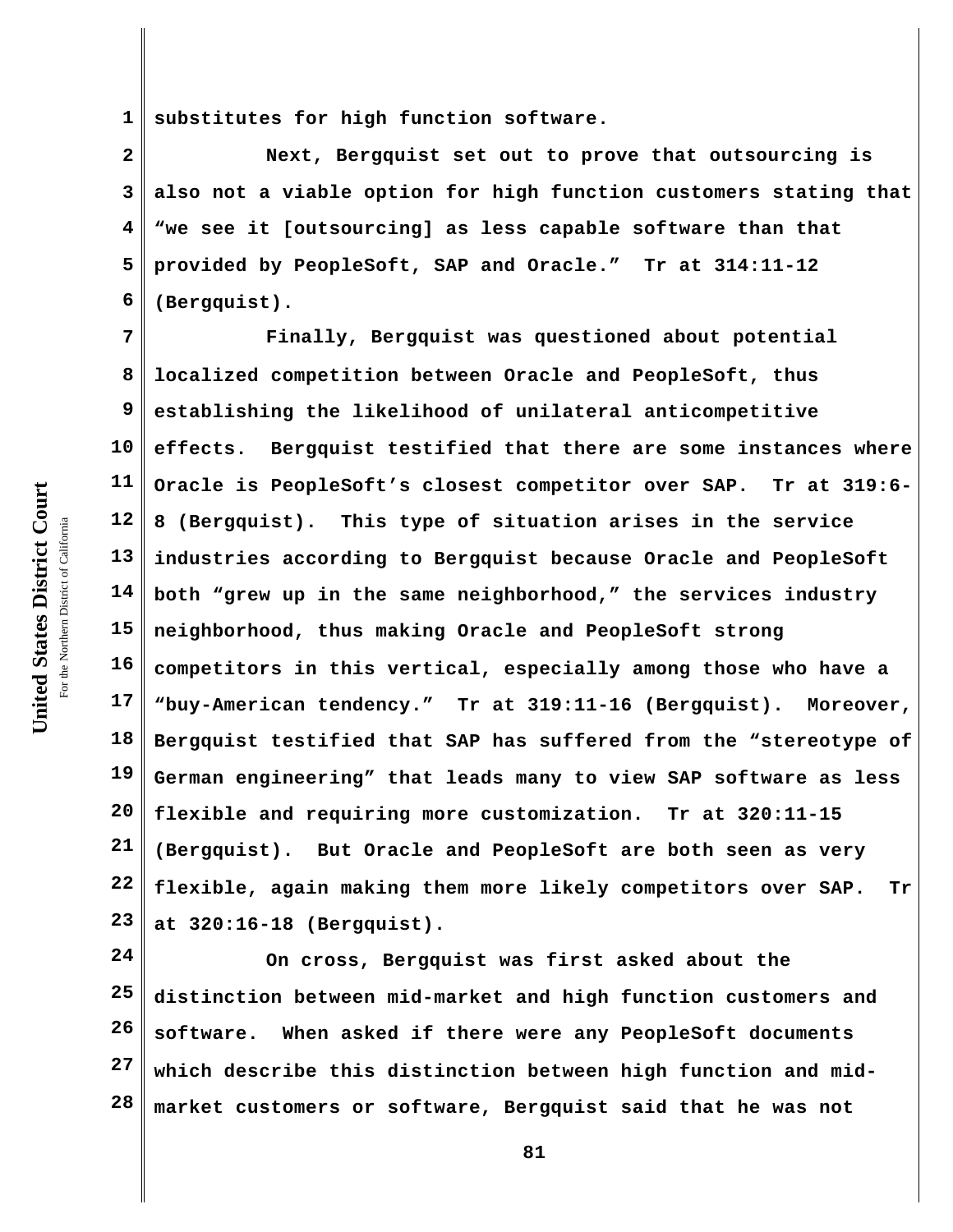United States District Court **United States District Court** For the Northern District of California the Northern District of California

**1 substitutes for high function software.**

**2 3 4 5 6 Next, Bergquist set out to prove that outsourcing is also not a viable option for high function customers stating that "we see it [outsourcing] as less capable software than that provided by PeopleSoft, SAP and Oracle." Tr at 314:11-12 (Bergquist).**

**7 8 9 10 11 12 13 14 15 16 17 18 19 20 21 22 23 Finally, Bergquist was questioned about potential localized competition between Oracle and PeopleSoft, thus establishing the likelihood of unilateral anticompetitive effects. Bergquist testified that there are some instances where Oracle is PeopleSoft's closest competitor over SAP. Tr at 319:6- 8 (Bergquist). This type of situation arises in the service industries according to Bergquist because Oracle and PeopleSoft both "grew up in the same neighborhood," the services industry neighborhood, thus making Oracle and PeopleSoft strong competitors in this vertical, especially among those who have a "buy-American tendency." Tr at 319:11-16 (Bergquist). Moreover, Bergquist testified that SAP has suffered from the "stereotype of German engineering" that leads many to view SAP software as less flexible and requiring more customization. Tr at 320:11-15 (Bergquist). But Oracle and PeopleSoft are both seen as very flexible, again making them more likely competitors over SAP. Tr at 320:16-18 (Bergquist).**

**24 25 26 27 28 On cross, Bergquist was first asked about the distinction between mid-market and high function customers and software. When asked if there were any PeopleSoft documents which describe this distinction between high function and midmarket customers or software, Bergquist said that he was not**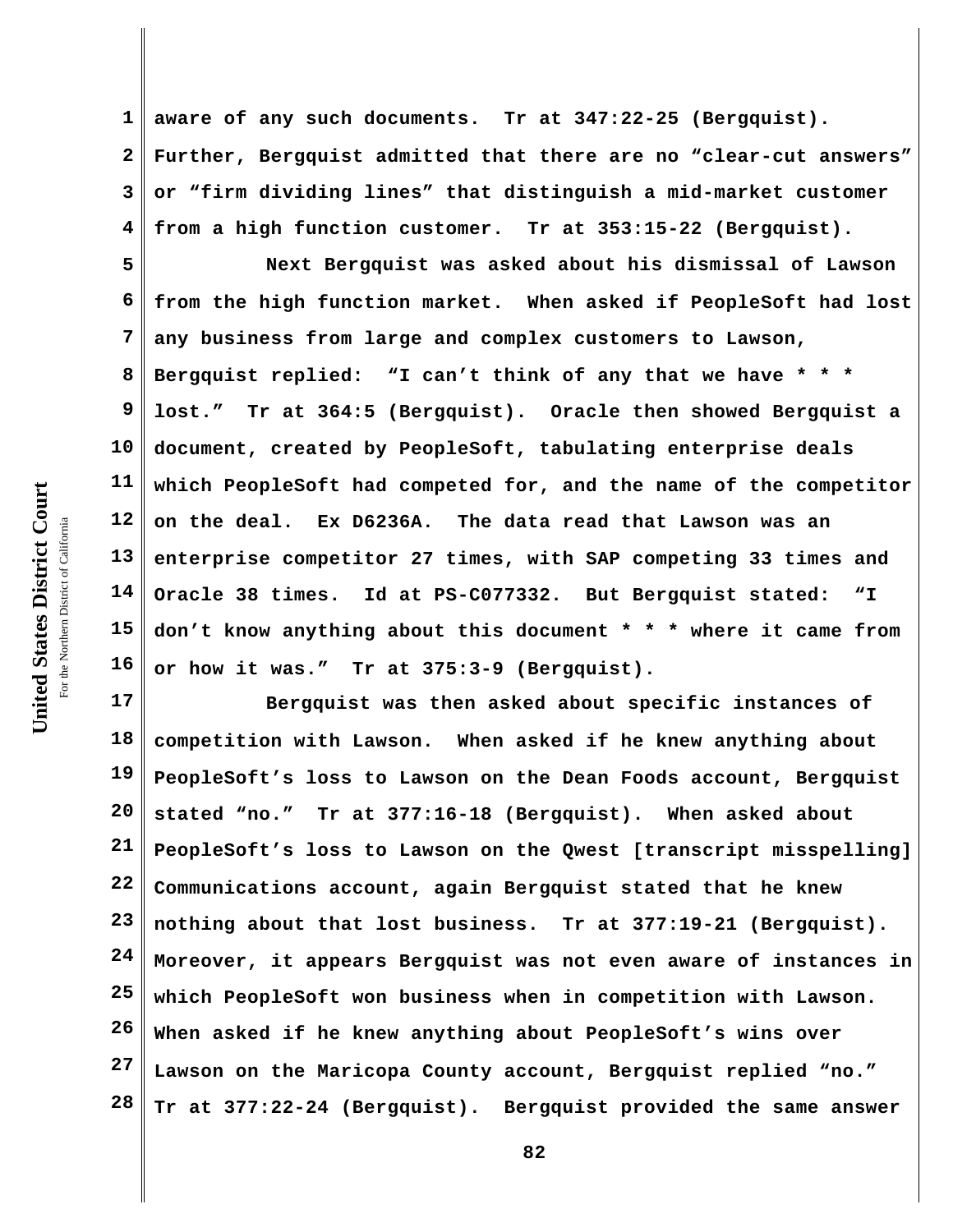**1 2 3 4 aware of any such documents. Tr at 347:22-25 (Bergquist). Further, Bergquist admitted that there are no "clear-cut answers" or "firm dividing lines" that distinguish a mid-market customer from a high function customer. Tr at 353:15-22 (Bergquist).**

**5 6 7 8 9 10 11 12 13 14 15 16 Next Bergquist was asked about his dismissal of Lawson from the high function market. When asked if PeopleSoft had lost any business from large and complex customers to Lawson, Bergquist replied: "I can't think of any that we have \* \* \* lost." Tr at 364:5 (Bergquist). Oracle then showed Bergquist a document, created by PeopleSoft, tabulating enterprise deals which PeopleSoft had competed for, and the name of the competitor on the deal. Ex D6236A. The data read that Lawson was an enterprise competitor 27 times, with SAP competing 33 times and Oracle 38 times. Id at PS-C077332. But Bergquist stated: "I don't know anything about this document \* \* \* where it came from or how it was." Tr at 375:3-9 (Bergquist).**

**17 18 19 20 21 22 23 24 25 26 27 28 Bergquist was then asked about specific instances of competition with Lawson. When asked if he knew anything about PeopleSoft's loss to Lawson on the Dean Foods account, Bergquist stated "no." Tr at 377:16-18 (Bergquist). When asked about PeopleSoft's loss to Lawson on the Qwest [transcript misspelling] Communications account, again Bergquist stated that he knew nothing about that lost business. Tr at 377:19-21 (Bergquist). Moreover, it appears Bergquist was not even aware of instances in which PeopleSoft won business when in competition with Lawson. When asked if he knew anything about PeopleSoft's wins over Lawson on the Maricopa County account, Bergquist replied "no." Tr at 377:22-24 (Bergquist). Bergquist provided the same answer**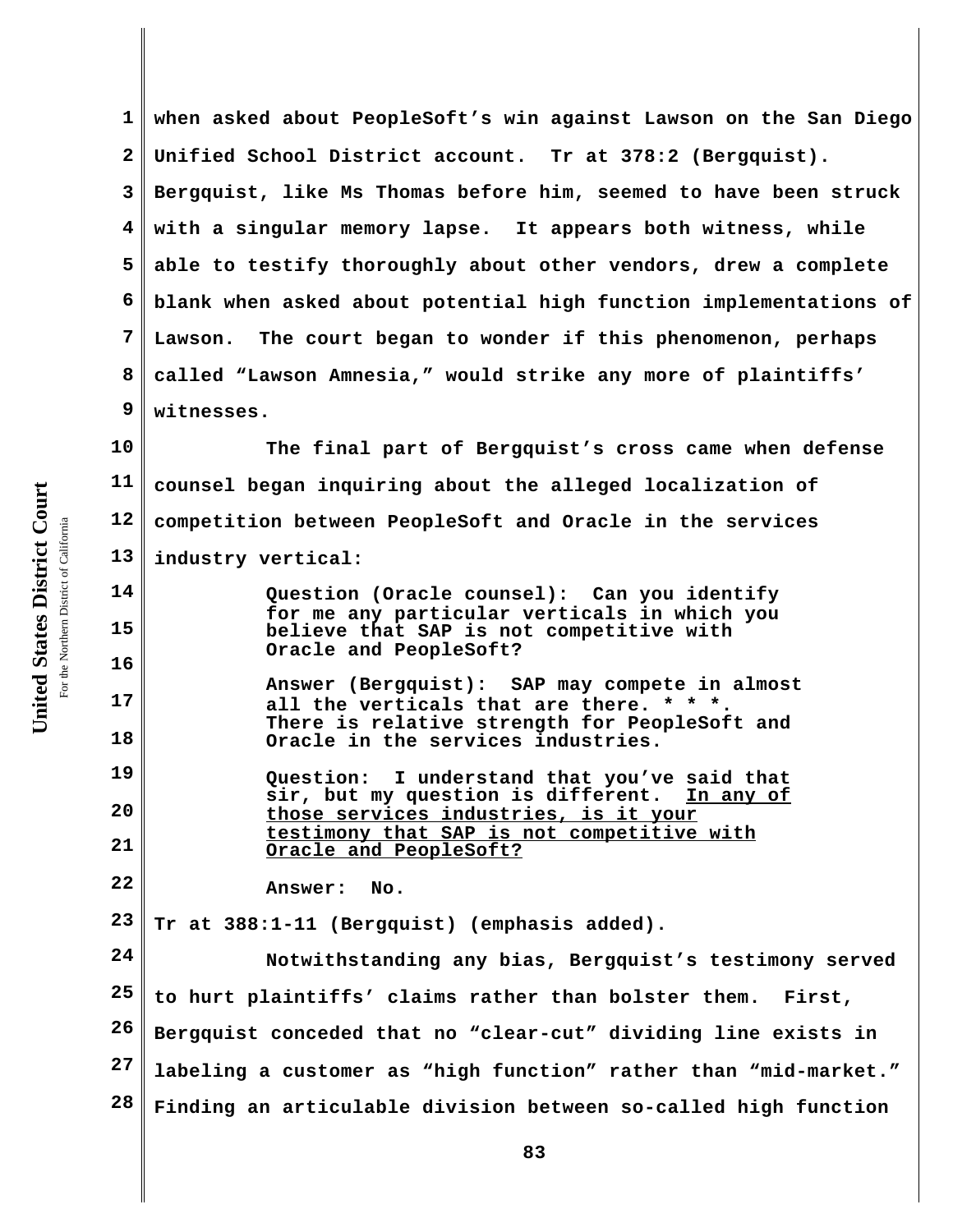**1 2 3 4 5 6 7 8 9 when asked about PeopleSoft's win against Lawson on the San Diego Unified School District account. Tr at 378:2 (Bergquist). Bergquist, like Ms Thomas before him, seemed to have been struck with a singular memory lapse. It appears both witness, while able to testify thoroughly about other vendors, drew a complete blank when asked about potential high function implementations of Lawson. The court began to wonder if this phenomenon, perhaps called "Lawson Amnesia," would strike any more of plaintiffs' witnesses.** 

**10 11 12 13 The final part of Bergquist's cross came when defense counsel began inquiring about the alleged localization of competition between PeopleSoft and Oracle in the services industry vertical:**

**Question (Oracle counsel): Can you identify for me any particular verticals in which you believe that SAP is not competitive with Oracle and PeopleSoft?**

**Answer (Bergquist): SAP may compete in almost all the verticals that are there. \* \* \*. There is relative strength for PeopleSoft and Oracle in the services industries.**

**19 20 21 Question: I understand that you've said that sir, but my question is different. In any of those services industries, is it your testimony that SAP is not competitive with Oracle and PeopleSoft?**

**Answer: No.**

**23 Tr at 388:1-11 (Bergquist) (emphasis added).**

**24 25 26 27 28 Notwithstanding any bias, Bergquist's testimony served to hurt plaintiffs' claims rather than bolster them. First, Bergquist conceded that no "clear-cut" dividing line exists in labeling a customer as "high function" rather than "mid-market." Finding an articulable division between so-called high function**

**14**

**15**

**16**

**17**

**18**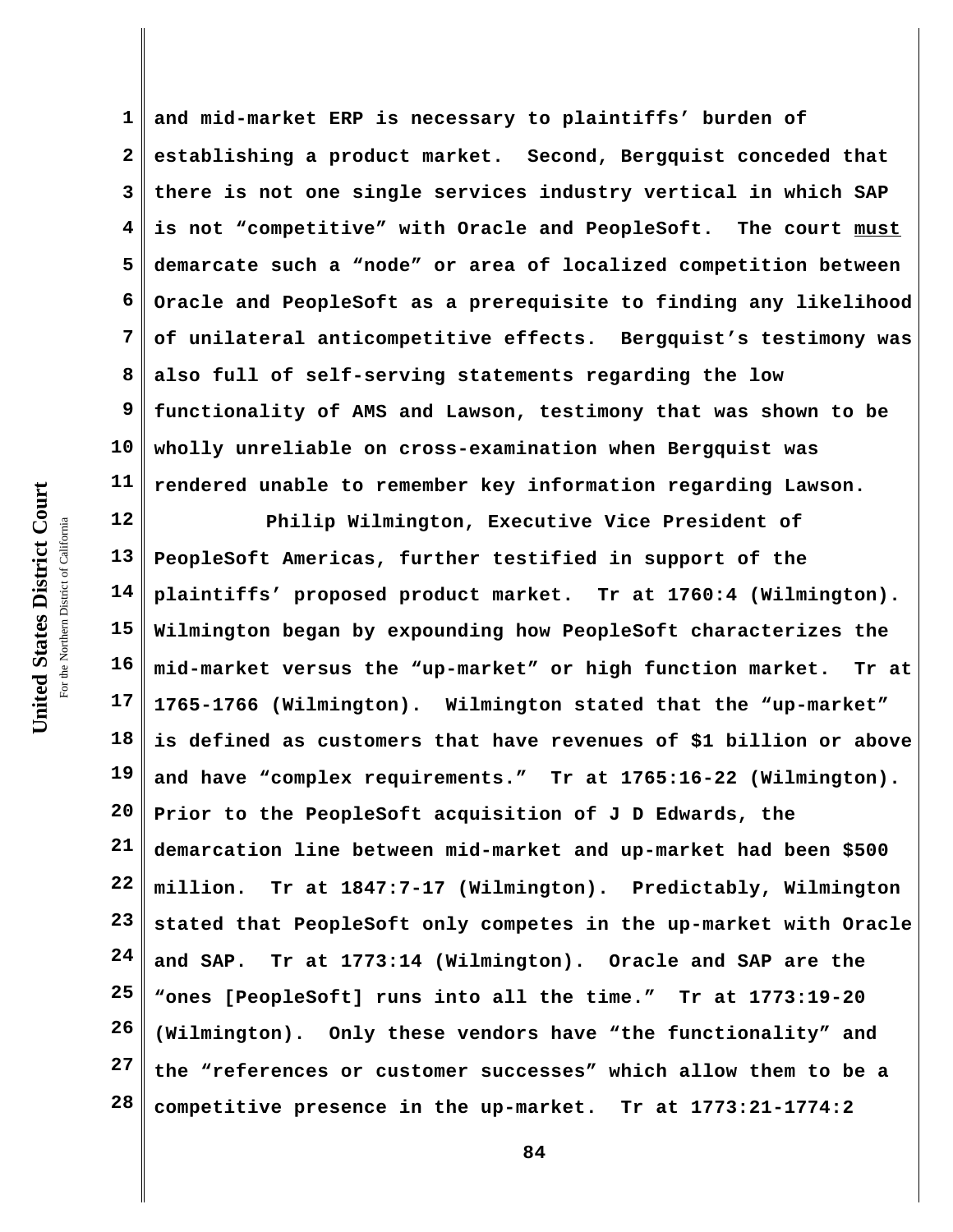**1 2 3 4 5 6 7 8 9 10 11 and mid-market ERP is necessary to plaintiffs' burden of establishing a product market. Second, Bergquist conceded that there is not one single services industry vertical in which SAP is not "competitive" with Oracle and PeopleSoft. The court must demarcate such a "node" or area of localized competition between Oracle and PeopleSoft as a prerequisite to finding any likelihood of unilateral anticompetitive effects. Bergquist's testimony was also full of self-serving statements regarding the low functionality of AMS and Lawson, testimony that was shown to be wholly unreliable on cross-examination when Bergquist was rendered unable to remember key information regarding Lawson.**

**12 13 14 15 16 17 18 19 20 21 22 23 24 25 26 27 28 Philip Wilmington, Executive Vice President of PeopleSoft Americas, further testified in support of the plaintiffs' proposed product market. Tr at 1760:4 (Wilmington). Wilmington began by expounding how PeopleSoft characterizes the mid-market versus the "up-market" or high function market. Tr at 1765-1766 (Wilmington). Wilmington stated that the "up-market" is defined as customers that have revenues of \$1 billion or above and have "complex requirements." Tr at 1765:16-22 (Wilmington). Prior to the PeopleSoft acquisition of J D Edwards, the demarcation line between mid-market and up-market had been \$500 million. Tr at 1847:7-17 (Wilmington). Predictably, Wilmington stated that PeopleSoft only competes in the up-market with Oracle and SAP. Tr at 1773:14 (Wilmington). Oracle and SAP are the "ones [PeopleSoft] runs into all the time." Tr at 1773:19-20 (Wilmington). Only these vendors have "the functionality" and the "references or customer successes" which allow them to be a competitive presence in the up-market. Tr at 1773:21-1774:2**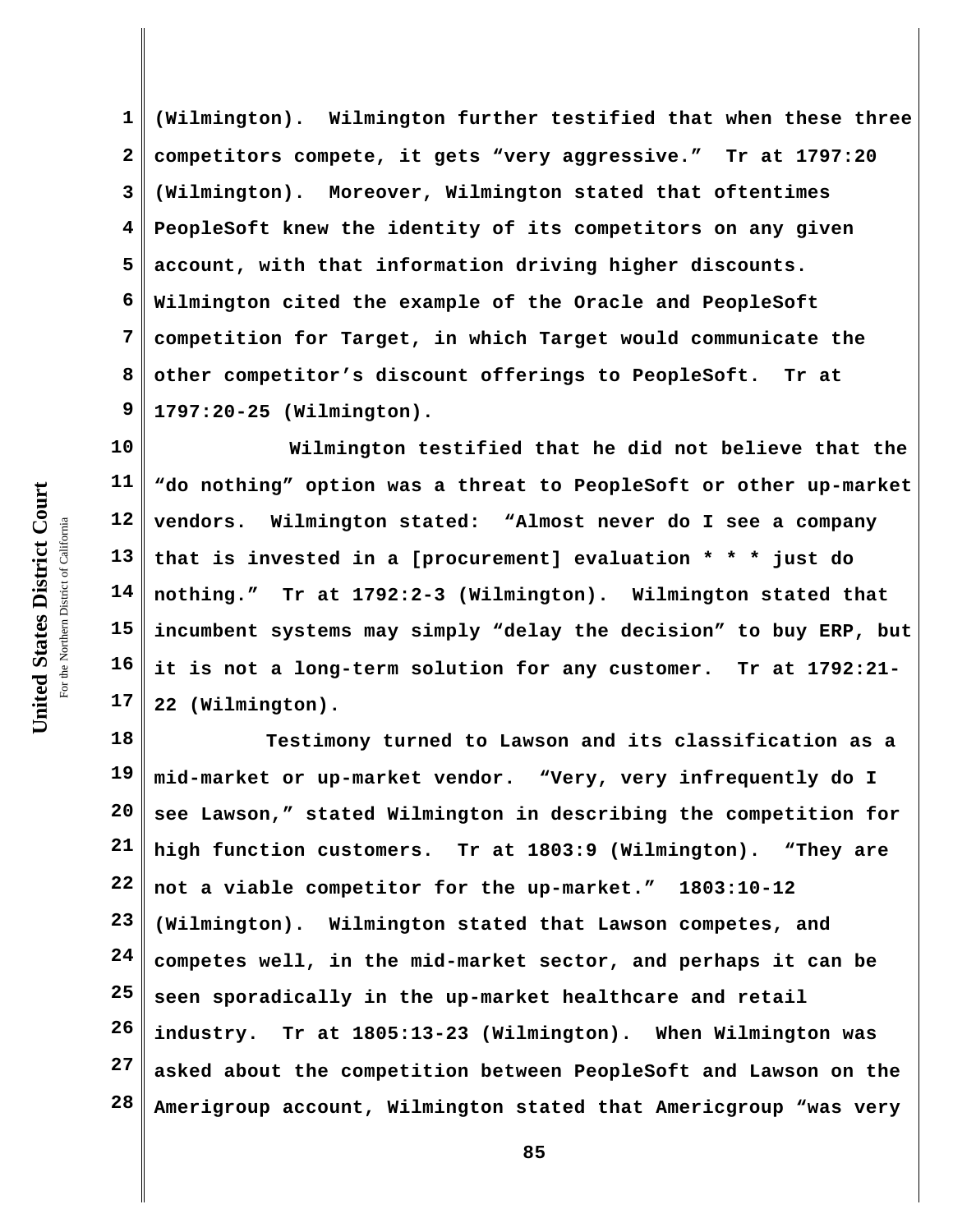**1 2 3 4 5 6 7 8 9 (Wilmington). Wilmington further testified that when these three competitors compete, it gets "very aggressive." Tr at 1797:20 (Wilmington). Moreover, Wilmington stated that oftentimes PeopleSoft knew the identity of its competitors on any given account, with that information driving higher discounts. Wilmington cited the example of the Oracle and PeopleSoft competition for Target, in which Target would communicate the other competitor's discount offerings to PeopleSoft. Tr at 1797:20-25 (Wilmington).** 

**10 11 12 13 14 15 16 17 Wilmington testified that he did not believe that the "do nothing" option was a threat to PeopleSoft or other up-market vendors. Wilmington stated: "Almost never do I see a company that is invested in a [procurement] evaluation \* \* \* just do nothing." Tr at 1792:2-3 (Wilmington). Wilmington stated that incumbent systems may simply "delay the decision" to buy ERP, but it is not a long-term solution for any customer. Tr at 1792:21- 22 (Wilmington).**

**18 19 20 21 22 23 24 25 26 27 28 Testimony turned to Lawson and its classification as a mid-market or up-market vendor. "Very, very infrequently do I see Lawson," stated Wilmington in describing the competition for high function customers. Tr at 1803:9 (Wilmington). "They are not a viable competitor for the up-market." 1803:10-12 (Wilmington). Wilmington stated that Lawson competes, and competes well, in the mid-market sector, and perhaps it can be seen sporadically in the up-market healthcare and retail industry. Tr at 1805:13-23 (Wilmington). When Wilmington was asked about the competition between PeopleSoft and Lawson on the Amerigroup account, Wilmington stated that Americgroup "was very**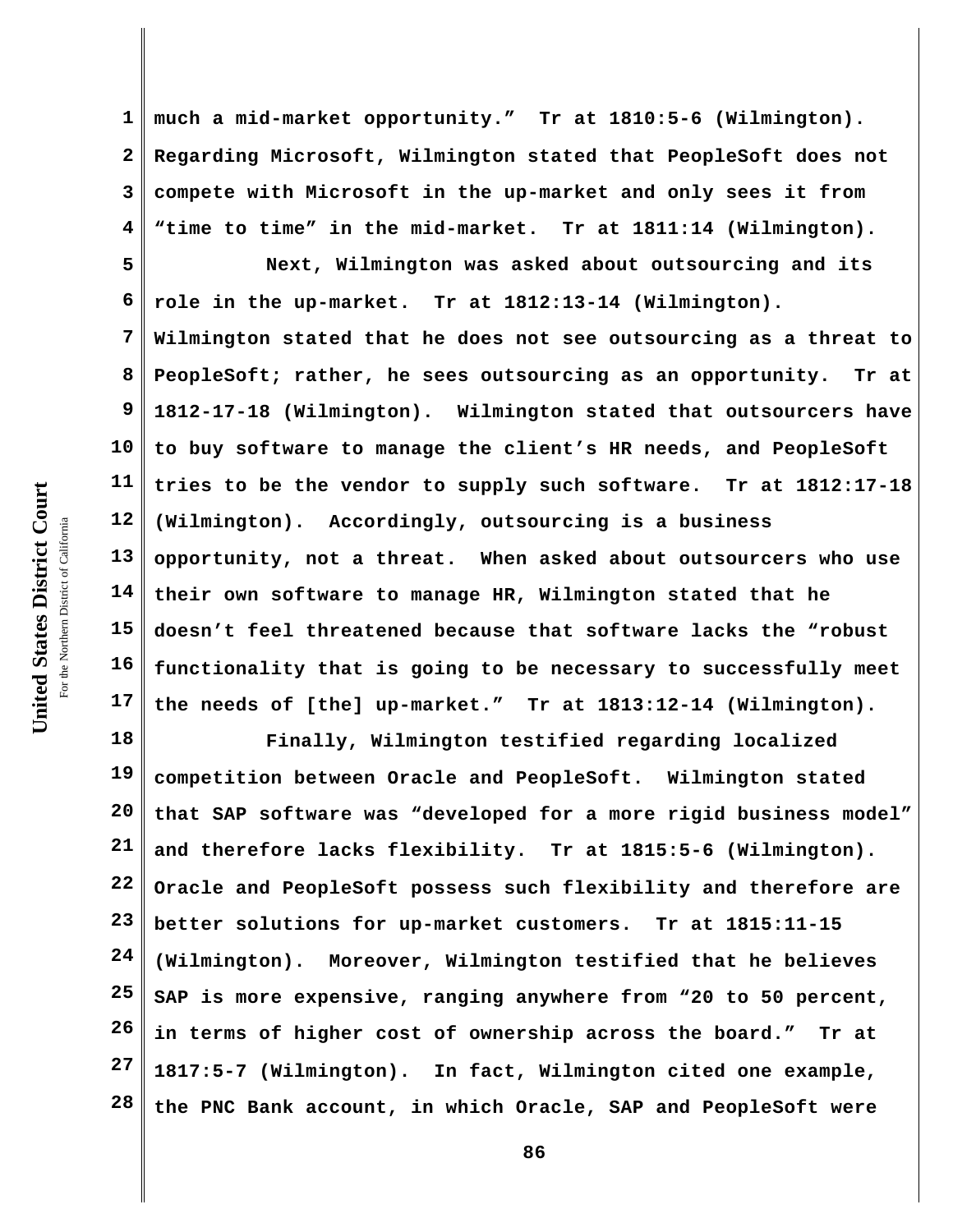**1 2 3 4 much a mid-market opportunity." Tr at 1810:5-6 (Wilmington). Regarding Microsoft, Wilmington stated that PeopleSoft does not compete with Microsoft in the up-market and only sees it from "time to time" in the mid-market. Tr at 1811:14 (Wilmington).**

**5 6 7 8 9 10 11 12 13 14 15 16 17 Next, Wilmington was asked about outsourcing and its role in the up-market. Tr at 1812:13-14 (Wilmington). Wilmington stated that he does not see outsourcing as a threat to PeopleSoft; rather, he sees outsourcing as an opportunity. Tr at 1812-17-18 (Wilmington). Wilmington stated that outsourcers have to buy software to manage the client's HR needs, and PeopleSoft tries to be the vendor to supply such software. Tr at 1812:17-18 (Wilmington). Accordingly, outsourcing is a business opportunity, not a threat. When asked about outsourcers who use their own software to manage HR, Wilmington stated that he doesn't feel threatened because that software lacks the "robust functionality that is going to be necessary to successfully meet the needs of [the] up-market." Tr at 1813:12-14 (Wilmington).**

**18 19 20 21 22 23 24 25 26 27 28 Finally, Wilmington testified regarding localized competition between Oracle and PeopleSoft. Wilmington stated that SAP software was "developed for a more rigid business model" and therefore lacks flexibility. Tr at 1815:5-6 (Wilmington). Oracle and PeopleSoft possess such flexibility and therefore are better solutions for up-market customers. Tr at 1815:11-15 (Wilmington). Moreover, Wilmington testified that he believes SAP is more expensive, ranging anywhere from "20 to 50 percent, in terms of higher cost of ownership across the board." Tr at 1817:5-7 (Wilmington). In fact, Wilmington cited one example, the PNC Bank account, in which Oracle, SAP and PeopleSoft were**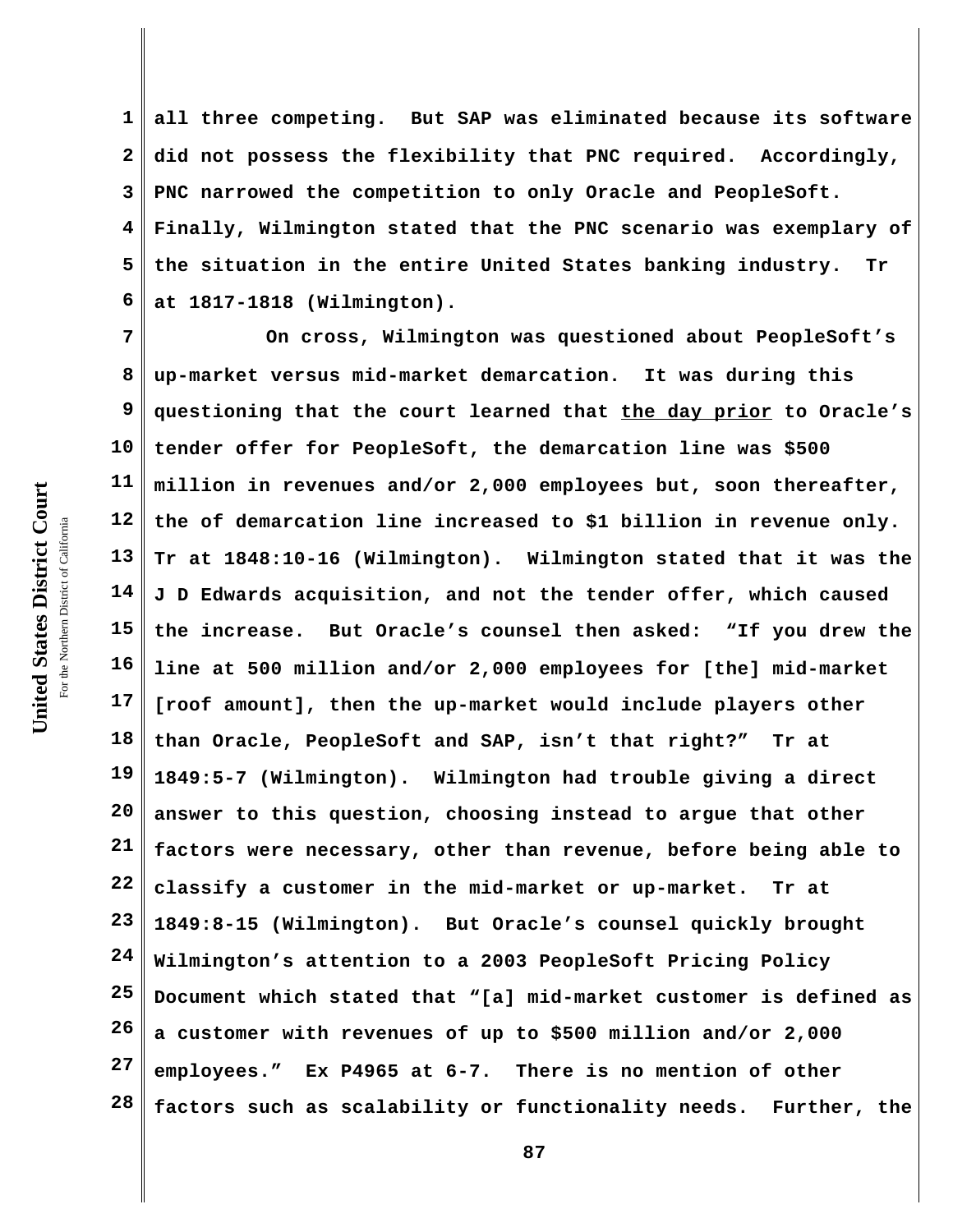United States District Court **United States District Court** For the Northern District of California the Northern District of California

**1 2 3 4 5 6 all three competing. But SAP was eliminated because its software did not possess the flexibility that PNC required. Accordingly, PNC narrowed the competition to only Oracle and PeopleSoft. Finally, Wilmington stated that the PNC scenario was exemplary of the situation in the entire United States banking industry. Tr at 1817-1818 (Wilmington).**

**7 8 9 10 11 12 13 14 15 16 17 18 19 20 21 22 23 24 25 26 27 28 On cross, Wilmington was questioned about PeopleSoft's up-market versus mid-market demarcation. It was during this questioning that the court learned that the day prior to Oracle's tender offer for PeopleSoft, the demarcation line was \$500 million in revenues and/or 2,000 employees but, soon thereafter, the of demarcation line increased to \$1 billion in revenue only. Tr at 1848:10-16 (Wilmington). Wilmington stated that it was the J D Edwards acquisition, and not the tender offer, which caused the increase. But Oracle's counsel then asked: "If you drew the line at 500 million and/or 2,000 employees for [the] mid-market [roof amount], then the up-market would include players other than Oracle, PeopleSoft and SAP, isn't that right?" Tr at 1849:5-7 (Wilmington). Wilmington had trouble giving a direct answer to this question, choosing instead to argue that other factors were necessary, other than revenue, before being able to classify a customer in the mid-market or up-market. Tr at 1849:8-15 (Wilmington). But Oracle's counsel quickly brought Wilmington's attention to a 2003 PeopleSoft Pricing Policy Document which stated that "[a] mid-market customer is defined as a customer with revenues of up to \$500 million and/or 2,000 employees." Ex P4965 at 6-7. There is no mention of other factors such as scalability or functionality needs. Further, the**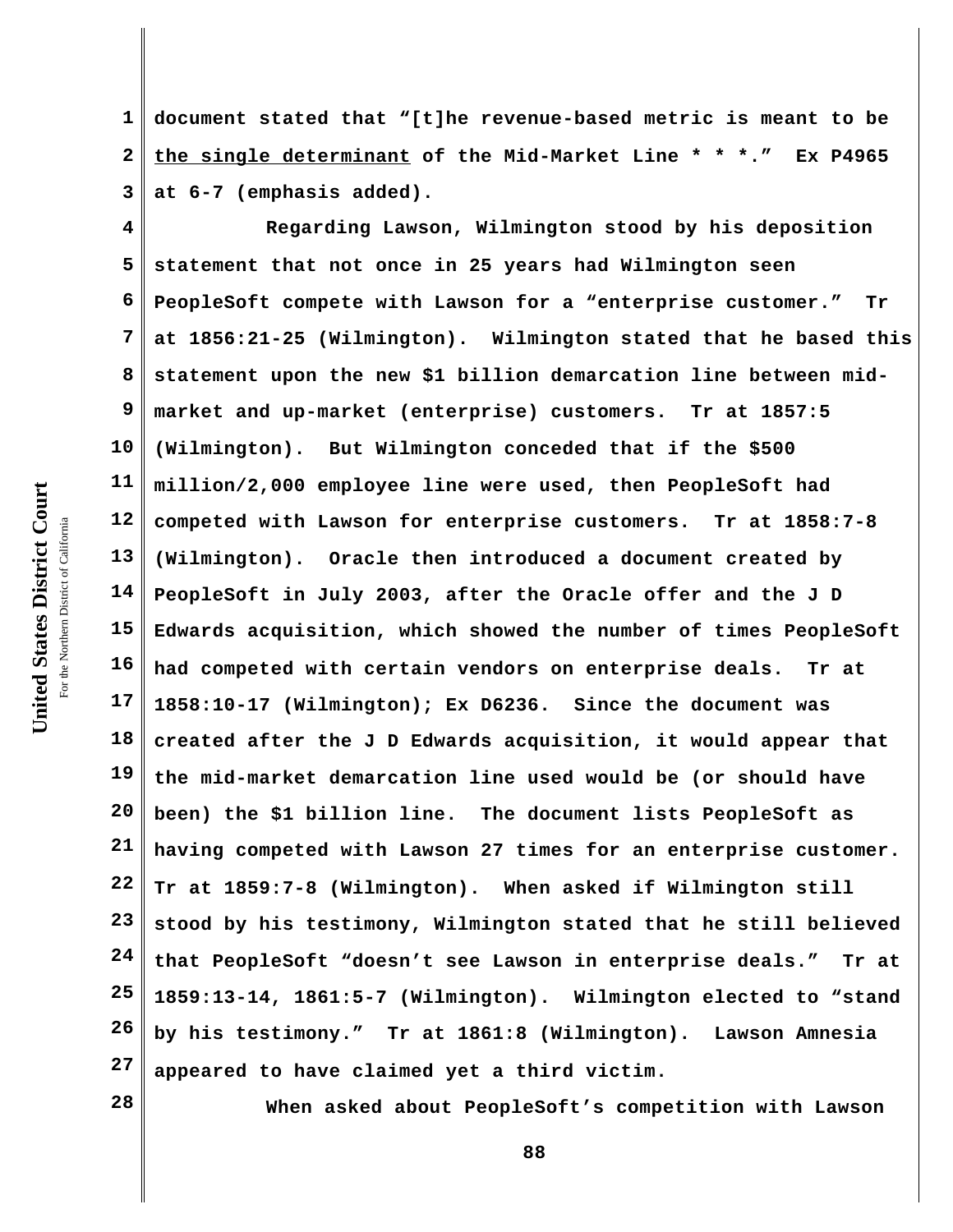**1 2 3 document stated that "[t]he revenue-based metric is meant to be the single determinant of the Mid-Market Line \* \* \*." Ex P4965 at 6-7 (emphasis added).**

**4 5 6 7 8 9 10 11 12 13 14 15 16 17 18 19 20 21 22 23 24 25 26 27 Regarding Lawson, Wilmington stood by his deposition statement that not once in 25 years had Wilmington seen PeopleSoft compete with Lawson for a "enterprise customer." Tr at 1856:21-25 (Wilmington). Wilmington stated that he based this statement upon the new \$1 billion demarcation line between midmarket and up-market (enterprise) customers. Tr at 1857:5 (Wilmington). But Wilmington conceded that if the \$500 million/2,000 employee line were used, then PeopleSoft had competed with Lawson for enterprise customers. Tr at 1858:7-8 (Wilmington). Oracle then introduced a document created by PeopleSoft in July 2003, after the Oracle offer and the J D Edwards acquisition, which showed the number of times PeopleSoft had competed with certain vendors on enterprise deals. Tr at 1858:10-17 (Wilmington); Ex D6236. Since the document was created after the J D Edwards acquisition, it would appear that the mid-market demarcation line used would be (or should have been) the \$1 billion line. The document lists PeopleSoft as having competed with Lawson 27 times for an enterprise customer. Tr at 1859:7-8 (Wilmington). When asked if Wilmington still stood by his testimony, Wilmington stated that he still believed that PeopleSoft "doesn't see Lawson in enterprise deals." Tr at 1859:13-14, 1861:5-7 (Wilmington). Wilmington elected to "stand by his testimony." Tr at 1861:8 (Wilmington). Lawson Amnesia appeared to have claimed yet a third victim.**

**28**

**When asked about PeopleSoft's competition with Lawson**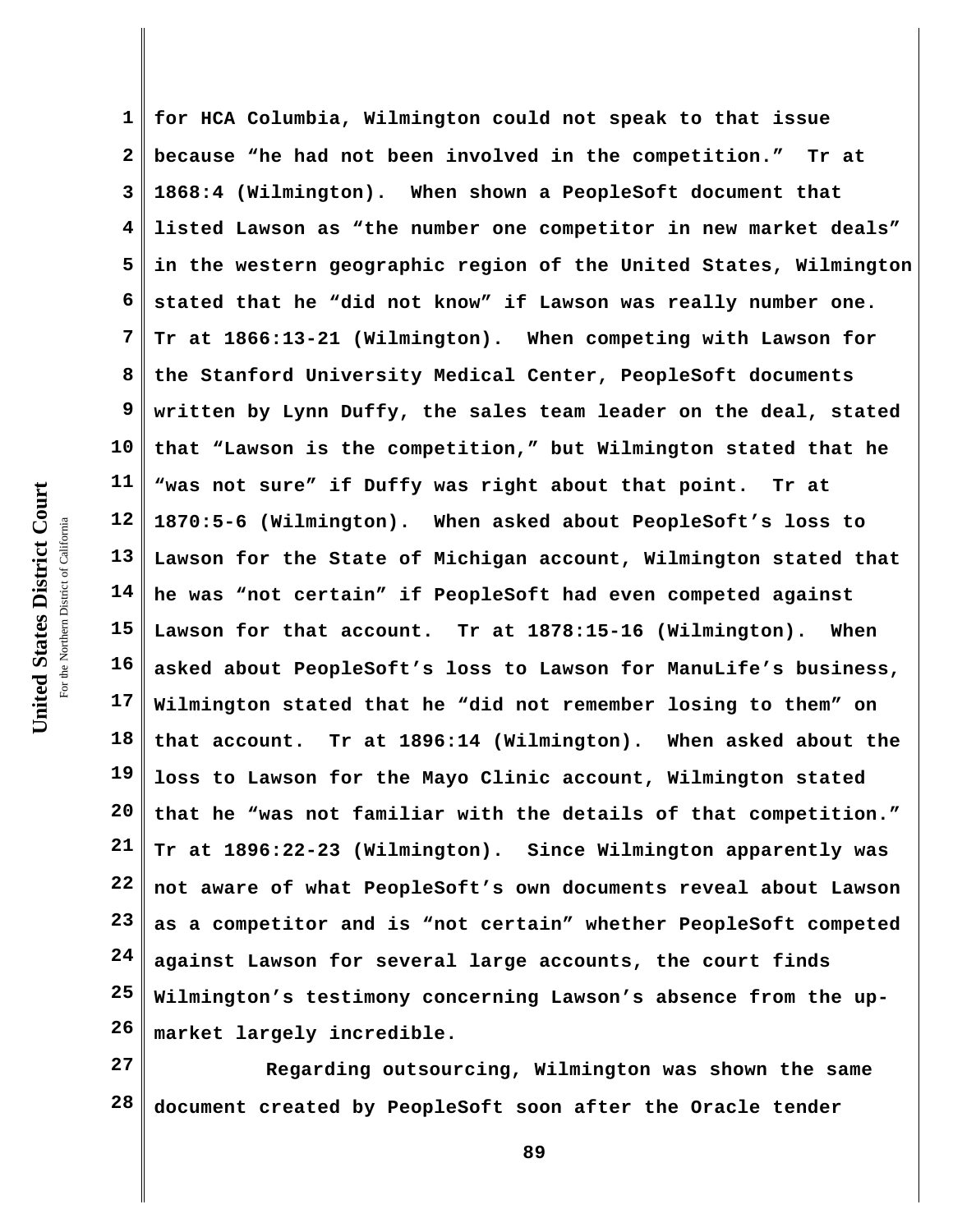**1 2 3 4 5 6 7 8 9 10 11 12 13 14 15 16 17 18 19 20 21 22 23 24 25 26 for HCA Columbia, Wilmington could not speak to that issue because "he had not been involved in the competition." Tr at 1868:4 (Wilmington). When shown a PeopleSoft document that listed Lawson as "the number one competitor in new market deals" in the western geographic region of the United States, Wilmington stated that he "did not know" if Lawson was really number one. Tr at 1866:13-21 (Wilmington). When competing with Lawson for the Stanford University Medical Center, PeopleSoft documents written by Lynn Duffy, the sales team leader on the deal, stated that "Lawson is the competition," but Wilmington stated that he "was not sure" if Duffy was right about that point. Tr at 1870:5-6 (Wilmington). When asked about PeopleSoft's loss to Lawson for the State of Michigan account, Wilmington stated that he was "not certain" if PeopleSoft had even competed against Lawson for that account. Tr at 1878:15-16 (Wilmington). When asked about PeopleSoft's loss to Lawson for ManuLife's business, Wilmington stated that he "did not remember losing to them" on that account. Tr at 1896:14 (Wilmington). When asked about the loss to Lawson for the Mayo Clinic account, Wilmington stated that he "was not familiar with the details of that competition." Tr at 1896:22-23 (Wilmington). Since Wilmington apparently was not aware of what PeopleSoft's own documents reveal about Lawson as a competitor and is "not certain" whether PeopleSoft competed against Lawson for several large accounts, the court finds Wilmington's testimony concerning Lawson's absence from the upmarket largely incredible.**

**27 28 Regarding outsourcing, Wilmington was shown the same document created by PeopleSoft soon after the Oracle tender**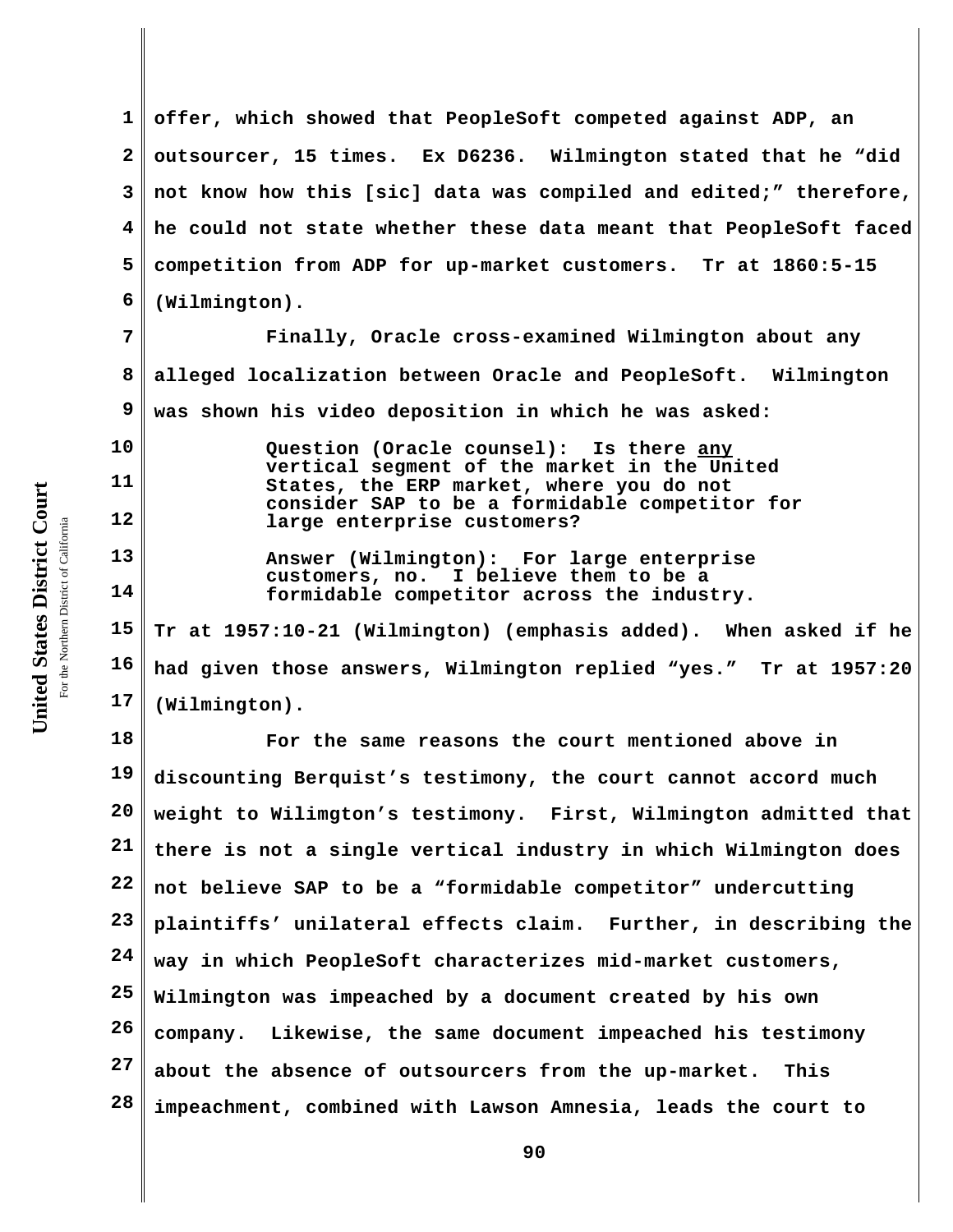**1 2 3 4 5 6 offer, which showed that PeopleSoft competed against ADP, an outsourcer, 15 times. Ex D6236. Wilmington stated that he "did not know how this [sic] data was compiled and edited;" therefore, he could not state whether these data meant that PeopleSoft faced competition from ADP for up-market customers. Tr at 1860:5-15 (Wilmington).**

**7 8 9 Finally, Oracle cross-examined Wilmington about any alleged localization between Oracle and PeopleSoft. Wilmington was shown his video deposition in which he was asked:**

**Question (Oracle counsel): Is there any vertical segment of the market in the United States, the ERP market, where you do not consider SAP to be a formidable competitor for large enterprise customers?**

**Answer (Wilmington): For large enterprise customers, no. I believe them to be a formidable competitor across the industry.**

**15 16 17 Tr at 1957:10-21 (Wilmington) (emphasis added). When asked if he had given those answers, Wilmington replied "yes." Tr at 1957:20 (Wilmington).**

**18 19 20 21 22 23 24 25 26 27 28 For the same reasons the court mentioned above in discounting Berquist's testimony, the court cannot accord much weight to Wilimgton's testimony. First, Wilmington admitted that there is not a single vertical industry in which Wilmington does not believe SAP to be a "formidable competitor" undercutting plaintiffs' unilateral effects claim. Further, in describing the way in which PeopleSoft characterizes mid-market customers, Wilmington was impeached by a document created by his own company. Likewise, the same document impeached his testimony about the absence of outsourcers from the up-market. This impeachment, combined with Lawson Amnesia, leads the court to**

**10**

**11**

**12**

**13**

**14**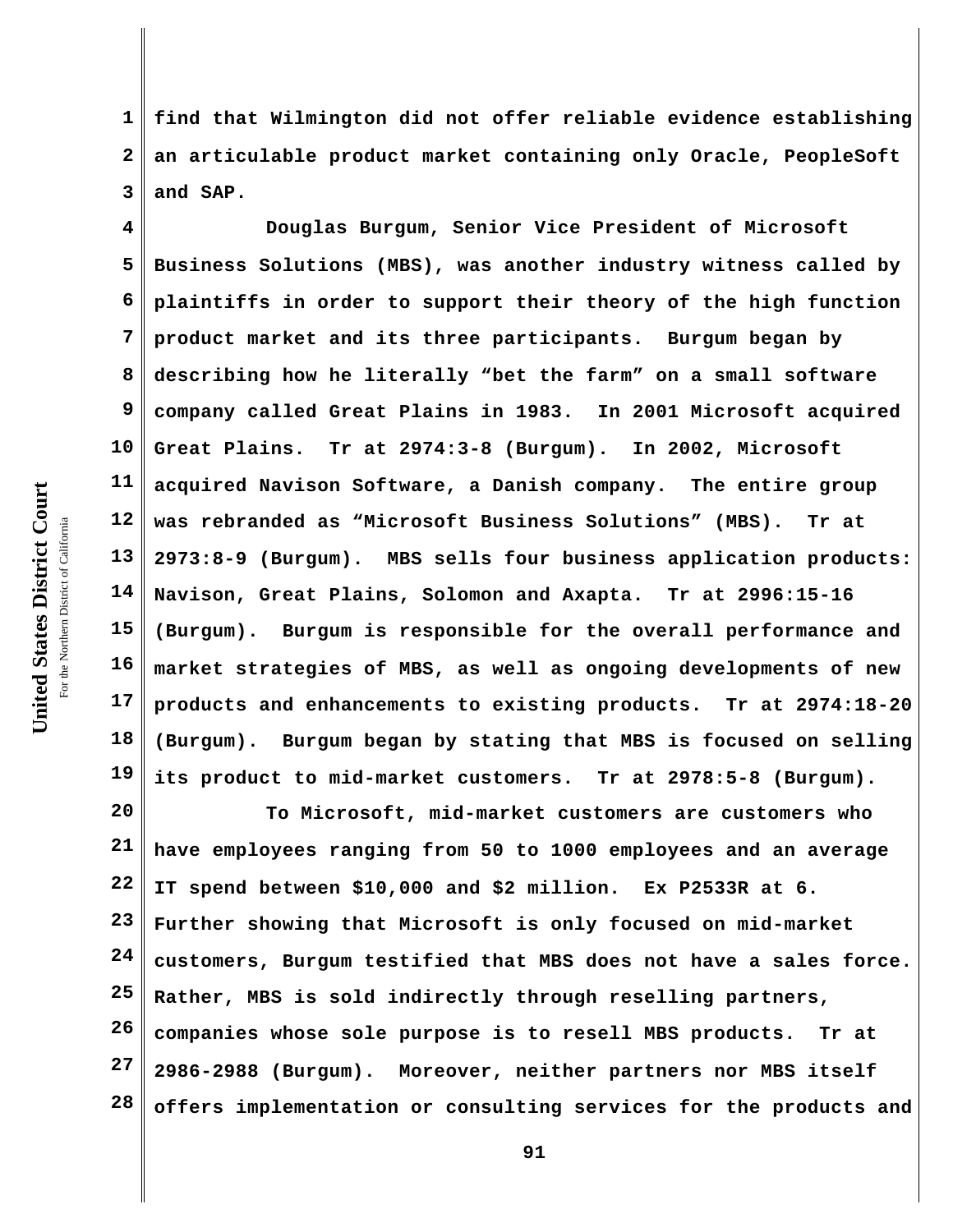**1 2 3 find that Wilmington did not offer reliable evidence establishing an articulable product market containing only Oracle, PeopleSoft and SAP.** 

**4 5 6 7 8 9 10 11 12 13 14 15 16 17 18 19 Douglas Burgum, Senior Vice President of Microsoft Business Solutions (MBS), was another industry witness called by plaintiffs in order to support their theory of the high function product market and its three participants. Burgum began by describing how he literally "bet the farm" on a small software company called Great Plains in 1983. In 2001 Microsoft acquired Great Plains. Tr at 2974:3-8 (Burgum). In 2002, Microsoft acquired Navison Software, a Danish company. The entire group was rebranded as "Microsoft Business Solutions" (MBS). Tr at 2973:8-9 (Burgum). MBS sells four business application products: Navison, Great Plains, Solomon and Axapta. Tr at 2996:15-16 (Burgum). Burgum is responsible for the overall performance and market strategies of MBS, as well as ongoing developments of new products and enhancements to existing products. Tr at 2974:18-20 (Burgum). Burgum began by stating that MBS is focused on selling its product to mid-market customers. Tr at 2978:5-8 (Burgum).**

**20 21 22 23 24 25 26 27 28 To Microsoft, mid-market customers are customers who have employees ranging from 50 to 1000 employees and an average IT spend between \$10,000 and \$2 million. Ex P2533R at 6. Further showing that Microsoft is only focused on mid-market customers, Burgum testified that MBS does not have a sales force. Rather, MBS is sold indirectly through reselling partners, companies whose sole purpose is to resell MBS products. Tr at 2986-2988 (Burgum). Moreover, neither partners nor MBS itself offers implementation or consulting services for the products and**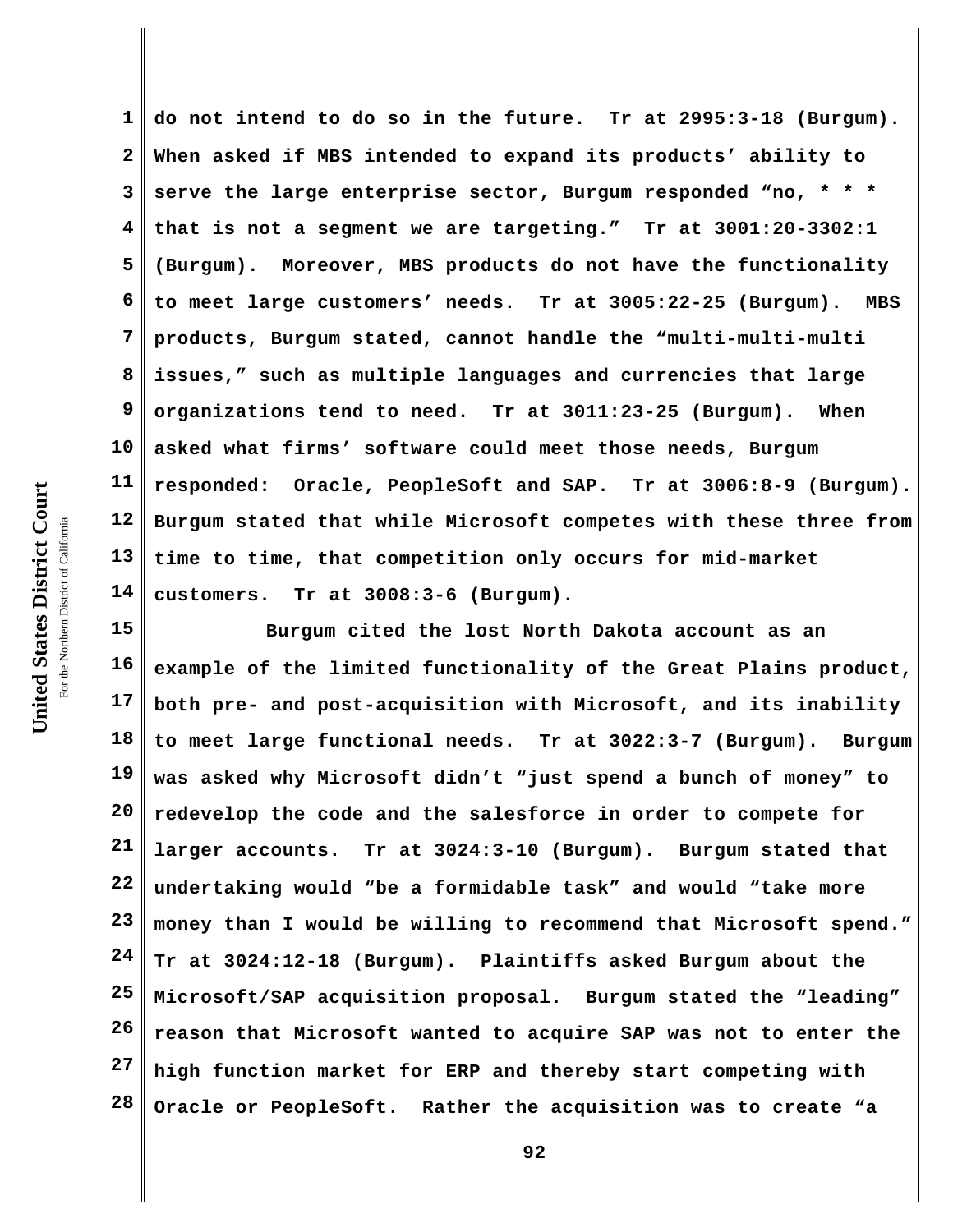**1 2 3 4 5 6 7 8 9 10 11 12 13 14 do not intend to do so in the future. Tr at 2995:3-18 (Burgum). When asked if MBS intended to expand its products' ability to serve the large enterprise sector, Burgum responded "no, \* \* \* that is not a segment we are targeting." Tr at 3001:20-3302:1 (Burgum). Moreover, MBS products do not have the functionality to meet large customers' needs. Tr at 3005:22-25 (Burgum). MBS products, Burgum stated, cannot handle the "multi-multi-multi issues," such as multiple languages and currencies that large organizations tend to need. Tr at 3011:23-25 (Burgum). When asked what firms' software could meet those needs, Burgum responded: Oracle, PeopleSoft and SAP. Tr at 3006:8-9 (Burgum). Burgum stated that while Microsoft competes with these three from time to time, that competition only occurs for mid-market customers. Tr at 3008:3-6 (Burgum).**

**15 16 17 18 19 20 21 22 23 24 25 26 27 28 Burgum cited the lost North Dakota account as an example of the limited functionality of the Great Plains product, both pre- and post-acquisition with Microsoft, and its inability to meet large functional needs. Tr at 3022:3-7 (Burgum). Burgum was asked why Microsoft didn't "just spend a bunch of money" to redevelop the code and the salesforce in order to compete for larger accounts. Tr at 3024:3-10 (Burgum). Burgum stated that undertaking would "be a formidable task" and would "take more money than I would be willing to recommend that Microsoft spend." Tr at 3024:12-18 (Burgum). Plaintiffs asked Burgum about the Microsoft/SAP acquisition proposal. Burgum stated the "leading" reason that Microsoft wanted to acquire SAP was not to enter the high function market for ERP and thereby start competing with Oracle or PeopleSoft. Rather the acquisition was to create "a**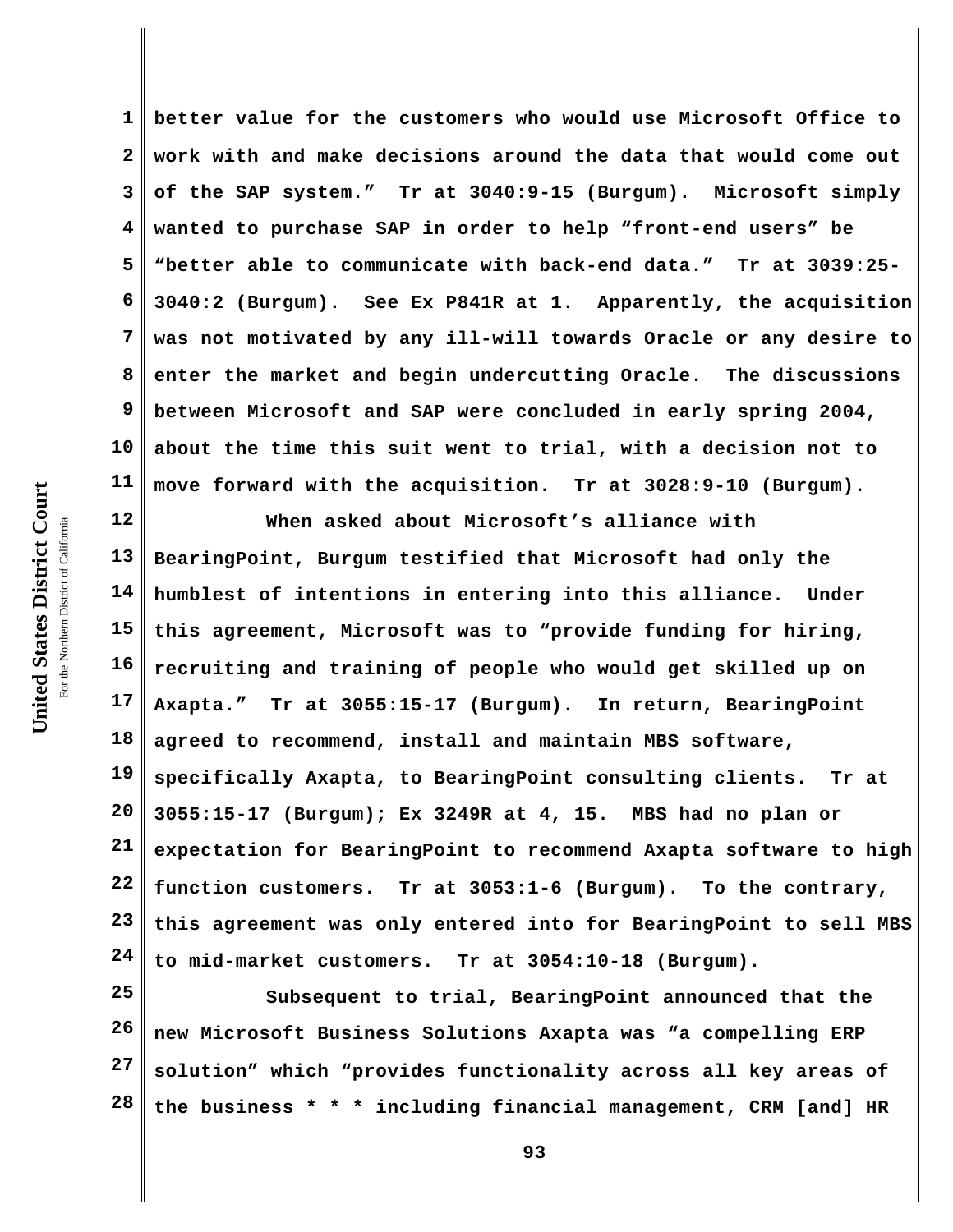**1 2 3 4 5 6 7 8 9 10 11 better value for the customers who would use Microsoft Office to work with and make decisions around the data that would come out of the SAP system." Tr at 3040:9-15 (Burgum). Microsoft simply wanted to purchase SAP in order to help "front-end users" be "better able to communicate with back-end data." Tr at 3039:25- 3040:2 (Burgum). See Ex P841R at 1. Apparently, the acquisition was not motivated by any ill-will towards Oracle or any desire to enter the market and begin undercutting Oracle. The discussions between Microsoft and SAP were concluded in early spring 2004, about the time this suit went to trial, with a decision not to move forward with the acquisition. Tr at 3028:9-10 (Burgum).** 

**12 13 14 15 16 17 18 19 20 21 22 23 24 When asked about Microsoft's alliance with BearingPoint, Burgum testified that Microsoft had only the humblest of intentions in entering into this alliance. Under this agreement, Microsoft was to "provide funding for hiring, recruiting and training of people who would get skilled up on Axapta." Tr at 3055:15-17 (Burgum). In return, BearingPoint agreed to recommend, install and maintain MBS software, specifically Axapta, to BearingPoint consulting clients. Tr at 3055:15-17 (Burgum); Ex 3249R at 4, 15. MBS had no plan or expectation for BearingPoint to recommend Axapta software to high function customers. Tr at 3053:1-6 (Burgum). To the contrary, this agreement was only entered into for BearingPoint to sell MBS to mid-market customers. Tr at 3054:10-18 (Burgum).**

**25 26 27 28 Subsequent to trial, BearingPoint announced that the new Microsoft Business Solutions Axapta was "a compelling ERP solution" which "provides functionality across all key areas of the business \* \* \* including financial management, CRM [and] HR**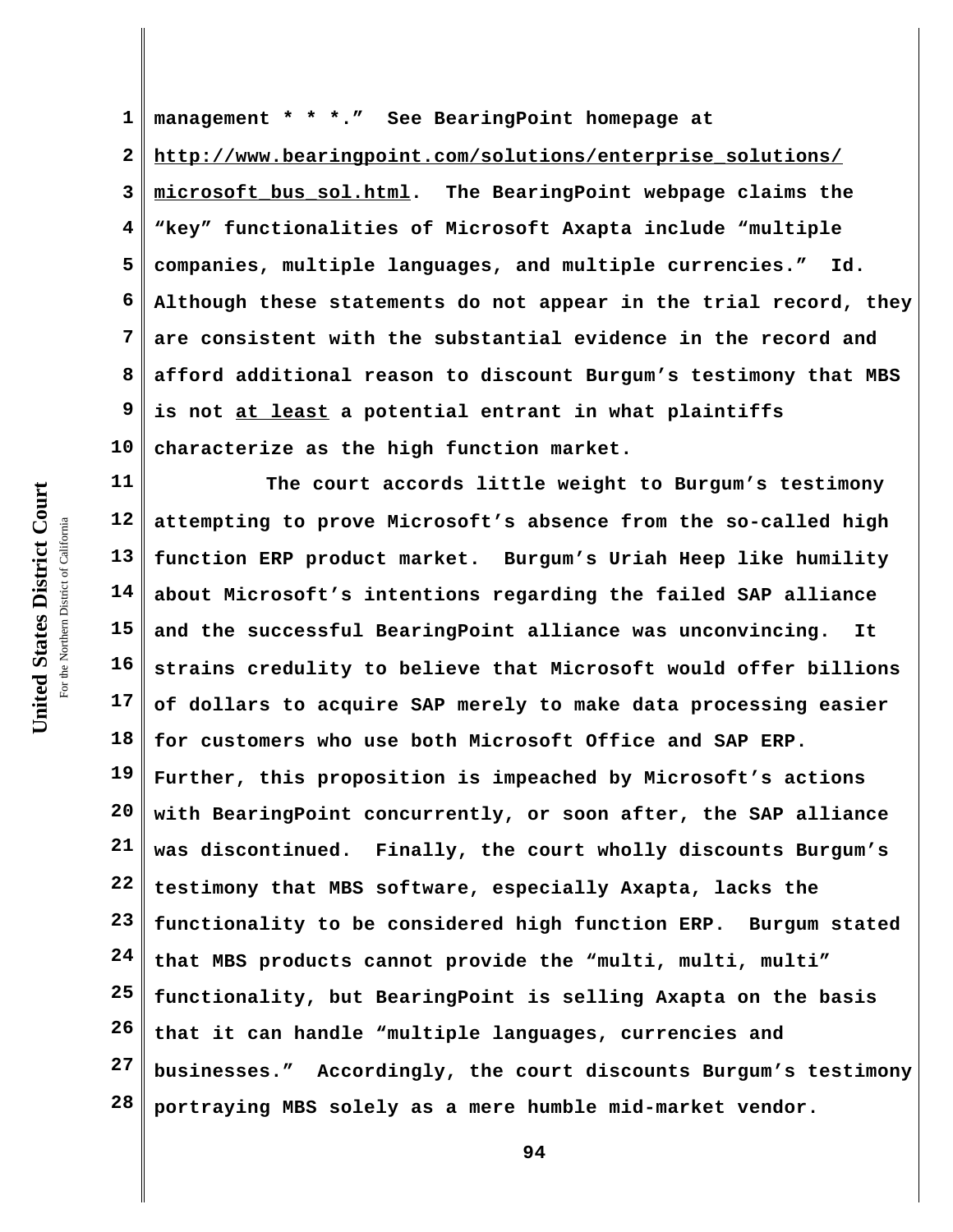**1 2 3 4 5 6 7 8 9 10 management \* \* \*." See BearingPoint homepage at http://www.bearingpoint.com/solutions/enterprise\_solutions/ microsoft\_bus\_sol.html. The BearingPoint webpage claims the "key" functionalities of Microsoft Axapta include "multiple companies, multiple languages, and multiple currencies." Id. Although these statements do not appear in the trial record, they are consistent with the substantial evidence in the record and afford additional reason to discount Burgum's testimony that MBS is not at least a potential entrant in what plaintiffs characterize as the high function market.**

**11 12 13 14 15 16 17 18 19 20 21 22 23 24 25 26 27 28 The court accords little weight to Burgum's testimony attempting to prove Microsoft's absence from the so-called high function ERP product market. Burgum's Uriah Heep like humility about Microsoft's intentions regarding the failed SAP alliance and the successful BearingPoint alliance was unconvincing. It strains credulity to believe that Microsoft would offer billions of dollars to acquire SAP merely to make data processing easier for customers who use both Microsoft Office and SAP ERP. Further, this proposition is impeached by Microsoft's actions with BearingPoint concurrently, or soon after, the SAP alliance was discontinued. Finally, the court wholly discounts Burgum's testimony that MBS software, especially Axapta, lacks the functionality to be considered high function ERP. Burgum stated that MBS products cannot provide the "multi, multi, multi" functionality, but BearingPoint is selling Axapta on the basis that it can handle "multiple languages, currencies and businesses." Accordingly, the court discounts Burgum's testimony portraying MBS solely as a mere humble mid-market vendor.**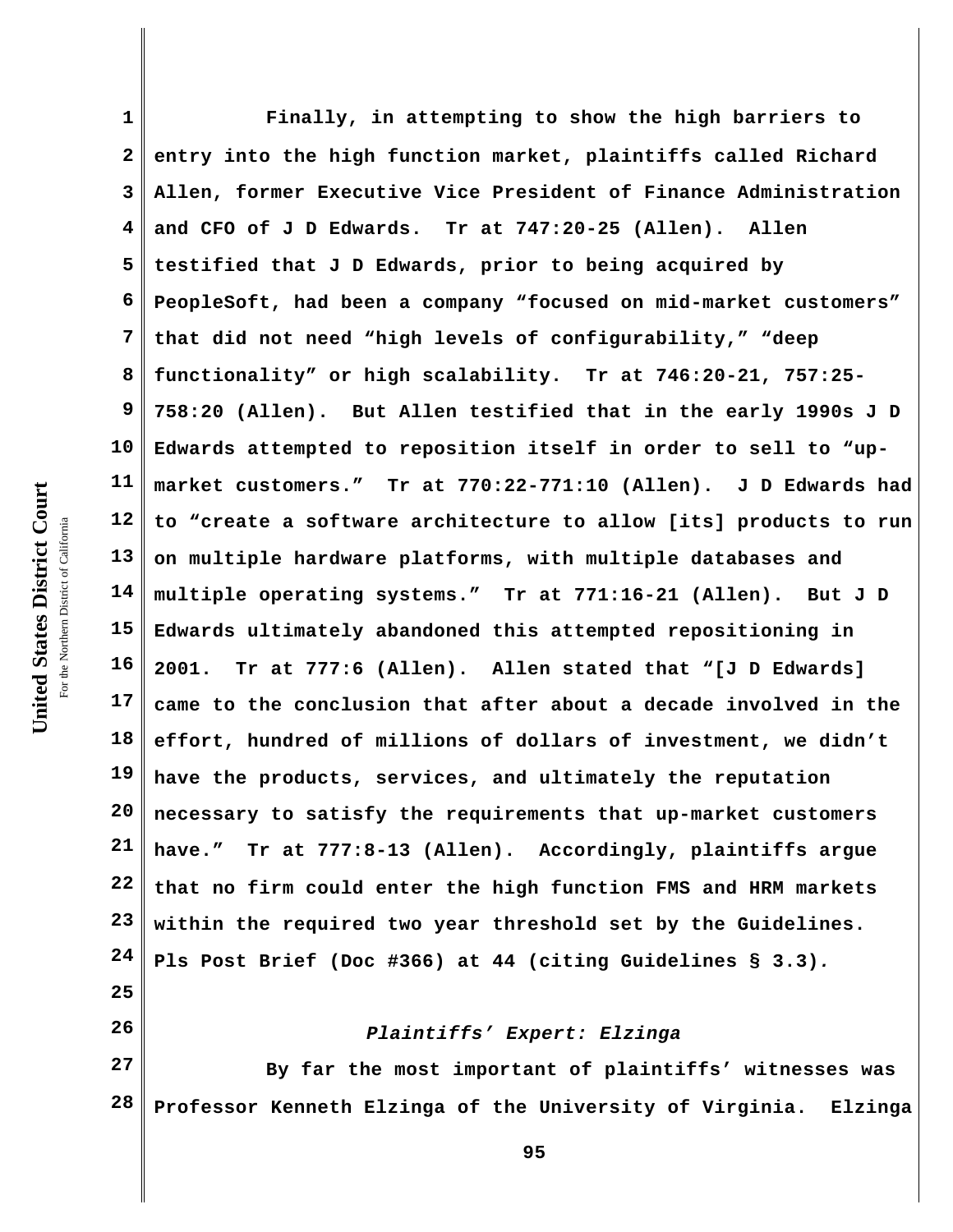**1 2 3 4 5 6 7 8 9 10 11 12 13 14 15 16 17 18 19 20 21 22 23 24 25 Finally, in attempting to show the high barriers to entry into the high function market, plaintiffs called Richard Allen, former Executive Vice President of Finance Administration and CFO of J D Edwards. Tr at 747:20-25 (Allen). Allen testified that J D Edwards, prior to being acquired by PeopleSoft, had been a company "focused on mid-market customers" that did not need "high levels of configurability," "deep functionality" or high scalability. Tr at 746:20-21, 757:25- 758:20 (Allen). But Allen testified that in the early 1990s J D Edwards attempted to reposition itself in order to sell to "upmarket customers." Tr at 770:22-771:10 (Allen). J D Edwards had to "create a software architecture to allow [its] products to run on multiple hardware platforms, with multiple databases and multiple operating systems." Tr at 771:16-21 (Allen). But J D Edwards ultimately abandoned this attempted repositioning in 2001. Tr at 777:6 (Allen). Allen stated that "[J D Edwards] came to the conclusion that after about a decade involved in the effort, hundred of millions of dollars of investment, we didn't have the products, services, and ultimately the reputation necessary to satisfy the requirements that up-market customers have." Tr at 777:8-13 (Allen). Accordingly, plaintiffs argue that no firm could enter the high function FMS and HRM markets within the required two year threshold set by the Guidelines. Pls Post Brief (Doc #366) at 44 (citing Guidelines § 3.3)***.*

*Plaintiffs' Expert: Elzinga* 

**27 28 By far the most important of plaintiffs' witnesses was Professor Kenneth Elzinga of the University of Virginia. Elzinga**

United States District Court **United States District Court** For the Northern District of California the Northern District of California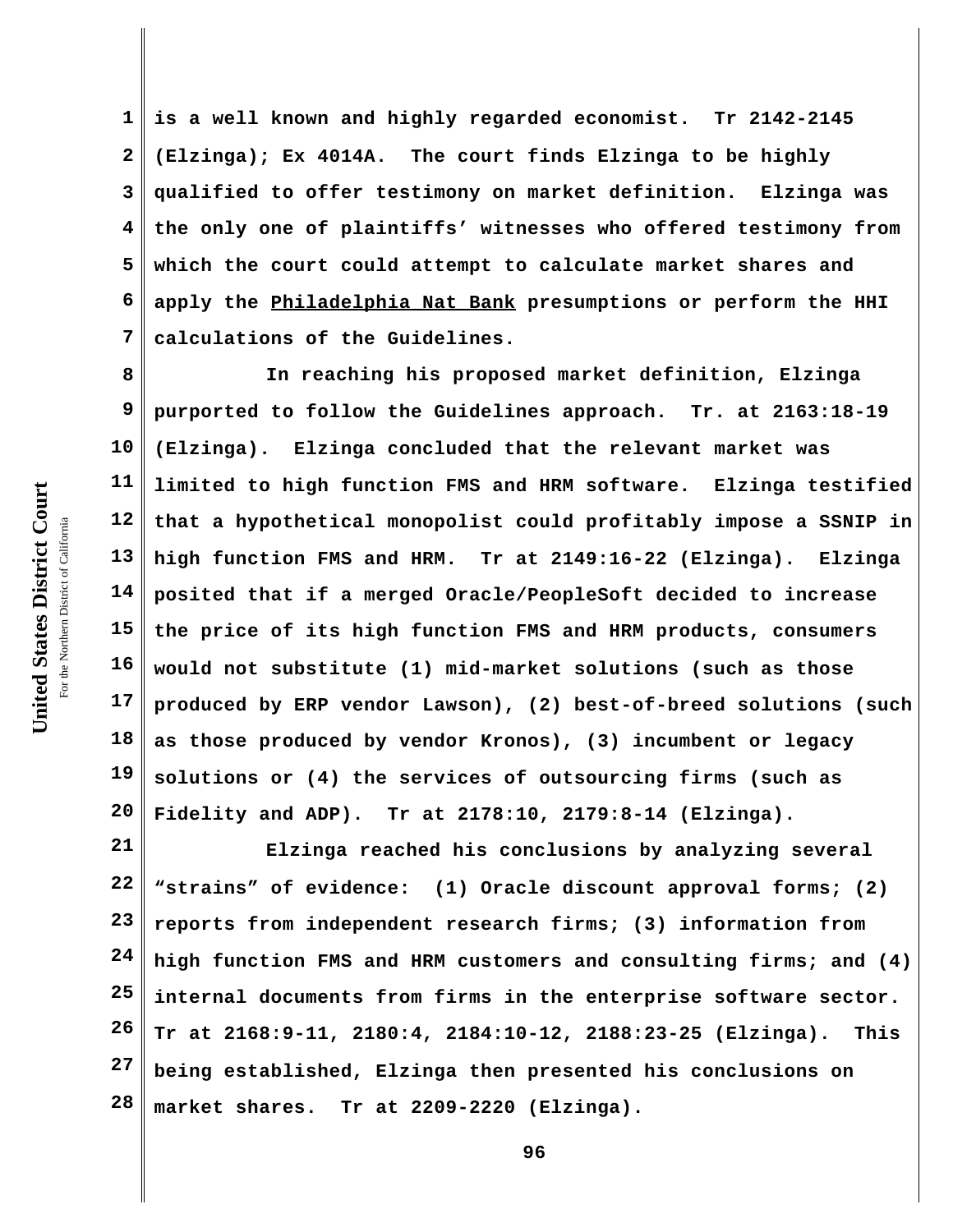**1 2 3 4 5 6 7 is a well known and highly regarded economist. Tr 2142-2145 (Elzinga); Ex 4014A. The court finds Elzinga to be highly qualified to offer testimony on market definition. Elzinga was the only one of plaintiffs' witnesses who offered testimony from which the court could attempt to calculate market shares and apply the Philadelphia Nat Bank presumptions or perform the HHI calculations of the Guidelines.** 

**8 9 10 11 12 13 14 15 16 17 18 19 20 In reaching his proposed market definition, Elzinga purported to follow the Guidelines approach. Tr. at 2163:18-19 (Elzinga). Elzinga concluded that the relevant market was limited to high function FMS and HRM software. Elzinga testified that a hypothetical monopolist could profitably impose a SSNIP in high function FMS and HRM. Tr at 2149:16-22 (Elzinga). Elzinga posited that if a merged Oracle/PeopleSoft decided to increase the price of its high function FMS and HRM products, consumers would not substitute (1) mid-market solutions (such as those produced by ERP vendor Lawson), (2) best-of-breed solutions (such as those produced by vendor Kronos), (3) incumbent or legacy solutions or (4) the services of outsourcing firms (such as Fidelity and ADP). Tr at 2178:10, 2179:8-14 (Elzinga).** 

**21 22 23 24 25 26 27 28 Elzinga reached his conclusions by analyzing several "strains" of evidence: (1) Oracle discount approval forms; (2) reports from independent research firms; (3) information from high function FMS and HRM customers and consulting firms; and (4) internal documents from firms in the enterprise software sector. Tr at 2168:9-11, 2180:4, 2184:10-12, 2188:23-25 (Elzinga). This being established, Elzinga then presented his conclusions on market shares. Tr at 2209-2220 (Elzinga).**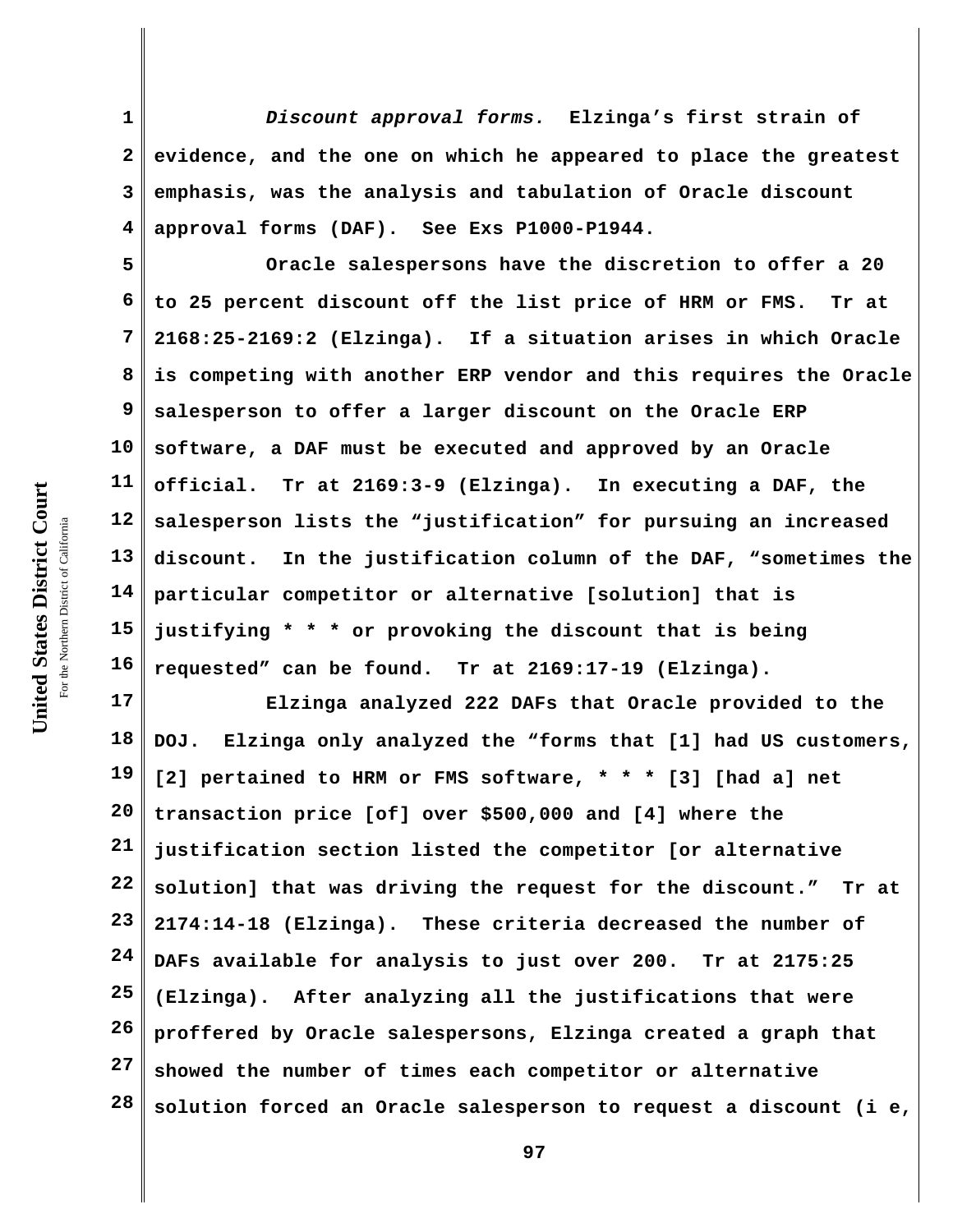**1 2 3 4** *Discount approval forms.* **Elzinga's first strain of evidence, and the one on which he appeared to place the greatest emphasis, was the analysis and tabulation of Oracle discount approval forms (DAF). See Exs P1000-P1944.** 

**5 6 7 8 9 10 11 12 13 14 15 16 Oracle salespersons have the discretion to offer a 20 to 25 percent discount off the list price of HRM or FMS. Tr at 2168:25-2169:2 (Elzinga). If a situation arises in which Oracle is competing with another ERP vendor and this requires the Oracle salesperson to offer a larger discount on the Oracle ERP software, a DAF must be executed and approved by an Oracle official. Tr at 2169:3-9 (Elzinga). In executing a DAF, the salesperson lists the "justification" for pursuing an increased discount. In the justification column of the DAF, "sometimes the particular competitor or alternative [solution] that is justifying \* \* \* or provoking the discount that is being requested" can be found. Tr at 2169:17-19 (Elzinga).** 

**17 18 19 20 21 22 23 24 25 26 27 28 Elzinga analyzed 222 DAFs that Oracle provided to the DOJ. Elzinga only analyzed the "forms that [1] had US customers, [2] pertained to HRM or FMS software, \* \* \* [3] [had a] net transaction price [of] over \$500,000 and [4] where the justification section listed the competitor [or alternative solution] that was driving the request for the discount." Tr at 2174:14-18 (Elzinga). These criteria decreased the number of DAFs available for analysis to just over 200. Tr at 2175:25 (Elzinga). After analyzing all the justifications that were proffered by Oracle salespersons, Elzinga created a graph that showed the number of times each competitor or alternative solution forced an Oracle salesperson to request a discount (i e,**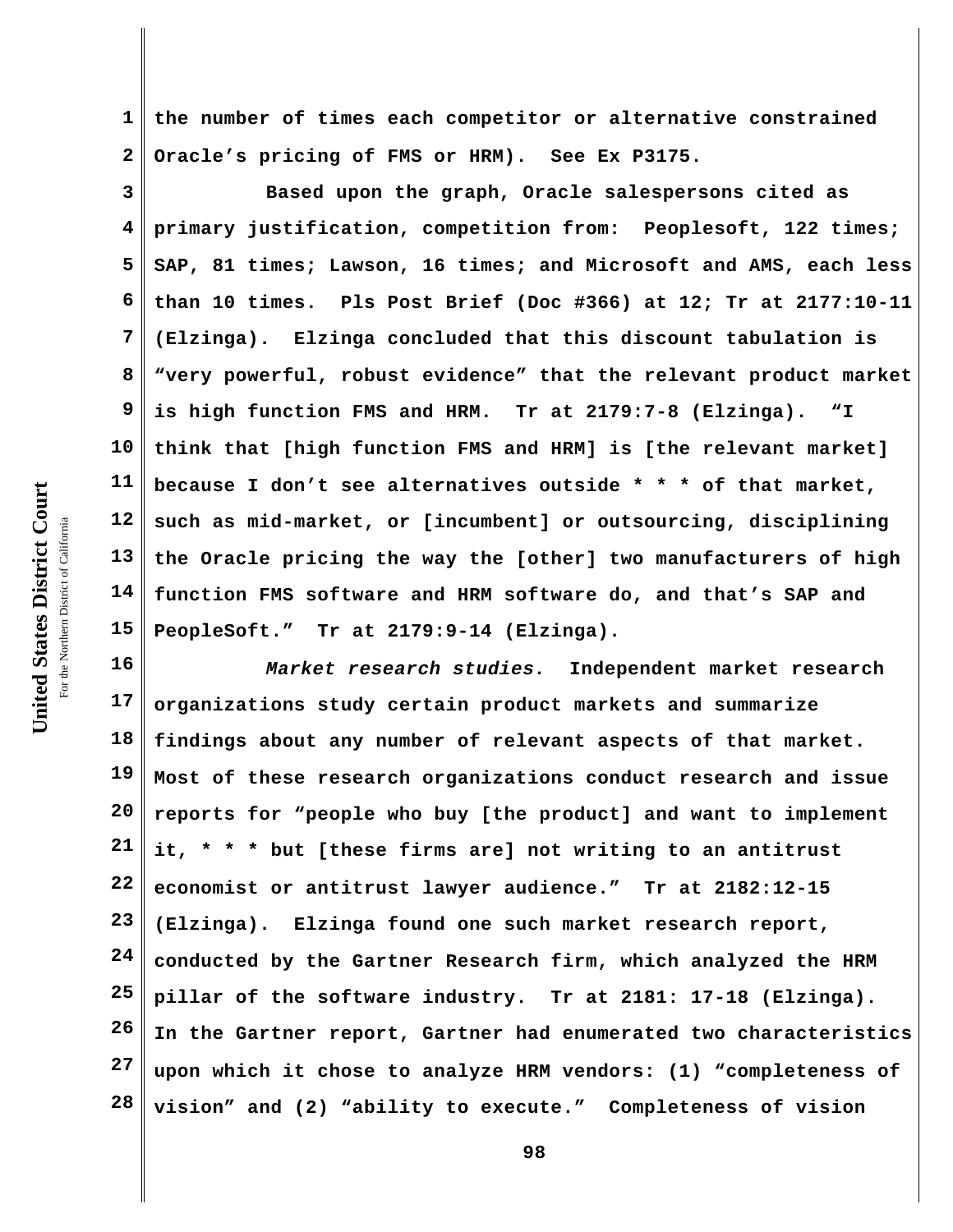**1 2 the number of times each competitor or alternative constrained Oracle's pricing of FMS or HRM). See Ex P3175.**

**3 4 5 6 7 8 9 10 11 12 13 14 15 Based upon the graph, Oracle salespersons cited as primary justification, competition from: Peoplesoft, 122 times; SAP, 81 times; Lawson, 16 times; and Microsoft and AMS, each less than 10 times. Pls Post Brief (Doc #366) at 12; Tr at 2177:10-11 (Elzinga). Elzinga concluded that this discount tabulation is "very powerful, robust evidence" that the relevant product market is high function FMS and HRM. Tr at 2179:7-8 (Elzinga). "I think that [high function FMS and HRM] is [the relevant market] because I don't see alternatives outside \* \* \* of that market, such as mid-market, or [incumbent] or outsourcing, disciplining the Oracle pricing the way the [other] two manufacturers of high function FMS software and HRM software do, and that's SAP and PeopleSoft." Tr at 2179:9-14 (Elzinga).**

**16 17 18 19 20 21 22 23 24 25 26 27 28** *Market research studies.* **Independent market research organizations study certain product markets and summarize findings about any number of relevant aspects of that market. Most of these research organizations conduct research and issue reports for "people who buy [the product] and want to implement it, \* \* \* but [these firms are] not writing to an antitrust economist or antitrust lawyer audience." Tr at 2182:12-15 (Elzinga). Elzinga found one such market research report, conducted by the Gartner Research firm, which analyzed the HRM pillar of the software industry. Tr at 2181: 17-18 (Elzinga). In the Gartner report, Gartner had enumerated two characteristics upon which it chose to analyze HRM vendors: (1) "completeness of vision" and (2) "ability to execute." Completeness of vision**

United States District Court **United States District Court** For the Northern District of California the Northern District of California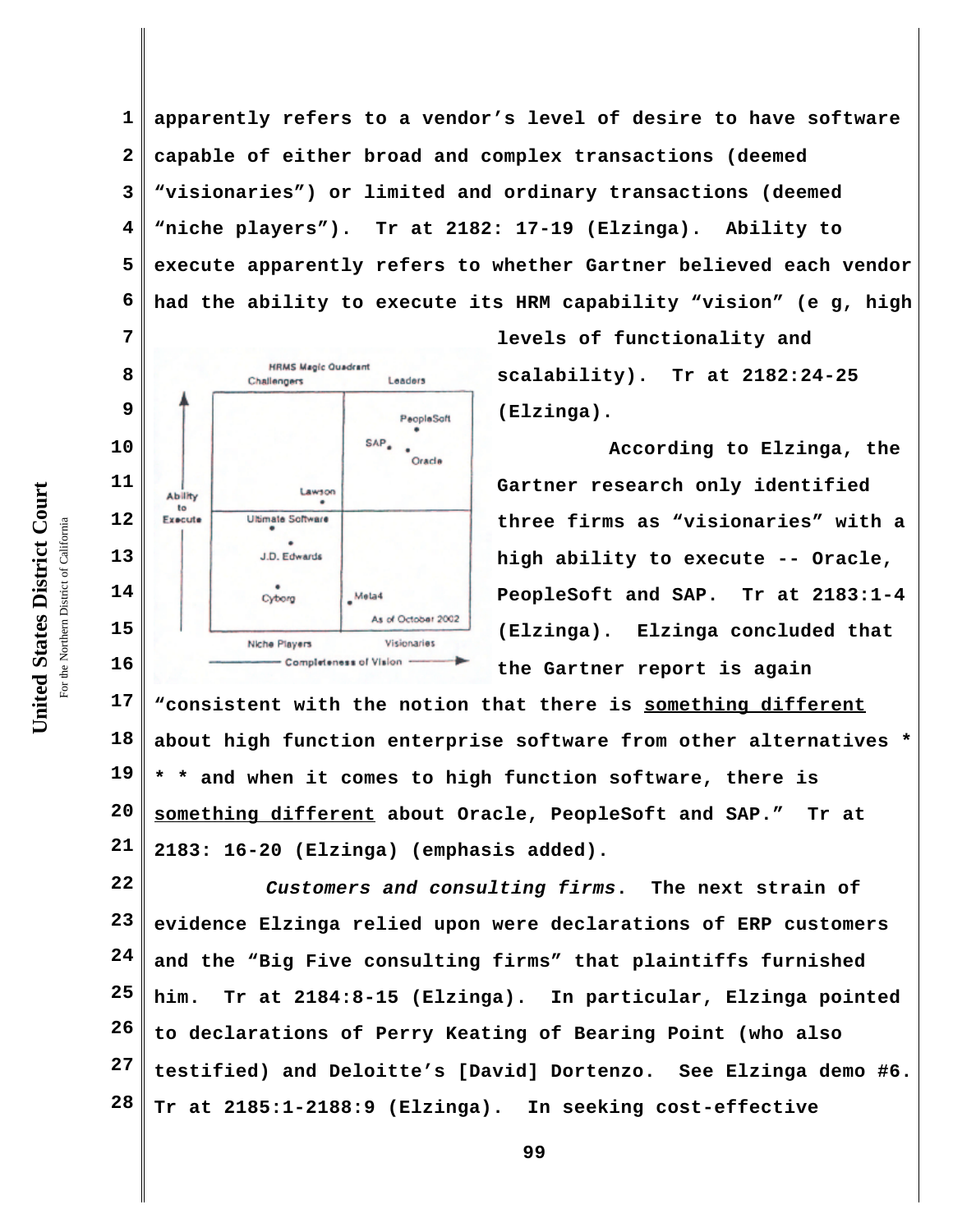United States District Court **United States District Court** For the Northern District of California the Northern District of California

**1 2 3 4 5 6 apparently refers to a vendor's level of desire to have software capable of either broad and complex transactions (deemed "visionaries") or limited and ordinary transactions (deemed "niche players"). Tr at 2182: 17-19 (Elzinga). Ability to execute apparently refers to whether Gartner believed each vendor had the ability to execute its HRM capability "vision" (e g, high**

> **levels of functionality and scalability). Tr at 2182:24-25 (Elzinga).**

**According to Elzinga, the Gartner research only identified three firms as "visionaries" with a high ability to execute -- Oracle, PeopleSoft and SAP. Tr at 2183:1-4 (Elzinga). Elzinga concluded that the Gartner report is again**

**17 18 19 20 21 "consistent with the notion that there is something different about high function enterprise software from other alternatives \* \* \* and when it comes to high function software, there is something different about Oracle, PeopleSoft and SAP." Tr at 2183: 16-20 (Elzinga) (emphasis added).**

**22 23 24 25 26 27 28** *Customers and consulting firms***. The next strain of evidence Elzinga relied upon were declarations of ERP customers and the "Big Five consulting firms" that plaintiffs furnished him. Tr at 2184:8-15 (Elzinga). In particular, Elzinga pointed to declarations of Perry Keating of Bearing Point (who also testified) and Deloitte's [David] Dortenzo. See Elzinga demo #6. Tr at 2185:1-2188:9 (Elzinga). In seeking cost-effective**

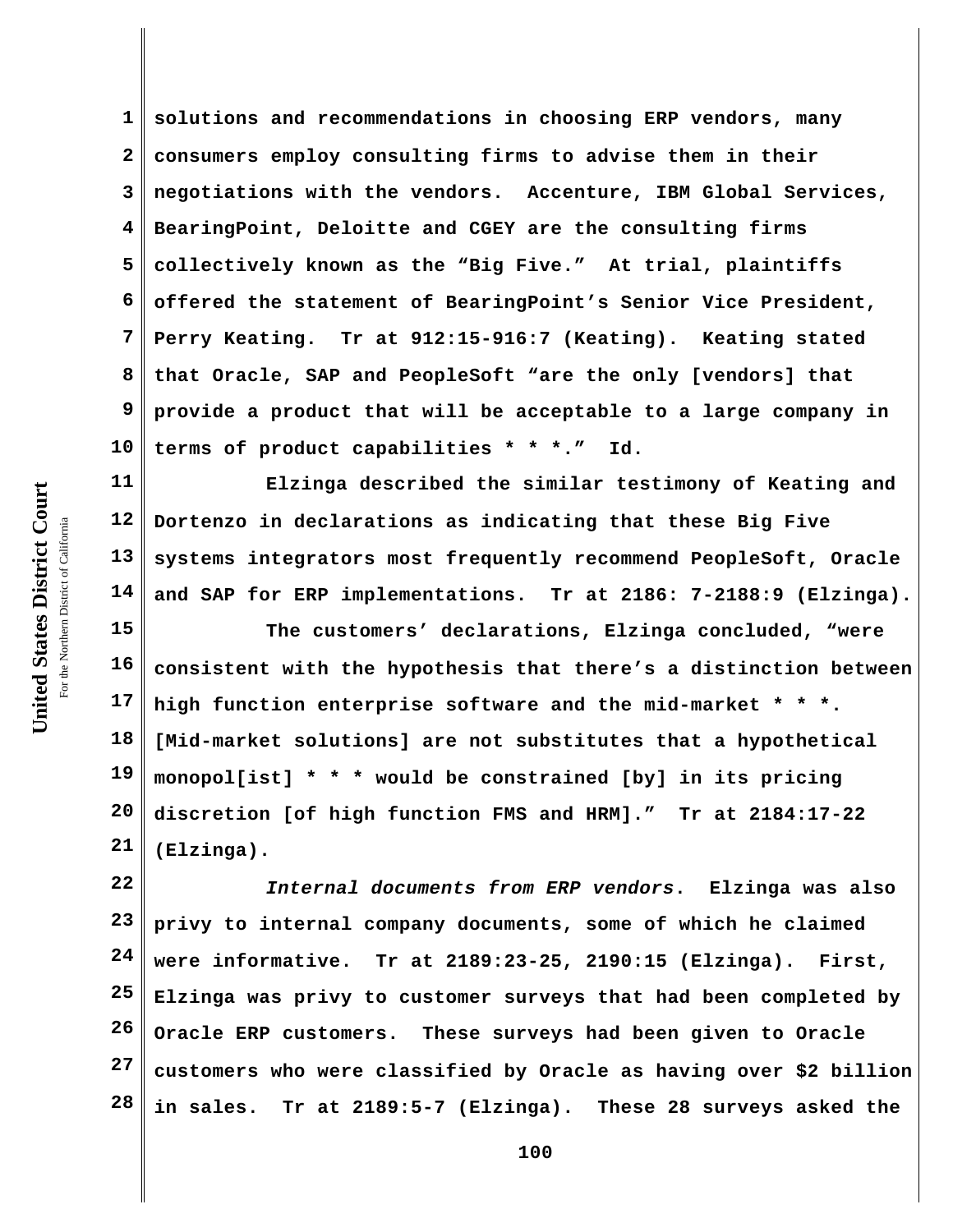**1 2 3 4 5 6 7 8 9 10 solutions and recommendations in choosing ERP vendors, many consumers employ consulting firms to advise them in their negotiations with the vendors. Accenture, IBM Global Services, BearingPoint, Deloitte and CGEY are the consulting firms collectively known as the "Big Five." At trial, plaintiffs offered the statement of BearingPoint's Senior Vice President, Perry Keating. Tr at 912:15-916:7 (Keating). Keating stated that Oracle, SAP and PeopleSoft "are the only [vendors] that provide a product that will be acceptable to a large company in terms of product capabilities \* \* \*." Id.** 

**11 12 13 14 Elzinga described the similar testimony of Keating and Dortenzo in declarations as indicating that these Big Five systems integrators most frequently recommend PeopleSoft, Oracle and SAP for ERP implementations. Tr at 2186: 7-2188:9 (Elzinga).** 

**15 16 17 18 19 20 21 The customers' declarations, Elzinga concluded, "were consistent with the hypothesis that there's a distinction between high function enterprise software and the mid-market \* \* \*. [Mid-market solutions] are not substitutes that a hypothetical monopol[ist] \* \* \* would be constrained [by] in its pricing discretion [of high function FMS and HRM]." Tr at 2184:17-22 (Elzinga).**

**22 23 24 25 26 27 28** *Internal documents from ERP vendors***. Elzinga was also privy to internal company documents, some of which he claimed were informative. Tr at 2189:23-25, 2190:15 (Elzinga). First, Elzinga was privy to customer surveys that had been completed by Oracle ERP customers. These surveys had been given to Oracle customers who were classified by Oracle as having over \$2 billion in sales. Tr at 2189:5-7 (Elzinga). These 28 surveys asked the**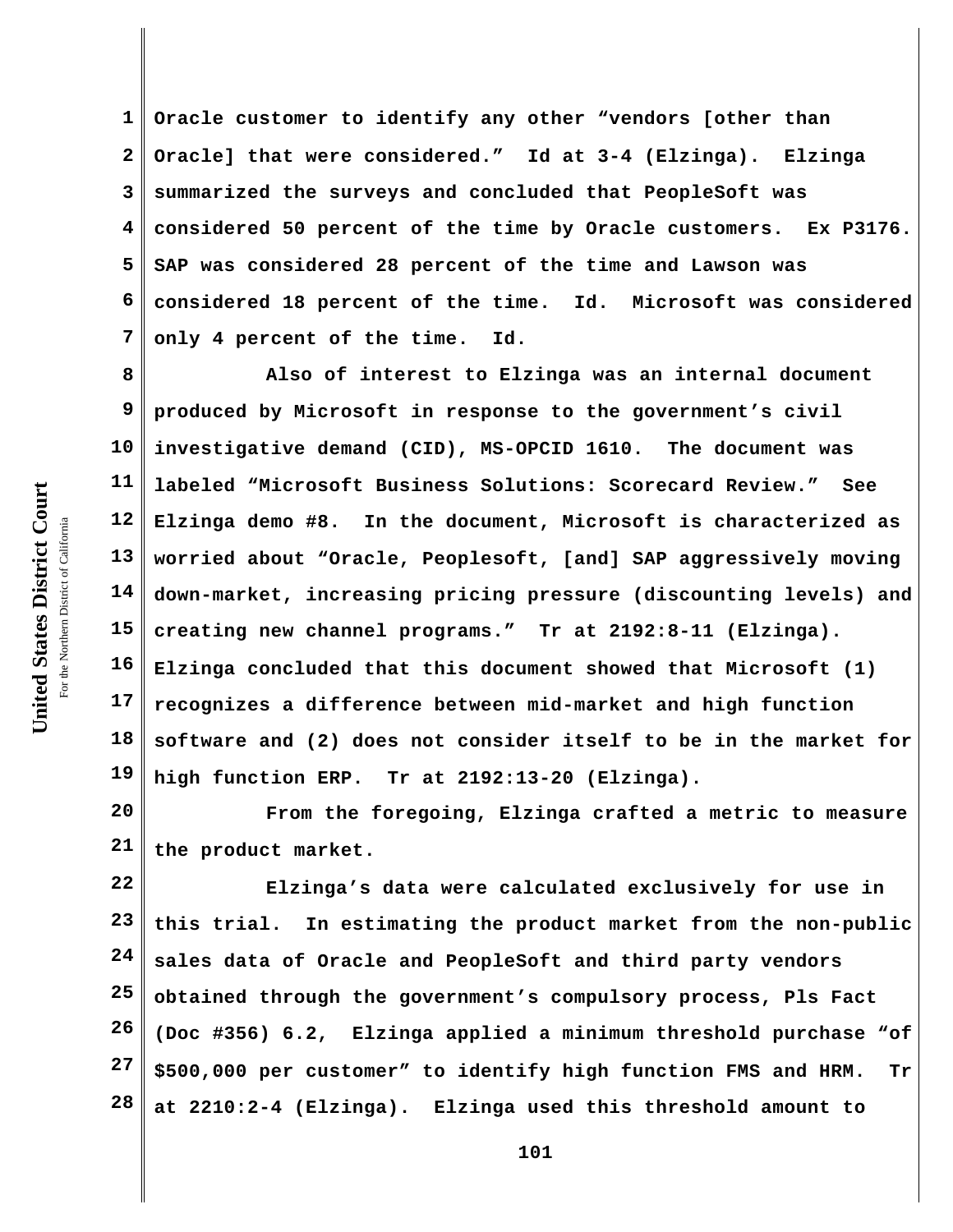**1 2 3 4 5 6 7 Oracle customer to identify any other "vendors [other than Oracle] that were considered." Id at 3-4 (Elzinga). Elzinga summarized the surveys and concluded that PeopleSoft was considered 50 percent of the time by Oracle customers. Ex P3176. SAP was considered 28 percent of the time and Lawson was considered 18 percent of the time. Id. Microsoft was considered only 4 percent of the time. Id.** 

**8 9 10 11 12 13 14 15 16 17 18 19 Also of interest to Elzinga was an internal document produced by Microsoft in response to the government's civil investigative demand (CID), MS-OPCID 1610. The document was labeled "Microsoft Business Solutions: Scorecard Review." See Elzinga demo #8. In the document, Microsoft is characterized as worried about "Oracle, Peoplesoft, [and] SAP aggressively moving down-market, increasing pricing pressure (discounting levels) and creating new channel programs." Tr at 2192:8-11 (Elzinga). Elzinga concluded that this document showed that Microsoft (1) recognizes a difference between mid-market and high function software and (2) does not consider itself to be in the market for high function ERP. Tr at 2192:13-20 (Elzinga).**

**20 21 From the foregoing, Elzinga crafted a metric to measure the product market.**

**22 23 24 25 26 27 28 Elzinga's data were calculated exclusively for use in this trial. In estimating the product market from the non-public sales data of Oracle and PeopleSoft and third party vendors obtained through the government's compulsory process, Pls Fact (Doc #356) 6.2, Elzinga applied a minimum threshold purchase "of \$500,000 per customer" to identify high function FMS and HRM. Tr at 2210:2-4 (Elzinga). Elzinga used this threshold amount to**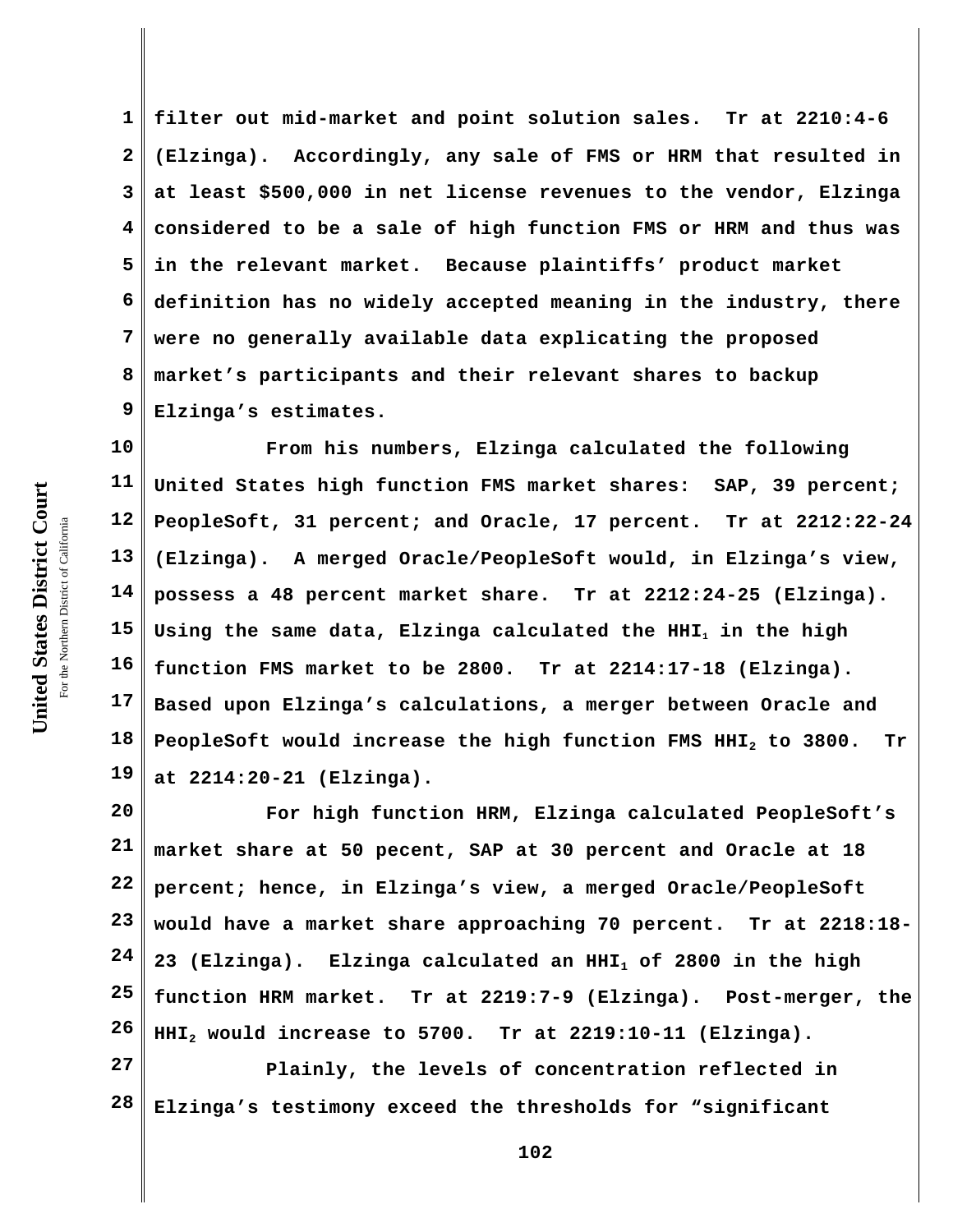**1 2 3 4 5 6 7 8 9 filter out mid-market and point solution sales. Tr at 2210:4-6 (Elzinga). Accordingly, any sale of FMS or HRM that resulted in at least \$500,000 in net license revenues to the vendor, Elzinga considered to be a sale of high function FMS or HRM and thus was in the relevant market. Because plaintiffs' product market definition has no widely accepted meaning in the industry, there were no generally available data explicating the proposed market's participants and their relevant shares to backup Elzinga's estimates.** 

**10 11 12 13 14 15 16 17 18 19 From his numbers, Elzinga calculated the following United States high function FMS market shares: SAP, 39 percent; PeopleSoft, 31 percent; and Oracle, 17 percent. Tr at 2212:22-24 (Elzinga). A merged Oracle/PeopleSoft would, in Elzinga's view, possess a 48 percent market share. Tr at 2212:24-25 (Elzinga). Using the same data, Elzinga calculated the HHI1 in the high function FMS market to be 2800. Tr at 2214:17-18 (Elzinga). Based upon Elzinga's calculations, a merger between Oracle and PeopleSoft would increase the high function FMS HHI2 to 3800. Tr at 2214:20-21 (Elzinga).** 

**20 21 22 23 24 25 26 For high function HRM, Elzinga calculated PeopleSoft's market share at 50 pecent, SAP at 30 percent and Oracle at 18 percent; hence, in Elzinga's view, a merged Oracle/PeopleSoft would have a market share approaching 70 percent. Tr at 2218:18- 23 (Elzinga). Elzinga calculated an HHI1 of 2800 in the high function HRM market. Tr at 2219:7-9 (Elzinga). Post-merger, the HHI2 would increase to 5700. Tr at 2219:10-11 (Elzinga).**

**27 28 Plainly, the levels of concentration reflected in Elzinga's testimony exceed the thresholds for "significant**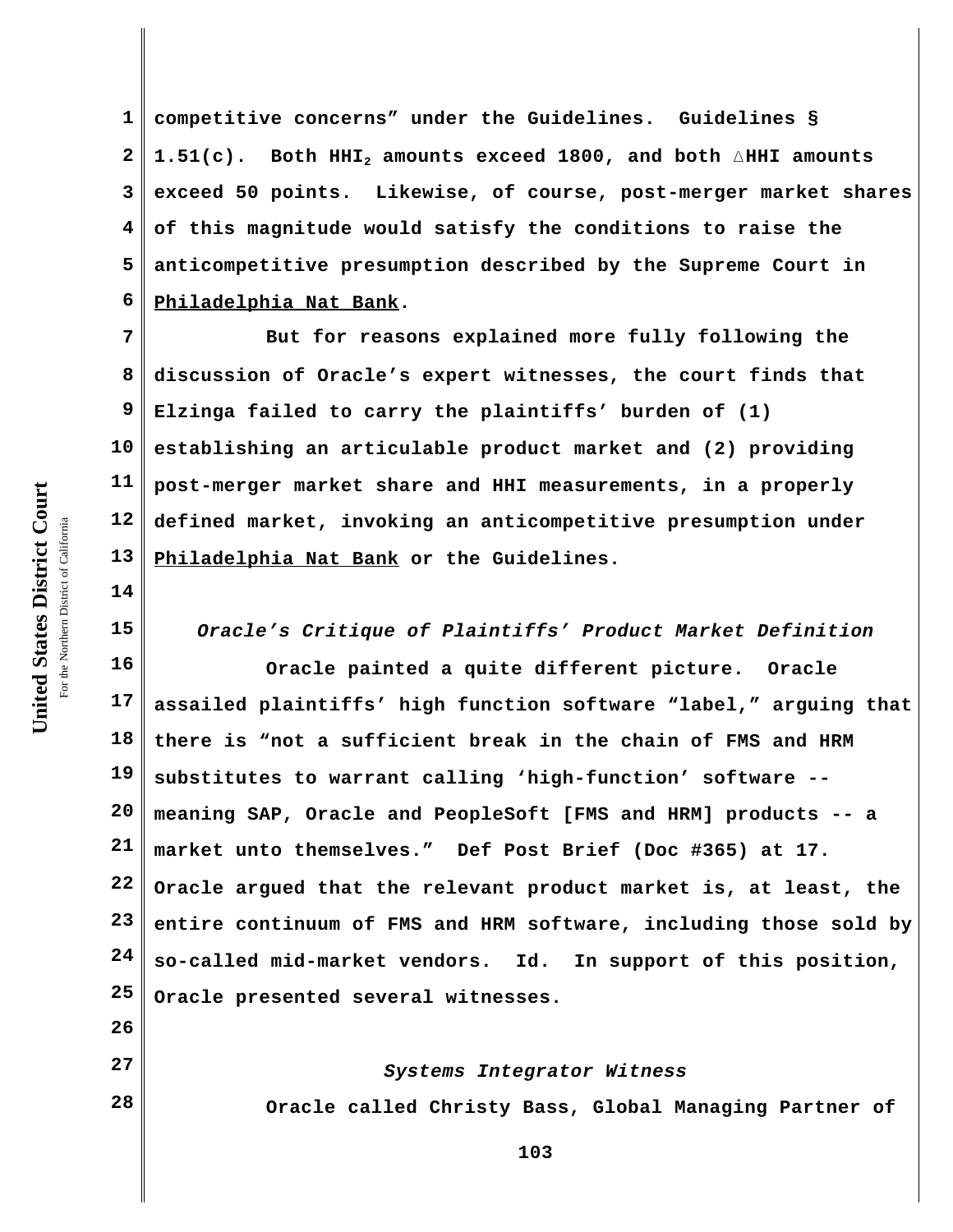**1 2 3 4 5 6 competitive concerns" under the Guidelines. Guidelines § 1.51(c). Both HHI2 amounts exceed 1800, and both** )**HHI amounts exceed 50 points. Likewise, of course, post-merger market shares of this magnitude would satisfy the conditions to raise the anticompetitive presumption described by the Supreme Court in Philadelphia Nat Bank.**

**7 8 9 10 11 12 13 But for reasons explained more fully following the discussion of Oracle's expert witnesses, the court finds that Elzinga failed to carry the plaintiffs' burden of (1) establishing an articulable product market and (2) providing post-merger market share and HHI measurements, in a properly defined market, invoking an anticompetitive presumption under Philadelphia Nat Bank or the Guidelines.** 

*Oracle's Critique of Plaintiffs' Product Market Definition*

**16 17 18 19 20 21 22 23 24 25 Oracle painted a quite different picture. Oracle assailed plaintiffs' high function software "label," arguing that there is "not a sufficient break in the chain of FMS and HRM substitutes to warrant calling 'high-function' software - meaning SAP, Oracle and PeopleSoft [FMS and HRM] products -- a market unto themselves." Def Post Brief (Doc #365) at 17. Oracle argued that the relevant product market is, at least, the entire continuum of FMS and HRM software, including those sold by so-called mid-market vendors. Id.****In support of this position, Oracle presented several witnesses.** 

> *Systems Integrator Witness* **Oracle called Christy Bass, Global Managing Partner of**

**14**

**15**

**26**

**27**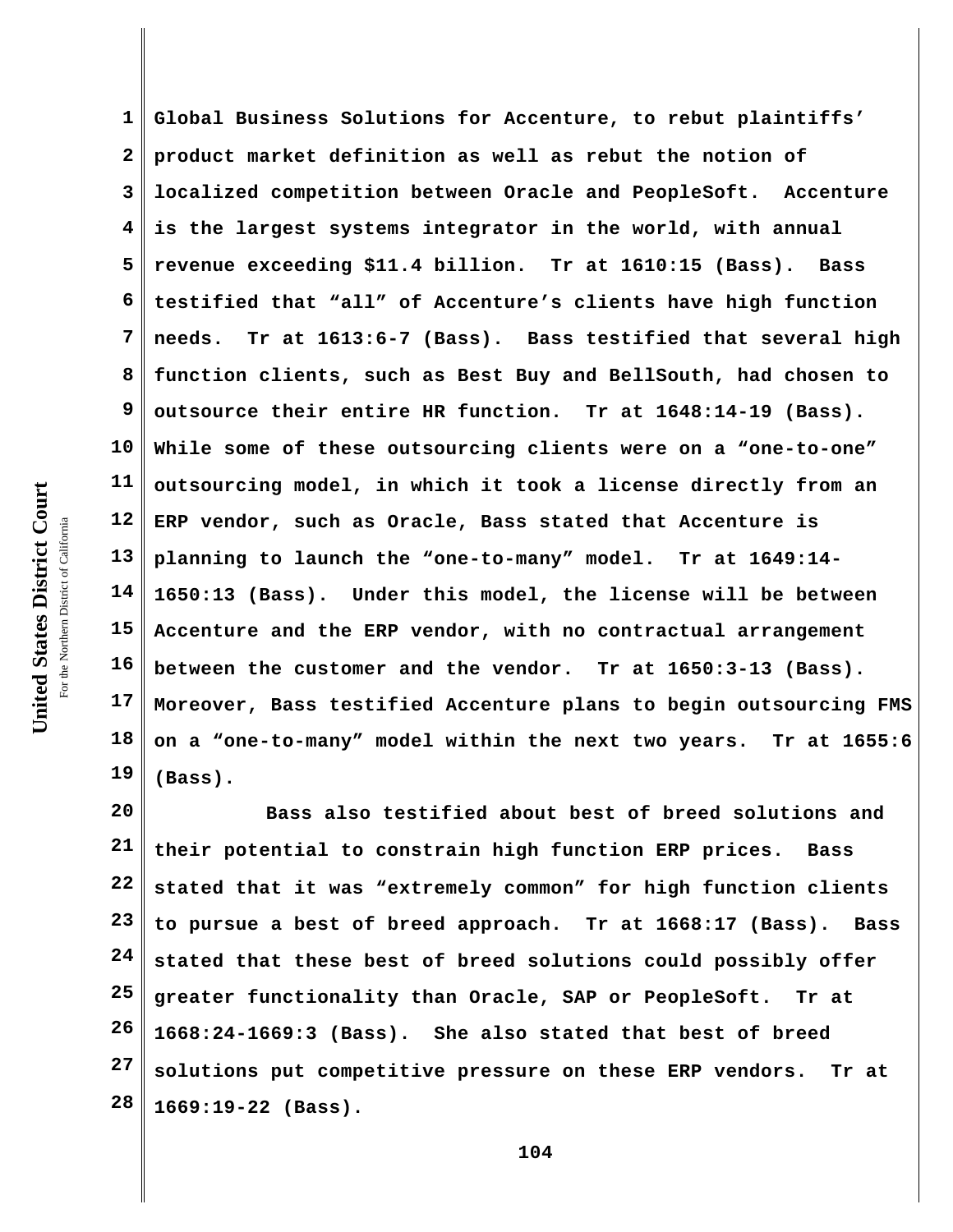**1 2 3 4 5 6 7 8 9 10 11 12 13 14 15 16 17 18 19 Global Business Solutions for Accenture, to rebut plaintiffs' product market definition as well as rebut the notion of localized competition between Oracle and PeopleSoft. Accenture is the largest systems integrator in the world, with annual revenue exceeding \$11.4 billion. Tr at 1610:15 (Bass). Bass testified that "all" of Accenture's clients have high function needs. Tr at 1613:6-7 (Bass). Bass testified that several high function clients, such as Best Buy and BellSouth, had chosen to outsource their entire HR function. Tr at 1648:14-19 (Bass). While some of these outsourcing clients were on a "one-to-one" outsourcing model, in which it took a license directly from an ERP vendor, such as Oracle, Bass stated that Accenture is planning to launch the "one-to-many" model. Tr at 1649:14- 1650:13 (Bass). Under this model, the license will be between Accenture and the ERP vendor, with no contractual arrangement between the customer and the vendor. Tr at 1650:3-13 (Bass). Moreover, Bass testified Accenture plans to begin outsourcing FMS on a "one-to-many" model within the next two years. Tr at 1655:6 (Bass).**

**20 21 22 23 24 25 26 27 28 Bass also testified about best of breed solutions and their potential to constrain high function ERP prices. Bass stated that it was "extremely common" for high function clients to pursue a best of breed approach. Tr at 1668:17 (Bass). Bass stated that these best of breed solutions could possibly offer greater functionality than Oracle, SAP or PeopleSoft. Tr at 1668:24-1669:3 (Bass). She also stated that best of breed solutions put competitive pressure on these ERP vendors. Tr at 1669:19-22 (Bass).**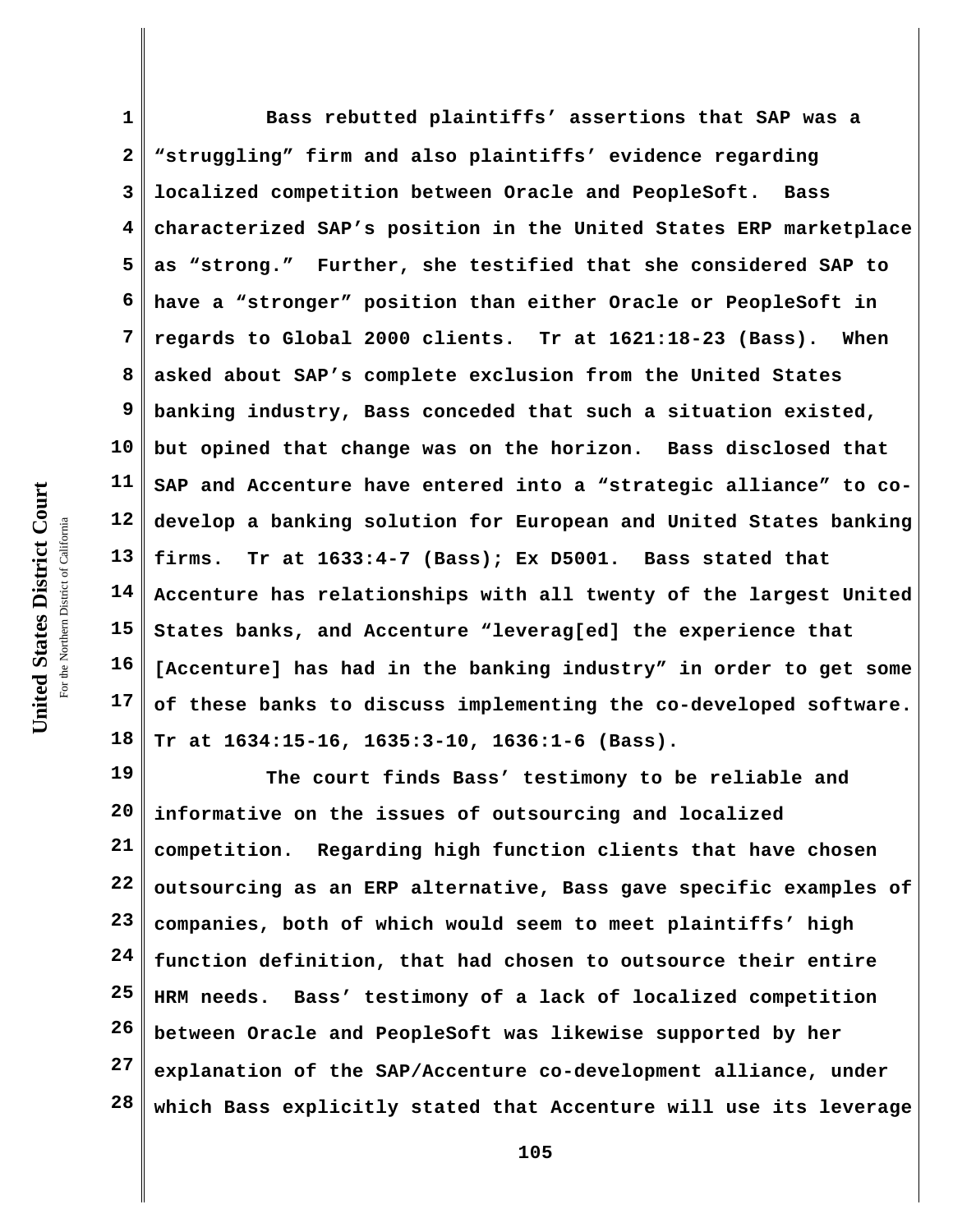**1 2 3 4 5 6 7 8 9 10 11 12 13 14 15 16 17 18 Bass rebutted plaintiffs' assertions that SAP was a "struggling" firm and also plaintiffs' evidence regarding localized competition between Oracle and PeopleSoft. Bass characterized SAP's position in the United States ERP marketplace as "strong." Further, she testified that she considered SAP to have a "stronger" position than either Oracle or PeopleSoft in regards to Global 2000 clients. Tr at 1621:18-23 (Bass). When asked about SAP's complete exclusion from the United States banking industry, Bass conceded that such a situation existed, but opined that change was on the horizon. Bass disclosed that SAP and Accenture have entered into a "strategic alliance" to codevelop a banking solution for European and United States banking firms. Tr at 1633:4-7 (Bass); Ex D5001. Bass stated that Accenture has relationships with all twenty of the largest United States banks, and Accenture "leverag[ed] the experience that [Accenture] has had in the banking industry" in order to get some of these banks to discuss implementing the co-developed software. Tr at 1634:15-16, 1635:3-10, 1636:1-6 (Bass).**

**19 20 21 22 23 24 25 26 27 28 The court finds Bass' testimony to be reliable and informative on the issues of outsourcing and localized competition. Regarding high function clients that have chosen outsourcing as an ERP alternative, Bass gave specific examples of companies, both of which would seem to meet plaintiffs' high function definition, that had chosen to outsource their entire HRM needs. Bass' testimony of a lack of localized competition between Oracle and PeopleSoft was likewise supported by her explanation of the SAP/Accenture co-development alliance, under which Bass explicitly stated that Accenture will use its leverage**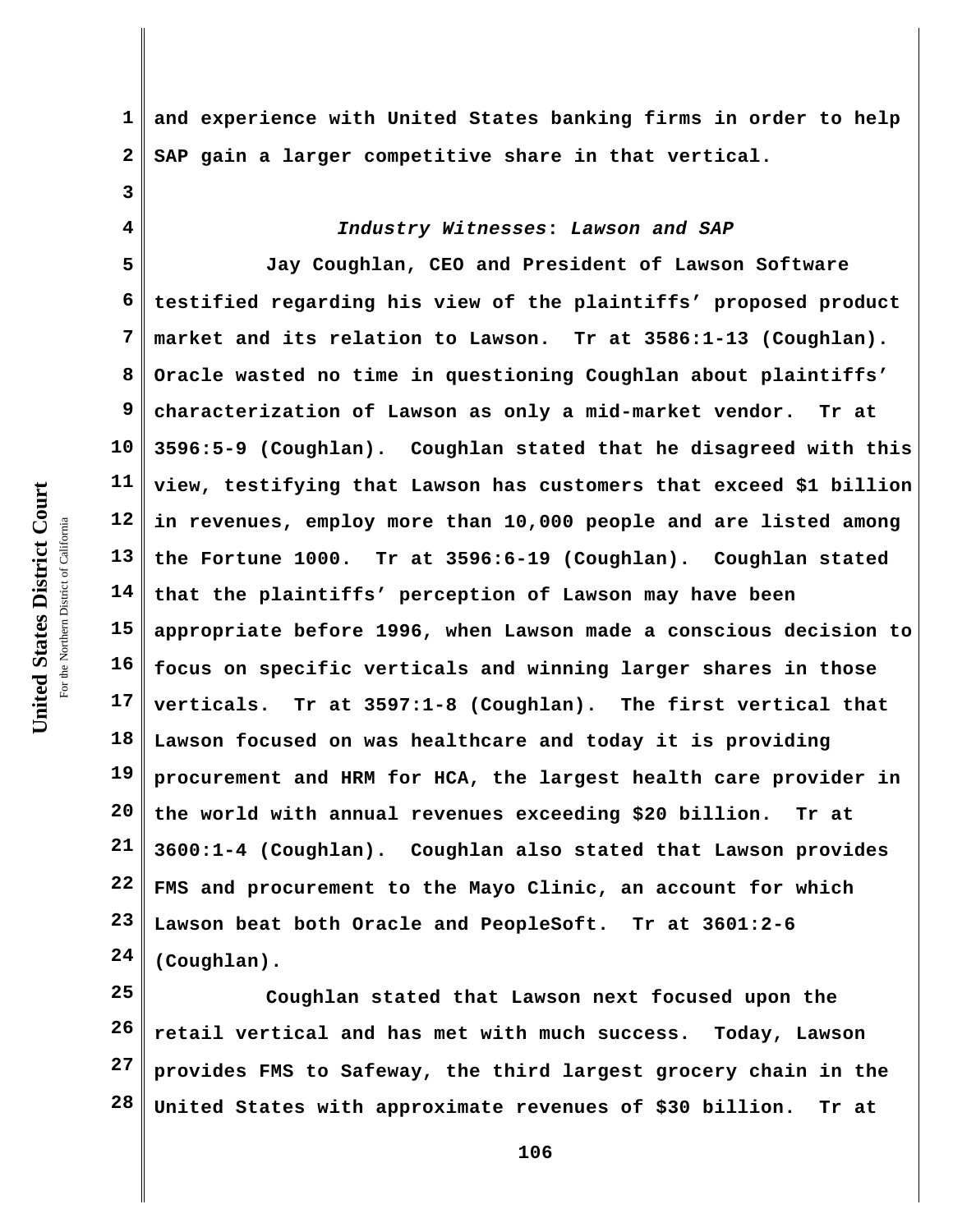United States District Court **United States District Court** For the Northern District of California the Northern District of California

**3**

**4**

**1 2 and experience with United States banking firms in order to help SAP gain a larger competitive share in that vertical.** 

*Industry Witnesses***:** *Lawson and SAP*

**5 6 7 8 9 10 11 12 13 14 15 16 17 18 19 20 21 22 23 24 Jay Coughlan, CEO and President of Lawson Software testified regarding his view of the plaintiffs' proposed product market and its relation to Lawson. Tr at 3586:1-13 (Coughlan). Oracle wasted no time in questioning Coughlan about plaintiffs' characterization of Lawson as only a mid-market vendor. Tr at 3596:5-9 (Coughlan). Coughlan stated that he disagreed with this view, testifying that Lawson has customers that exceed \$1 billion in revenues, employ more than 10,000 people and are listed among the Fortune 1000. Tr at 3596:6-19 (Coughlan). Coughlan stated that the plaintiffs' perception of Lawson may have been appropriate before 1996, when Lawson made a conscious decision to focus on specific verticals and winning larger shares in those verticals. Tr at 3597:1-8 (Coughlan). The first vertical that Lawson focused on was healthcare and today it is providing procurement and HRM for HCA, the largest health care provider in the world with annual revenues exceeding \$20 billion. Tr at 3600:1-4 (Coughlan). Coughlan also stated that Lawson provides FMS and procurement to the Mayo Clinic, an account for which Lawson beat both Oracle and PeopleSoft. Tr at 3601:2-6 (Coughlan).**

**25 26 27 28 Coughlan stated that Lawson next focused upon the retail vertical and has met with much success. Today, Lawson provides FMS to Safeway, the third largest grocery chain in the United States with approximate revenues of \$30 billion. Tr at**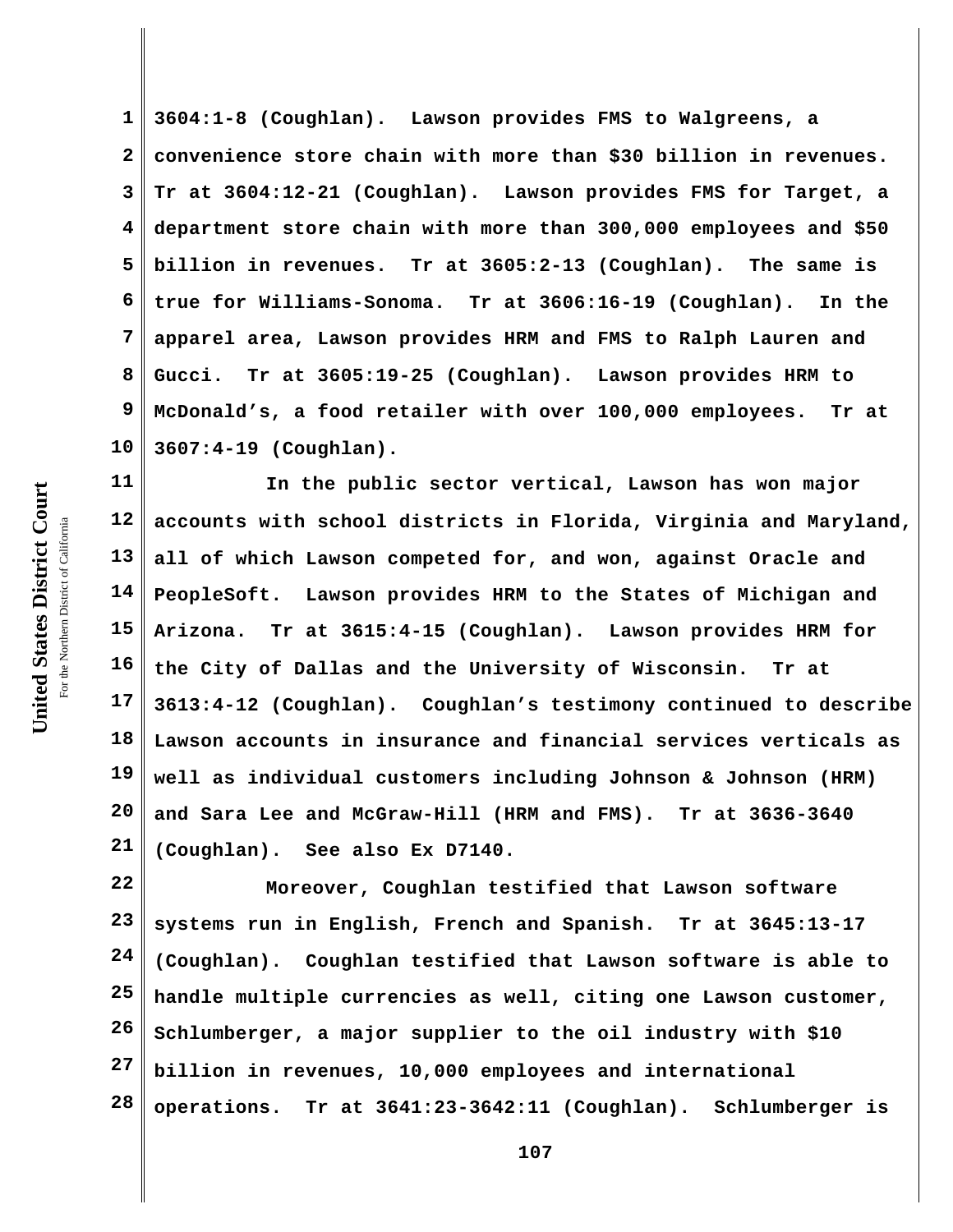**1 2 3 4 5 6 7 8 9 10 3604:1-8 (Coughlan). Lawson provides FMS to Walgreens, a convenience store chain with more than \$30 billion in revenues. Tr at 3604:12-21 (Coughlan). Lawson provides FMS for Target, a department store chain with more than 300,000 employees and \$50 billion in revenues. Tr at 3605:2-13 (Coughlan). The same is true for Williams-Sonoma. Tr at 3606:16-19 (Coughlan). In the apparel area, Lawson provides HRM and FMS to Ralph Lauren and Gucci. Tr at 3605:19-25 (Coughlan). Lawson provides HRM to McDonald's, a food retailer with over 100,000 employees. Tr at 3607:4-19 (Coughlan).**

**11 12 13 14 15 16 17 18 19 20 21 In the public sector vertical, Lawson has won major accounts with school districts in Florida, Virginia and Maryland, all of which Lawson competed for, and won, against Oracle and PeopleSoft. Lawson provides HRM to the States of Michigan and Arizona. Tr at 3615:4-15 (Coughlan). Lawson provides HRM for the City of Dallas and the University of Wisconsin. Tr at 3613:4-12 (Coughlan). Coughlan's testimony continued to describe Lawson accounts in insurance and financial services verticals as well as individual customers including Johnson & Johnson (HRM) and Sara Lee and McGraw-Hill (HRM and FMS). Tr at 3636-3640 (Coughlan). See also Ex D7140.**

**22 23 24 25 26 27 28 Moreover, Coughlan testified that Lawson software systems run in English, French and Spanish. Tr at 3645:13-17 (Coughlan). Coughlan testified that Lawson software is able to handle multiple currencies as well, citing one Lawson customer, Schlumberger, a major supplier to the oil industry with \$10 billion in revenues, 10,000 employees and international operations. Tr at 3641:23-3642:11 (Coughlan). Schlumberger is**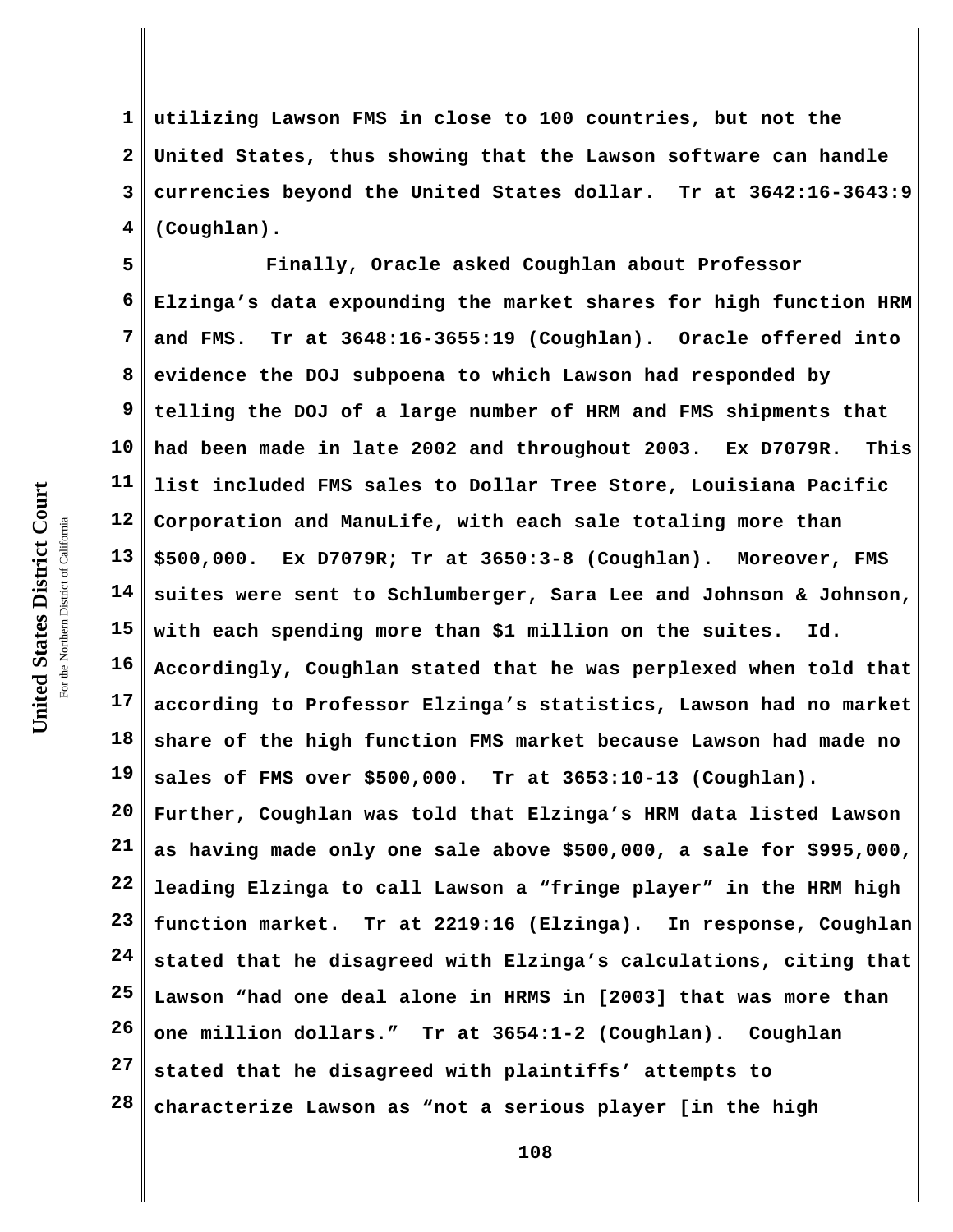United States District Court **United States District Court** For the Northern District of California the Northern District of California

**1 2 3 4 utilizing Lawson FMS in close to 100 countries, but not the United States, thus showing that the Lawson software can handle currencies beyond the United States dollar. Tr at 3642:16-3643:9 (Coughlan).**

**5 6 7 8 9 10 11 12 13 14 15 16 17 18 19 20 21 22 23 24 25 26 27 28 Finally, Oracle asked Coughlan about Professor Elzinga's data expounding the market shares for high function HRM and FMS. Tr at 3648:16-3655:19 (Coughlan). Oracle offered into evidence the DOJ subpoena to which Lawson had responded by telling the DOJ of a large number of HRM and FMS shipments that had been made in late 2002 and throughout 2003. Ex D7079R. This list included FMS sales to Dollar Tree Store, Louisiana Pacific Corporation and ManuLife, with each sale totaling more than \$500,000. Ex D7079R; Tr at 3650:3-8 (Coughlan). Moreover, FMS suites were sent to Schlumberger, Sara Lee and Johnson & Johnson, with each spending more than \$1 million on the suites. Id. Accordingly, Coughlan stated that he was perplexed when told that according to Professor Elzinga's statistics, Lawson had no market share of the high function FMS market because Lawson had made no sales of FMS over \$500,000. Tr at 3653:10-13 (Coughlan). Further, Coughlan was told that Elzinga's HRM data listed Lawson as having made only one sale above \$500,000, a sale for \$995,000, leading Elzinga to call Lawson a "fringe player" in the HRM high function market. Tr at 2219:16 (Elzinga). In response, Coughlan stated that he disagreed with Elzinga's calculations, citing that Lawson "had one deal alone in HRMS in [2003] that was more than one million dollars." Tr at 3654:1-2 (Coughlan). Coughlan stated that he disagreed with plaintiffs' attempts to characterize Lawson as "not a serious player [in the high**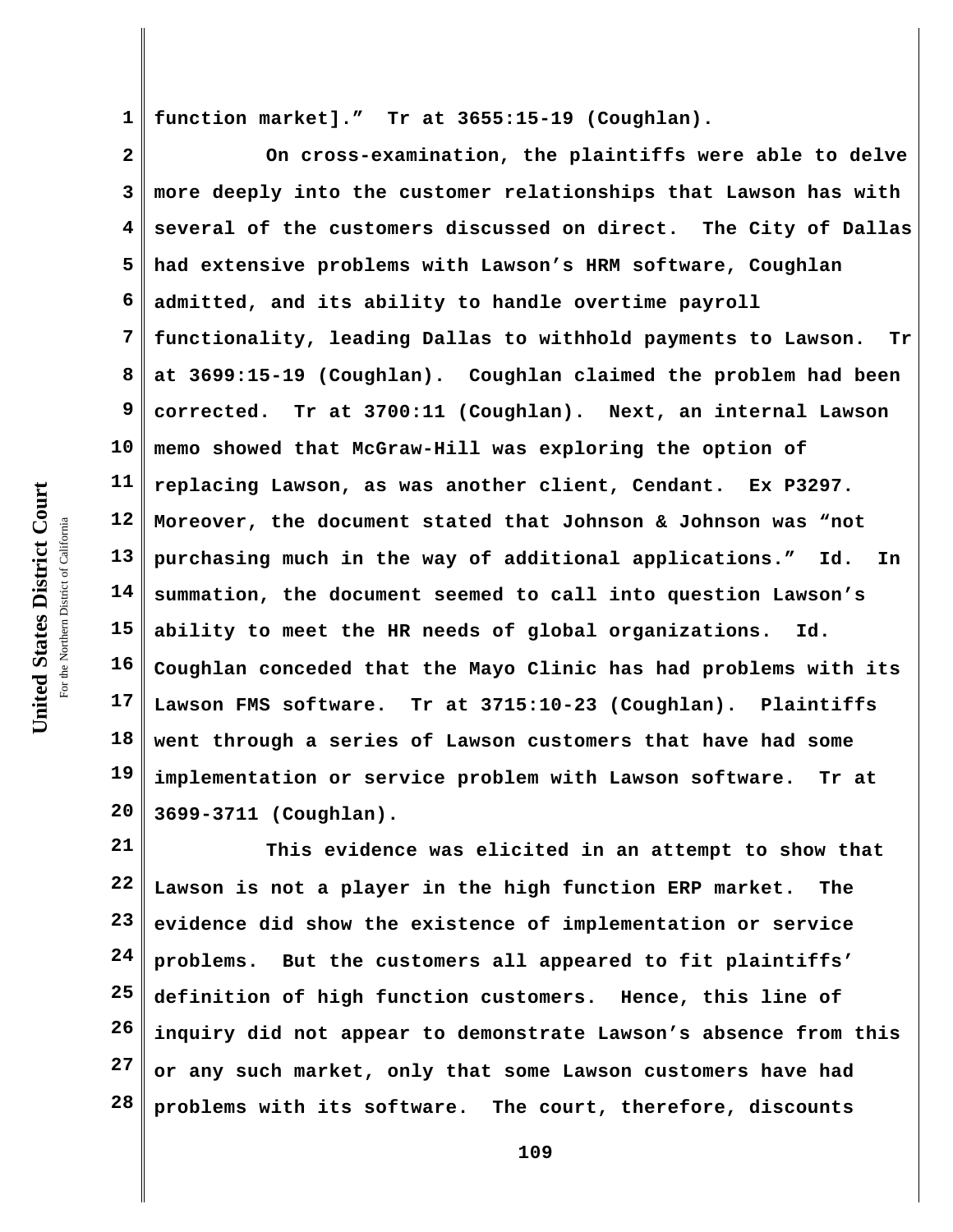**1 function market]." Tr at 3655:15-19 (Coughlan).**

**2 3 4 5 6 7 8 9 10 11 12 13 14 15 16 17 18 19 20 On cross-examination, the plaintiffs were able to delve more deeply into the customer relationships that Lawson has with several of the customers discussed on direct. The City of Dallas had extensive problems with Lawson's HRM software, Coughlan admitted, and its ability to handle overtime payroll functionality, leading Dallas to withhold payments to Lawson. Tr at 3699:15-19 (Coughlan). Coughlan claimed the problem had been corrected. Tr at 3700:11 (Coughlan). Next, an internal Lawson memo showed that McGraw-Hill was exploring the option of replacing Lawson, as was another client, Cendant. Ex P3297. Moreover, the document stated that Johnson & Johnson was "not purchasing much in the way of additional applications." Id. In summation, the document seemed to call into question Lawson's ability to meet the HR needs of global organizations. Id. Coughlan conceded that the Mayo Clinic has had problems with its Lawson FMS software. Tr at 3715:10-23 (Coughlan). Plaintiffs went through a series of Lawson customers that have had some implementation or service problem with Lawson software. Tr at 3699-3711 (Coughlan).**

**21 22 23 24 25 26 27 28 This evidence was elicited in an attempt to show that Lawson is not a player in the high function ERP market. The evidence did show the existence of implementation or service problems. But the customers all appeared to fit plaintiffs' definition of high function customers. Hence, this line of inquiry did not appear to demonstrate Lawson's absence from this or any such market, only that some Lawson customers have had problems with its software. The court, therefore, discounts**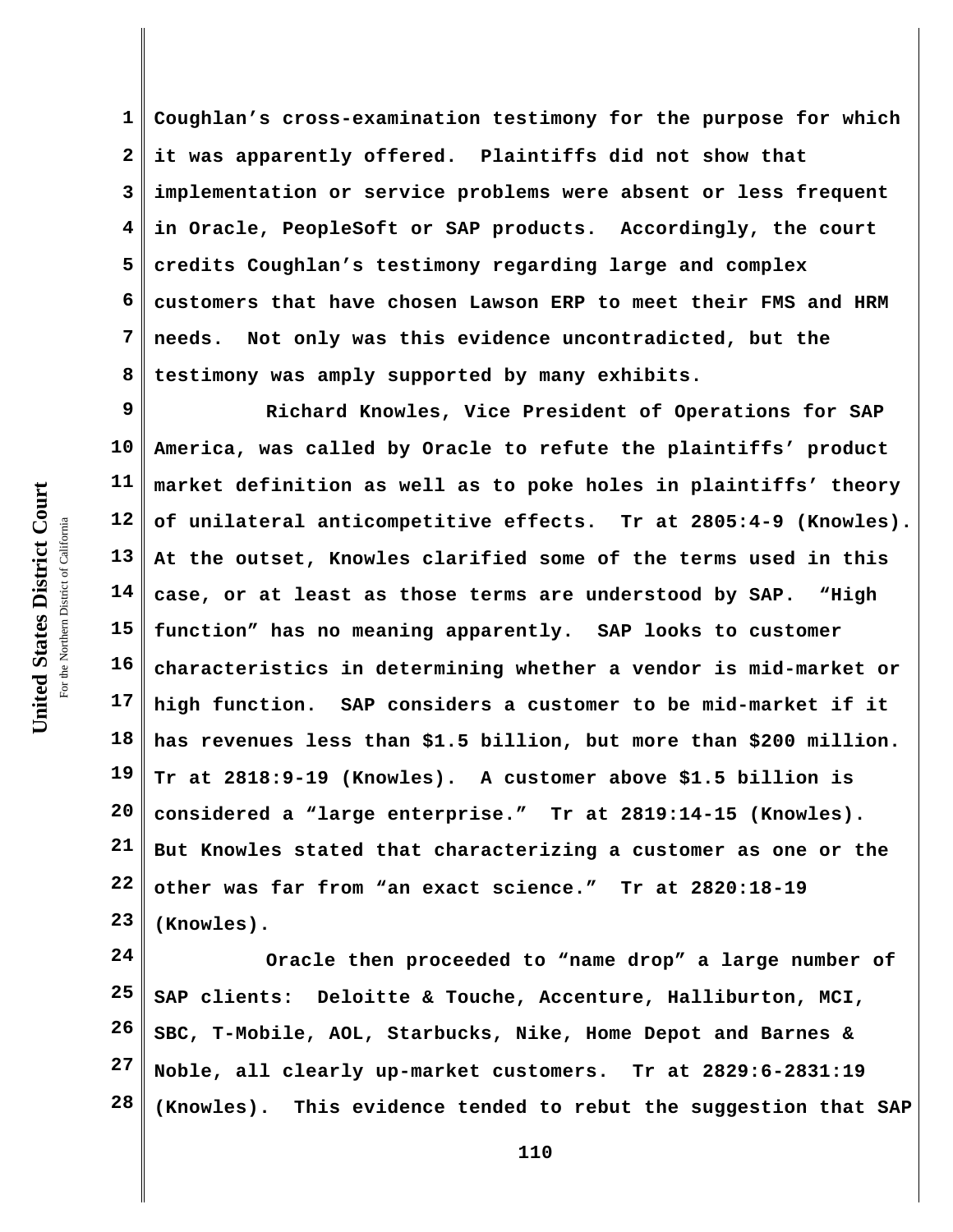**1 2 3 4 5 6 7 8 Coughlan's cross-examination testimony for the purpose for which it was apparently offered. Plaintiffs did not show that implementation or service problems were absent or less frequent in Oracle, PeopleSoft or SAP products. Accordingly, the court credits Coughlan's testimony regarding large and complex customers that have chosen Lawson ERP to meet their FMS and HRM needs. Not only was this evidence uncontradicted, but the testimony was amply supported by many exhibits.** 

**9 10 11 12 13 14 15 16 17 18 19 20 21 22 23 Richard Knowles, Vice President of Operations for SAP America, was called by Oracle to refute the plaintiffs' product market definition as well as to poke holes in plaintiffs' theory of unilateral anticompetitive effects. Tr at 2805:4-9 (Knowles). At the outset, Knowles clarified some of the terms used in this case, or at least as those terms are understood by SAP. "High function" has no meaning apparently. SAP looks to customer characteristics in determining whether a vendor is mid-market or high function. SAP considers a customer to be mid-market if it has revenues less than \$1.5 billion, but more than \$200 million. Tr at 2818:9-19 (Knowles). A customer above \$1.5 billion is considered a "large enterprise." Tr at 2819:14-15 (Knowles). But Knowles stated that characterizing a customer as one or the other was far from "an exact science." Tr at 2820:18-19 (Knowles).**

**24 25 26 27 28 Oracle then proceeded to "name drop" a large number of SAP clients: Deloitte & Touche, Accenture, Halliburton, MCI, SBC, T-Mobile, AOL, Starbucks, Nike, Home Depot and Barnes & Noble, all clearly up-market customers. Tr at 2829:6-2831:19 (Knowles). This evidence tended to rebut the suggestion that SAP**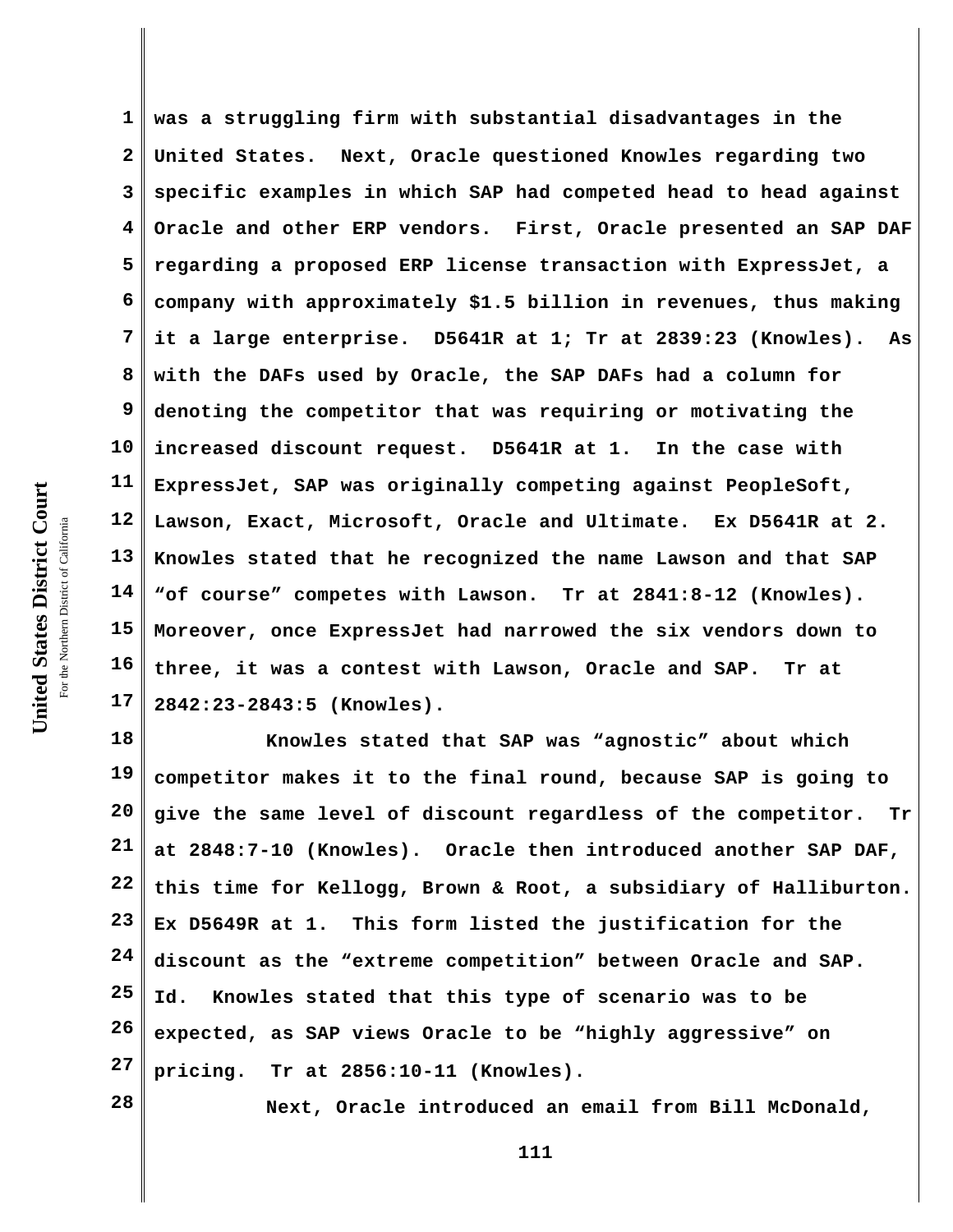**1 2 3 4 5 6 7 8 9 10 11 12 13 14 15 16 17 was a struggling firm with substantial disadvantages in the United States. Next, Oracle questioned Knowles regarding two specific examples in which SAP had competed head to head against Oracle and other ERP vendors. First, Oracle presented an SAP DAF regarding a proposed ERP license transaction with ExpressJet, a company with approximately \$1.5 billion in revenues, thus making it a large enterprise. D5641R at 1; Tr at 2839:23 (Knowles). As with the DAFs used by Oracle, the SAP DAFs had a column for denoting the competitor that was requiring or motivating the increased discount request. D5641R at 1. In the case with ExpressJet, SAP was originally competing against PeopleSoft, Lawson, Exact, Microsoft, Oracle and Ultimate. Ex D5641R at 2. Knowles stated that he recognized the name Lawson and that SAP "of course" competes with Lawson. Tr at 2841:8-12 (Knowles). Moreover, once ExpressJet had narrowed the six vendors down to three, it was a contest with Lawson, Oracle and SAP. Tr at 2842:23-2843:5 (Knowles).**

**18 19 20 21 22 23 24 25 26 27 Knowles stated that SAP was "agnostic" about which competitor makes it to the final round, because SAP is going to give the same level of discount regardless of the competitor. Tr at 2848:7-10 (Knowles). Oracle then introduced another SAP DAF, this time for Kellogg, Brown & Root, a subsidiary of Halliburton. Ex D5649R at 1. This form listed the justification for the discount as the "extreme competition" between Oracle and SAP. Id. Knowles stated that this type of scenario was to be expected, as SAP views Oracle to be "highly aggressive" on pricing. Tr at 2856:10-11 (Knowles).** 

**28**

**Next, Oracle introduced an email from Bill McDonald,**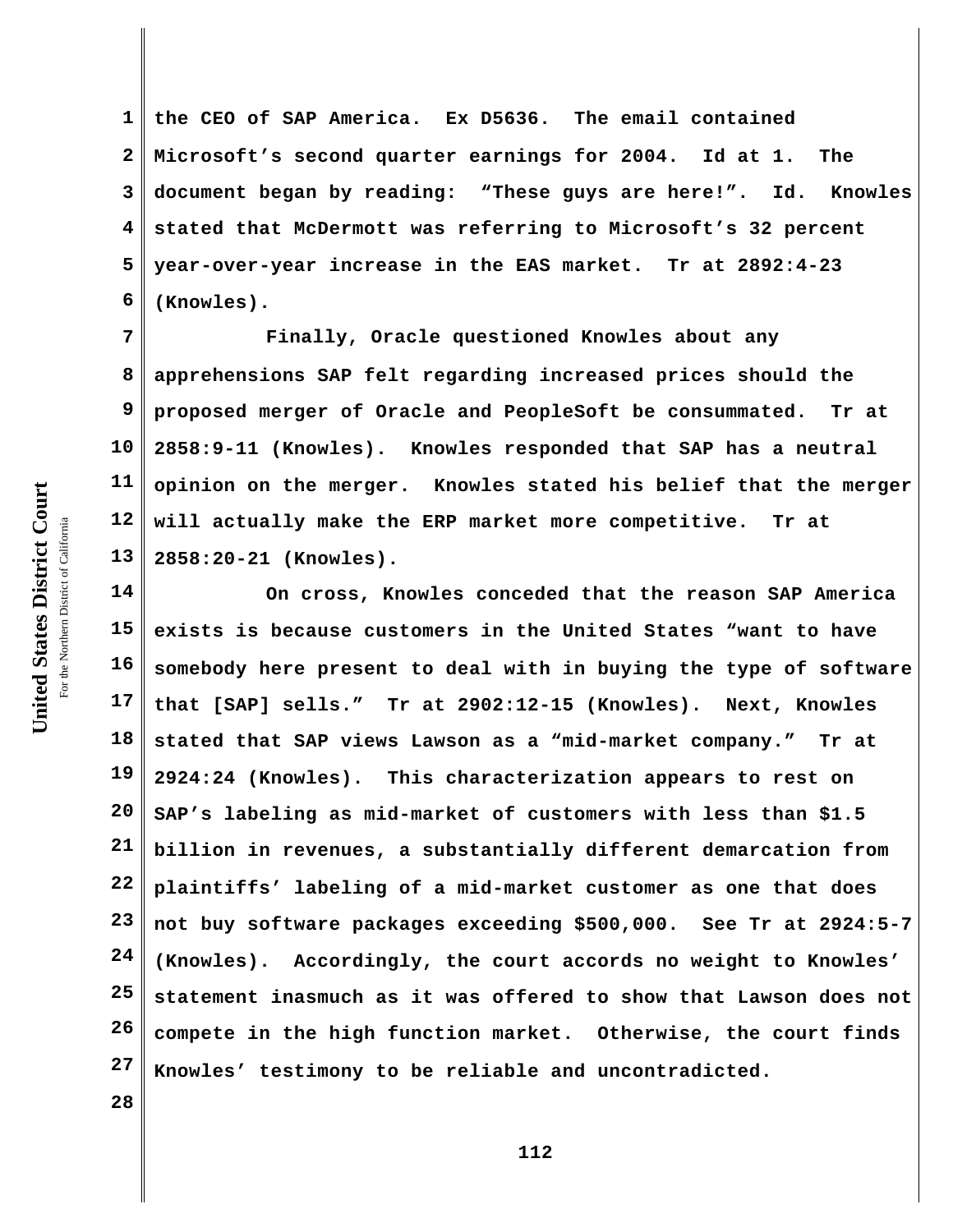**1 2 3 4 5 6 the CEO of SAP America. Ex D5636. The email contained Microsoft's second quarter earnings for 2004. Id at 1. The document began by reading: "These guys are here!". Id. Knowles stated that McDermott was referring to Microsoft's 32 percent year-over-year increase in the EAS market. Tr at 2892:4-23 (Knowles).** 

**7 8 9 11 12 13 Finally, Oracle questioned Knowles about any apprehensions SAP felt regarding increased prices should the proposed merger of Oracle and PeopleSoft be consummated. Tr at 2858:9-11 (Knowles). Knowles responded that SAP has a neutral opinion on the merger. Knowles stated his belief that the merger will actually make the ERP market more competitive. Tr at 2858:20-21 (Knowles).**

**14 15 16 17 18 19 20 21 22 23 24 25 26 27 On cross, Knowles conceded that the reason SAP America exists is because customers in the United States "want to have somebody here present to deal with in buying the type of software that [SAP] sells." Tr at 2902:12-15 (Knowles). Next, Knowles stated that SAP views Lawson as a "mid-market company." Tr at 2924:24 (Knowles). This characterization appears to rest on SAP's labeling as mid-market of customers with less than \$1.5 billion in revenues, a substantially different demarcation from plaintiffs' labeling of a mid-market customer as one that does not buy software packages exceeding \$500,000. See Tr at 2924:5-7 (Knowles). Accordingly, the court accords no weight to Knowles' statement inasmuch as it was offered to show that Lawson does not compete in the high function market. Otherwise, the court finds Knowles' testimony to be reliable and uncontradicted.**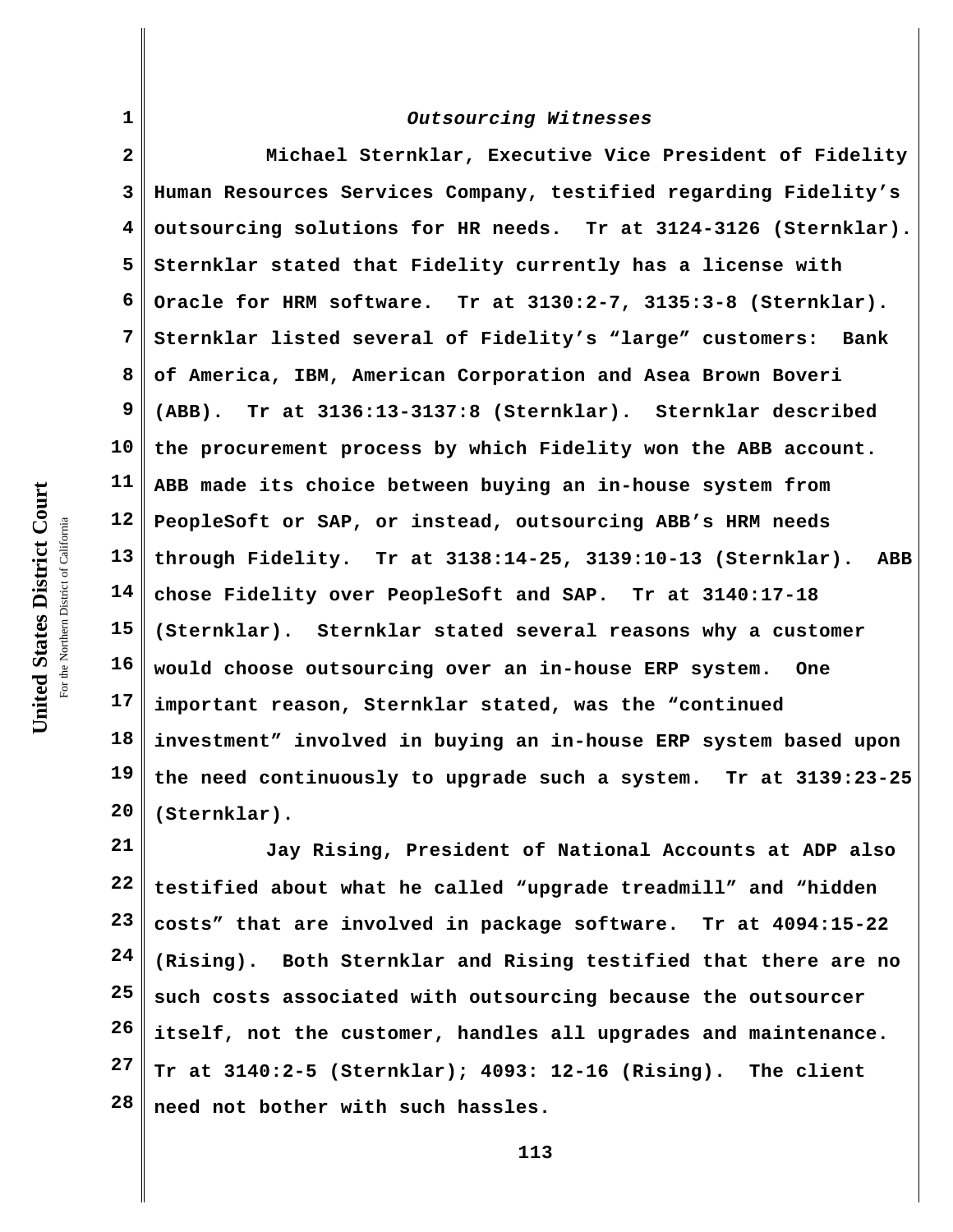| $\mathbf{1}$   | Outsourcing Witnesses                                              |
|----------------|--------------------------------------------------------------------|
| $\overline{a}$ | Michael Sternklar, Executive Vice President of Fidelity            |
| 3              | Human Resources Services Company, testified regarding Fidelity's   |
| 4              | outsourcing solutions for HR needs. Tr at 3124-3126 (Sternklar).   |
| 5              | Sternklar stated that Fidelity currently has a license with        |
| 6              | Oracle for HRM software. Tr at 3130:2-7, 3135:3-8 (Sternklar).     |
| 7              | Sternklar listed several of Fidelity's "large" customers: Bank     |
| 8              | of America, IBM, American Corporation and Asea Brown Boveri        |
| 9              | (ABB). Tr at 3136:13-3137:8 (Sternklar). Sternklar described       |
| 10             | the procurement process by which Fidelity won the ABB account.     |
| 11             | ABB made its choice between buying an in-house system from         |
| 12             | PeopleSoft or SAP, or instead, outsourcing ABB's HRM needs         |
| 13             | through Fidelity. Tr at 3138:14-25, 3139:10-13 (Sternklar).<br>ABB |
| 14             | chose Fidelity over PeopleSoft and SAP. Tr at 3140:17-18           |
| 15             | (Sternklar). Sternklar stated several reasons why a customer       |
| 16             | would choose outsourcing over an in-house ERP system. One          |
| 17             | important reason, Sternklar stated, was the "continued             |
| 18             | investment" involved in buying an in-house ERP system based upon   |
| 19             | the need continuously to upgrade such a system. Tr at 3139:23-25   |
| 20             | (Sternklar).                                                       |

**21 22 23 24 25 26 27 28 Jay Rising, President of National Accounts at ADP also testified about what he called "upgrade treadmill" and "hidden costs" that are involved in package software. Tr at 4094:15-22 (Rising). Both Sternklar and Rising testified that there are no such costs associated with outsourcing because the outsourcer itself, not the customer, handles all upgrades and maintenance. Tr at 3140:2-5 (Sternklar); 4093: 12-16 (Rising). The client need not bother with such hassles.**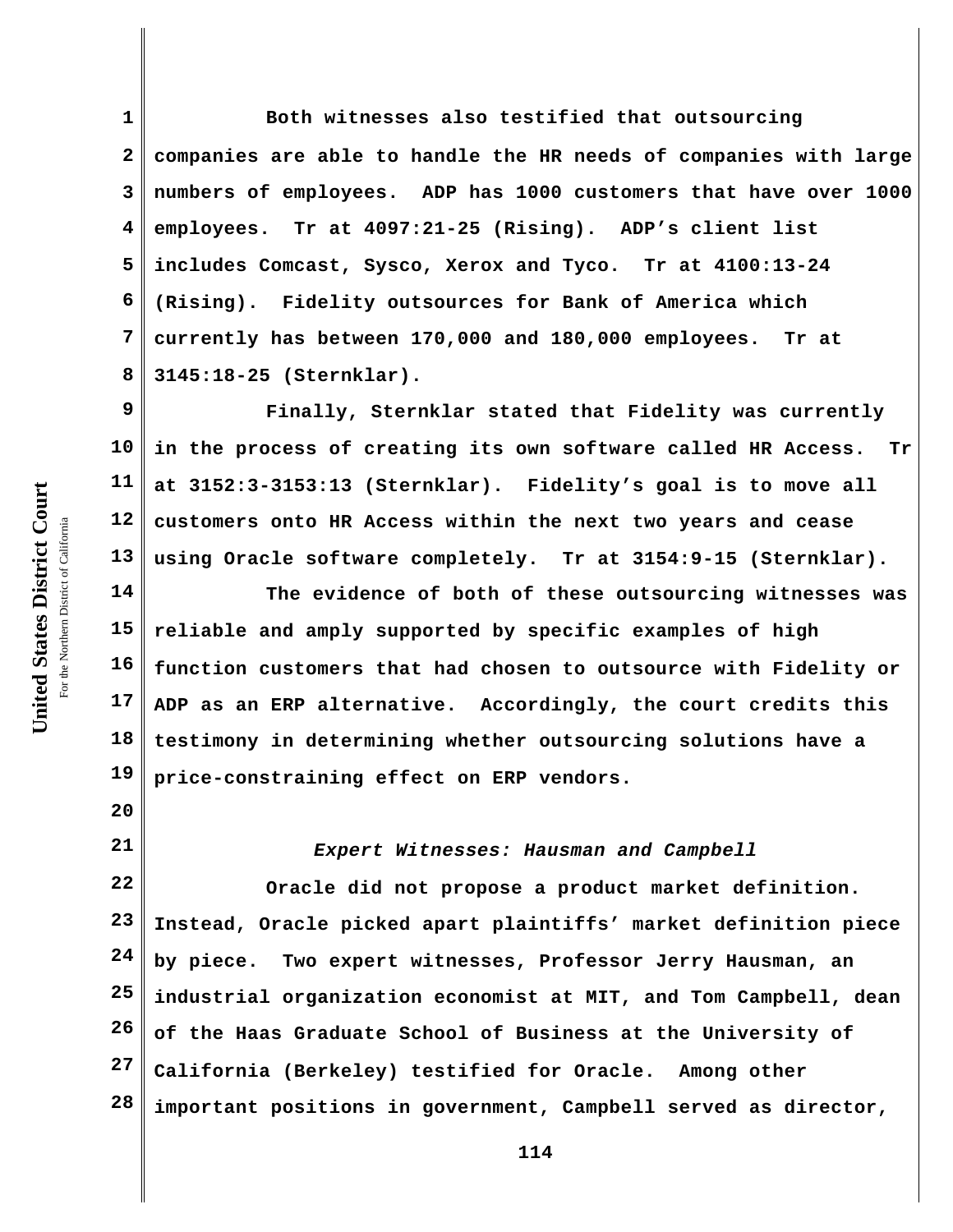**1 2 3 4 5 6 7 8 Both witnesses also testified that outsourcing companies are able to handle the HR needs of companies with large numbers of employees. ADP has 1000 customers that have over 1000 employees. Tr at 4097:21-25 (Rising). ADP's client list includes Comcast, Sysco, Xerox and Tyco. Tr at 4100:13-24 (Rising). Fidelity outsources for Bank of America which currently has between 170,000 and 180,000 employees. Tr at 3145:18-25 (Sternklar).**

**9 10 11 12 13 Finally, Sternklar stated that Fidelity was currently in the process of creating its own software called HR Access. Tr at 3152:3-3153:13 (Sternklar). Fidelity's goal is to move all customers onto HR Access within the next two years and cease using Oracle software completely. Tr at 3154:9-15 (Sternklar).**

**14 15 16 17 18 19 The evidence of both of these outsourcing witnesses was reliable and amply supported by specific examples of high function customers that had chosen to outsource with Fidelity or ADP as an ERP alternative. Accordingly, the court credits this testimony in determining whether outsourcing solutions have a price-constraining effect on ERP vendors.** 

*Expert Witnesses: Hausman and Campbell*

**22 23 24 25 26 27 28 Oracle did not propose a product market definition. Instead, Oracle picked apart plaintiffs' market definition piece by piece. Two expert witnesses, Professor Jerry Hausman, an industrial organization economist at MIT, and Tom Campbell, dean of the Haas Graduate School of Business at the University of California (Berkeley) testified for Oracle. Among other important positions in government, Campbell served as director,**

**20**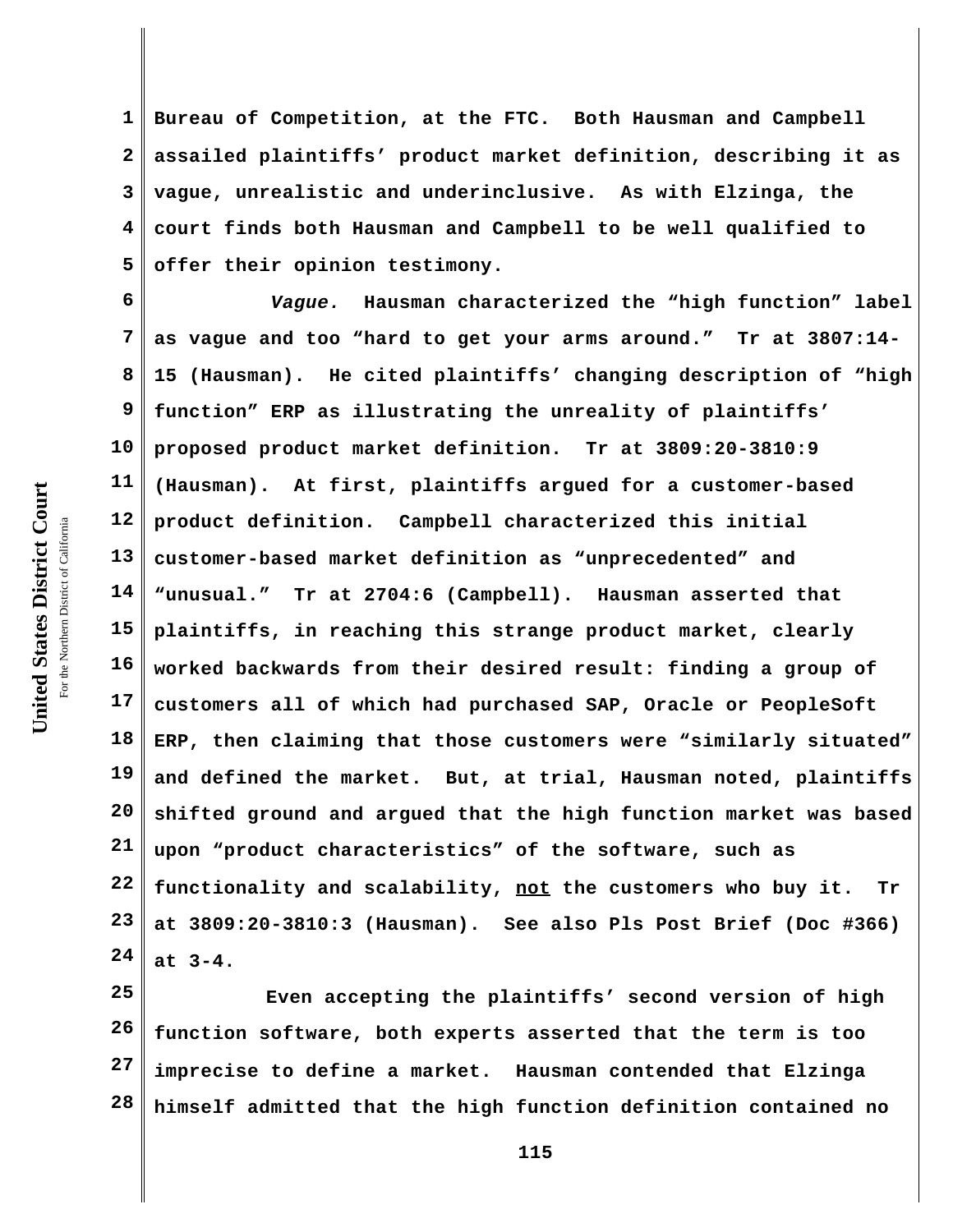**1 2 3 4 5 Bureau of Competition, at the FTC. Both Hausman and Campbell assailed plaintiffs' product market definition, describing it as vague, unrealistic and underinclusive. As with Elzinga, the court finds both Hausman and Campbell to be well qualified to offer their opinion testimony.** 

**6 7 8 9 10 11 12 13 14 15 16 17 18 19 20 21 22 23 24** *Vague.* **Hausman characterized the "high function" label as vague and too "hard to get your arms around." Tr at 3807:14- 15 (Hausman). He cited plaintiffs' changing description of "high function" ERP as illustrating the unreality of plaintiffs' proposed product market definition. Tr at 3809:20-3810:9 (Hausman). At first, plaintiffs argued for a customer-based product definition. Campbell characterized this initial customer-based market definition as "unprecedented" and "unusual." Tr at 2704:6 (Campbell). Hausman asserted that plaintiffs, in reaching this strange product market, clearly worked backwards from their desired result: finding a group of customers all of which had purchased SAP, Oracle or PeopleSoft ERP, then claiming that those customers were "similarly situated" and defined the market. But, at trial, Hausman noted, plaintiffs shifted ground and argued that the high function market was based upon "product characteristics" of the software, such as functionality and scalability, not the customers who buy it. Tr at 3809:20-3810:3 (Hausman). See also Pls Post Brief (Doc #366) at 3-4.**

**25 26 27 28 Even accepting the plaintiffs' second version of high function software, both experts asserted that the term is too imprecise to define a market. Hausman contended that Elzinga himself admitted that the high function definition contained no**

United States District Court **United States District Court** For the Northern District of California the Northern District of California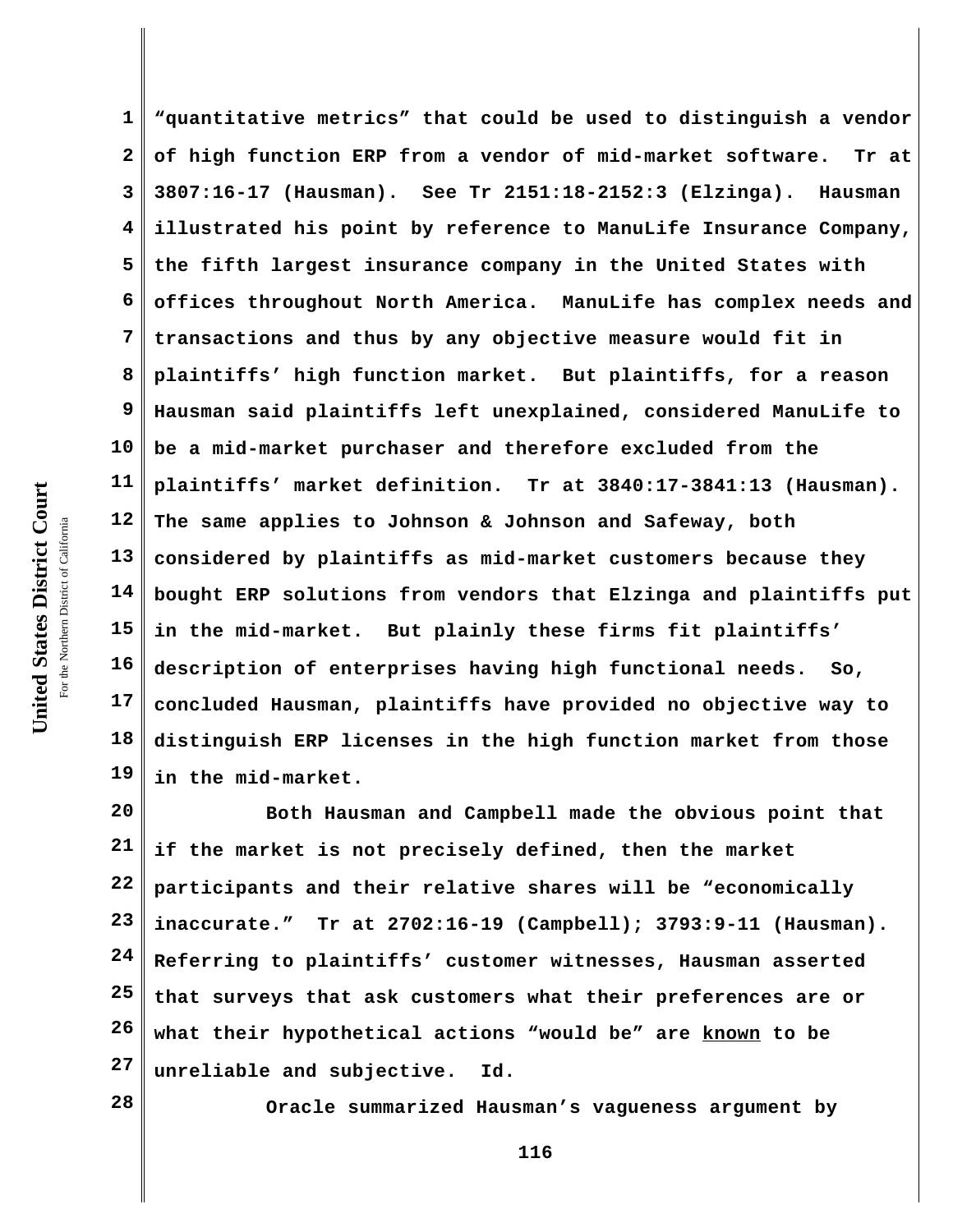United States District Court **United States District Court** For the Northern District of California the Northern District of California

**1 2 3 4 5 6 7 8 9 10 11 12 13 14 15 16 17 18 19 "quantitative metrics" that could be used to distinguish a vendor of high function ERP from a vendor of mid-market software. Tr at 3807:16-17 (Hausman). See Tr 2151:18-2152:3 (Elzinga). Hausman illustrated his point by reference to ManuLife Insurance Company, the fifth largest insurance company in the United States with offices throughout North America. ManuLife has complex needs and transactions and thus by any objective measure would fit in plaintiffs' high function market. But plaintiffs, for a reason Hausman said plaintiffs left unexplained, considered ManuLife to be a mid-market purchaser and therefore excluded from the plaintiffs' market definition. Tr at 3840:17-3841:13 (Hausman). The same applies to Johnson & Johnson and Safeway, both considered by plaintiffs as mid-market customers because they bought ERP solutions from vendors that Elzinga and plaintiffs put in the mid-market. But plainly these firms fit plaintiffs' description of enterprises having high functional needs. So, concluded Hausman, plaintiffs have provided no objective way to distinguish ERP licenses in the high function market from those in the mid-market.** 

**20 21 22 23 24 25 26 27 Both Hausman and Campbell made the obvious point that if the market is not precisely defined, then the market participants and their relative shares will be "economically inaccurate." Tr at 2702:16-19 (Campbell); 3793:9-11 (Hausman). Referring to plaintiffs' customer witnesses, Hausman asserted that surveys that ask customers what their preferences are or what their hypothetical actions "would be" are known to be unreliable and subjective. Id.**

**28**

**Oracle summarized Hausman's vagueness argument by**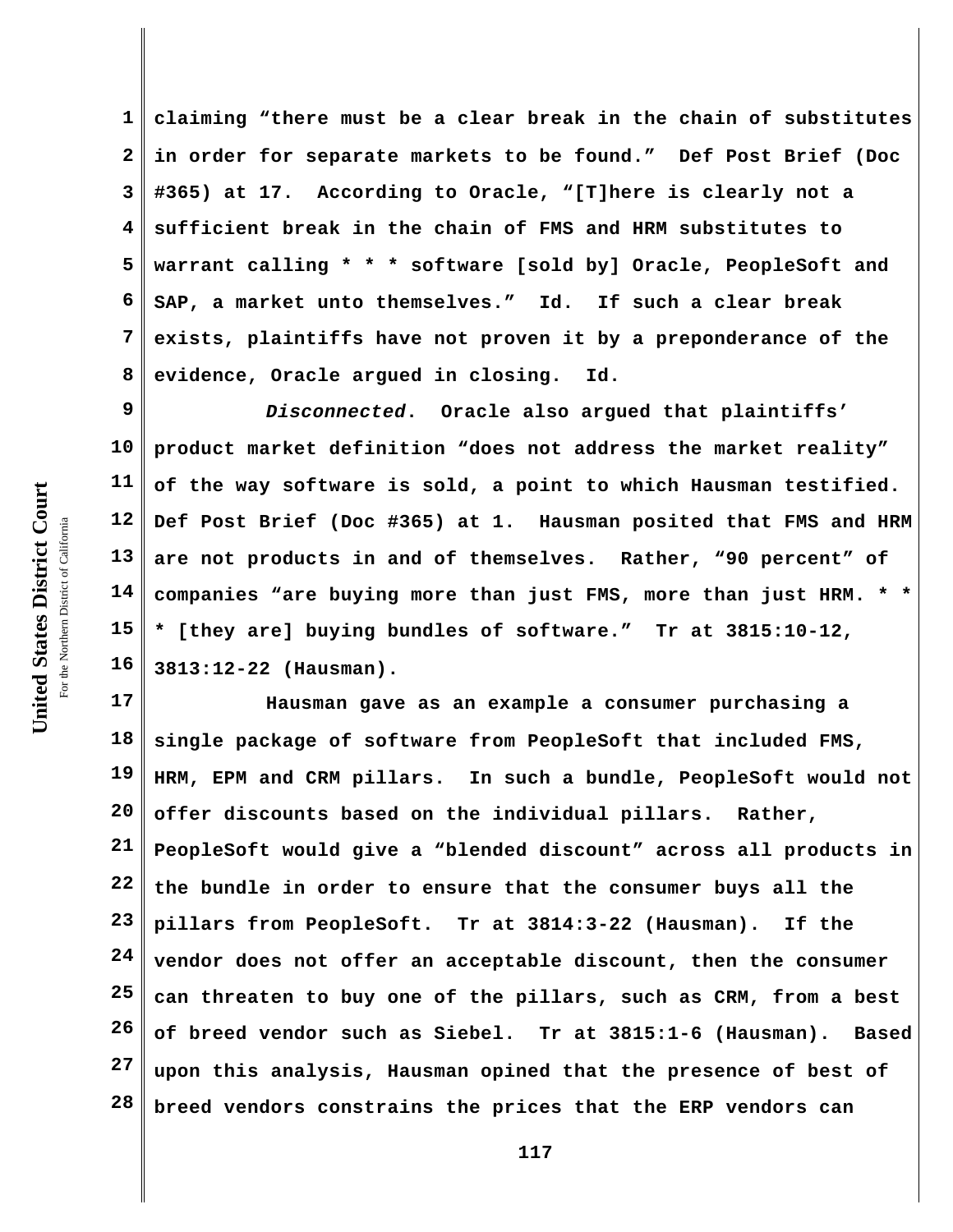**1 2 3 4 5 6 7 8 claiming "there must be a clear break in the chain of substitutes in order for separate markets to be found." Def Post Brief (Doc #365) at 17. According to Oracle, "[T]here is clearly not a sufficient break in the chain of FMS and HRM substitutes to warrant calling \* \* \* software [sold by] Oracle, PeopleSoft and SAP, a market unto themselves." Id. If such a clear break exists, plaintiffs have not proven it by a preponderance of the evidence, Oracle argued in closing. Id.** 

**9 10 11 12 13 14 15 16** *Disconnected***. Oracle also argued that plaintiffs' product market definition "does not address the market reality" of the way software is sold, a point to which Hausman testified. Def Post Brief (Doc #365) at 1. Hausman posited that FMS and HRM are not products in and of themselves. Rather, "90 percent" of companies "are buying more than just FMS, more than just HRM. \* \* \* [they are] buying bundles of software." Tr at 3815:10-12, 3813:12-22 (Hausman).**

**17 18 19 20 21 22 23 24 25 26 27 28 Hausman gave as an example a consumer purchasing a single package of software from PeopleSoft that included FMS, HRM, EPM and CRM pillars. In such a bundle, PeopleSoft would not offer discounts based on the individual pillars. Rather, PeopleSoft would give a "blended discount" across all products in the bundle in order to ensure that the consumer buys all the pillars from PeopleSoft. Tr at 3814:3-22 (Hausman). If the vendor does not offer an acceptable discount, then the consumer can threaten to buy one of the pillars, such as CRM, from a best of breed vendor such as Siebel. Tr at 3815:1-6 (Hausman). Based upon this analysis, Hausman opined that the presence of best of breed vendors constrains the prices that the ERP vendors can**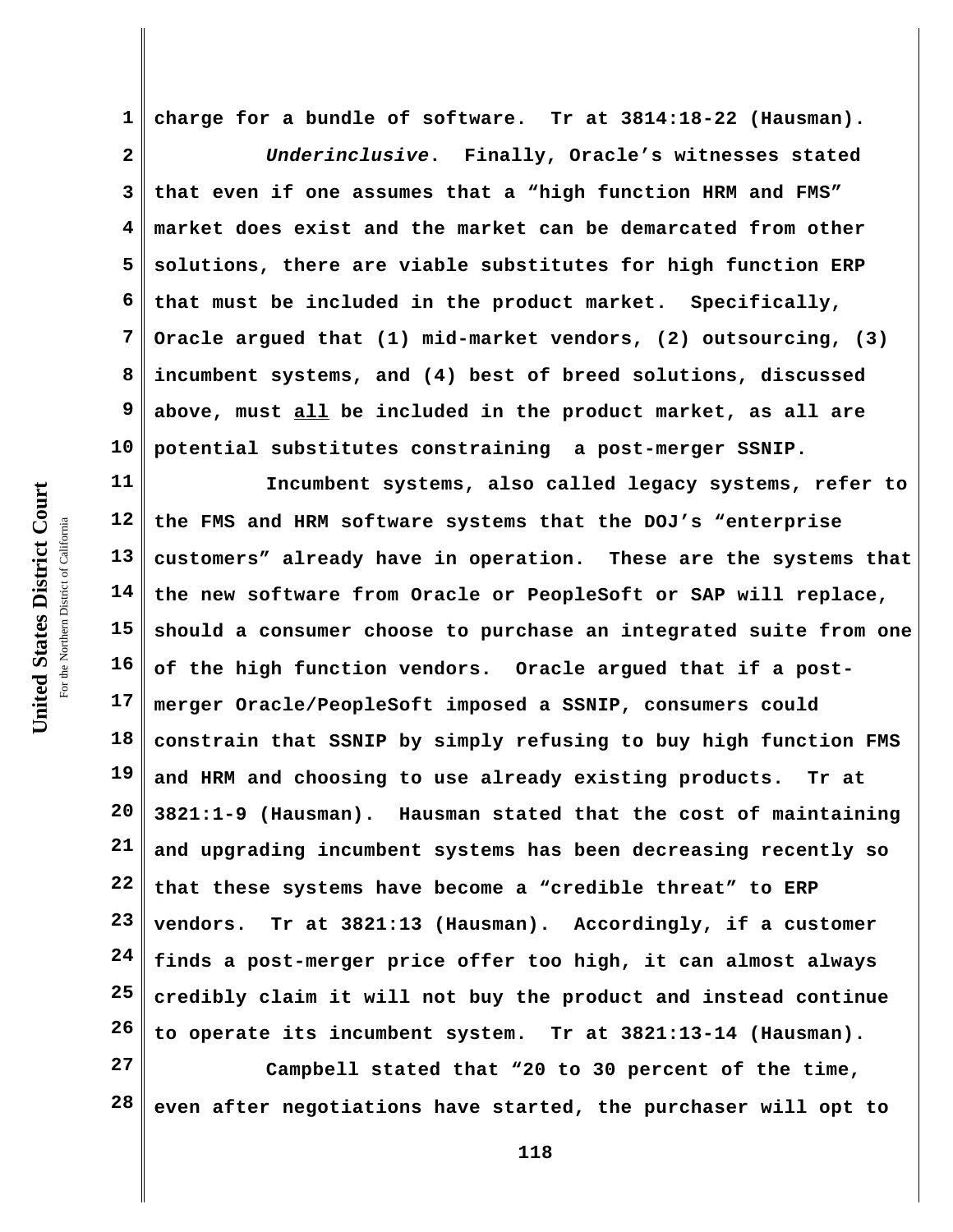**United States District Court** For the Northern District of California the Northern District of California

United States District Court

**1 charge for a bundle of software. Tr at 3814:18-22 (Hausman).**

**2 3 4 5 6 7 8 9 10** *Underinclusive***. Finally, Oracle's witnesses stated that even if one assumes that a "high function HRM and FMS" market does exist and the market can be demarcated from other solutions, there are viable substitutes for high function ERP that must be included in the product market. Specifically, Oracle argued that (1) mid-market vendors, (2) outsourcing, (3) incumbent systems, and (4) best of breed solutions, discussed above, must all be included in the product market, as all are potential substitutes constraining a post-merger SSNIP.**

**11 12 13 14 15 16 17 18 19 20 21 22 23 24 25 26 Incumbent systems, also called legacy systems, refer to the FMS and HRM software systems that the DOJ's "enterprise customers" already have in operation. These are the systems that the new software from Oracle or PeopleSoft or SAP will replace, should a consumer choose to purchase an integrated suite from one of the high function vendors. Oracle argued that if a postmerger Oracle/PeopleSoft imposed a SSNIP, consumers could constrain that SSNIP by simply refusing to buy high function FMS and HRM and choosing to use already existing products. Tr at 3821:1-9 (Hausman). Hausman stated that the cost of maintaining and upgrading incumbent systems has been decreasing recently so that these systems have become a "credible threat" to ERP vendors. Tr at 3821:13 (Hausman). Accordingly, if a customer finds a post-merger price offer too high, it can almost always credibly claim it will not buy the product and instead continue to operate its incumbent system. Tr at 3821:13-14 (Hausman).** 

**27 28 Campbell stated that "20 to 30 percent of the time, even after negotiations have started, the purchaser will opt to**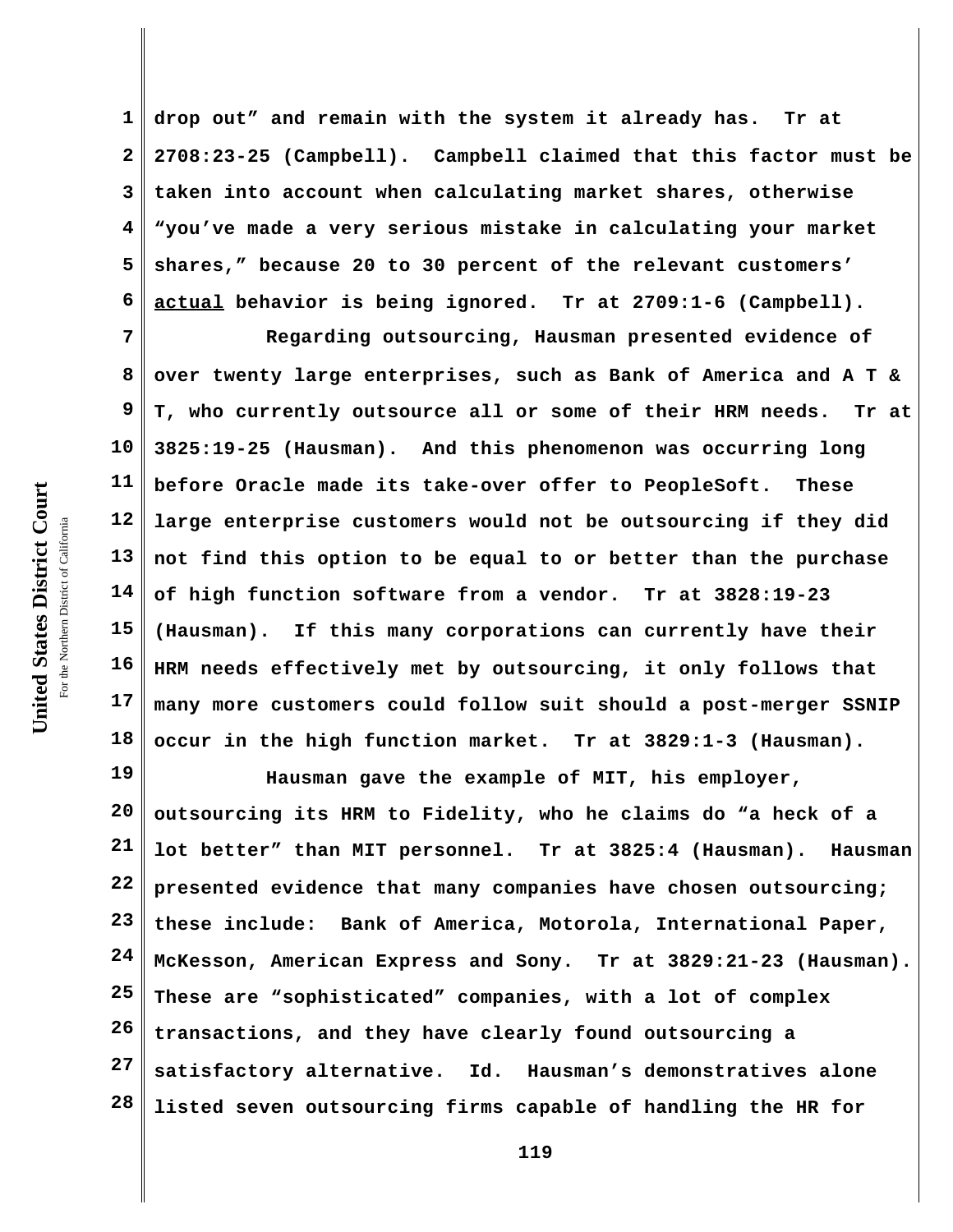**2 3 4 5 6 7 drop out" and remain with the system it already has. Tr at 2708:23-25 (Campbell). Campbell claimed that this factor must be taken into account when calculating market shares, otherwise "you've made a very serious mistake in calculating your market shares," because 20 to 30 percent of the relevant customers' actual behavior is being ignored. Tr at 2709:1-6 (Campbell). Regarding outsourcing, Hausman presented evidence of**

**8 9 10 11 12 13 14 15 16 17 18 over twenty large enterprises, such as Bank of America and A T & T, who currently outsource all or some of their HRM needs. Tr at 3825:19-25 (Hausman). And this phenomenon was occurring long before Oracle made its take-over offer to PeopleSoft. These large enterprise customers would not be outsourcing if they did not find this option to be equal to or better than the purchase of high function software from a vendor. Tr at 3828:19-23 (Hausman). If this many corporations can currently have their HRM needs effectively met by outsourcing, it only follows that many more customers could follow suit should a post-merger SSNIP occur in the high function market. Tr at 3829:1-3 (Hausman).**

**19 20 21 22 23 24 25 26 27 28 Hausman gave the example of MIT, his employer, outsourcing its HRM to Fidelity, who he claims do "a heck of a lot better" than MIT personnel. Tr at 3825:4 (Hausman). Hausman presented evidence that many companies have chosen outsourcing; these include: Bank of America, Motorola, International Paper, McKesson, American Express and Sony. Tr at 3829:21-23 (Hausman). These are "sophisticated" companies, with a lot of complex transactions, and they have clearly found outsourcing a satisfactory alternative. Id.****Hausman's demonstratives alone listed seven outsourcing firms capable of handling the HR for**

United States District Court **United States District Court** For the Northern District of California the Northern District of California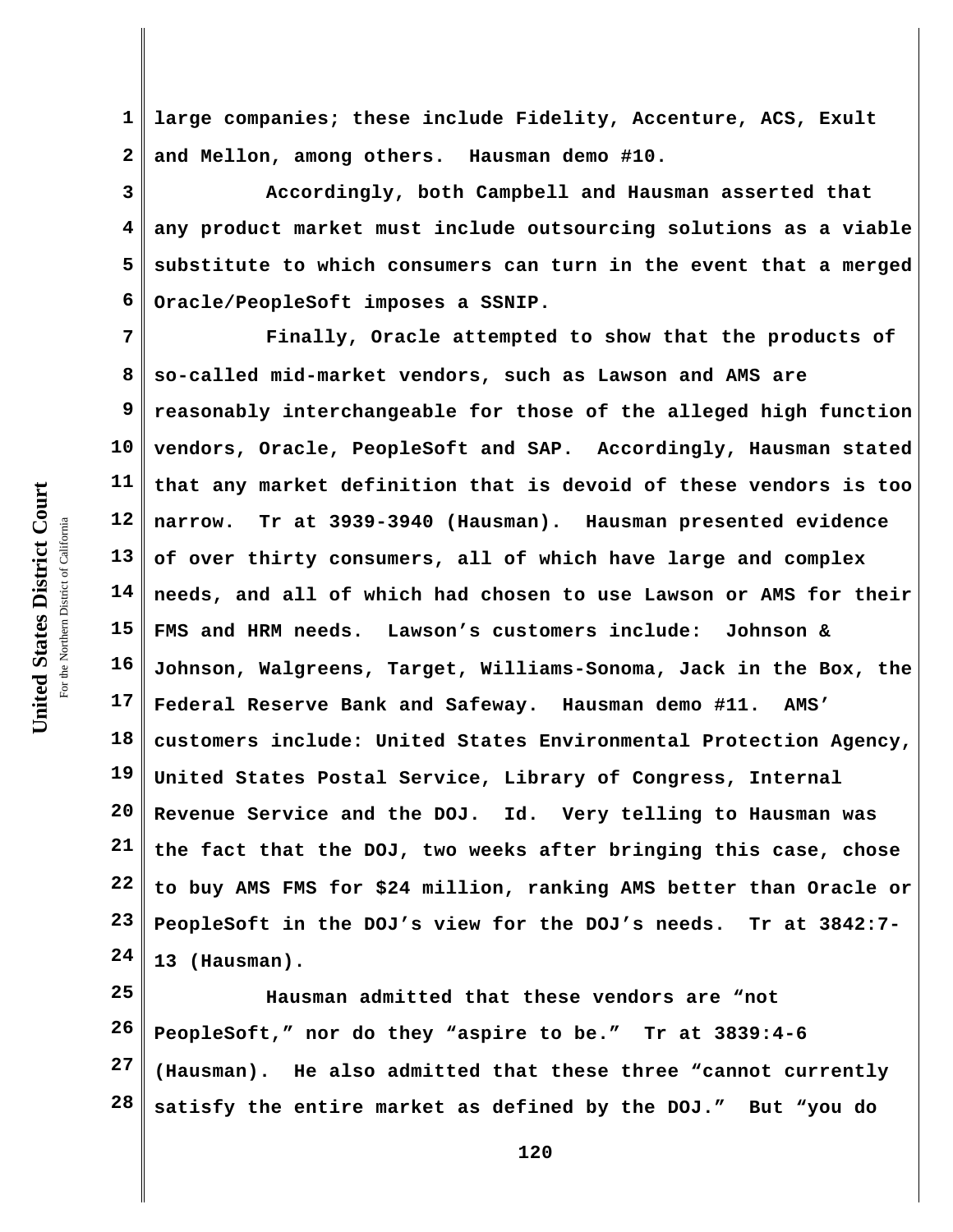**1 2 large companies; these include Fidelity, Accenture, ACS, Exult and Mellon, among others. Hausman demo #10.**

**3 4 5 6 Accordingly, both Campbell and Hausman asserted that any product market must include outsourcing solutions as a viable substitute to which consumers can turn in the event that a merged Oracle/PeopleSoft imposes a SSNIP.** 

**7 8 9 10 11 12 13 14 15 16 17 18 19 20 21 22 23 24 Finally, Oracle attempted to show that the products of so-called mid-market vendors, such as Lawson and AMS are reasonably interchangeable for those of the alleged high function vendors, Oracle, PeopleSoft and SAP. Accordingly, Hausman stated that any market definition that is devoid of these vendors is too narrow. Tr at 3939-3940 (Hausman). Hausman presented evidence of over thirty consumers, all of which have large and complex needs, and all of which had chosen to use Lawson or AMS for their FMS and HRM needs. Lawson's customers include: Johnson & Johnson, Walgreens, Target, Williams-Sonoma, Jack in the Box, the Federal Reserve Bank and Safeway. Hausman demo #11. AMS' customers include: United States Environmental Protection Agency, United States Postal Service, Library of Congress, Internal Revenue Service and the DOJ. Id. Very telling to Hausman was the fact that the DOJ, two weeks after bringing this case, chose to buy AMS FMS for \$24 million, ranking AMS better than Oracle or PeopleSoft in the DOJ's view for the DOJ's needs. Tr at 3842:7- 13 (Hausman).**

**25 26 27 28 Hausman admitted that these vendors are "not PeopleSoft," nor do they "aspire to be." Tr at 3839:4-6 (Hausman). He also admitted that these three "cannot currently satisfy the entire market as defined by the DOJ." But "you do**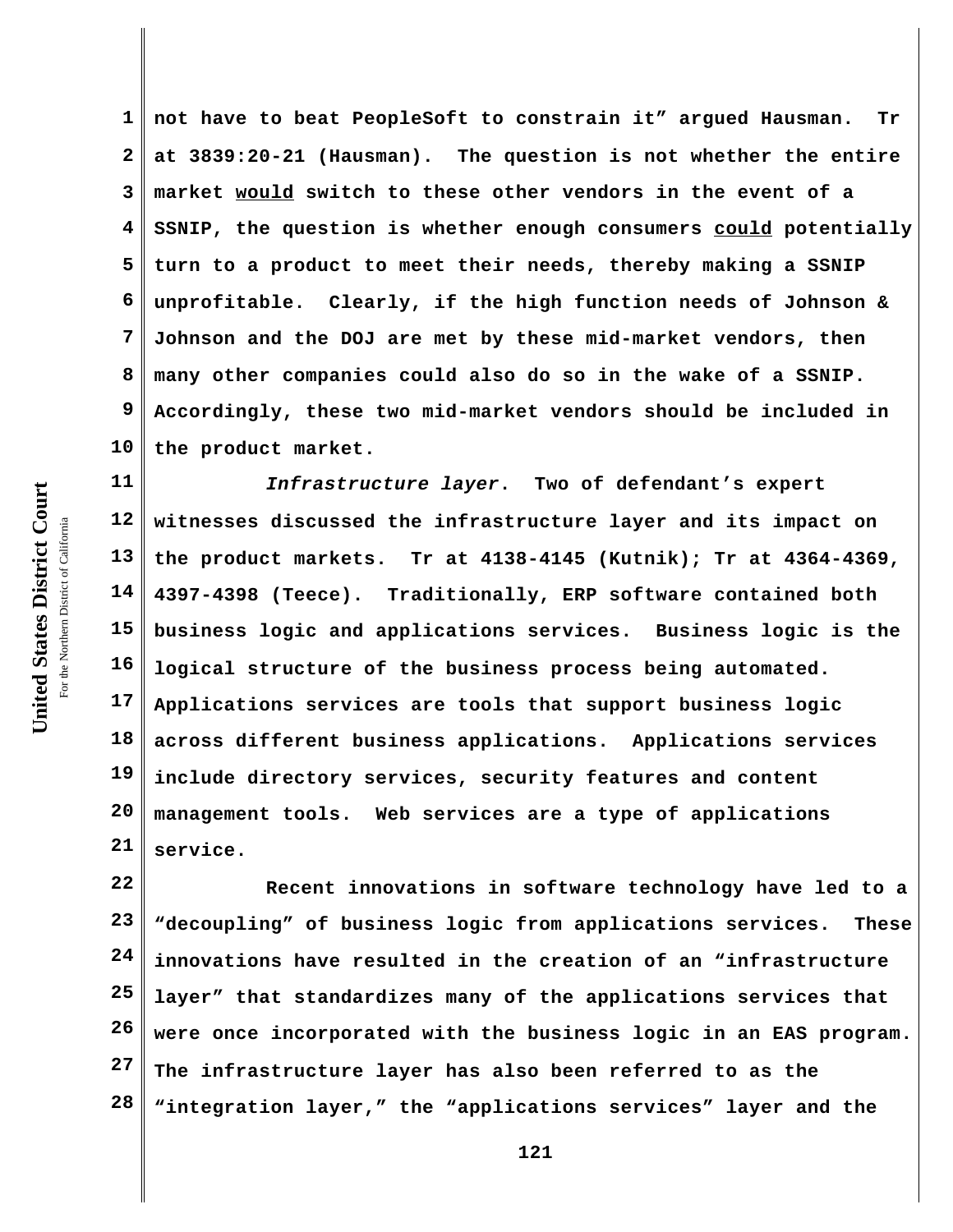**1 2 3 4 5 6 7 8 9 10 not have to beat PeopleSoft to constrain it" argued Hausman. Tr at 3839:20-21 (Hausman). The question is not whether the entire market would switch to these other vendors in the event of a SSNIP, the question is whether enough consumers could potentially turn to a product to meet their needs, thereby making a SSNIP unprofitable. Clearly, if the high function needs of Johnson & Johnson and the DOJ are met by these mid-market vendors, then many other companies could also do so in the wake of a SSNIP. Accordingly, these two mid-market vendors should be included in the product market.**

**11 12 13 14 15 16 17 18 19 20 21** *Infrastructure layer***. Two of defendant's expert witnesses discussed the infrastructure layer and its impact on the product markets. Tr at 4138-4145 (Kutnik); Tr at 4364-4369, 4397-4398 (Teece). Traditionally, ERP software contained both business logic and applications services. Business logic is the logical structure of the business process being automated. Applications services are tools that support business logic across different business applications. Applications services include directory services, security features and content management tools. Web services are a type of applications service.**

**22 23 24 25 26 27 28 Recent innovations in software technology have led to a "decoupling" of business logic from applications services. These innovations have resulted in the creation of an "infrastructure layer" that standardizes many of the applications services that were once incorporated with the business logic in an EAS program. The infrastructure layer has also been referred to as the "integration layer," the "applications services" layer and the**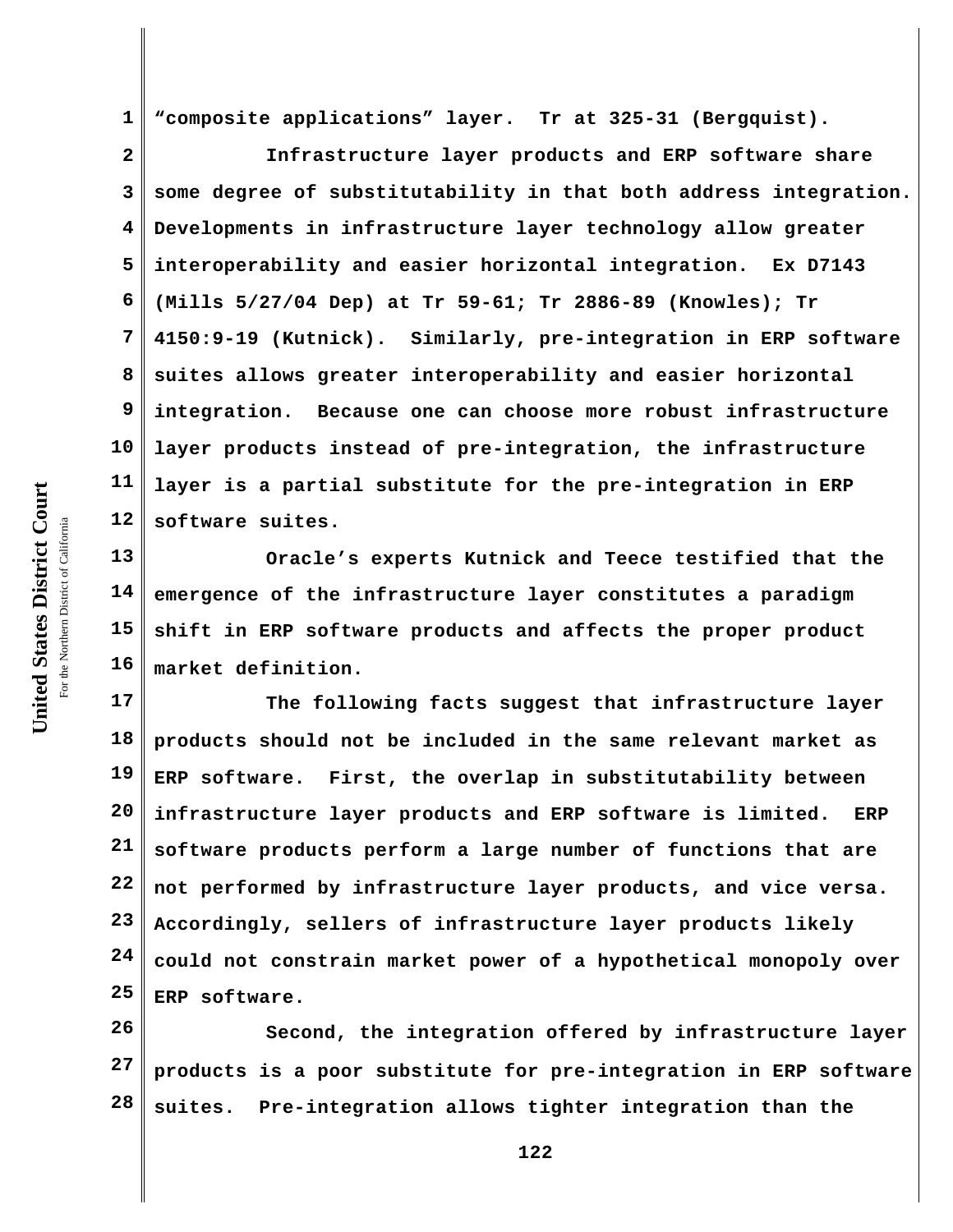**United States District Court** For the Northern District of California the Northern District of California

United States District Court

**1 "composite applications" layer. Tr at 325-31 (Bergquist).**

**2 3 4 5 6 7 8 9 10 11 12 Infrastructure layer products and ERP software share some degree of substitutability in that both address integration. Developments in infrastructure layer technology allow greater interoperability and easier horizontal integration. Ex D7143 (Mills 5/27/04 Dep) at Tr 59-61; Tr 2886-89 (Knowles); Tr 4150:9-19 (Kutnick). Similarly, pre-integration in ERP software suites allows greater interoperability and easier horizontal integration. Because one can choose more robust infrastructure layer products instead of pre-integration, the infrastructure layer is a partial substitute for the pre-integration in ERP software suites.**

**13 14 15 16 Oracle's experts Kutnick and Teece testified that the emergence of the infrastructure layer constitutes a paradigm shift in ERP software products and affects the proper product market definition.**

**17 18 19 20 21 22 23 24 25 The following facts suggest that infrastructure layer products should not be included in the same relevant market as ERP software. First, the overlap in substitutability between infrastructure layer products and ERP software is limited. ERP software products perform a large number of functions that are not performed by infrastructure layer products, and vice versa. Accordingly, sellers of infrastructure layer products likely could not constrain market power of a hypothetical monopoly over ERP software.** 

**26 27 28 Second, the integration offered by infrastructure layer products is a poor substitute for pre-integration in ERP software suites. Pre-integration allows tighter integration than the**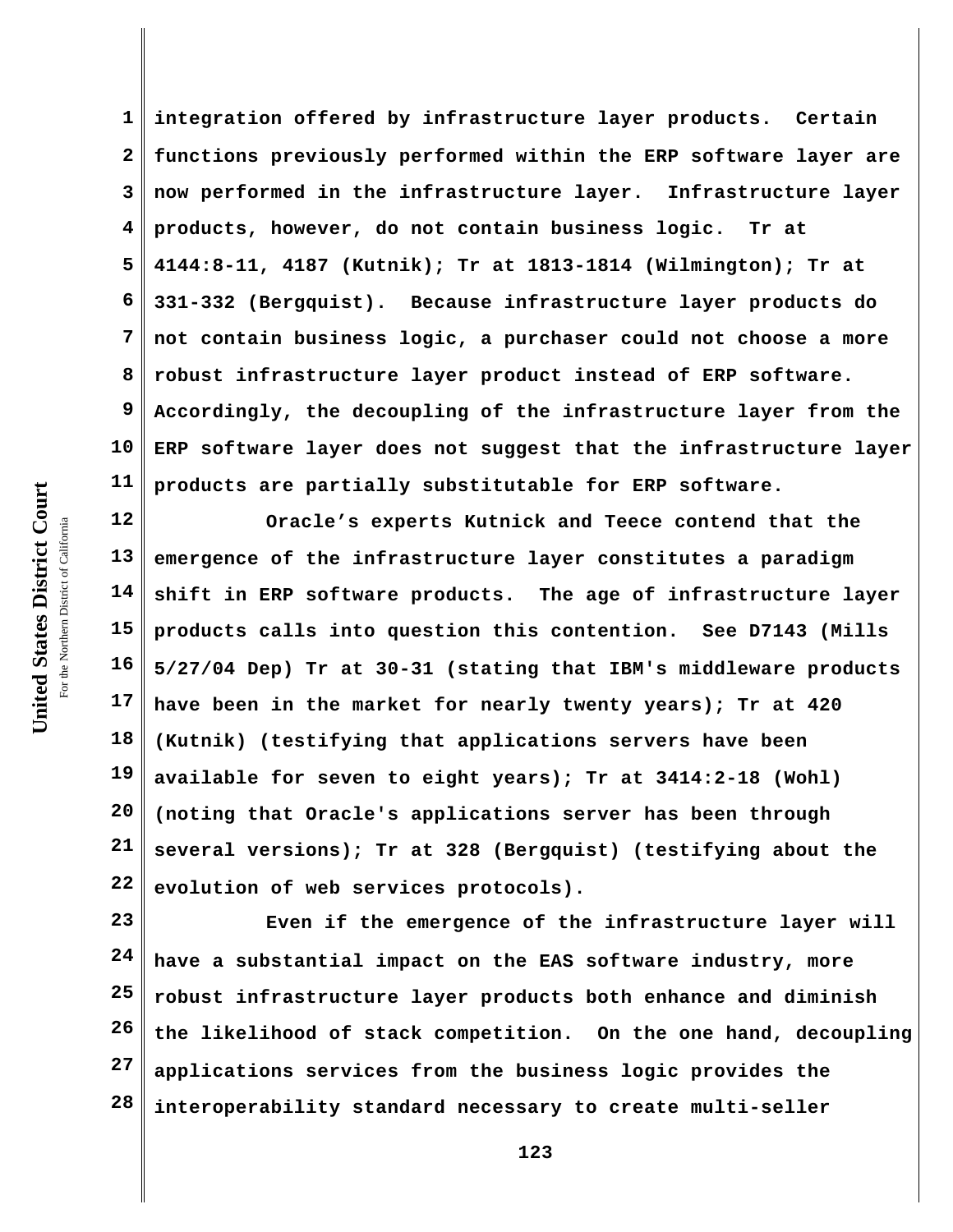**1 2 3 4 5 6 7 8 9 10 11 integration offered by infrastructure layer products. Certain functions previously performed within the ERP software layer are now performed in the infrastructure layer. Infrastructure layer products, however, do not contain business logic. Tr at 4144:8-11, 4187 (Kutnik); Tr at 1813-1814 (Wilmington); Tr at 331-332 (Bergquist). Because infrastructure layer products do not contain business logic, a purchaser could not choose a more robust infrastructure layer product instead of ERP software. Accordingly, the decoupling of the infrastructure layer from the ERP software layer does not suggest that the infrastructure layer products are partially substitutable for ERP software.**

**12 13 14 15 16 17 18 19 20 21 22 Oracle's experts Kutnick and Teece contend that the emergence of the infrastructure layer constitutes a paradigm shift in ERP software products. The age of infrastructure layer products calls into question this contention. See D7143 (Mills 5/27/04 Dep) Tr at 30-31 (stating that IBM's middleware products have been in the market for nearly twenty years); Tr at 420 (Kutnik) (testifying that applications servers have been available for seven to eight years); Tr at 3414:2-18 (Wohl) (noting that Oracle's applications server has been through several versions); Tr at 328 (Bergquist) (testifying about the evolution of web services protocols).**

**23 24 25 26 27 28 Even if the emergence of the infrastructure layer will have a substantial impact on the EAS software industry, more robust infrastructure layer products both enhance and diminish the likelihood of stack competition. On the one hand, decoupling applications services from the business logic provides the interoperability standard necessary to create multi-seller**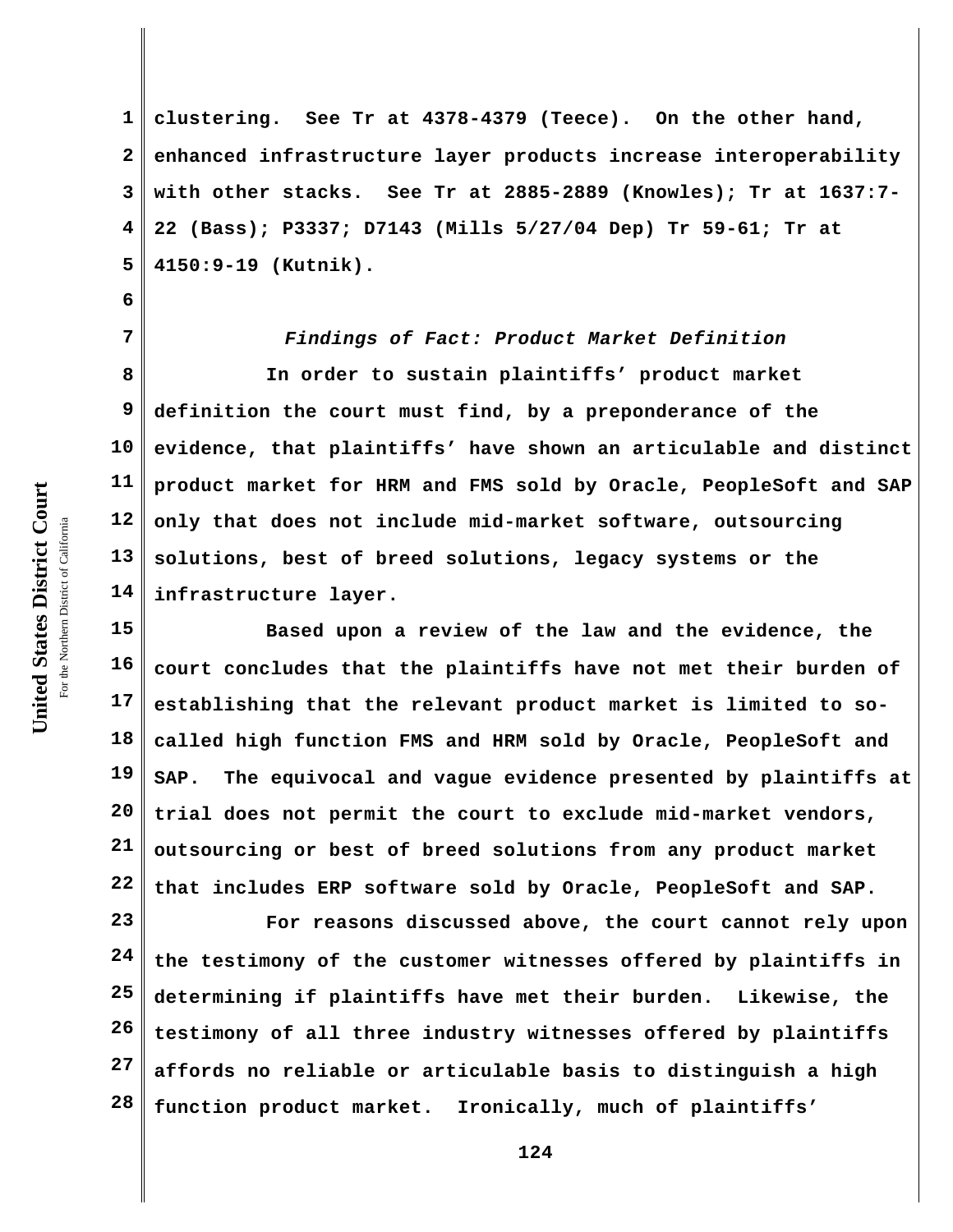United States District Court **United States District Court** For the Northern District of California the Northern District of California

**6**

**1 2 3 4 5 clustering. See Tr at 4378-4379 (Teece). On the other hand, enhanced infrastructure layer products increase interoperability with other stacks. See Tr at 2885-2889 (Knowles); Tr at 1637:7- 22 (Bass); P3337; D7143 (Mills 5/27/04 Dep) Tr 59-61; Tr at 4150:9-19 (Kutnik).**

**7 8 9 10 11 12 13 14** *Findings of Fact: Product Market Definition* **In order to sustain plaintiffs' product market definition the court must find, by a preponderance of the evidence, that plaintiffs' have shown an articulable and distinct product market for HRM and FMS sold by Oracle, PeopleSoft and SAP only that does not include mid-market software, outsourcing solutions, best of breed solutions, legacy systems or the infrastructure layer.**

**15 16 17 18 19 20 21 22 Based upon a review of the law and the evidence, the court concludes that the plaintiffs have not met their burden of establishing that the relevant product market is limited to socalled high function FMS and HRM sold by Oracle, PeopleSoft and SAP. The equivocal and vague evidence presented by plaintiffs at trial does not permit the court to exclude mid-market vendors, outsourcing or best of breed solutions from any product market that includes ERP software sold by Oracle, PeopleSoft and SAP.**

**23 24 25 26 27 28 For reasons discussed above, the court cannot rely upon the testimony of the customer witnesses offered by plaintiffs in determining if plaintiffs have met their burden. Likewise, the testimony of all three industry witnesses offered by plaintiffs affords no reliable or articulable basis to distinguish a high function product market. Ironically, much of plaintiffs'**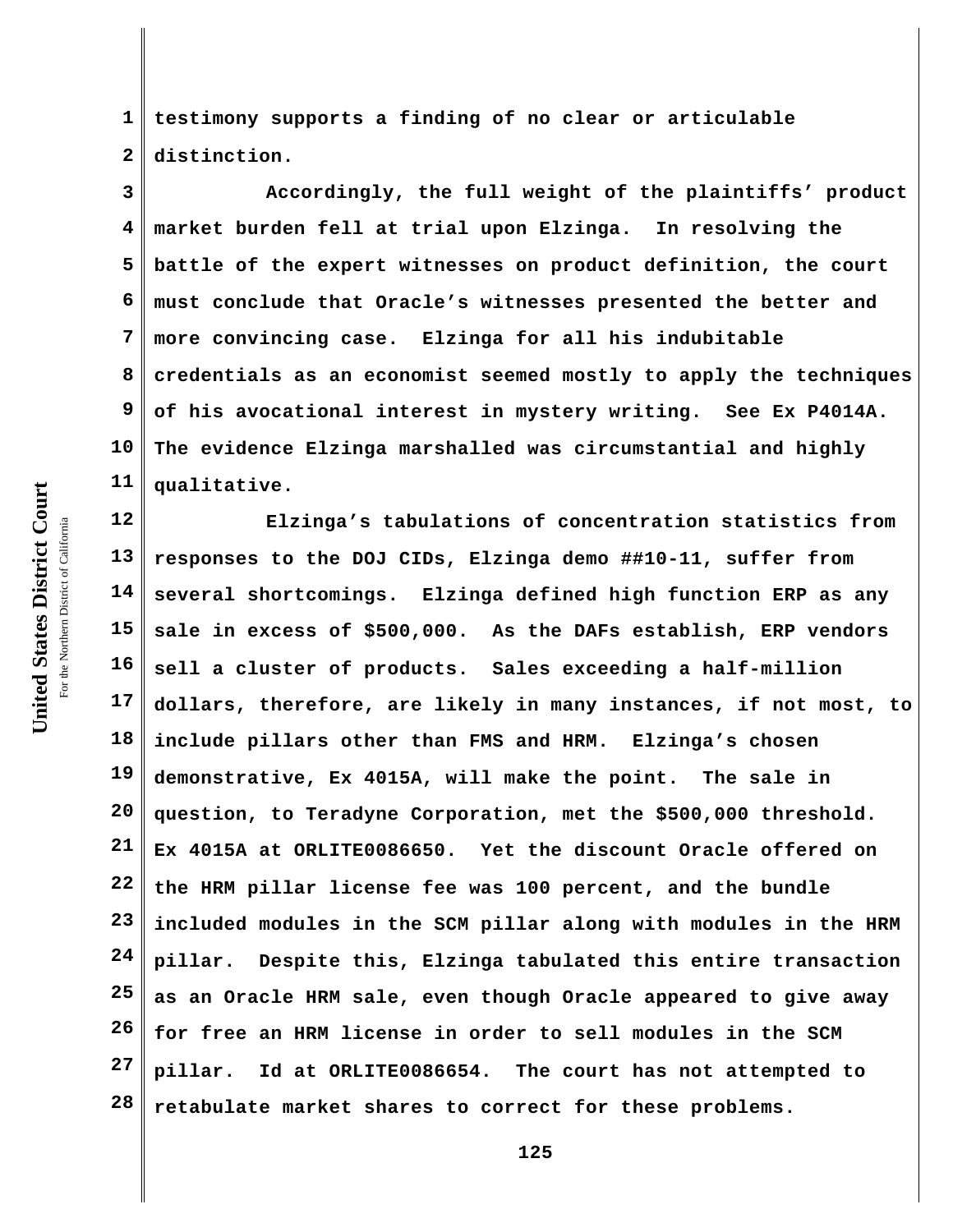**United States District Court** For the Northern District of California the Northern District of California

United States District Court

**1 2 testimony supports a finding of no clear or articulable distinction.**

**3 4 5 6 7 8 9 10 11 Accordingly, the full weight of the plaintiffs' product market burden fell at trial upon Elzinga. In resolving the battle of the expert witnesses on product definition, the court must conclude that Oracle's witnesses presented the better and more convincing case. Elzinga for all his indubitable credentials as an economist seemed mostly to apply the techniques of his avocational interest in mystery writing. See Ex P4014A. The evidence Elzinga marshalled was circumstantial and highly qualitative.** 

**12 13 14 15 16 17 18 19 20 21 22 23 24 25 26 27 28 Elzinga's tabulations of concentration statistics from responses to the DOJ CIDs, Elzinga demo ##10-11, suffer from several shortcomings. Elzinga defined high function ERP as any sale in excess of \$500,000. As the DAFs establish, ERP vendors sell a cluster of products. Sales exceeding a half-million dollars, therefore, are likely in many instances, if not most, to include pillars other than FMS and HRM. Elzinga's chosen demonstrative, Ex 4015A, will make the point. The sale in question, to Teradyne Corporation, met the \$500,000 threshold. Ex 4015A at ORLITE0086650. Yet the discount Oracle offered on the HRM pillar license fee was 100 percent, and the bundle included modules in the SCM pillar along with modules in the HRM pillar. Despite this, Elzinga tabulated this entire transaction as an Oracle HRM sale, even though Oracle appeared to give away for free an HRM license in order to sell modules in the SCM pillar. Id at ORLITE0086654. The court has not attempted to retabulate market shares to correct for these problems.**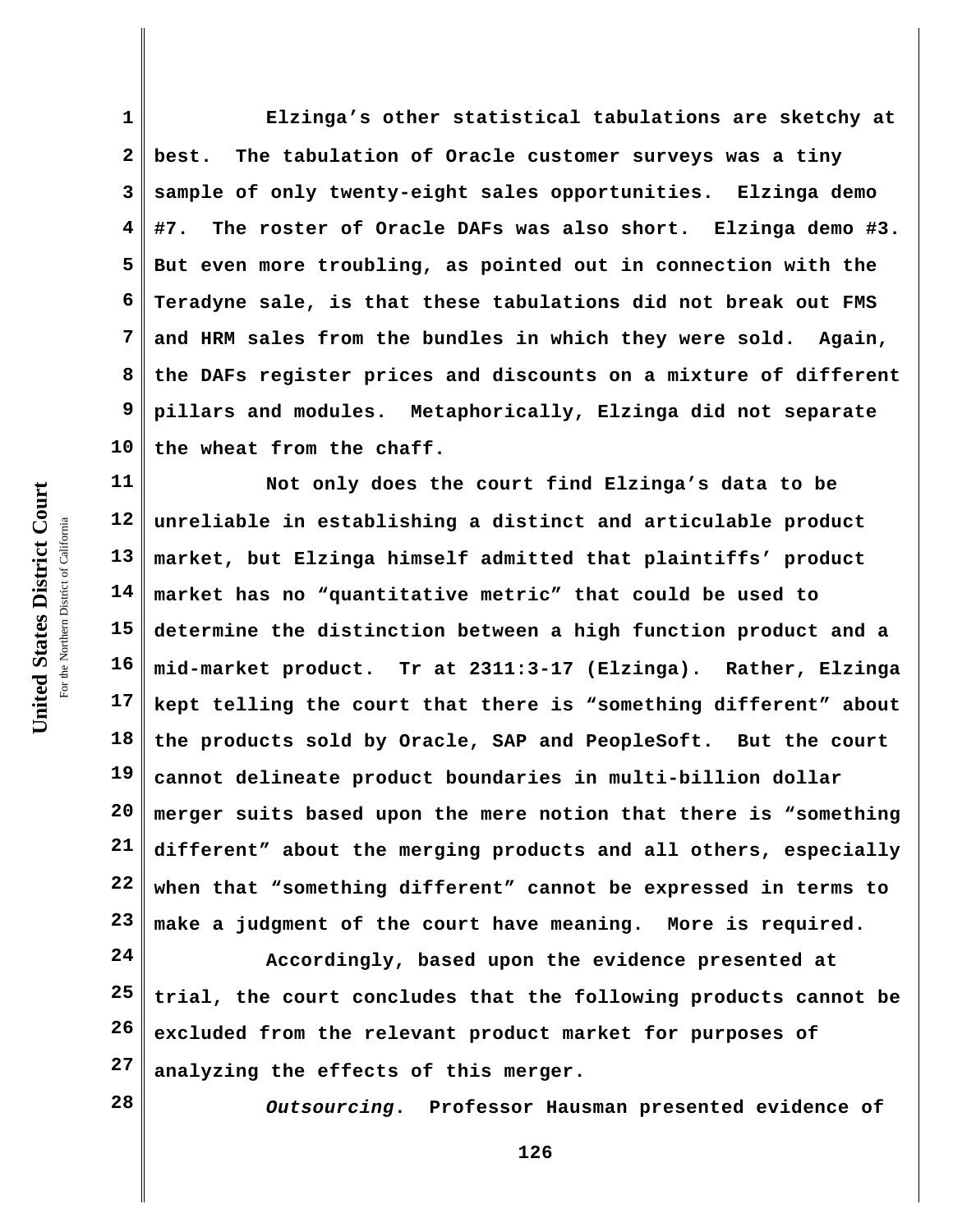**1 2 3 4 5 6 7 8 9 10 Elzinga's other statistical tabulations are sketchy at best. The tabulation of Oracle customer surveys was a tiny sample of only twenty-eight sales opportunities. Elzinga demo #7. The roster of Oracle DAFs was also short. Elzinga demo #3. But even more troubling, as pointed out in connection with the Teradyne sale, is that these tabulations did not break out FMS and HRM sales from the bundles in which they were sold. Again, the DAFs register prices and discounts on a mixture of different pillars and modules. Metaphorically, Elzinga did not separate the wheat from the chaff.**

**11 12 13 14 15 16 17 18 19 20 21 22 23 Not only does the court find Elzinga's data to be unreliable in establishing a distinct and articulable product market, but Elzinga himself admitted that plaintiffs' product market has no "quantitative metric" that could be used to determine the distinction between a high function product and a mid-market product. Tr at 2311:3-17 (Elzinga). Rather, Elzinga kept telling the court that there is "something different" about the products sold by Oracle, SAP and PeopleSoft. But the court cannot delineate product boundaries in multi-billion dollar merger suits based upon the mere notion that there is "something different" about the merging products and all others, especially when that "something different" cannot be expressed in terms to make a judgment of the court have meaning. More is required.** 

**24 25 26 27 Accordingly, based upon the evidence presented at trial, the court concludes that the following products cannot be excluded from the relevant product market for purposes of analyzing the effects of this merger.**

**28**

*Outsourcing***. Professor Hausman presented evidence of**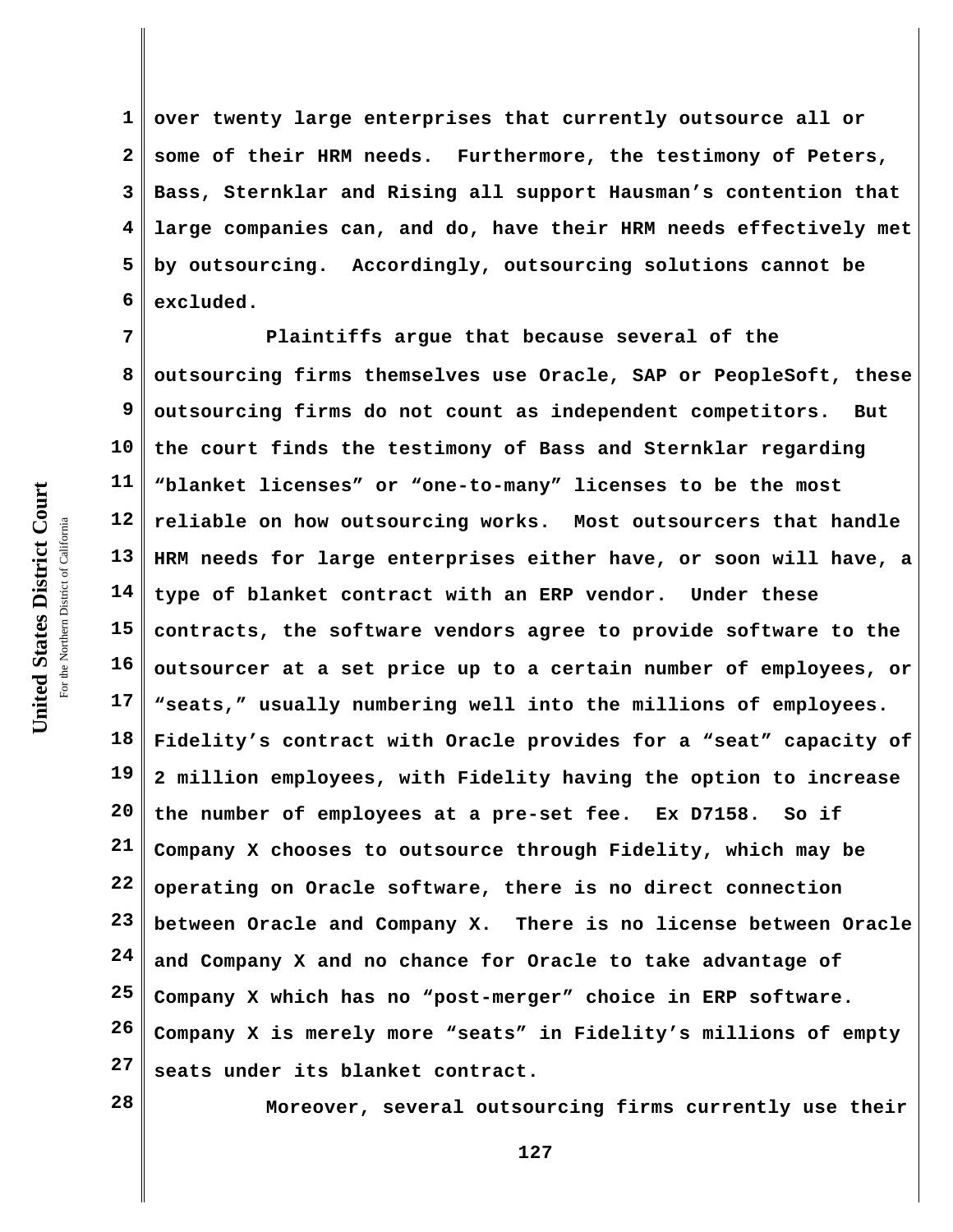United States District Court **United States District Court** For the Northern District of California the Northern District of California

**1 2 3 4 5 6 over twenty large enterprises that currently outsource all or some of their HRM needs. Furthermore, the testimony of Peters, Bass, Sternklar and Rising all support Hausman's contention that large companies can, and do, have their HRM needs effectively met by outsourcing. Accordingly, outsourcing solutions cannot be excluded.**

**7 8 9 10 11 12 13 14 15 16 17 18 19 20 21 22 23 24 25 26 27 Plaintiffs argue that because several of the outsourcing firms themselves use Oracle, SAP or PeopleSoft, these outsourcing firms do not count as independent competitors. But the court finds the testimony of Bass and Sternklar regarding "blanket licenses" or "one-to-many" licenses to be the most reliable on how outsourcing works. Most outsourcers that handle HRM needs for large enterprises either have, or soon will have, a type of blanket contract with an ERP vendor. Under these contracts, the software vendors agree to provide software to the outsourcer at a set price up to a certain number of employees, or "seats," usually numbering well into the millions of employees. Fidelity's contract with Oracle provides for a "seat" capacity of 2 million employees, with Fidelity having the option to increase the number of employees at a pre-set fee. Ex D7158. So if Company X chooses to outsource through Fidelity, which may be operating on Oracle software, there is no direct connection between Oracle and Company X. There is no license between Oracle and Company X and no chance for Oracle to take advantage of Company X which has no "post-merger" choice in ERP software. Company X is merely more "seats" in Fidelity's millions of empty seats under its blanket contract.**

**28**

**Moreover, several outsourcing firms currently use their**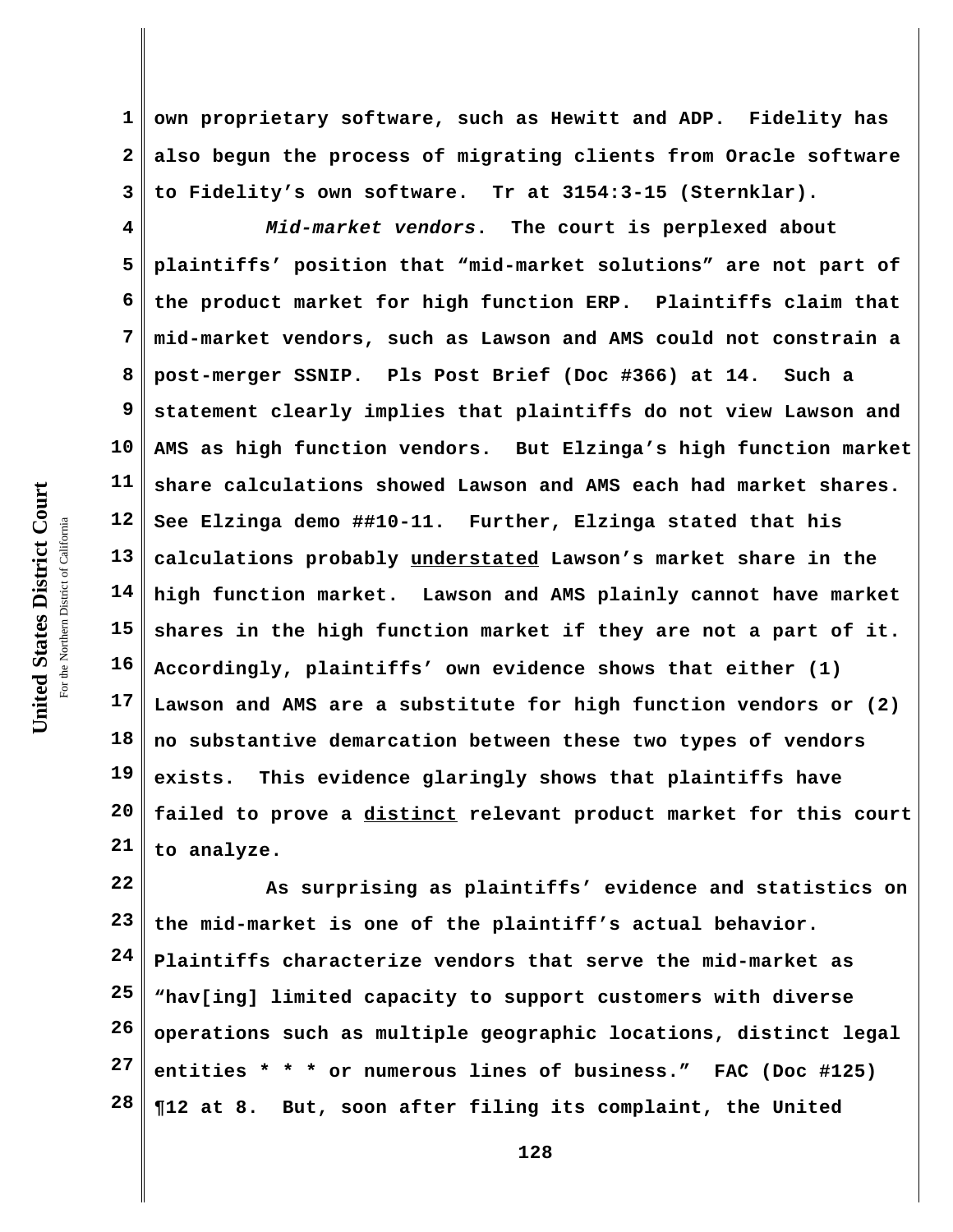**1 2 3 own proprietary software, such as Hewitt and ADP. Fidelity has also begun the process of migrating clients from Oracle software to Fidelity's own software. Tr at 3154:3-15 (Sternklar).**

**4 5 6 7 8 9 10 11 12 13 14 15 16 17 18 19 20 21** *Mid-market vendors***. The court is perplexed about plaintiffs' position that "mid-market solutions" are not part of the product market for high function ERP. Plaintiffs claim that mid-market vendors, such as Lawson and AMS could not constrain a post-merger SSNIP. Pls Post Brief (Doc #366) at 14. Such a statement clearly implies that plaintiffs do not view Lawson and AMS as high function vendors. But Elzinga's high function market share calculations showed Lawson and AMS each had market shares. See Elzinga demo ##10-11. Further, Elzinga stated that his calculations probably understated Lawson's market share in the high function market. Lawson and AMS plainly cannot have market shares in the high function market if they are not a part of it. Accordingly, plaintiffs' own evidence shows that either (1) Lawson and AMS are a substitute for high function vendors or (2) no substantive demarcation between these two types of vendors exists. This evidence glaringly shows that plaintiffs have failed to prove a distinct relevant product market for this court to analyze.**

**22 23 24 25 26 27 28 As surprising as plaintiffs' evidence and statistics on the mid-market is one of the plaintiff's actual behavior. Plaintiffs characterize vendors that serve the mid-market as "hav[ing] limited capacity to support customers with diverse operations such as multiple geographic locations, distinct legal entities \* \* \* or numerous lines of business." FAC (Doc #125) ¶12 at 8. But, soon after filing its complaint, the United**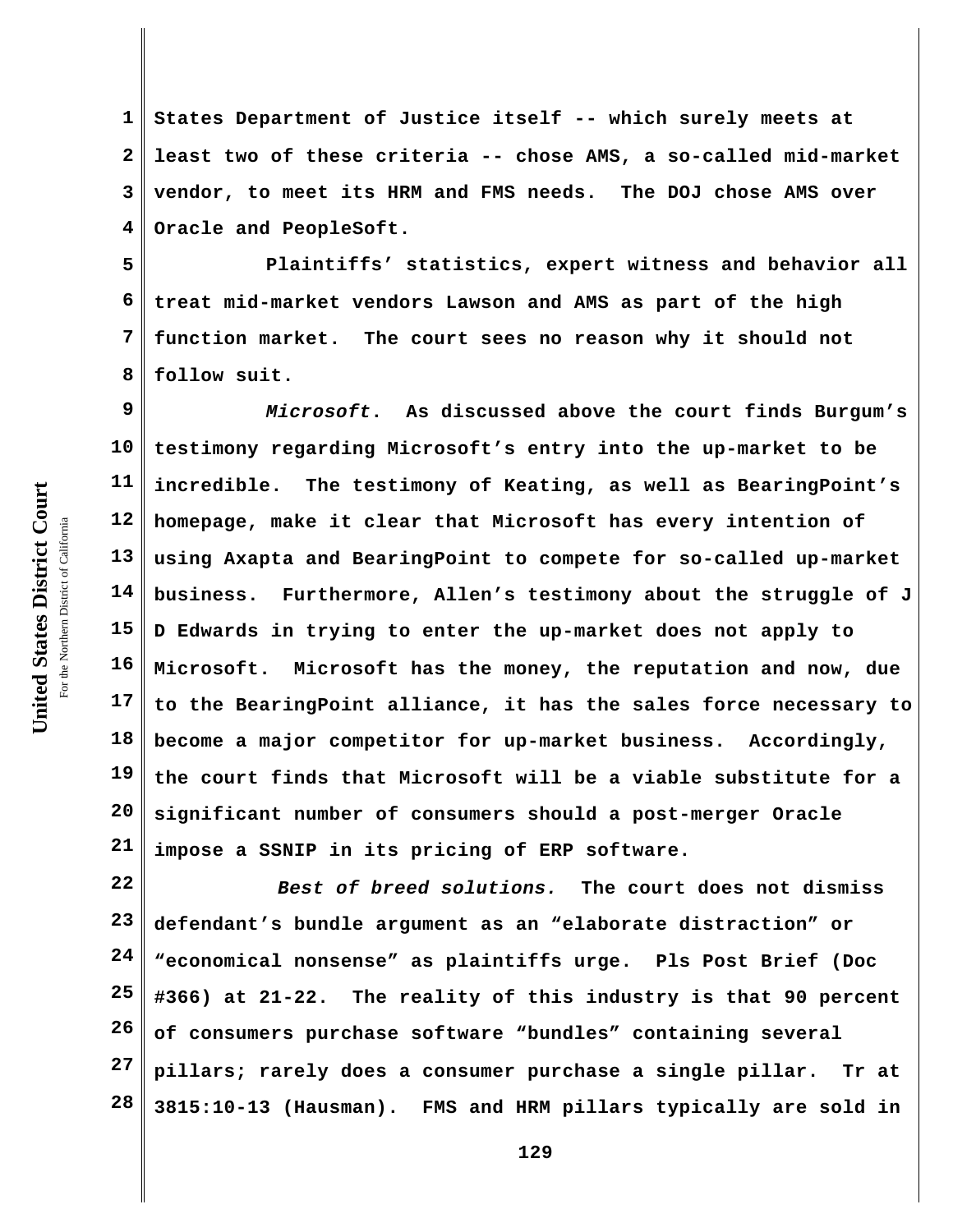**1 2 3 4 States Department of Justice itself -- which surely meets at least two of these criteria -- chose AMS, a so-called mid-market vendor, to meet its HRM and FMS needs. The DOJ chose AMS over Oracle and PeopleSoft.**

**5 6 7 8 Plaintiffs' statistics, expert witness and behavior all treat mid-market vendors Lawson and AMS as part of the high function market. The court sees no reason why it should not follow suit.** 

**9 10 11 12 13 14 15 16 17 18 19 20 21** *Microsoft***. As discussed above the court finds Burgum's testimony regarding Microsoft's entry into the up-market to be incredible. The testimony of Keating, as well as BearingPoint's homepage, make it clear that Microsoft has every intention of using Axapta and BearingPoint to compete for so-called up-market business. Furthermore, Allen's testimony about the struggle of J D Edwards in trying to enter the up-market does not apply to Microsoft. Microsoft has the money, the reputation and now, due to the BearingPoint alliance, it has the sales force necessary to become a major competitor for up-market business. Accordingly, the court finds that Microsoft will be a viable substitute for a significant number of consumers should a post-merger Oracle impose a SSNIP in its pricing of ERP software.** 

**22 23 24 25 26 27 28** *Best of breed solutions.* **The court does not dismiss defendant's bundle argument as an "elaborate distraction" or "economical nonsense" as plaintiffs urge. Pls Post Brief (Doc #366) at 21-22. The reality of this industry is that 90 percent of consumers purchase software "bundles" containing several pillars; rarely does a consumer purchase a single pillar. Tr at 3815:10-13 (Hausman). FMS and HRM pillars typically are sold in**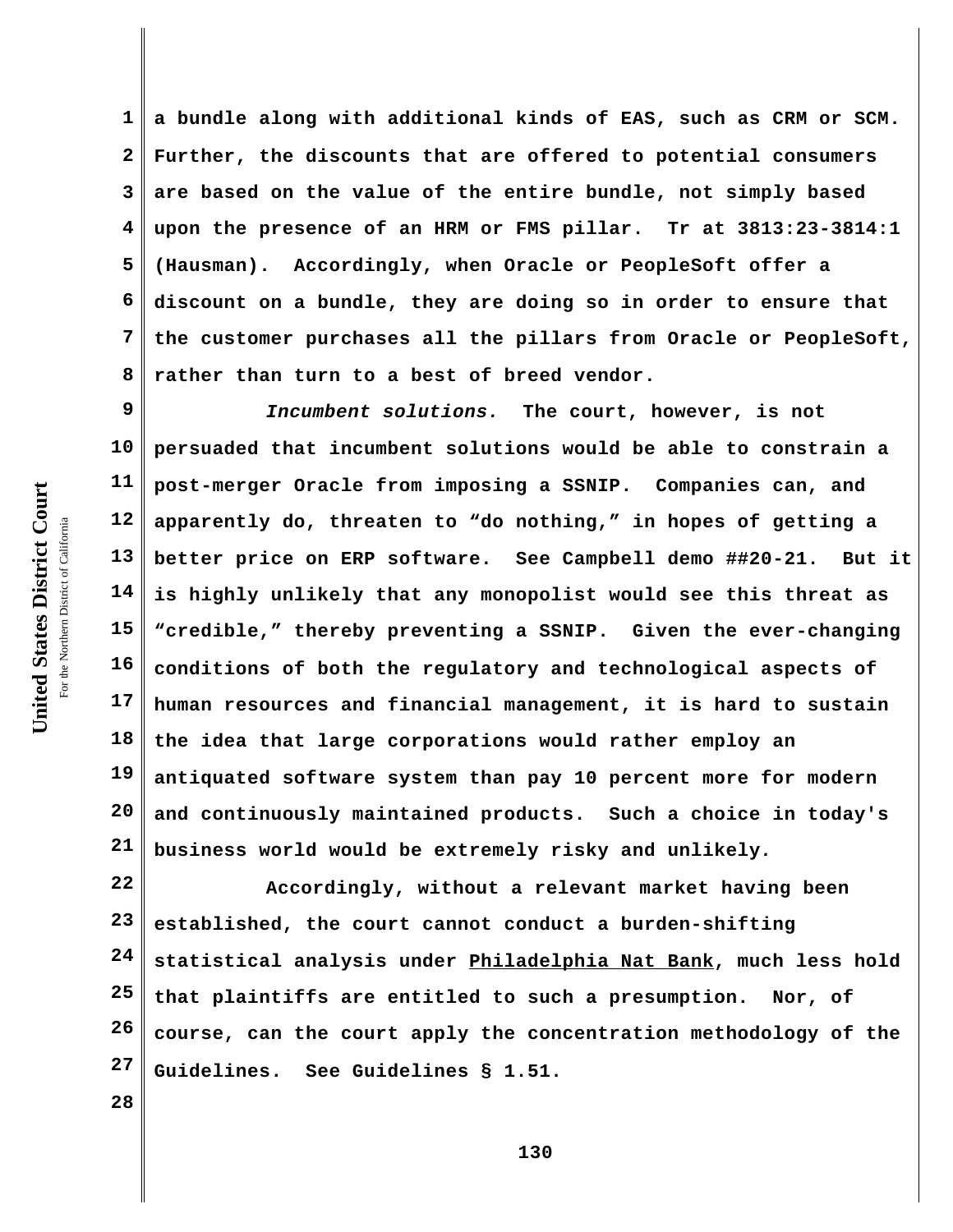**1 2 3 4 5 6 7 8 a bundle along with additional kinds of EAS, such as CRM or SCM. Further, the discounts that are offered to potential consumers are based on the value of the entire bundle, not simply based upon the presence of an HRM or FMS pillar. Tr at 3813:23-3814:1 (Hausman). Accordingly, when Oracle or PeopleSoft offer a discount on a bundle, they are doing so in order to ensure that the customer purchases all the pillars from Oracle or PeopleSoft, rather than turn to a best of breed vendor.**

**9 10 11 12 13 14 15 16 17 18 19 20 21** *Incumbent solutions.* **The court, however, is not persuaded that incumbent solutions would be able to constrain a post-merger Oracle from imposing a SSNIP. Companies can, and apparently do, threaten to "do nothing," in hopes of getting a better price on ERP software. See Campbell demo ##20-21. But it is highly unlikely that any monopolist would see this threat as "credible," thereby preventing a SSNIP. Given the ever-changing conditions of both the regulatory and technological aspects of human resources and financial management, it is hard to sustain the idea that large corporations would rather employ an antiquated software system than pay 10 percent more for modern and continuously maintained products. Such a choice in today's business world would be extremely risky and unlikely***.* 

**22 23 24 25 26 27 Accordingly, without a relevant market having been established, the court cannot conduct a burden-shifting statistical analysis under Philadelphia Nat Bank, much less hold that plaintiffs are entitled to such a presumption. Nor, of course, can the court apply the concentration methodology of the Guidelines. See Guidelines § 1.51.** 

United States District Court **United States District Court** For the Northern District of California the Northern District of California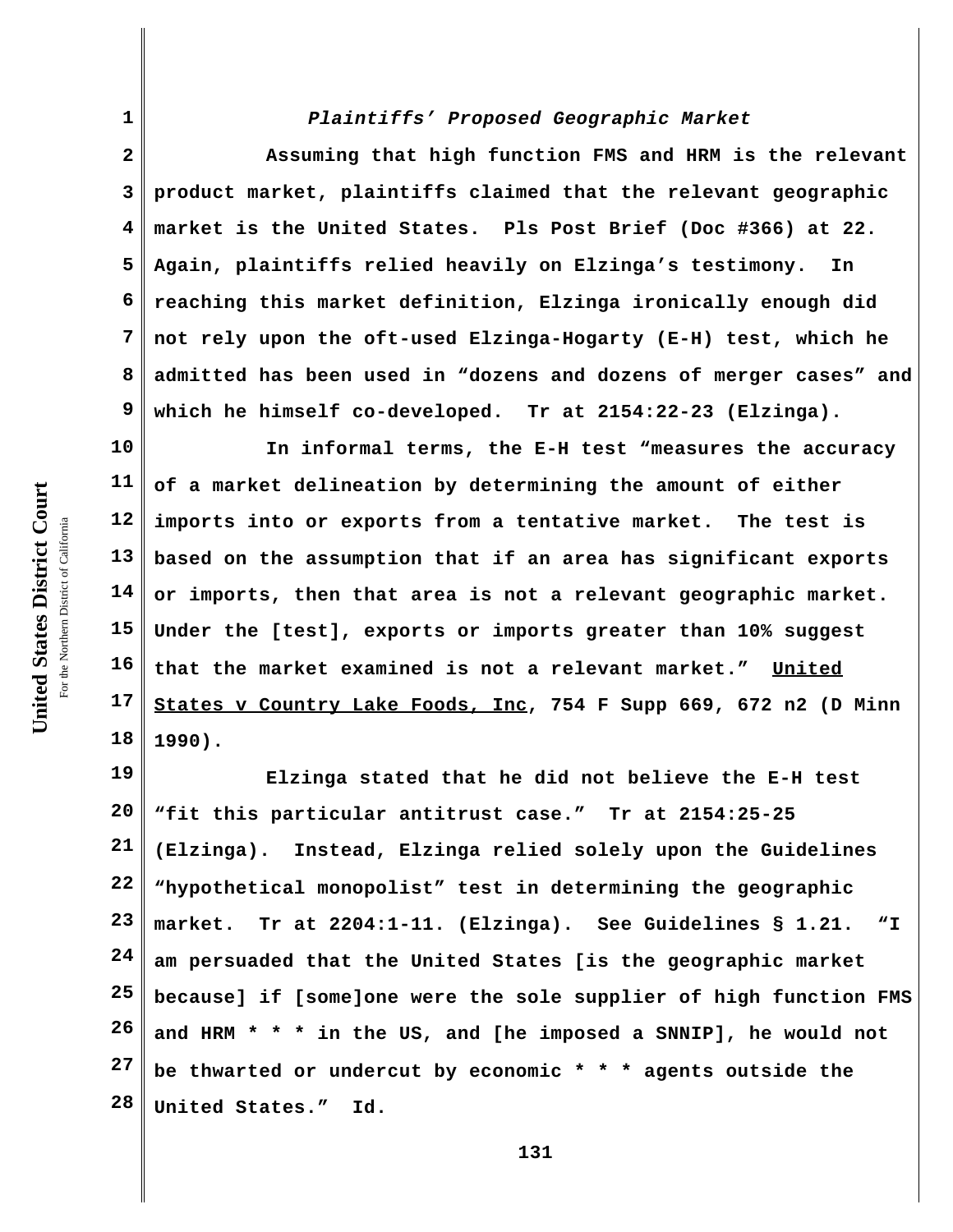## *Plaintiffs' Proposed Geographic Market*

**2 3 4 5 6 7 8 9 Assuming that high function FMS and HRM is the relevant product market, plaintiffs claimed that the relevant geographic market is the United States. Pls Post Brief (Doc #366) at 22. Again, plaintiffs relied heavily on Elzinga's testimony. In reaching this market definition, Elzinga ironically enough did not rely upon the oft-used Elzinga-Hogarty (E-H) test, which he admitted has been used in "dozens and dozens of merger cases" and which he himself co-developed. Tr at 2154:22-23 (Elzinga).**

**10 11 12 13 14 15 16 17 18 In informal terms, the E-H test "measures the accuracy of a market delineation by determining the amount of either imports into or exports from a tentative market. The test is based on the assumption that if an area has significant exports or imports, then that area is not a relevant geographic market. Under the [test], exports or imports greater than 10% suggest that the market examined is not a relevant market." United States v Country Lake Foods, Inc, 754 F Supp 669, 672 n2 (D Minn 1990).**

**19 20 21 22 23 24 25 26 27 28 Elzinga stated that he did not believe the E-H test "fit this particular antitrust case." Tr at 2154:25-25 (Elzinga). Instead, Elzinga relied solely upon the Guidelines "hypothetical monopolist" test in determining the geographic market. Tr at 2204:1-11. (Elzinga). See Guidelines § 1.21. "I am persuaded that the United States [is the geographic market because] if [some]one were the sole supplier of high function FMS and HRM \* \* \* in the US, and [he imposed a SNNIP], he would not be thwarted or undercut by economic \* \* \* agents outside the United States." Id.** 

**1**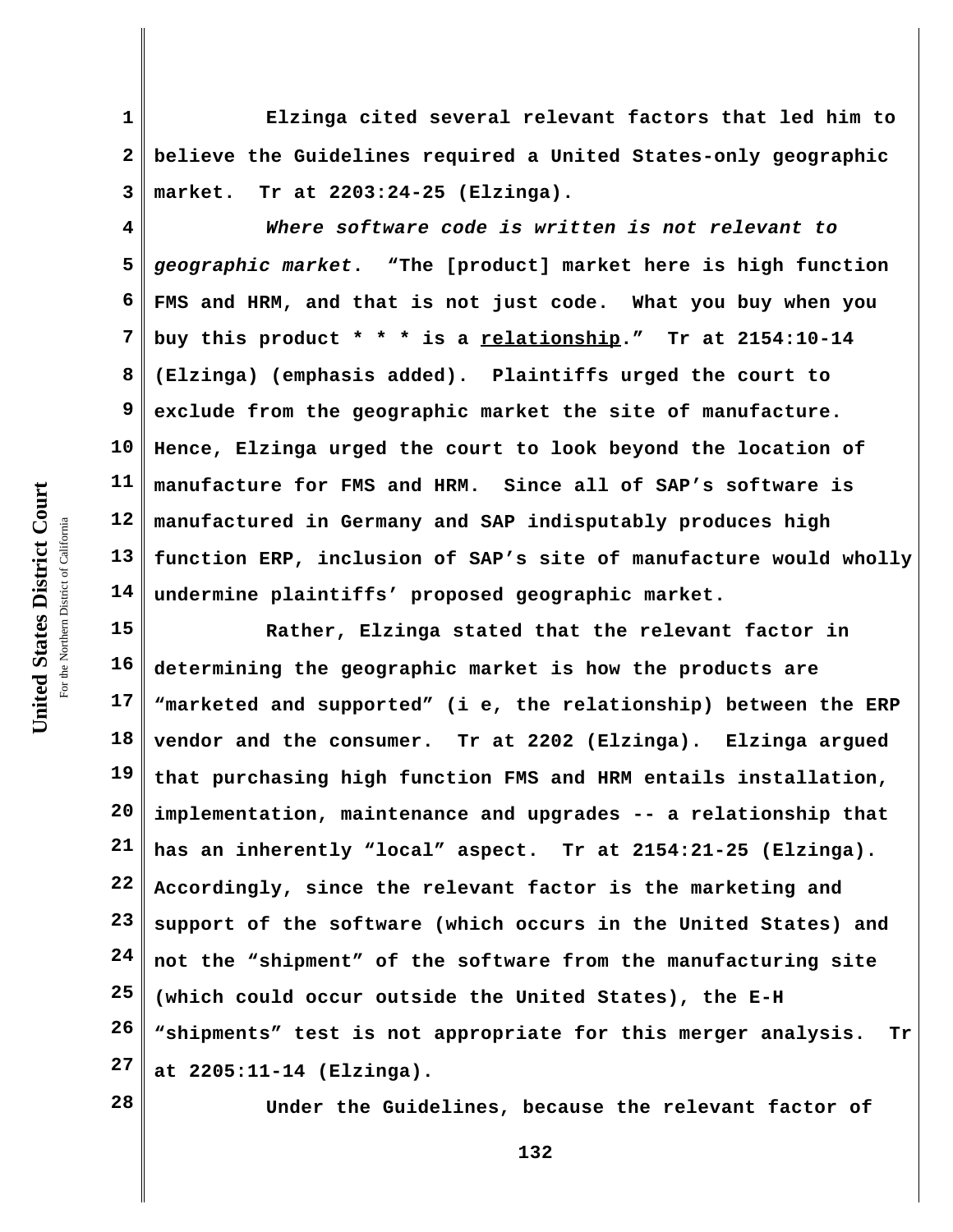**1 2 3 Elzinga cited several relevant factors that led him to believe the Guidelines required a United States-only geographic market. Tr at 2203:24-25 (Elzinga).**

**4 5 6 7 8 9 10 11 12 13 14** *Where software code is written is not relevant to geographic market***. "The [product] market here is high function FMS and HRM, and that is not just code. What you buy when you buy this product \* \* \* is a relationship." Tr at 2154:10-14 (Elzinga) (emphasis added). Plaintiffs urged the court to exclude from the geographic market the site of manufacture. Hence, Elzinga urged the court to look beyond the location of manufacture for FMS and HRM. Since all of SAP's software is manufactured in Germany and SAP indisputably produces high function ERP, inclusion of SAP's site of manufacture would wholly undermine plaintiffs' proposed geographic market.**

**15 16 17 18 19 20 21 22 23 24 25 26 27 Rather, Elzinga stated that the relevant factor in determining the geographic market is how the products are "marketed and supported" (i e, the relationship) between the ERP vendor and the consumer. Tr at 2202 (Elzinga). Elzinga argued that purchasing high function FMS and HRM entails installation, implementation, maintenance and upgrades -- a relationship that has an inherently "local" aspect. Tr at 2154:21-25 (Elzinga). Accordingly, since the relevant factor is the marketing and support of the software (which occurs in the United States) and not the "shipment" of the software from the manufacturing site (which could occur outside the United States), the E-H "shipments" test is not appropriate for this merger analysis. Tr at 2205:11-14 (Elzinga).**

**28**

**Under the Guidelines, because the relevant factor of**

United States District Court **United States District Court** For the Northern District of California the Northern District of California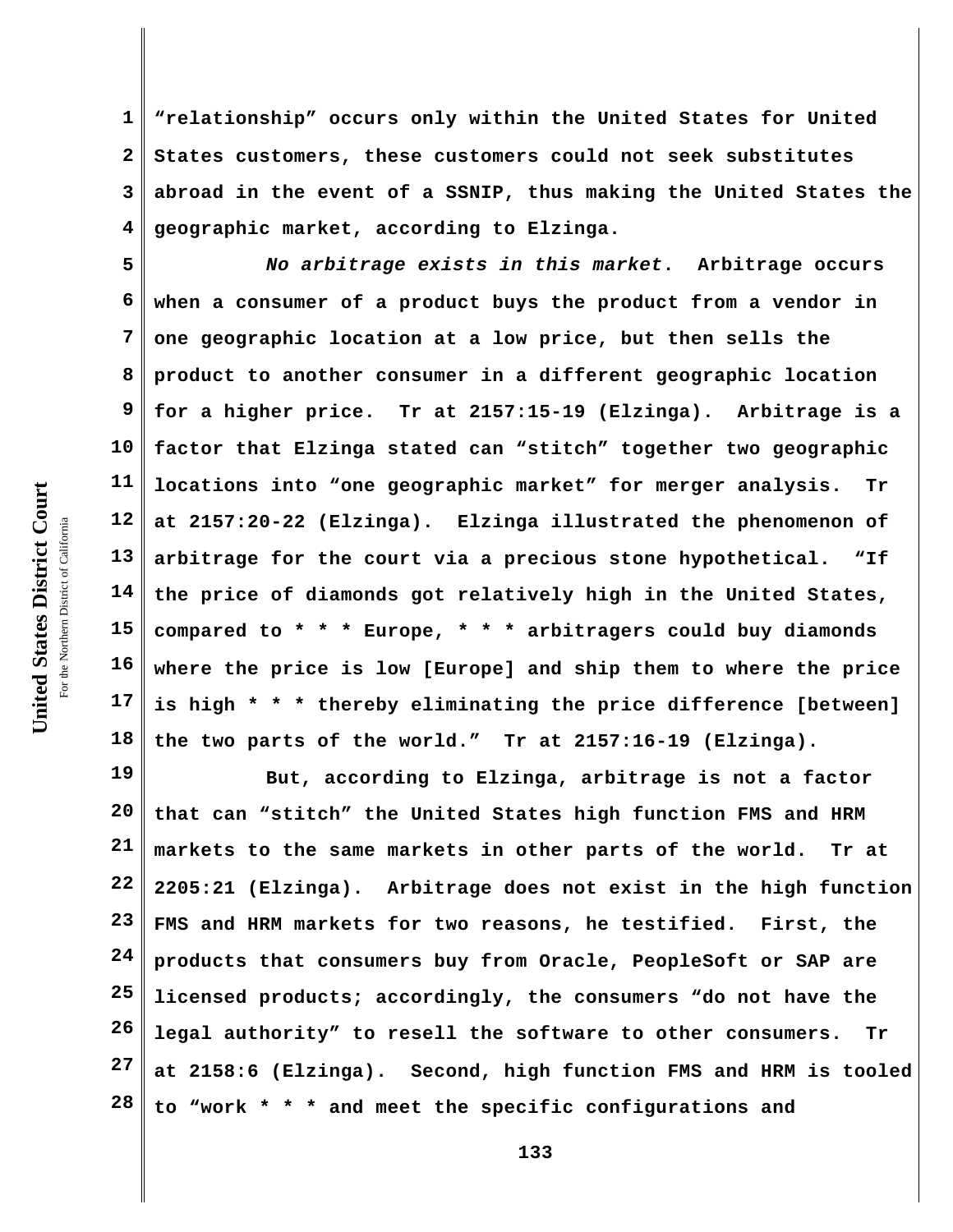**1 2 3 4 "relationship" occurs only within the United States for United States customers, these customers could not seek substitutes abroad in the event of a SSNIP, thus making the United States the geographic market, according to Elzinga.**

**5 6 7 8 9 10 11 12 13 14 15 16 17 18** *No arbitrage exists in this market***. Arbitrage occurs when a consumer of a product buys the product from a vendor in one geographic location at a low price, but then sells the product to another consumer in a different geographic location for a higher price. Tr at 2157:15-19 (Elzinga). Arbitrage is a factor that Elzinga stated can "stitch" together two geographic locations into "one geographic market" for merger analysis. Tr at 2157:20-22 (Elzinga). Elzinga illustrated the phenomenon of arbitrage for the court via a precious stone hypothetical. "If the price of diamonds got relatively high in the United States, compared to \* \* \* Europe, \* \* \* arbitragers could buy diamonds where the price is low [Europe] and ship them to where the price is high \* \* \* thereby eliminating the price difference [between] the two parts of the world." Tr at 2157:16-19 (Elzinga).** 

**19 20 21 22 23 24 25 26 27 28 But, according to Elzinga, arbitrage is not a factor that can "stitch" the United States high function FMS and HRM markets to the same markets in other parts of the world. Tr at 2205:21 (Elzinga). Arbitrage does not exist in the high function FMS and HRM markets for two reasons, he testified. First, the products that consumers buy from Oracle, PeopleSoft or SAP are licensed products; accordingly, the consumers "do not have the legal authority" to resell the software to other consumers. Tr at 2158:6 (Elzinga). Second, high function FMS and HRM is tooled to "work \* \* \* and meet the specific configurations and**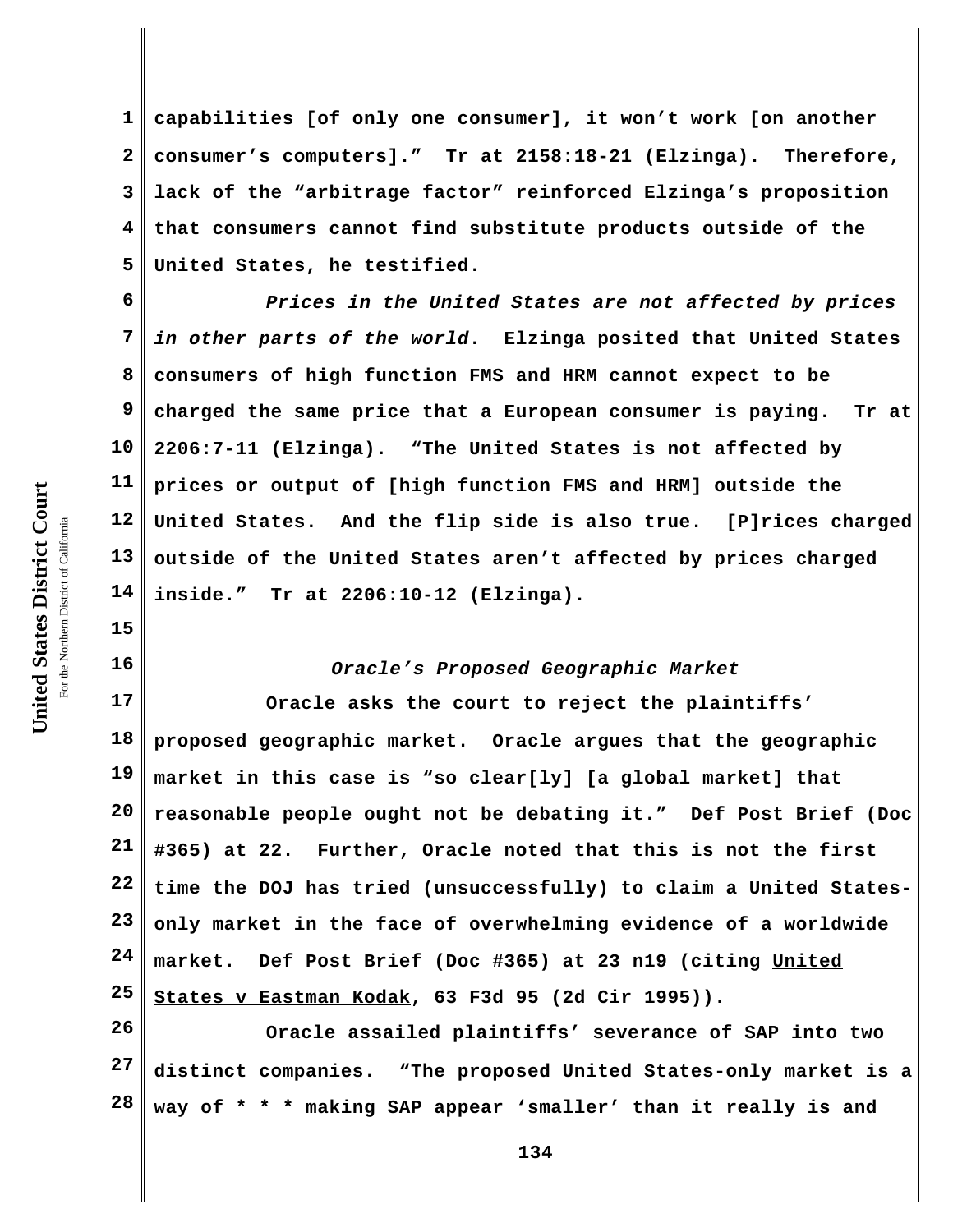**1 2 3 4 5 capabilities [of only one consumer], it won't work [on another consumer's computers]." Tr at 2158:18-21 (Elzinga). Therefore, lack of the "arbitrage factor" reinforced Elzinga's proposition that consumers cannot find substitute products outside of the United States, he testified.** 

**6 7 8 9 10 11 12 13 14** *Prices in the United States are not affected by prices in other parts of the world***. Elzinga posited that United States consumers of high function FMS and HRM cannot expect to be charged the same price that a European consumer is paying. Tr at 2206:7-11 (Elzinga). "The United States is not affected by prices or output of [high function FMS and HRM] outside the United States. And the flip side is also true. [P]rices charged outside of the United States aren't affected by prices charged inside." Tr at 2206:10-12 (Elzinga).**

## *Oracle's Proposed Geographic Market*

**17 18 19 20 21 22 23 24 25 Oracle asks the court to reject the plaintiffs' proposed geographic market. Oracle argues that the geographic market in this case is "so clear[ly] [a global market] that reasonable people ought not be debating it." Def Post Brief (Doc #365) at 22. Further, Oracle noted that this is not the first time the DOJ has tried (unsuccessfully) to claim a United Statesonly market in the face of overwhelming evidence of a worldwide market. Def Post Brief (Doc #365) at 23 n19 (citing United States v Eastman Kodak, 63 F3d 95 (2d Cir 1995)).** 

**26 27 28 Oracle assailed plaintiffs' severance of SAP into two distinct companies. "The proposed United States-only market is a way of \* \* \* making SAP appear 'smaller' than it really is and**

**15**

**16**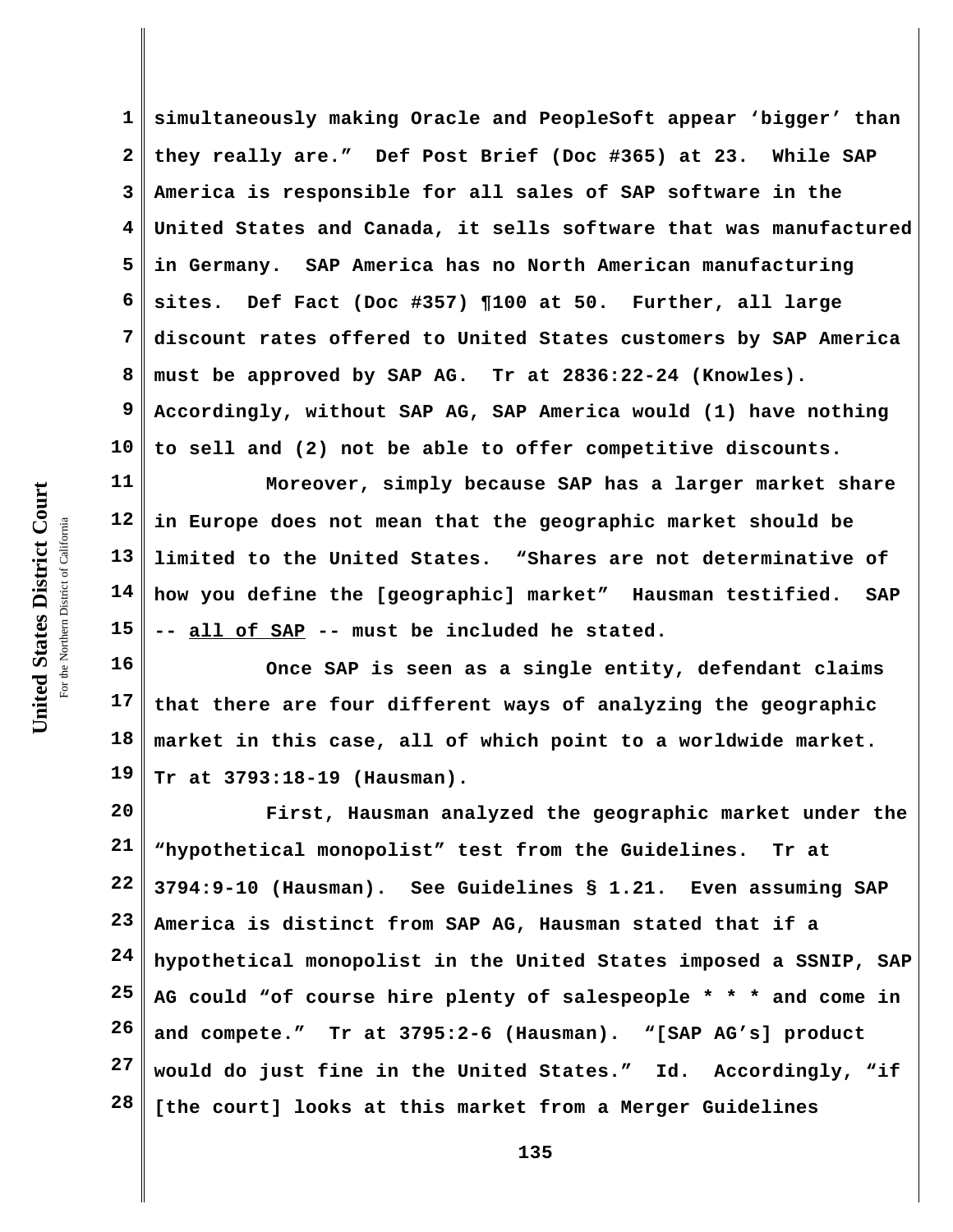**1 2 3 4 5 6 7 8 9 10 simultaneously making Oracle and PeopleSoft appear 'bigger' than they really are." Def Post Brief (Doc #365) at 23. While SAP America is responsible for all sales of SAP software in the United States and Canada, it sells software that was manufactured in Germany. SAP America has no North American manufacturing sites. Def Fact (Doc #357) ¶100 at 50. Further, all large discount rates offered to United States customers by SAP America must be approved by SAP AG. Tr at 2836:22-24 (Knowles). Accordingly, without SAP AG, SAP America would (1) have nothing to sell and (2) not be able to offer competitive discounts.**

**11 12 13 14 15 Moreover, simply because SAP has a larger market share in Europe does not mean that the geographic market should be limited to the United States. "Shares are not determinative of how you define the [geographic] market" Hausman testified. SAP -- all of SAP -- must be included he stated.**

**16 17 18 19 Once SAP is seen as a single entity, defendant claims that there are four different ways of analyzing the geographic market in this case, all of which point to a worldwide market. Tr at 3793:18-19 (Hausman).**

**20 21 22 23 24 25 26 27 28 First, Hausman analyzed the geographic market under the "hypothetical monopolist" test from the Guidelines. Tr at 3794:9-10 (Hausman). See Guidelines § 1.21. Even assuming SAP America is distinct from SAP AG, Hausman stated that if a hypothetical monopolist in the United States imposed a SSNIP, SAP AG could "of course hire plenty of salespeople \* \* \* and come in and compete." Tr at 3795:2-6 (Hausman). "[SAP AG's] product would do just fine in the United States." Id. Accordingly, "if [the court] looks at this market from a Merger Guidelines**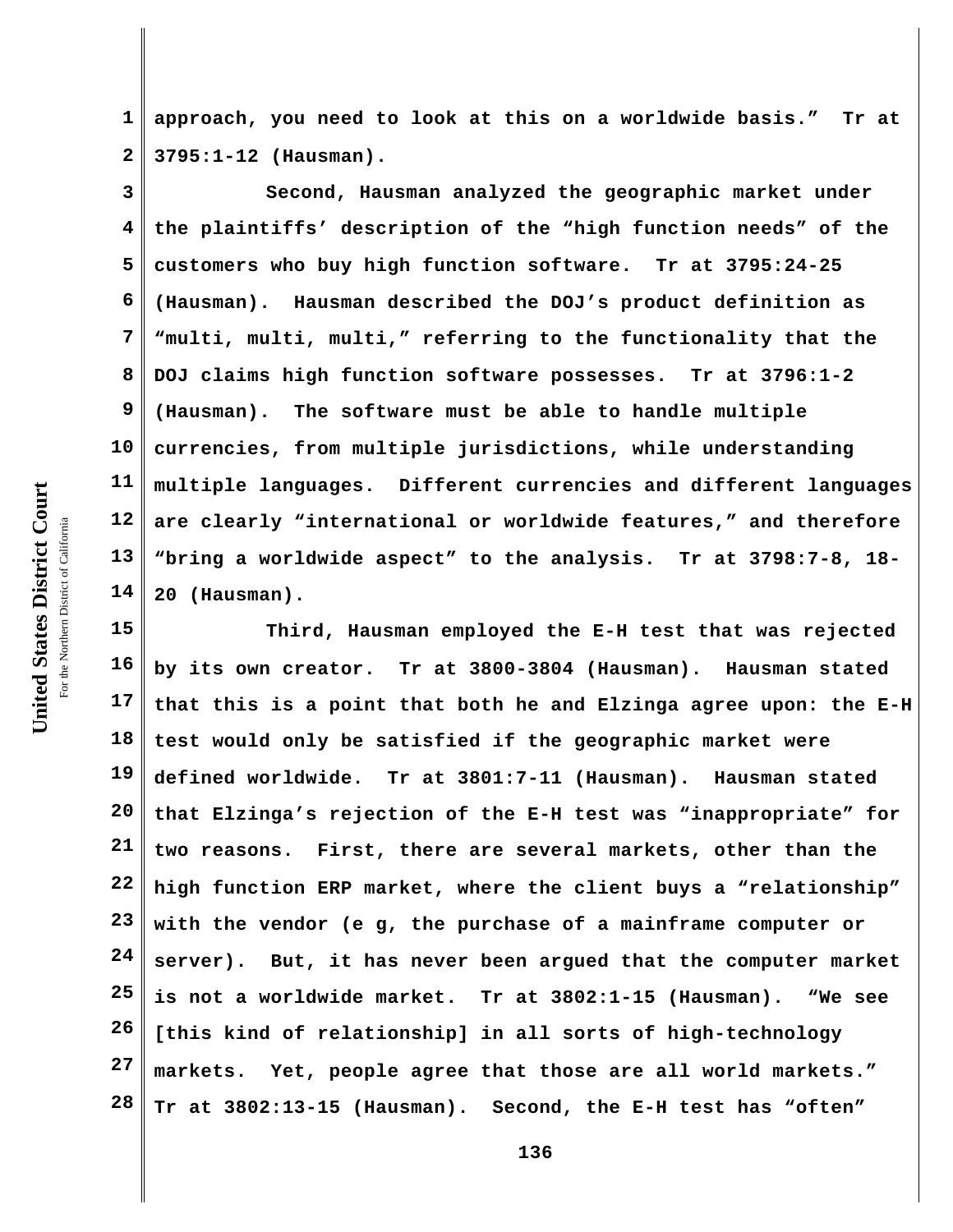**1 2 approach, you need to look at this on a worldwide basis." Tr at 3795:1-12 (Hausman).**

**3 4 5 6 7 8 9 10 11 12 13 14 Second, Hausman analyzed the geographic market under the plaintiffs' description of the "high function needs" of the customers who buy high function software. Tr at 3795:24-25 (Hausman). Hausman described the DOJ's product definition as "multi, multi, multi," referring to the functionality that the DOJ claims high function software possesses. Tr at 3796:1-2 (Hausman). The software must be able to handle multiple currencies, from multiple jurisdictions, while understanding multiple languages. Different currencies and different languages are clearly "international or worldwide features," and therefore "bring a worldwide aspect" to the analysis. Tr at 3798:7-8, 18- 20 (Hausman).**

**15 16 17 18 19 20 21 22 23 24 25 26 27 28 Third, Hausman employed the E-H test that was rejected by its own creator. Tr at 3800-3804 (Hausman). Hausman stated that this is a point that both he and Elzinga agree upon: the E-H test would only be satisfied if the geographic market were defined worldwide. Tr at 3801:7-11 (Hausman). Hausman stated that Elzinga's rejection of the E-H test was "inappropriate" for two reasons. First, there are several markets, other than the high function ERP market, where the client buys a "relationship" with the vendor (e g, the purchase of a mainframe computer or server). But, it has never been argued that the computer market is not a worldwide market. Tr at 3802:1-15 (Hausman). "We see [this kind of relationship] in all sorts of high-technology markets. Yet, people agree that those are all world markets." Tr at 3802:13-15 (Hausman). Second, the E-H test has "often"**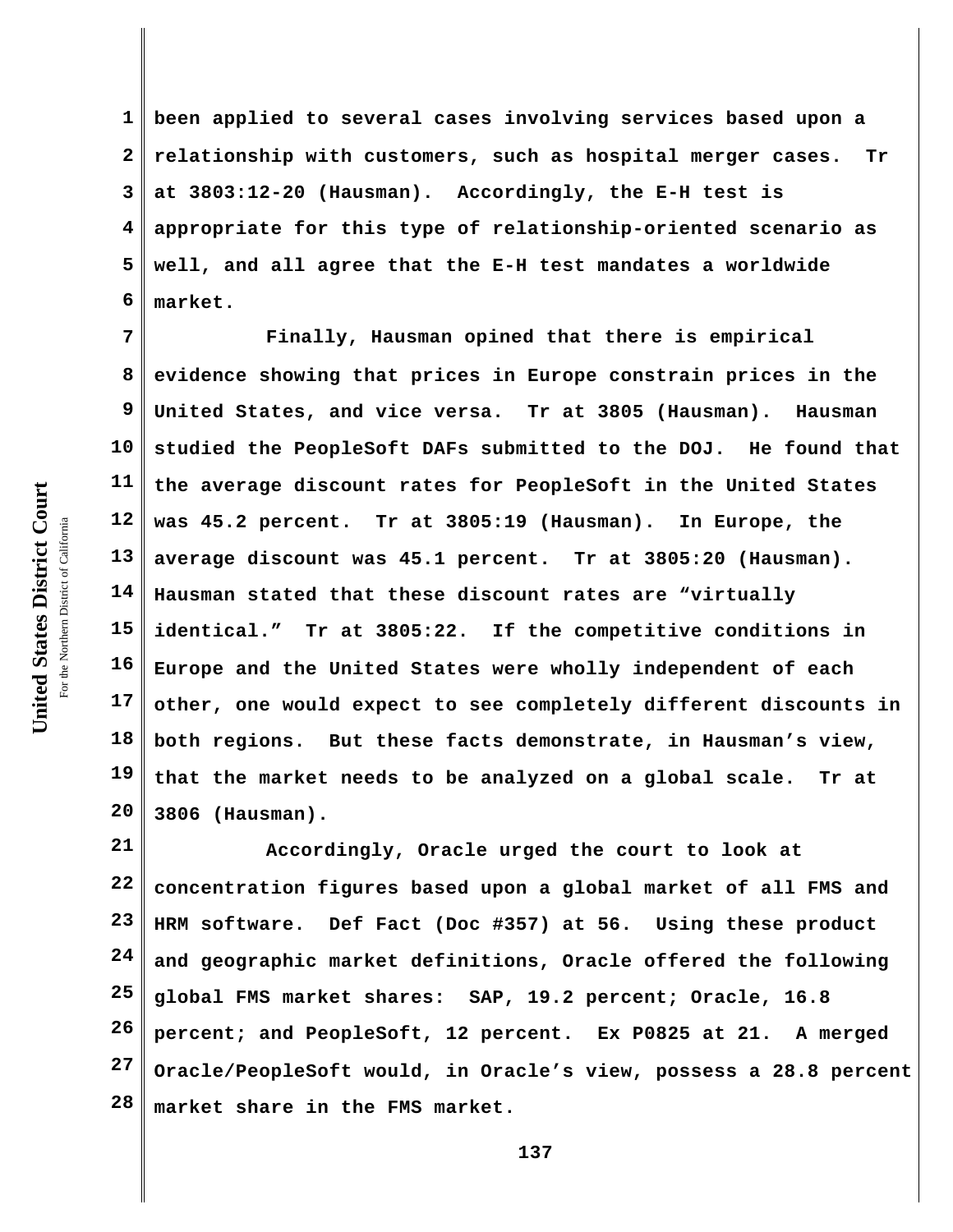United States District Court **United States District Court** For the Northern District of California the Northern District of California

**1 2 3 4 5 6 been applied to several cases involving services based upon a relationship with customers, such as hospital merger cases. Tr at 3803:12-20 (Hausman). Accordingly, the E-H test is appropriate for this type of relationship-oriented scenario as well, and all agree that the E-H test mandates a worldwide market.**

**7 8 9 10 11 12 13 14 15 16 17 18 19 20 Finally, Hausman opined that there is empirical evidence showing that prices in Europe constrain prices in the United States, and vice versa. Tr at 3805 (Hausman). Hausman studied the PeopleSoft DAFs submitted to the DOJ. He found that the average discount rates for PeopleSoft in the United States was 45.2 percent. Tr at 3805:19 (Hausman). In Europe, the average discount was 45.1 percent. Tr at 3805:20 (Hausman). Hausman stated that these discount rates are "virtually identical." Tr at 3805:22. If the competitive conditions in Europe and the United States were wholly independent of each other, one would expect to see completely different discounts in both regions. But these facts demonstrate, in Hausman's view, that the market needs to be analyzed on a global scale. Tr at 3806 (Hausman).** 

**21 22 23 24 25 26 27 28 Accordingly, Oracle urged the court to look at concentration figures based upon a global market of all FMS and HRM software. Def Fact (Doc #357) at 56. Using these product and geographic market definitions, Oracle offered the following global FMS market shares: SAP, 19.2 percent; Oracle, 16.8 percent; and PeopleSoft, 12 percent. Ex P0825 at 21. A merged Oracle/PeopleSoft would, in Oracle's view, possess a 28.8 percent market share in the FMS market.**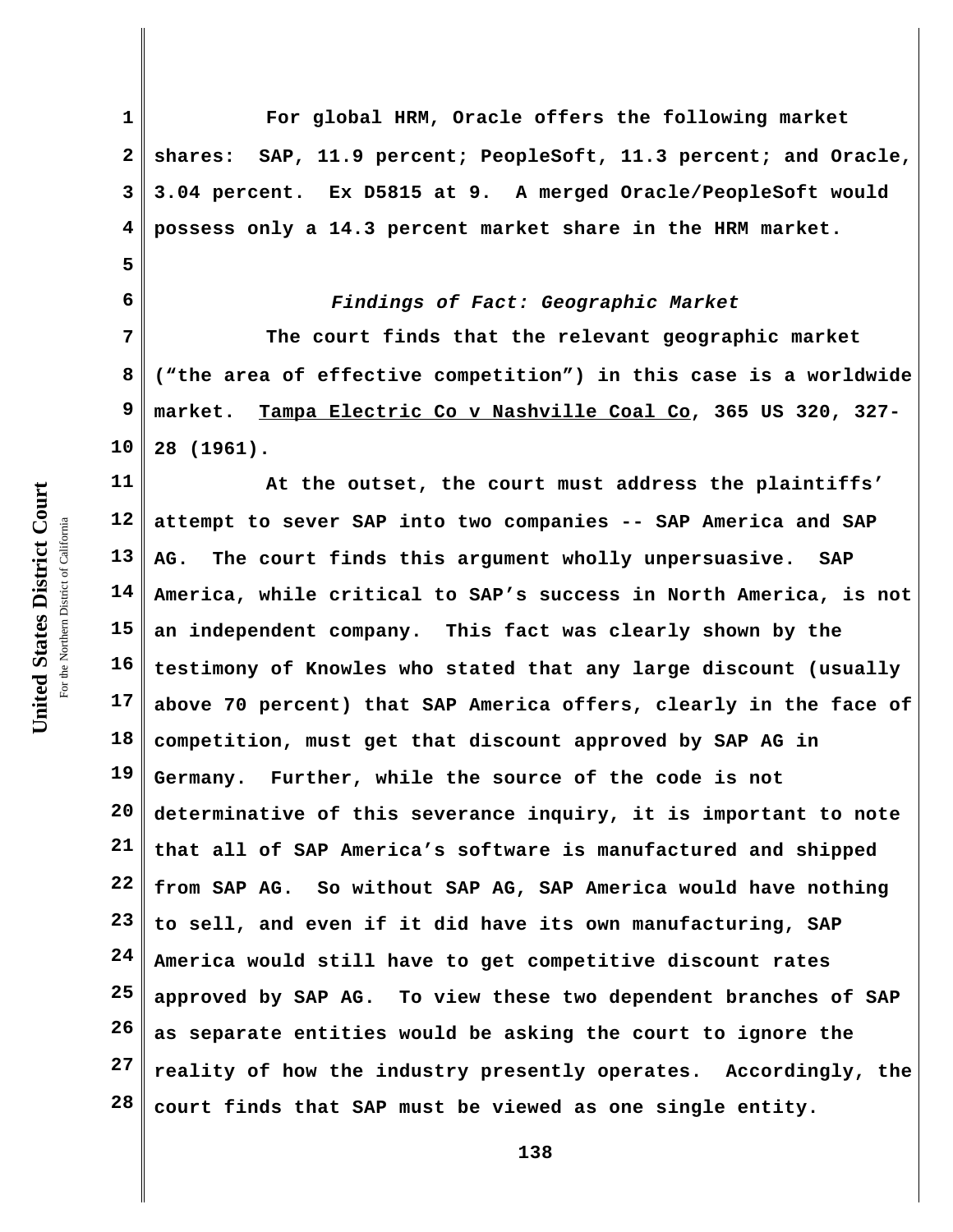**5**

**6**

**1 2 3 4 For global HRM, Oracle offers the following market shares: SAP, 11.9 percent; PeopleSoft, 11.3 percent; and Oracle, 3.04 percent. Ex D5815 at 9. A merged Oracle/PeopleSoft would possess only a 14.3 percent market share in the HRM market.**

## *Findings of Fact: Geographic Market*

**7 8 9 10 The court finds that the relevant geographic market ("the area of effective competition") in this case is a worldwide market. Tampa Electric Co v Nashville Coal Co, 365 US 320, 327- 28 (1961).** 

**11 12 13 14 15 16 17 18 19 20 21 22 23 24 25 26 27 28 At the outset, the court must address the plaintiffs' attempt to sever SAP into two companies -- SAP America and SAP AG. The court finds this argument wholly unpersuasive. SAP America, while critical to SAP's success in North America, is not an independent company. This fact was clearly shown by the testimony of Knowles who stated that any large discount (usually above 70 percent) that SAP America offers, clearly in the face of competition, must get that discount approved by SAP AG in Germany. Further, while the source of the code is not determinative of this severance inquiry, it is important to note that all of SAP America's software is manufactured and shipped from SAP AG. So without SAP AG, SAP America would have nothing to sell, and even if it did have its own manufacturing, SAP America would still have to get competitive discount rates approved by SAP AG. To view these two dependent branches of SAP as separate entities would be asking the court to ignore the reality of how the industry presently operates. Accordingly, the court finds that SAP must be viewed as one single entity.**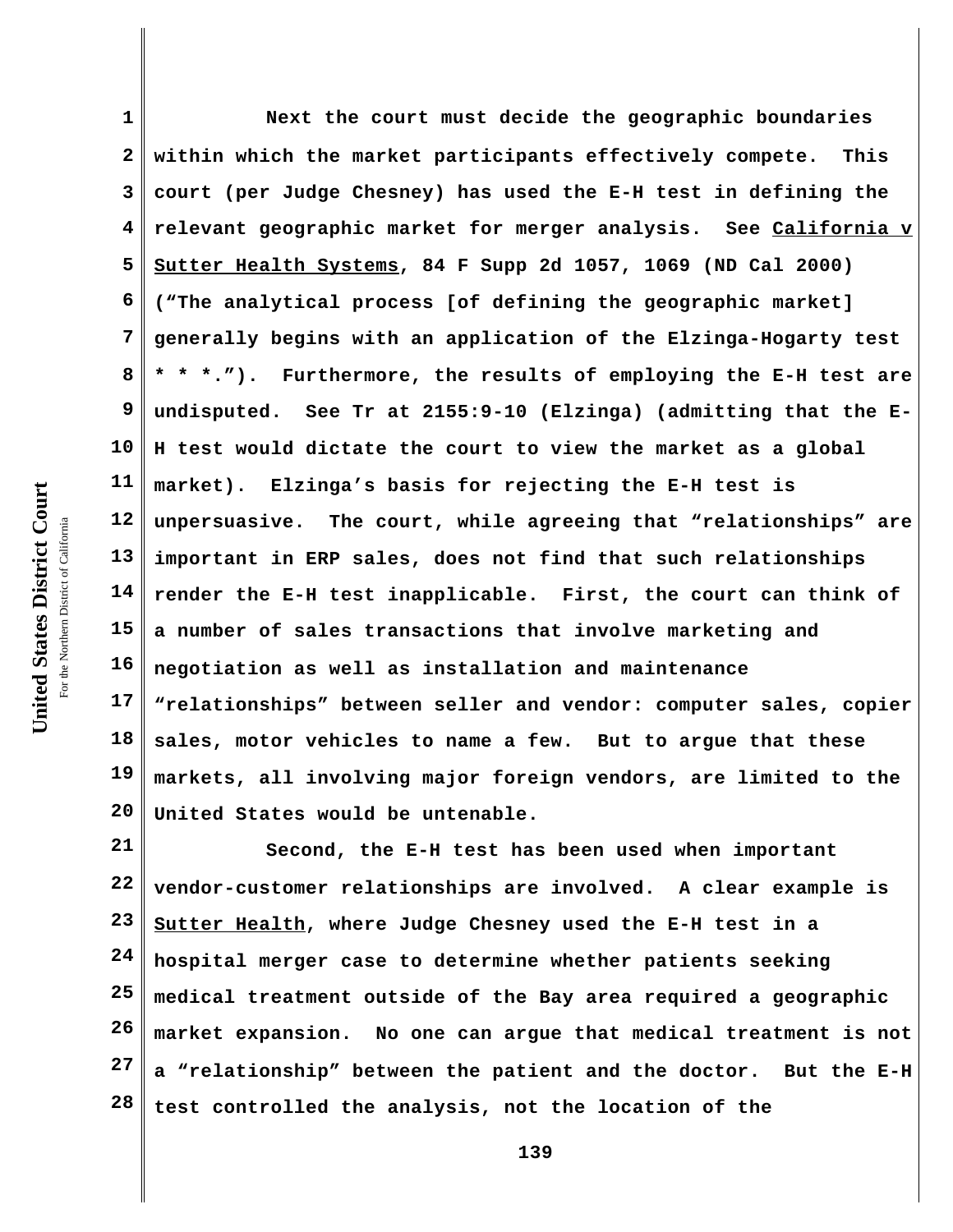**1 2 3 4 5 6 7 8 9 10 11 12 13 14 15 16 17 18 19 20 Next the court must decide the geographic boundaries within which the market participants effectively compete. This court (per Judge Chesney) has used the E-H test in defining the relevant geographic market for merger analysis. See California v Sutter Health Systems, 84 F Supp 2d 1057, 1069 (ND Cal 2000) ("The analytical process [of defining the geographic market] generally begins with an application of the Elzinga-Hogarty test \* \* \*."). Furthermore, the results of employing the E-H test are undisputed. See Tr at 2155:9-10 (Elzinga) (admitting that the E-H test would dictate the court to view the market as a global market). Elzinga's basis for rejecting the E-H test is unpersuasive. The court, while agreeing that "relationships" are important in ERP sales, does not find that such relationships render the E-H test inapplicable. First, the court can think of a number of sales transactions that involve marketing and negotiation as well as installation and maintenance "relationships" between seller and vendor: computer sales, copier sales, motor vehicles to name a few. But to argue that these markets, all involving major foreign vendors, are limited to the United States would be untenable.** 

**21 22 23 24 25 26 27 28 Second, the E-H test has been used when important vendor-customer relationships are involved. A clear example is Sutter Health, where Judge Chesney used the E-H test in a hospital merger case to determine whether patients seeking medical treatment outside of the Bay area required a geographic market expansion. No one can argue that medical treatment is not a "relationship" between the patient and the doctor. But the E-H test controlled the analysis, not the location of the**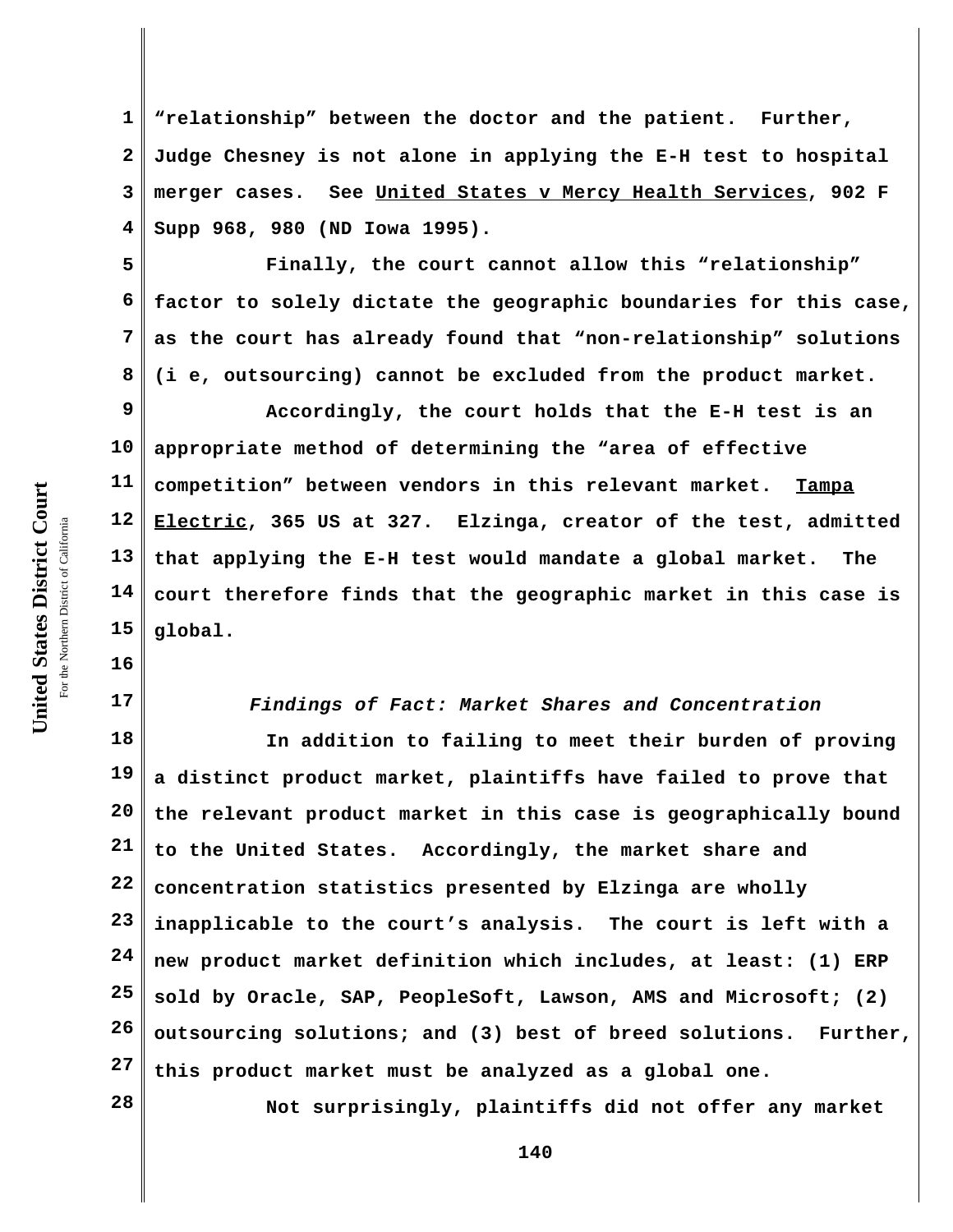**1 2 3 4 "relationship" between the doctor and the patient. Further, Judge Chesney is not alone in applying the E-H test to hospital merger cases. See United States v Mercy Health Services, 902 F Supp 968, 980 (ND Iowa 1995).**

**5 6 7 8 Finally, the court cannot allow this "relationship" factor to solely dictate the geographic boundaries for this case, as the court has already found that "non-relationship" solutions (i e, outsourcing) cannot be excluded from the product market.**

**9 10 11 12 13 14 15 Accordingly, the court holds that the E-H test is an appropriate method of determining the "area of effective competition" between vendors in this relevant market. Tampa Electric, 365 US at 327. Elzinga, creator of the test, admitted that applying the E-H test would mandate a global market. The court therefore finds that the geographic market in this case is global.**

*Findings of Fact: Market Shares and Concentration*

**18 19 20 21 22 23 24 25 26 27 In addition to failing to meet their burden of proving a distinct product market, plaintiffs have failed to prove that the relevant product market in this case is geographically bound to the United States. Accordingly, the market share and concentration statistics presented by Elzinga are wholly inapplicable to the court's analysis. The court is left with a new product market definition which includes, at least: (1) ERP sold by Oracle, SAP, PeopleSoft, Lawson, AMS and Microsoft; (2) outsourcing solutions; and (3) best of breed solutions. Further, this product market must be analyzed as a global one.** 

**Not surprisingly, plaintiffs did not offer any market**

**140**

**16**

**17**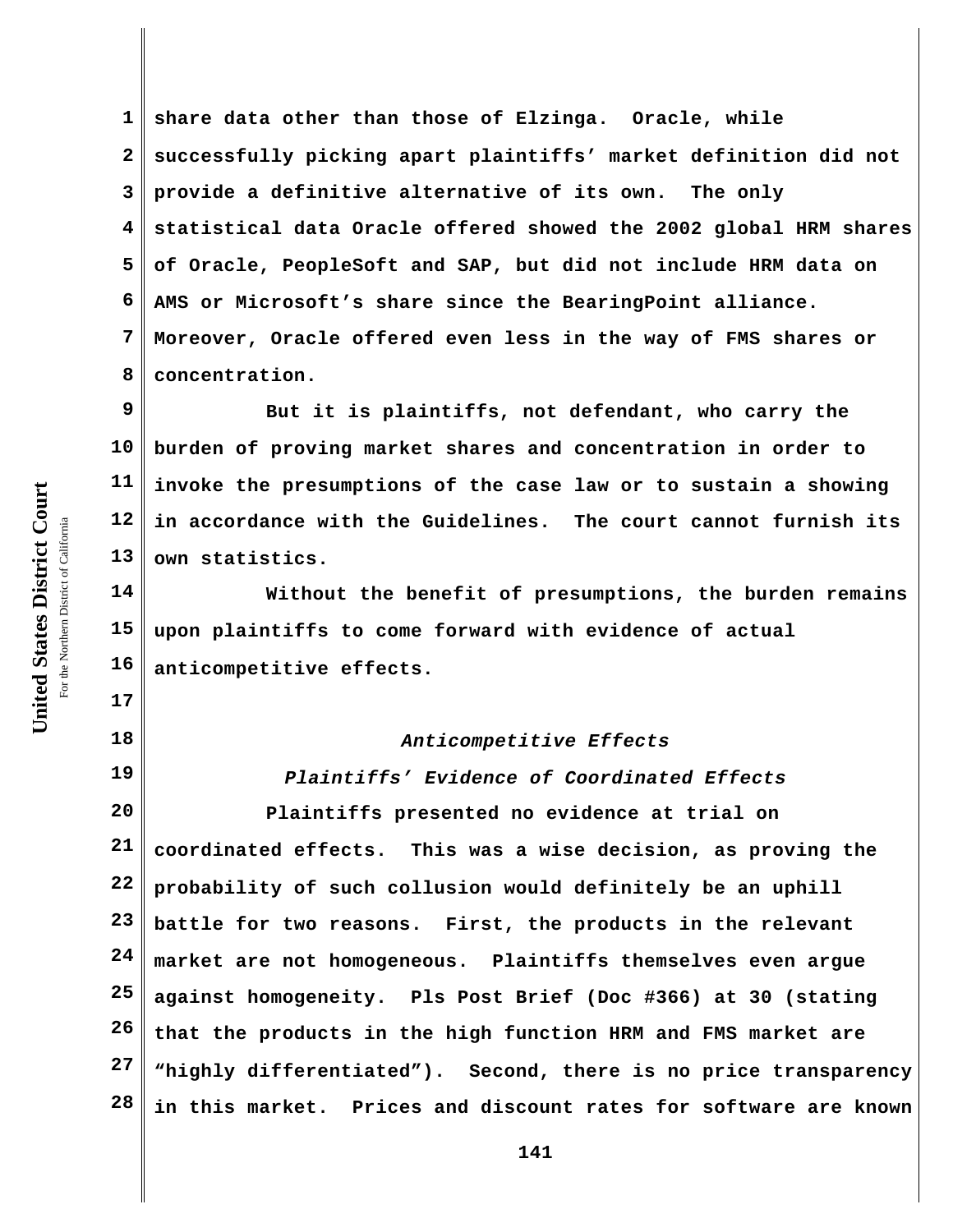**1 2 3 4 5 6 7 8 share data other than those of Elzinga. Oracle, while successfully picking apart plaintiffs' market definition did not provide a definitive alternative of its own. The only statistical data Oracle offered showed the 2002 global HRM shares of Oracle, PeopleSoft and SAP, but did not include HRM data on AMS or Microsoft's share since the BearingPoint alliance. Moreover, Oracle offered even less in the way of FMS shares or concentration.** 

**9 10 11 12 13 But it is plaintiffs, not defendant, who carry the burden of proving market shares and concentration in order to invoke the presumptions of the case law or to sustain a showing in accordance with the Guidelines. The court cannot furnish its own statistics.**

**14 15 16 Without the benefit of presumptions, the burden remains upon plaintiffs to come forward with evidence of actual anticompetitive effects.** 

## *Anticompetitive Effects*

**19 20 21 22 23 24 25 26 27 28** *Plaintiffs' Evidence of Coordinated Effects* **Plaintiffs presented no evidence at trial on coordinated effects. This was a wise decision, as proving the probability of such collusion would definitely be an uphill battle for two reasons. First, the products in the relevant market are not homogeneous. Plaintiffs themselves even argue against homogeneity. Pls Post Brief (Doc #366) at 30 (stating that the products in the high function HRM and FMS market are "highly differentiated"). Second, there is no price transparency in this market. Prices and discount rates for software are known**

**17**

**18**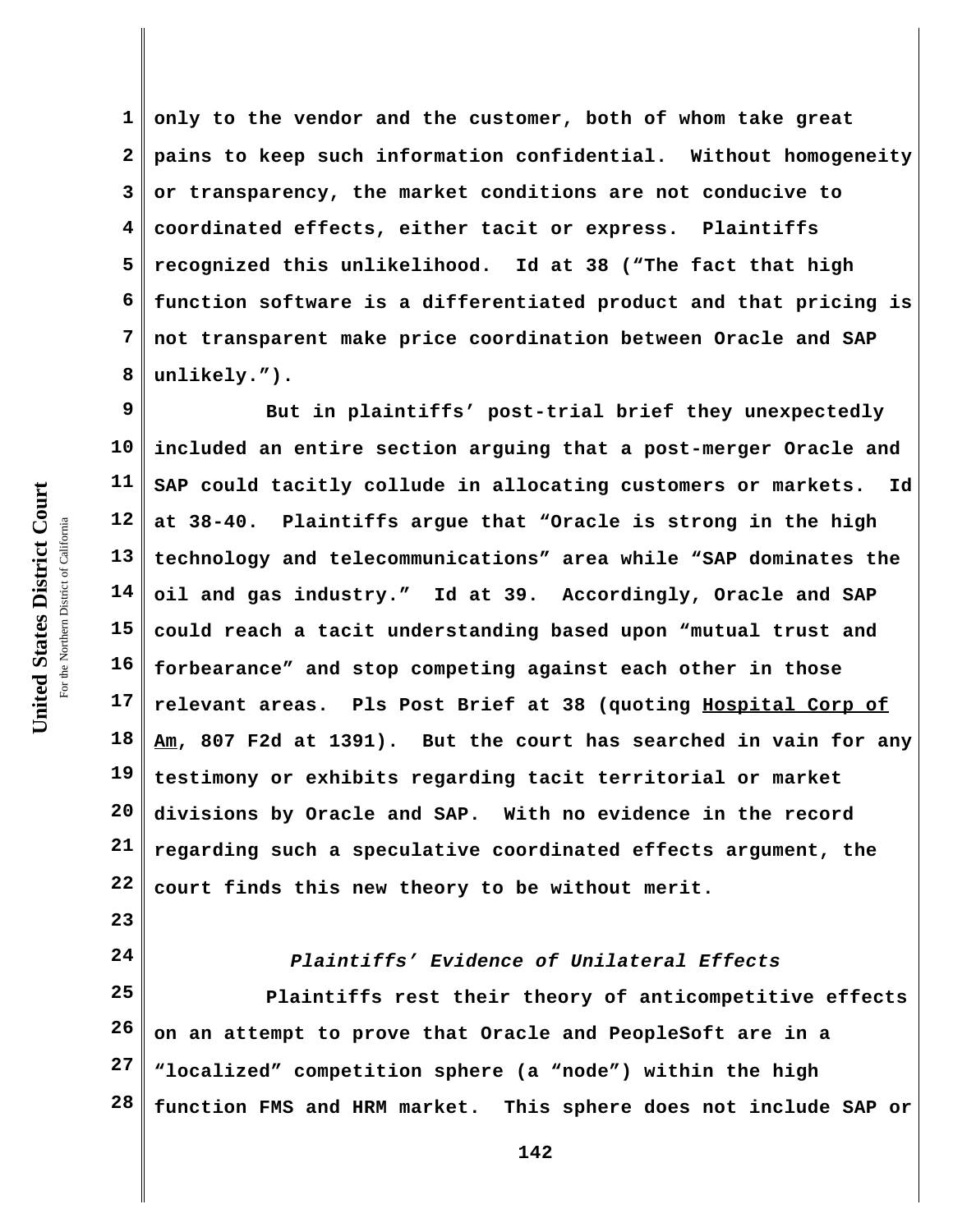**1 2 3 4 5 6 7 8 only to the vendor and the customer, both of whom take great pains to keep such information confidential. Without homogeneity or transparency, the market conditions are not conducive to coordinated effects, either tacit or express. Plaintiffs recognized this unlikelihood. Id at 38 ("The fact that high function software is a differentiated product and that pricing is not transparent make price coordination between Oracle and SAP unlikely.").** 

**9 10 11 12 13 14 15 16 17 18 19 20 21 22 But in plaintiffs' post-trial brief they unexpectedly included an entire section arguing that a post-merger Oracle and SAP could tacitly collude in allocating customers or markets. Id at 38-40. Plaintiffs argue that "Oracle is strong in the high technology and telecommunications" area while "SAP dominates the oil and gas industry." Id at 39. Accordingly, Oracle and SAP could reach a tacit understanding based upon "mutual trust and forbearance" and stop competing against each other in those relevant areas. Pls Post Brief at 38 (quoting Hospital Corp of Am, 807 F2d at 1391). But the court has searched in vain for any testimony or exhibits regarding tacit territorial or market divisions by Oracle and SAP. With no evidence in the record regarding such a speculative coordinated effects argument, the court finds this new theory to be without merit.**

*Plaintiffs' Evidence of Unilateral Effects*

**25 26 27 28 Plaintiffs rest their theory of anticompetitive effects on an attempt to prove that Oracle and PeopleSoft are in a "localized" competition sphere (a "node") within the high function FMS and HRM market. This sphere does not include SAP or**

**23**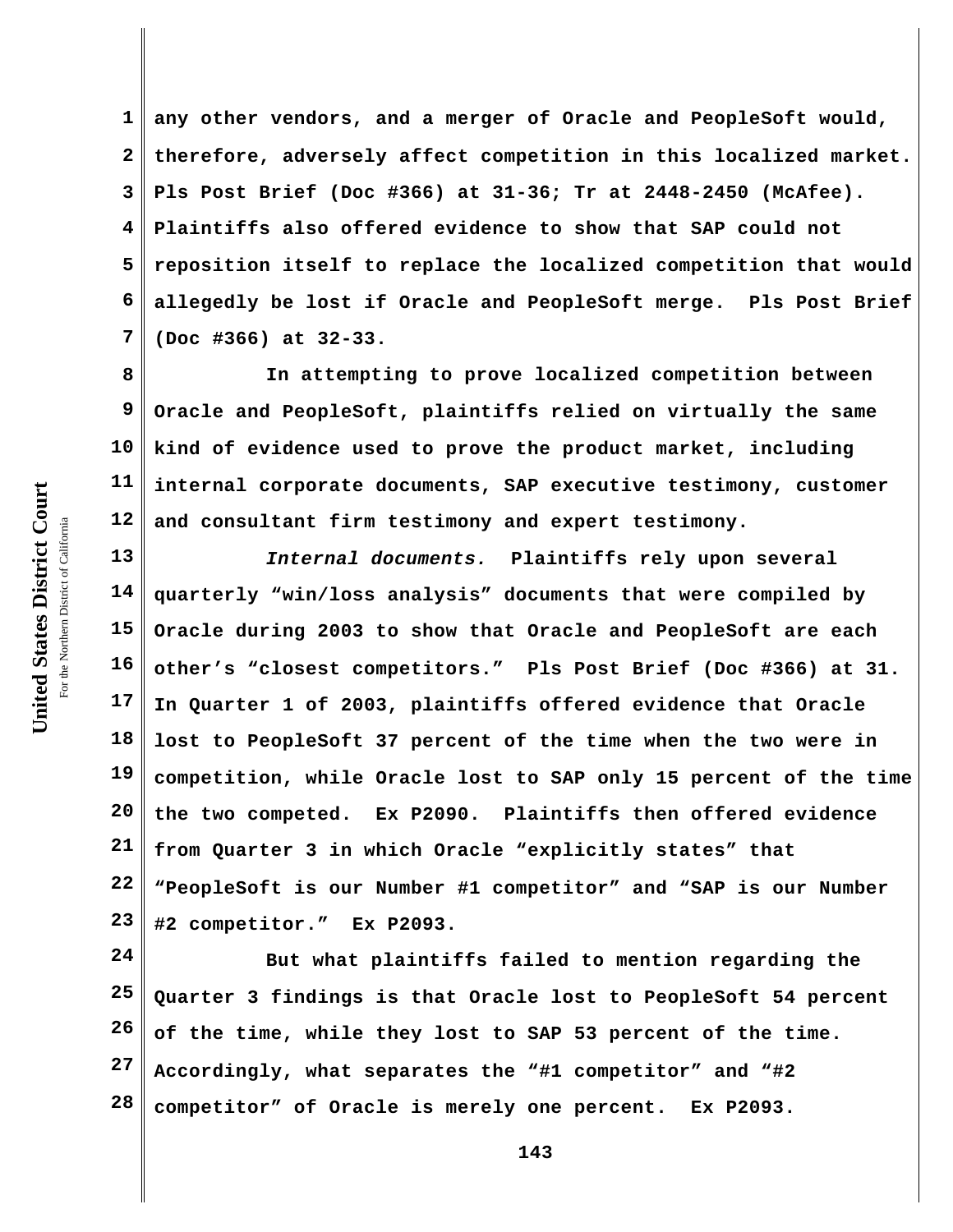**1 2 3 4 5 6 7 any other vendors, and a merger of Oracle and PeopleSoft would, therefore, adversely affect competition in this localized market. Pls Post Brief (Doc #366) at 31-36; Tr at 2448-2450 (McAfee). Plaintiffs also offered evidence to show that SAP could not reposition itself to replace the localized competition that would allegedly be lost if Oracle and PeopleSoft merge. Pls Post Brief (Doc #366) at 32-33.** 

**8 9 10 11 12 In attempting to prove localized competition between Oracle and PeopleSoft, plaintiffs relied on virtually the same kind of evidence used to prove the product market, including internal corporate documents, SAP executive testimony, customer and consultant firm testimony and expert testimony.** 

**13 14 15 16 17 18 19 20 21 22 23** *Internal documents.* **Plaintiffs rely upon several quarterly "win/loss analysis" documents that were compiled by Oracle during 2003 to show that Oracle and PeopleSoft are each other's "closest competitors." Pls Post Brief (Doc #366) at 31. In Quarter 1 of 2003, plaintiffs offered evidence that Oracle lost to PeopleSoft 37 percent of the time when the two were in competition, while Oracle lost to SAP only 15 percent of the time the two competed. Ex P2090. Plaintiffs then offered evidence from Quarter 3 in which Oracle "explicitly states" that "PeopleSoft is our Number #1 competitor" and "SAP is our Number #2 competitor." Ex P2093.**

**24 25 26 27 28 But what plaintiffs failed to mention regarding the Quarter 3 findings is that Oracle lost to PeopleSoft 54 percent of the time, while they lost to SAP 53 percent of the time. Accordingly, what separates the "#1 competitor" and "#2 competitor" of Oracle is merely one percent. Ex P2093.**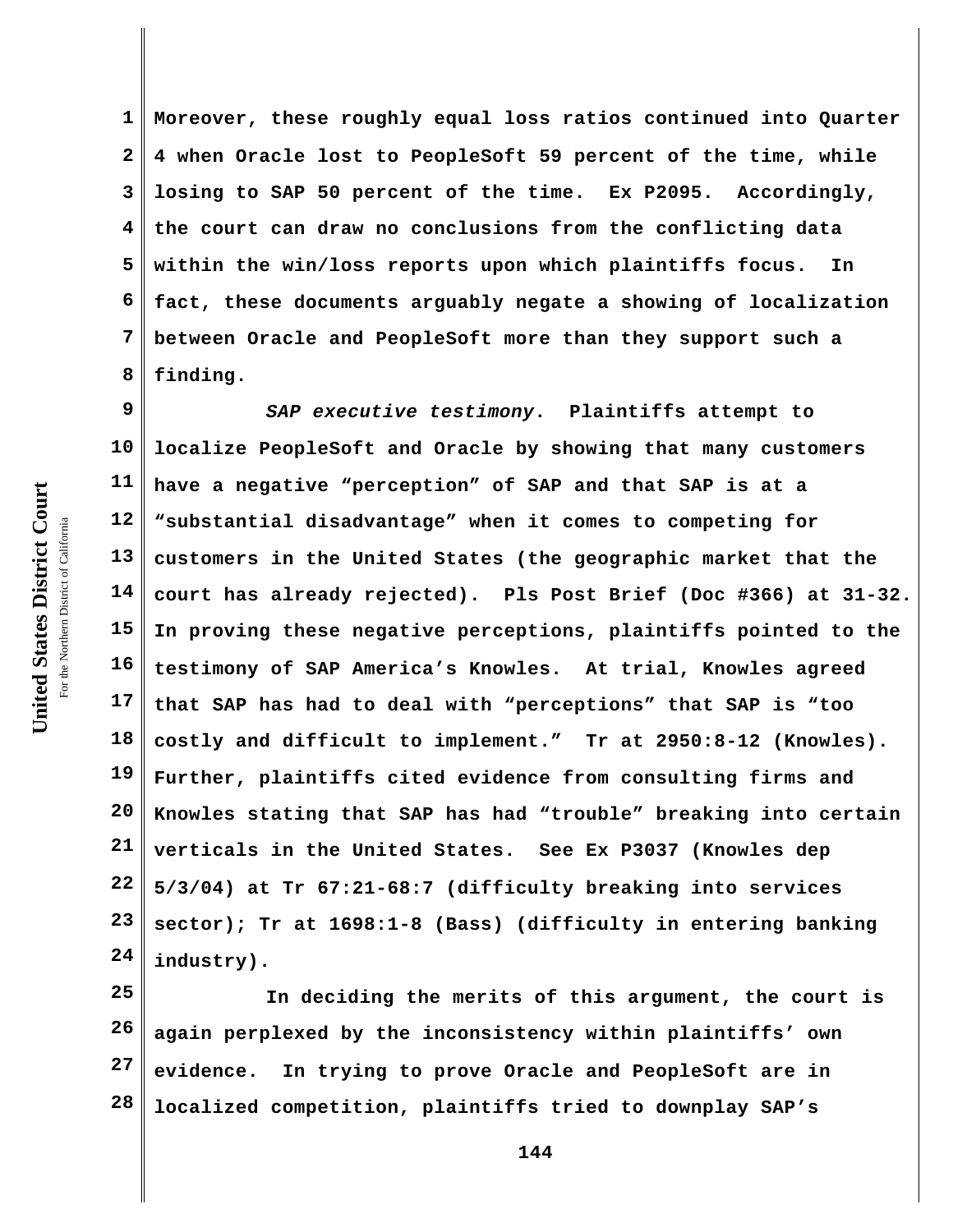**1 2 3 4 5 6 7 8 Moreover, these roughly equal loss ratios continued into Quarter 4 when Oracle lost to PeopleSoft 59 percent of the time, while losing to SAP 50 percent of the time. Ex P2095. Accordingly, the court can draw no conclusions from the conflicting data within the win/loss reports upon which plaintiffs focus. In fact, these documents arguably negate a showing of localization between Oracle and PeopleSoft more than they support such a finding.**

**9 10 11 12 13 14 15 16 17 18 19 20 21 22 23 24** *SAP executive testimony***. Plaintiffs attempt to localize PeopleSoft and Oracle by showing that many customers have a negative "perception" of SAP and that SAP is at a "substantial disadvantage" when it comes to competing for customers in the United States (the geographic market that the court has already rejected). Pls Post Brief (Doc #366) at 31-32. In proving these negative perceptions, plaintiffs pointed to the testimony of SAP America's Knowles. At trial, Knowles agreed that SAP has had to deal with "perceptions" that SAP is "too costly and difficult to implement." Tr at 2950:8-12 (Knowles). Further, plaintiffs cited evidence from consulting firms and Knowles stating that SAP has had "trouble" breaking into certain verticals in the United States. See Ex P3037 (Knowles dep 5/3/04) at Tr 67:21-68:7 (difficulty breaking into services sector); Tr at 1698:1-8 (Bass) (difficulty in entering banking industry).**

**25 26 27 28 In deciding the merits of this argument, the court is again perplexed by the inconsistency within plaintiffs' own evidence. In trying to prove Oracle and PeopleSoft are in localized competition, plaintiffs tried to downplay SAP's**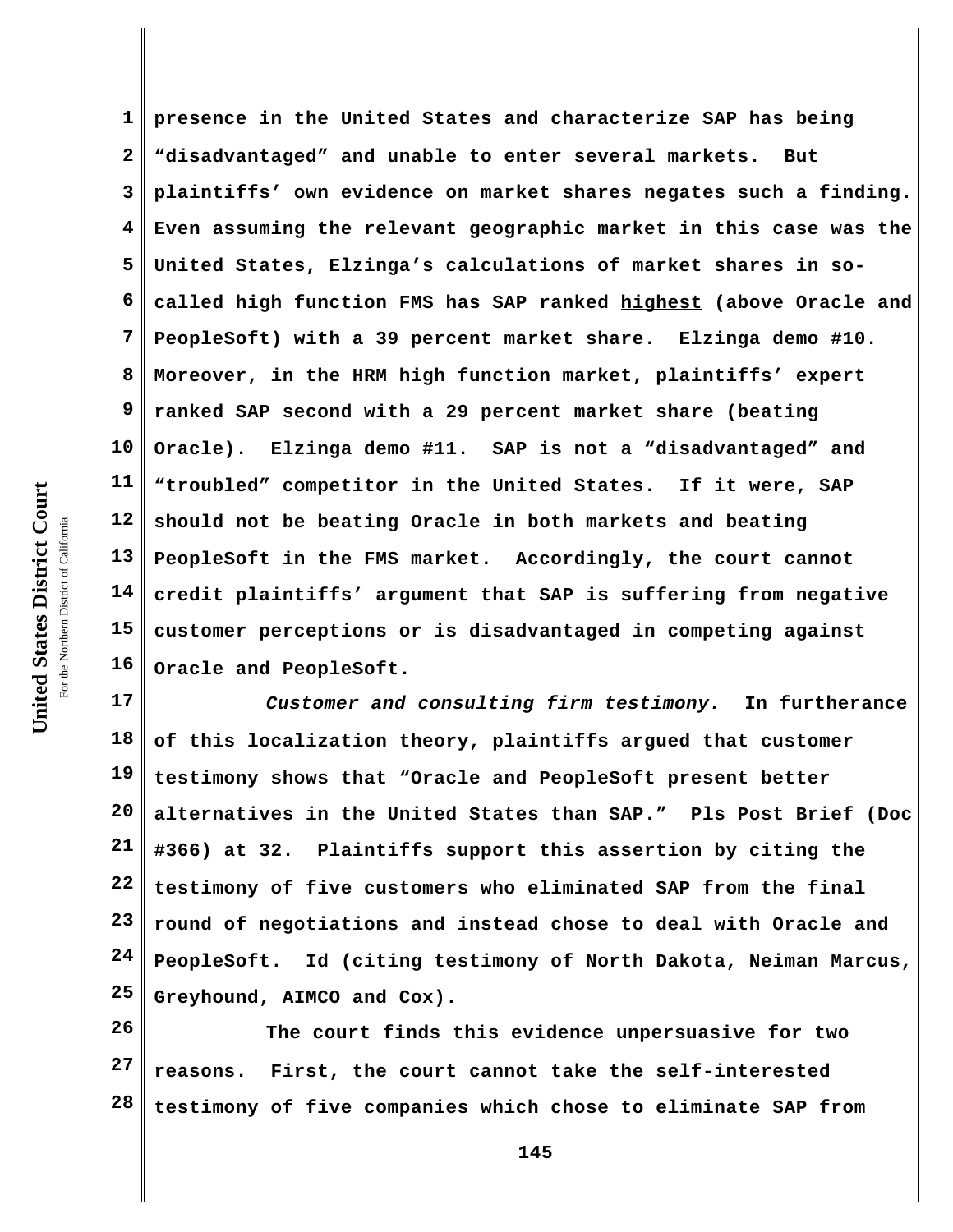**1 2 3 4 5 6 7 8 9 10 11 12 13 14 15 16 presence in the United States and characterize SAP has being "disadvantaged" and unable to enter several markets. But plaintiffs' own evidence on market shares negates such a finding. Even assuming the relevant geographic market in this case was the United States, Elzinga's calculations of market shares in socalled high function FMS has SAP ranked highest (above Oracle and PeopleSoft) with a 39 percent market share. Elzinga demo #10. Moreover, in the HRM high function market, plaintiffs' expert ranked SAP second with a 29 percent market share (beating Oracle). Elzinga demo #11. SAP is not a "disadvantaged" and "troubled" competitor in the United States. If it were, SAP should not be beating Oracle in both markets and beating PeopleSoft in the FMS market. Accordingly, the court cannot credit plaintiffs' argument that SAP is suffering from negative customer perceptions or is disadvantaged in competing against Oracle and PeopleSoft.**

**17 18 19 20 21 22 23 24 25** *Customer and consulting firm testimony.* **In furtherance of this localization theory, plaintiffs argued that customer testimony shows that "Oracle and PeopleSoft present better alternatives in the United States than SAP." Pls Post Brief (Doc #366) at 32. Plaintiffs support this assertion by citing the testimony of five customers who eliminated SAP from the final round of negotiations and instead chose to deal with Oracle and PeopleSoft. Id (citing testimony of North Dakota, Neiman Marcus, Greyhound, AIMCO and Cox).** 

**26 27 28 The court finds this evidence unpersuasive for two reasons. First, the court cannot take the self-interested testimony of five companies which chose to eliminate SAP from**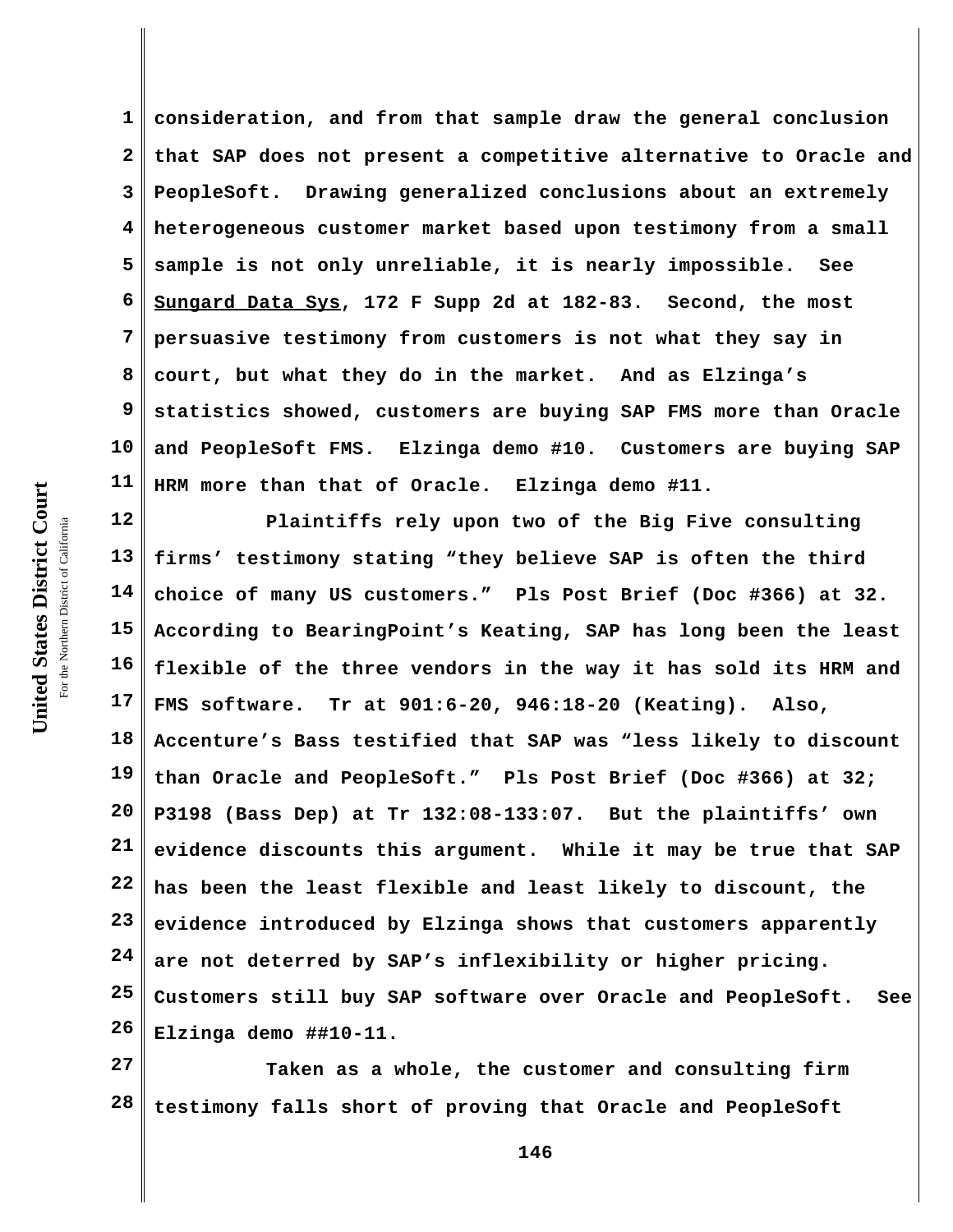**1 2 3 4 5 6 7 8 9 10 11 consideration, and from that sample draw the general conclusion that SAP does not present a competitive alternative to Oracle and PeopleSoft. Drawing generalized conclusions about an extremely heterogeneous customer market based upon testimony from a small sample is not only unreliable, it is nearly impossible. See Sungard Data Sys, 172 F Supp 2d at 182-83. Second, the most persuasive testimony from customers is not what they say in court, but what they do in the market. And as Elzinga's statistics showed, customers are buying SAP FMS more than Oracle and PeopleSoft FMS. Elzinga demo #10. Customers are buying SAP HRM more than that of Oracle. Elzinga demo #11.** 

**12 13 14 15 16 17 18 19 20 21 22 23 24 25 26 Plaintiffs rely upon two of the Big Five consulting firms' testimony stating "they believe SAP is often the third choice of many US customers." Pls Post Brief (Doc #366) at 32. According to BearingPoint's Keating, SAP has long been the least flexible of the three vendors in the way it has sold its HRM and FMS software. Tr at 901:6-20, 946:18-20 (Keating). Also, Accenture's Bass testified that SAP was "less likely to discount than Oracle and PeopleSoft." Pls Post Brief (Doc #366) at 32; P3198 (Bass Dep) at Tr 132:08-133:07. But the plaintiffs' own evidence discounts this argument. While it may be true that SAP has been the least flexible and least likely to discount, the evidence introduced by Elzinga shows that customers apparently are not deterred by SAP's inflexibility or higher pricing. Customers still buy SAP software over Oracle and PeopleSoft. See Elzinga demo ##10-11.** 

**27 28 Taken as a whole, the customer and consulting firm testimony falls short of proving that Oracle and PeopleSoft**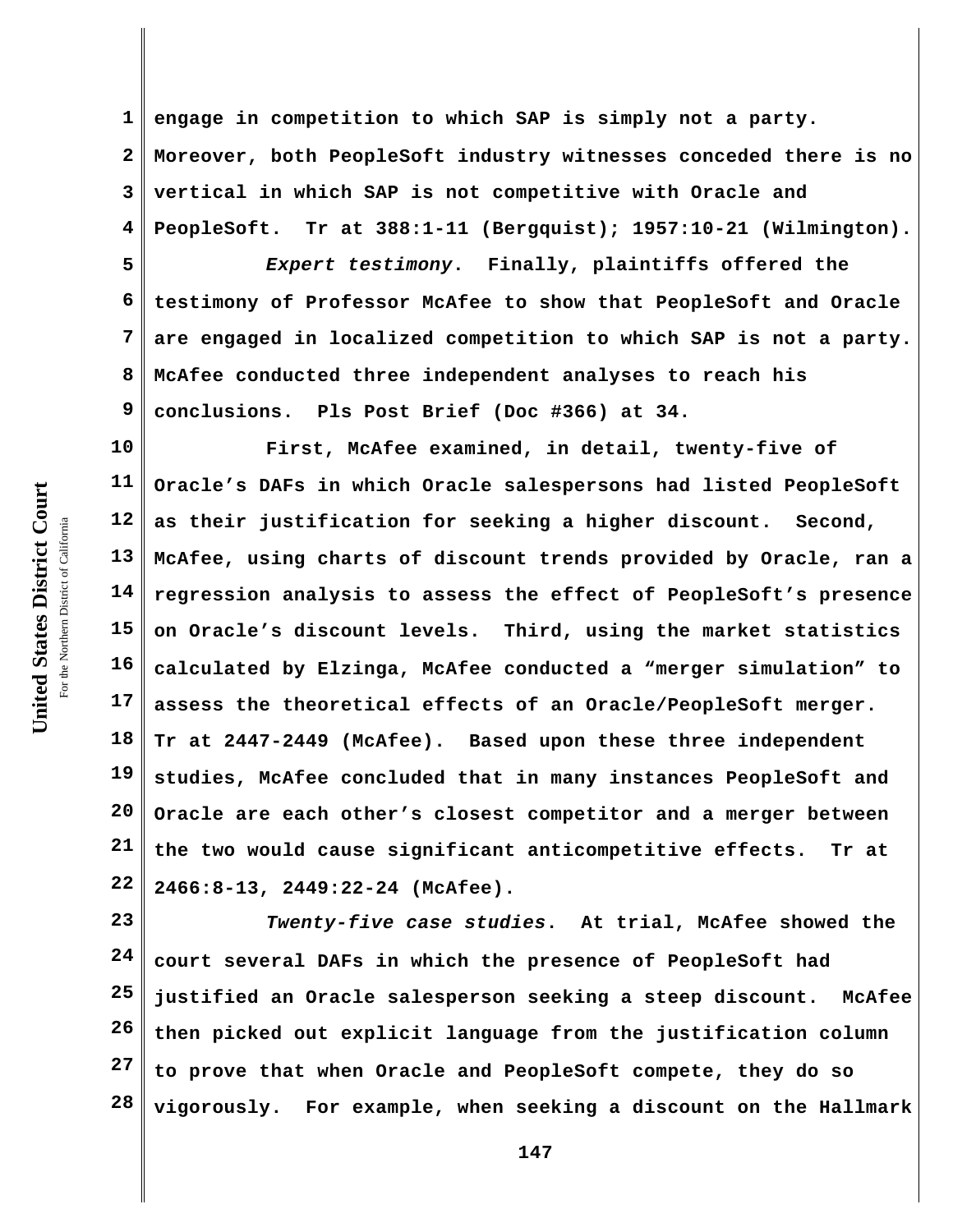**1 2 3 4 engage in competition to which SAP is simply not a party. Moreover, both PeopleSoft industry witnesses conceded there is no vertical in which SAP is not competitive with Oracle and PeopleSoft. Tr at 388:1-11 (Bergquist); 1957:10-21 (Wilmington).**

**5 6 7 8 9** *Expert testimony***. Finally, plaintiffs offered the testimony of Professor McAfee to show that PeopleSoft and Oracle are engaged in localized competition to which SAP is not a party. McAfee conducted three independent analyses to reach his conclusions. Pls Post Brief (Doc #366) at 34.**

**10 11 12 13 14 15 16 17 18 19 20 21 22 First, McAfee examined, in detail, twenty-five of Oracle's DAFs in which Oracle salespersons had listed PeopleSoft as their justification for seeking a higher discount. Second, McAfee, using charts of discount trends provided by Oracle, ran a regression analysis to assess the effect of PeopleSoft's presence on Oracle's discount levels. Third, using the market statistics calculated by Elzinga, McAfee conducted a "merger simulation" to assess the theoretical effects of an Oracle/PeopleSoft merger. Tr at 2447-2449 (McAfee). Based upon these three independent studies, McAfee concluded that in many instances PeopleSoft and Oracle are each other's closest competitor and a merger between the two would cause significant anticompetitive effects. Tr at 2466:8-13, 2449:22-24 (McAfee).**

**23 24 25 26 27 28** *Twenty-five case studies***. At trial, McAfee showed the court several DAFs in which the presence of PeopleSoft had justified an Oracle salesperson seeking a steep discount. McAfee then picked out explicit language from the justification column to prove that when Oracle and PeopleSoft compete, they do so vigorously. For example, when seeking a discount on the Hallmark**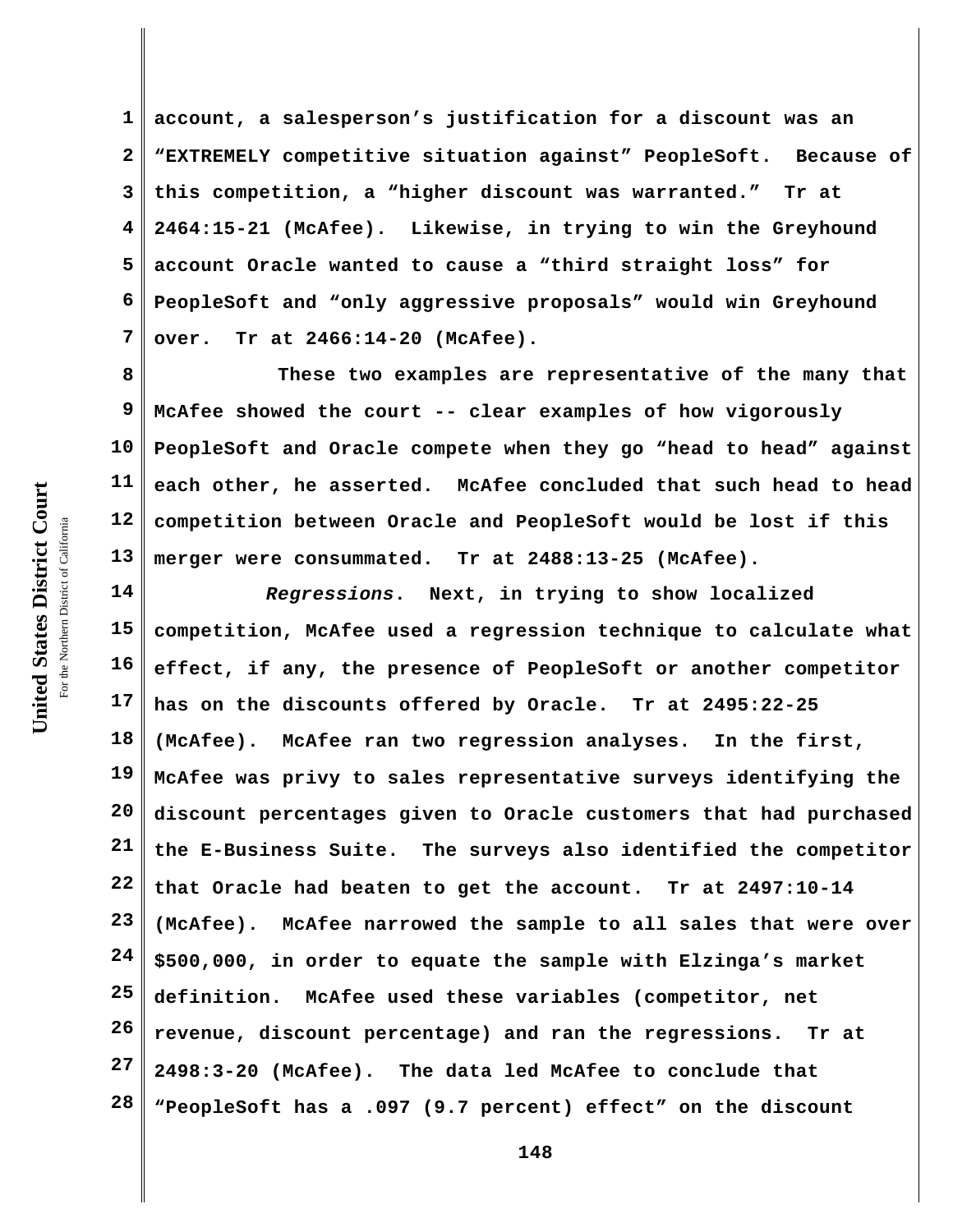**1 2 3 4 5 6 7 account, a salesperson's justification for a discount was an "EXTREMELY competitive situation against" PeopleSoft. Because of this competition, a "higher discount was warranted." Tr at 2464:15-21 (McAfee). Likewise, in trying to win the Greyhound account Oracle wanted to cause a "third straight loss" for PeopleSoft and "only aggressive proposals" would win Greyhound over. Tr at 2466:14-20 (McAfee).** 

**8 9 10 11 12 13 These two examples are representative of the many that McAfee showed the court -- clear examples of how vigorously PeopleSoft and Oracle compete when they go "head to head" against each other, he asserted. McAfee concluded that such head to head competition between Oracle and PeopleSoft would be lost if this merger were consummated. Tr at 2488:13-25 (McAfee).**

**14 15 16 17 18 19 20 21 22 23 24 25 26 27 28** *Regressions***. Next, in trying to show localized competition, McAfee used a regression technique to calculate what effect, if any, the presence of PeopleSoft or another competitor has on the discounts offered by Oracle. Tr at 2495:22-25 (McAfee). McAfee ran two regression analyses. In the first, McAfee was privy to sales representative surveys identifying the discount percentages given to Oracle customers that had purchased the E-Business Suite. The surveys also identified the competitor that Oracle had beaten to get the account. Tr at 2497:10-14 (McAfee). McAfee narrowed the sample to all sales that were over \$500,000, in order to equate the sample with Elzinga's market definition. McAfee used these variables (competitor, net revenue, discount percentage) and ran the regressions. Tr at 2498:3-20 (McAfee). The data led McAfee to conclude that "PeopleSoft has a .097 (9.7 percent) effect" on the discount**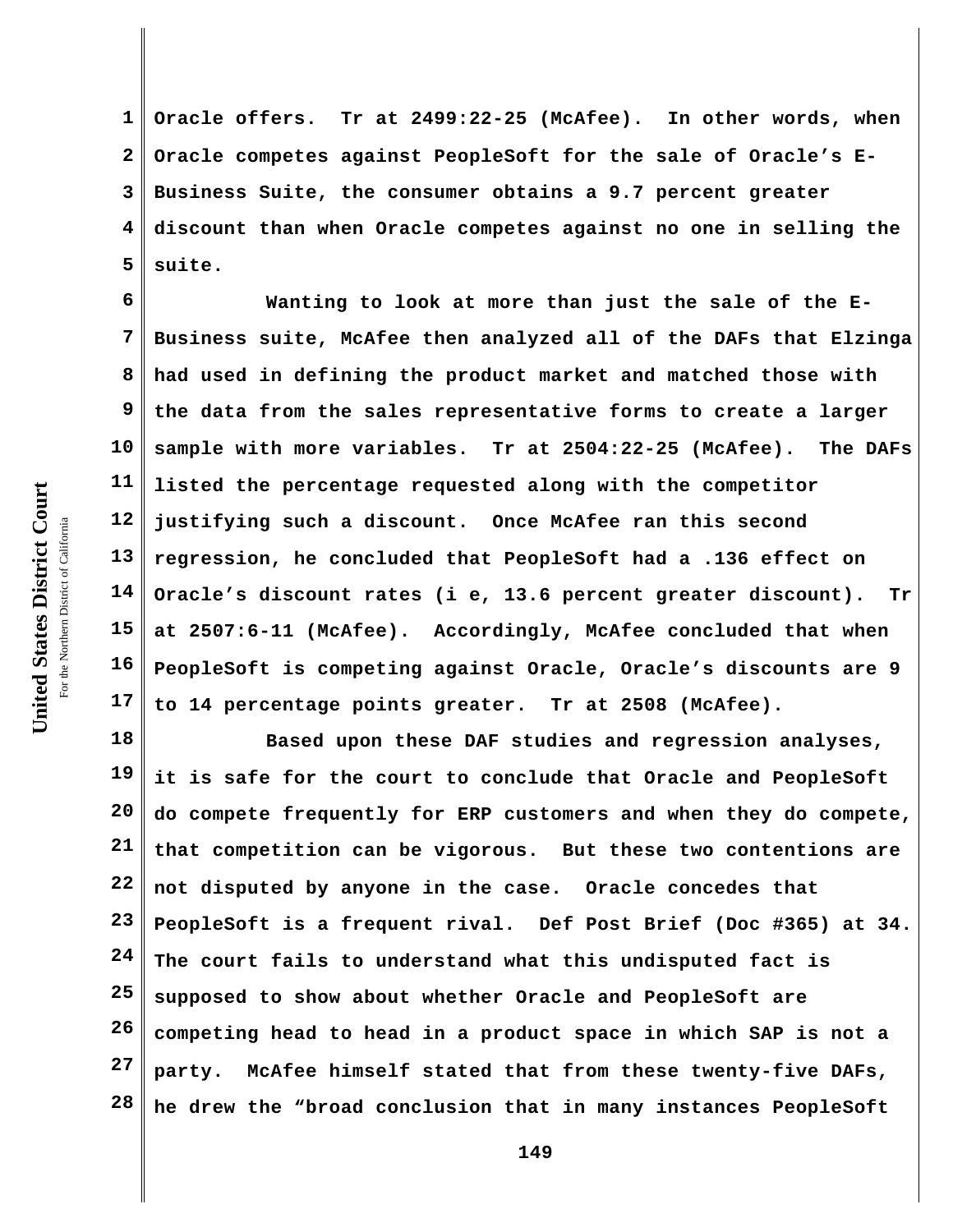**1 2 3 4 5 Oracle offers. Tr at 2499:22-25 (McAfee). In other words, when Oracle competes against PeopleSoft for the sale of Oracle's E-Business Suite, the consumer obtains a 9.7 percent greater discount than when Oracle competes against no one in selling the suite.** 

**6 7 8 9 10 11 12 13 14 15 16 17 Wanting to look at more than just the sale of the E-Business suite, McAfee then analyzed all of the DAFs that Elzinga had used in defining the product market and matched those with the data from the sales representative forms to create a larger sample with more variables. Tr at 2504:22-25 (McAfee). The DAFs listed the percentage requested along with the competitor justifying such a discount. Once McAfee ran this second regression, he concluded that PeopleSoft had a .136 effect on Oracle's discount rates (i e, 13.6 percent greater discount). Tr at 2507:6-11 (McAfee). Accordingly, McAfee concluded that when PeopleSoft is competing against Oracle, Oracle's discounts are 9 to 14 percentage points greater. Tr at 2508 (McAfee).**

**18 19 20 21 22 23 24 25 26 27 28 Based upon these DAF studies and regression analyses, it is safe for the court to conclude that Oracle and PeopleSoft do compete frequently for ERP customers and when they do compete, that competition can be vigorous. But these two contentions are not disputed by anyone in the case. Oracle concedes that PeopleSoft is a frequent rival. Def Post Brief (Doc #365) at 34. The court fails to understand what this undisputed fact is supposed to show about whether Oracle and PeopleSoft are competing head to head in a product space in which SAP is not a party. McAfee himself stated that from these twenty-five DAFs, he drew the "broad conclusion that in many instances PeopleSoft**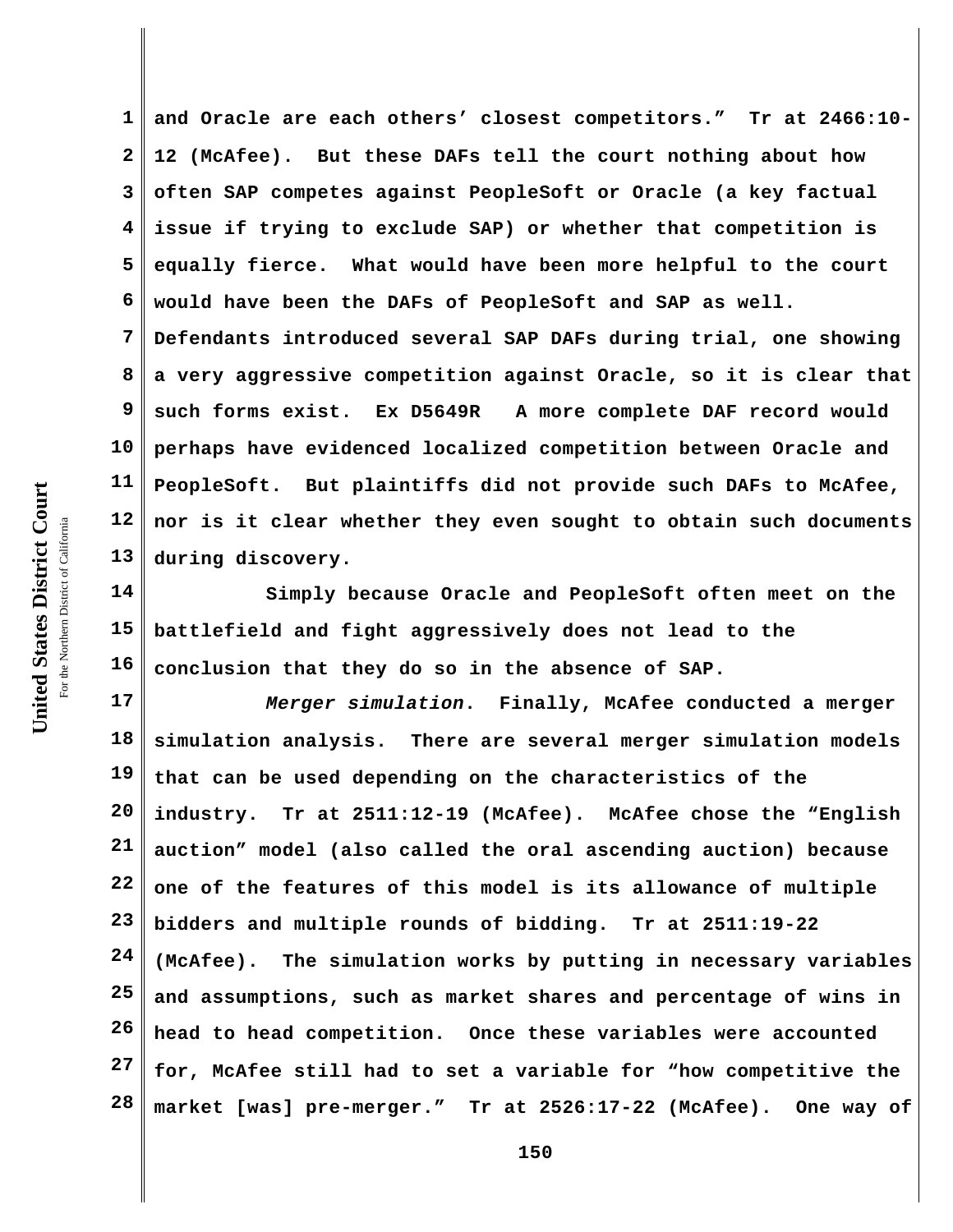**1 2 3 4 5 6 7 8 9 10 11 12 13 and Oracle are each others' closest competitors." Tr at 2466:10- 12 (McAfee). But these DAFs tell the court nothing about how often SAP competes against PeopleSoft or Oracle (a key factual issue if trying to exclude SAP) or whether that competition is equally fierce. What would have been more helpful to the court would have been the DAFs of PeopleSoft and SAP as well. Defendants introduced several SAP DAFs during trial, one showing a very aggressive competition against Oracle, so it is clear that such forms exist. Ex D5649R A more complete DAF record would perhaps have evidenced localized competition between Oracle and PeopleSoft. But plaintiffs did not provide such DAFs to McAfee, nor is it clear whether they even sought to obtain such documents during discovery.**

**14 15 16 Simply because Oracle and PeopleSoft often meet on the battlefield and fight aggressively does not lead to the conclusion that they do so in the absence of SAP.**

**17 18 19 20 21 22 23 24 25 26 27 28** *Merger simulation***. Finally, McAfee conducted a merger simulation analysis. There are several merger simulation models that can be used depending on the characteristics of the industry. Tr at 2511:12-19 (McAfee). McAfee chose the "English auction" model (also called the oral ascending auction) because one of the features of this model is its allowance of multiple bidders and multiple rounds of bidding. Tr at 2511:19-22 (McAfee). The simulation works by putting in necessary variables and assumptions, such as market shares and percentage of wins in head to head competition. Once these variables were accounted for, McAfee still had to set a variable for "how competitive the market [was] pre-merger." Tr at 2526:17-22 (McAfee). One way of**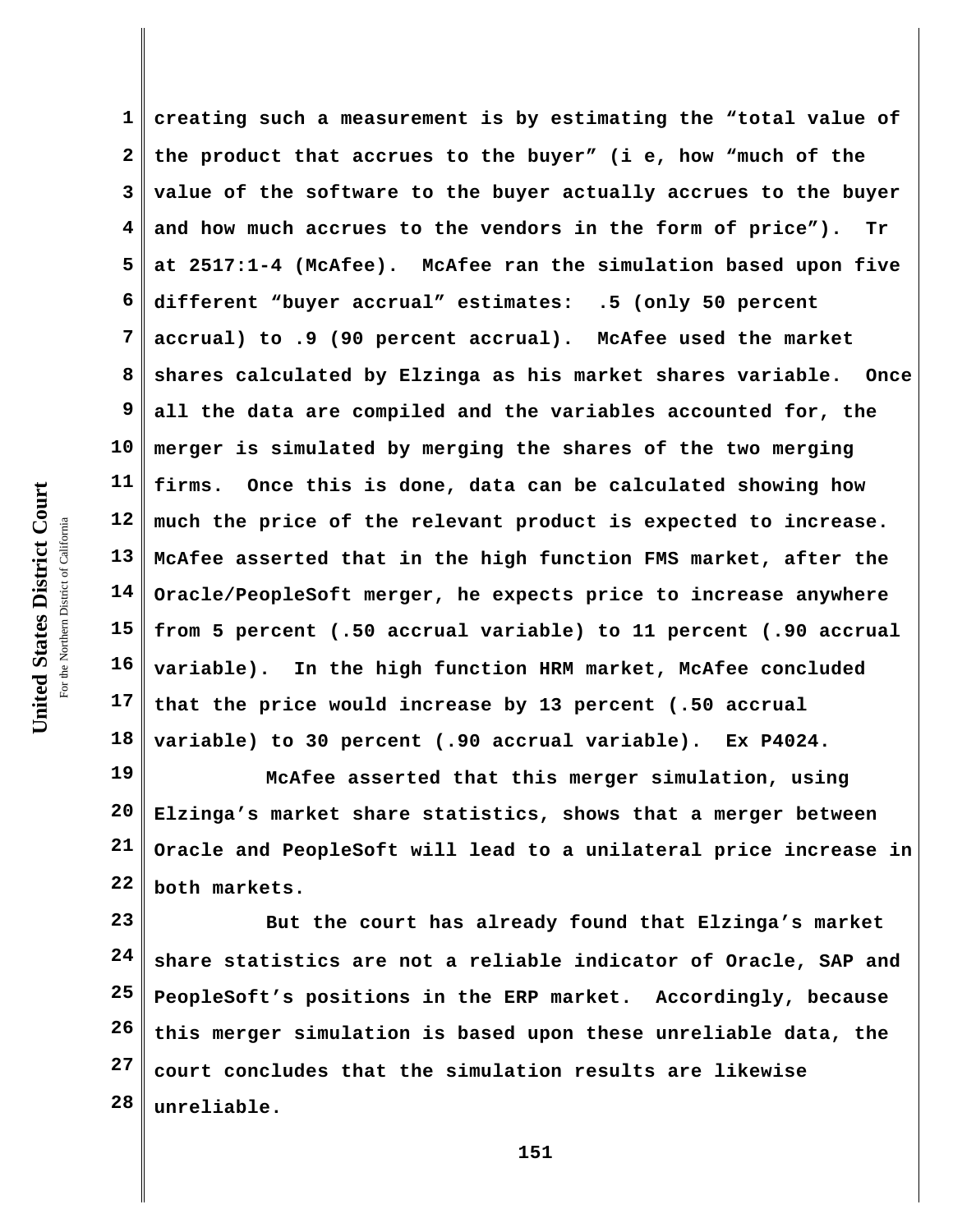**1 2 3 4 5 6 7 8 9 10 11 12 13 14 15 16 17 18 creating such a measurement is by estimating the "total value of the product that accrues to the buyer" (i e, how "much of the value of the software to the buyer actually accrues to the buyer and how much accrues to the vendors in the form of price"). Tr at 2517:1-4 (McAfee). McAfee ran the simulation based upon five different "buyer accrual" estimates: .5 (only 50 percent accrual) to .9 (90 percent accrual). McAfee used the market shares calculated by Elzinga as his market shares variable. Once all the data are compiled and the variables accounted for, the merger is simulated by merging the shares of the two merging firms. Once this is done, data can be calculated showing how much the price of the relevant product is expected to increase. McAfee asserted that in the high function FMS market, after the Oracle/PeopleSoft merger, he expects price to increase anywhere from 5 percent (.50 accrual variable) to 11 percent (.90 accrual variable). In the high function HRM market, McAfee concluded that the price would increase by 13 percent (.50 accrual variable) to 30 percent (.90 accrual variable). Ex P4024.** 

**19 20 21 22 McAfee asserted that this merger simulation, using Elzinga's market share statistics, shows that a merger between Oracle and PeopleSoft will lead to a unilateral price increase in both markets.**

**23 24 25 26 27 28 But the court has already found that Elzinga's market share statistics are not a reliable indicator of Oracle, SAP and PeopleSoft's positions in the ERP market. Accordingly, because this merger simulation is based upon these unreliable data, the court concludes that the simulation results are likewise unreliable.**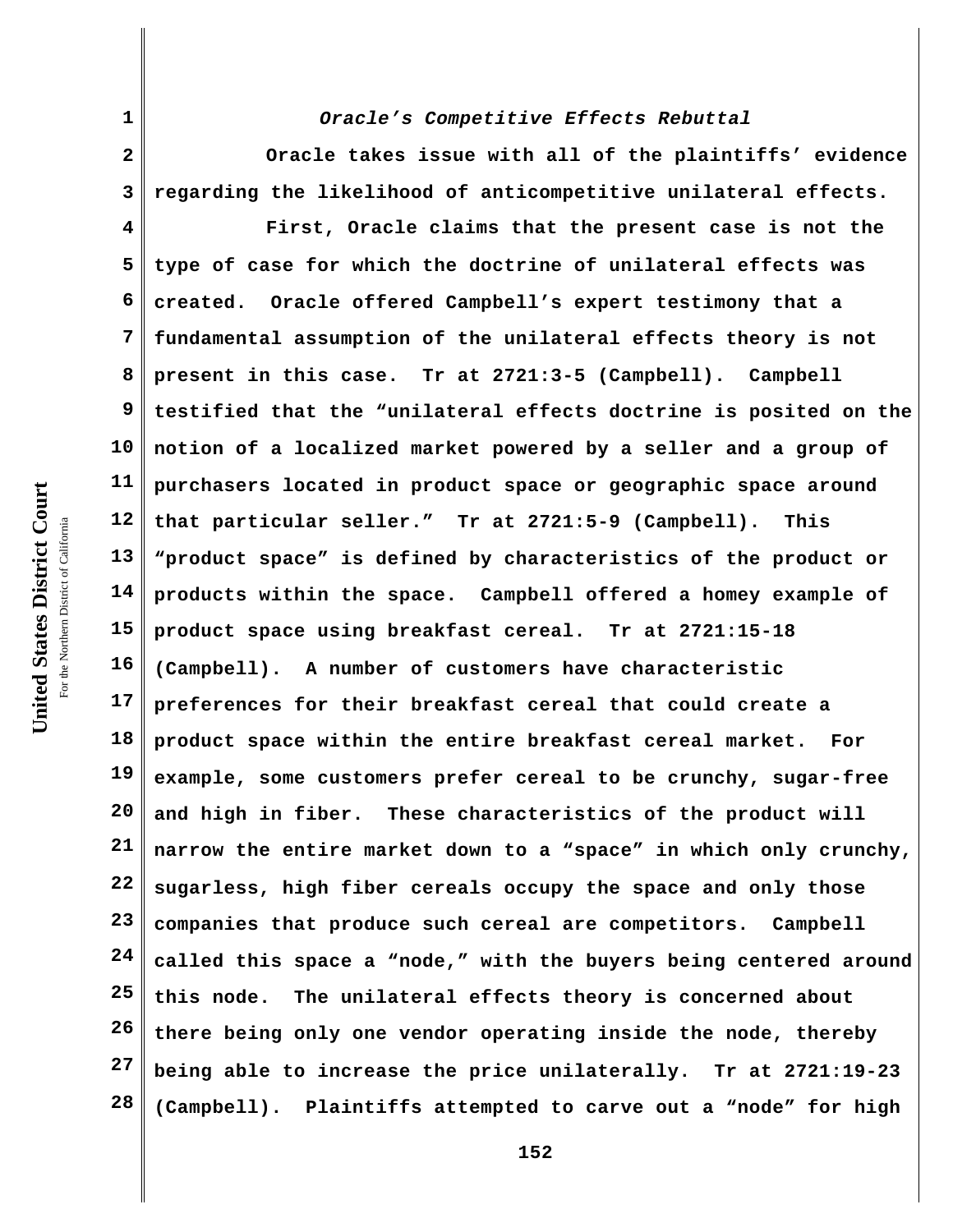**1**

**2**

**3 4 5 6 7 8 9 10 11 12 13 14 15 16 17 18 19 20 21 22 23 24 25 26 27 28 Oracle takes issue with all of the plaintiffs' evidence regarding the likelihood of anticompetitive unilateral effects. First, Oracle claims that the present case is not the type of case for which the doctrine of unilateral effects was created. Oracle offered Campbell's expert testimony that a fundamental assumption of the unilateral effects theory is not present in this case. Tr at 2721:3-5 (Campbell). Campbell testified that the "unilateral effects doctrine is posited on the notion of a localized market powered by a seller and a group of purchasers located in product space or geographic space around that particular seller." Tr at 2721:5-9 (Campbell). This "product space" is defined by characteristics of the product or products within the space. Campbell offered a homey example of product space using breakfast cereal. Tr at 2721:15-18 (Campbell). A number of customers have characteristic preferences for their breakfast cereal that could create a product space within the entire breakfast cereal market. For example, some customers prefer cereal to be crunchy, sugar-free and high in fiber. These characteristics of the product will narrow the entire market down to a "space" in which only crunchy, sugarless, high fiber cereals occupy the space and only those companies that produce such cereal are competitors. Campbell called this space a "node," with the buyers being centered around this node. The unilateral effects theory is concerned about there being only one vendor operating inside the node, thereby being able to increase the price unilaterally. Tr at 2721:19-23 (Campbell). Plaintiffs attempted to carve out a "node" for high**

# *Oracle's Competitive Effects Rebuttal*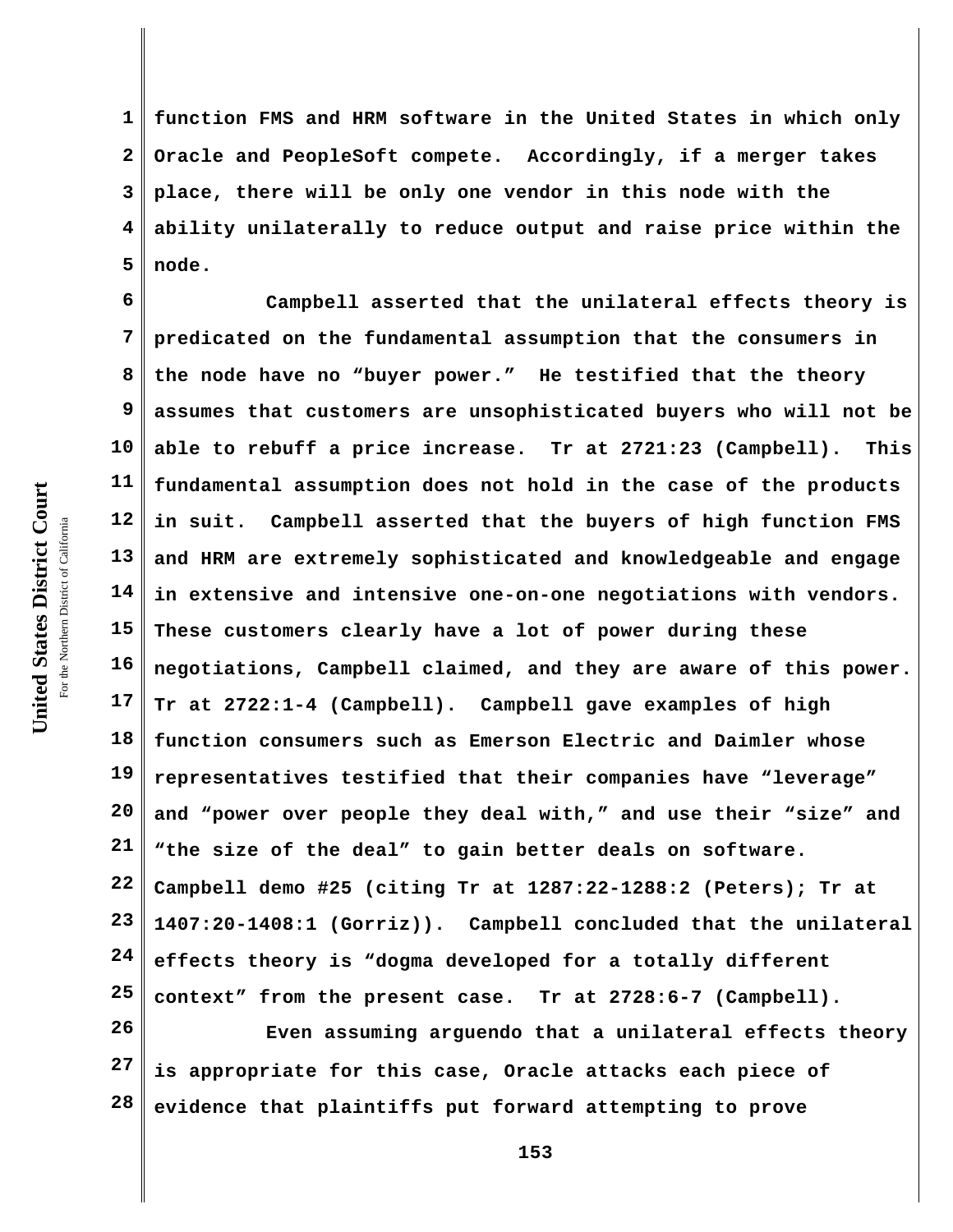**1 2 3 4 5 function FMS and HRM software in the United States in which only Oracle and PeopleSoft compete. Accordingly, if a merger takes place, there will be only one vendor in this node with the ability unilaterally to reduce output and raise price within the node.** 

**6 7 8 9 10 11 12 13 14 15 16 17 18 19 20 21 22 23 24 25 Campbell asserted that the unilateral effects theory is predicated on the fundamental assumption that the consumers in the node have no "buyer power." He testified that the theory assumes that customers are unsophisticated buyers who will not be able to rebuff a price increase. Tr at 2721:23 (Campbell). This fundamental assumption does not hold in the case of the products in suit. Campbell asserted that the buyers of high function FMS and HRM are extremely sophisticated and knowledgeable and engage in extensive and intensive one-on-one negotiations with vendors. These customers clearly have a lot of power during these negotiations, Campbell claimed, and they are aware of this power. Tr at 2722:1-4 (Campbell). Campbell gave examples of high function consumers such as Emerson Electric and Daimler whose representatives testified that their companies have "leverage" and "power over people they deal with," and use their "size" and "the size of the deal" to gain better deals on software. Campbell demo #25 (citing Tr at 1287:22-1288:2 (Peters); Tr at 1407:20-1408:1 (Gorriz)). Campbell concluded that the unilateral effects theory is "dogma developed for a totally different context" from the present case. Tr at 2728:6-7 (Campbell).**

**26 27 28 Even assuming arguendo that a unilateral effects theory is appropriate for this case, Oracle attacks each piece of evidence that plaintiffs put forward attempting to prove**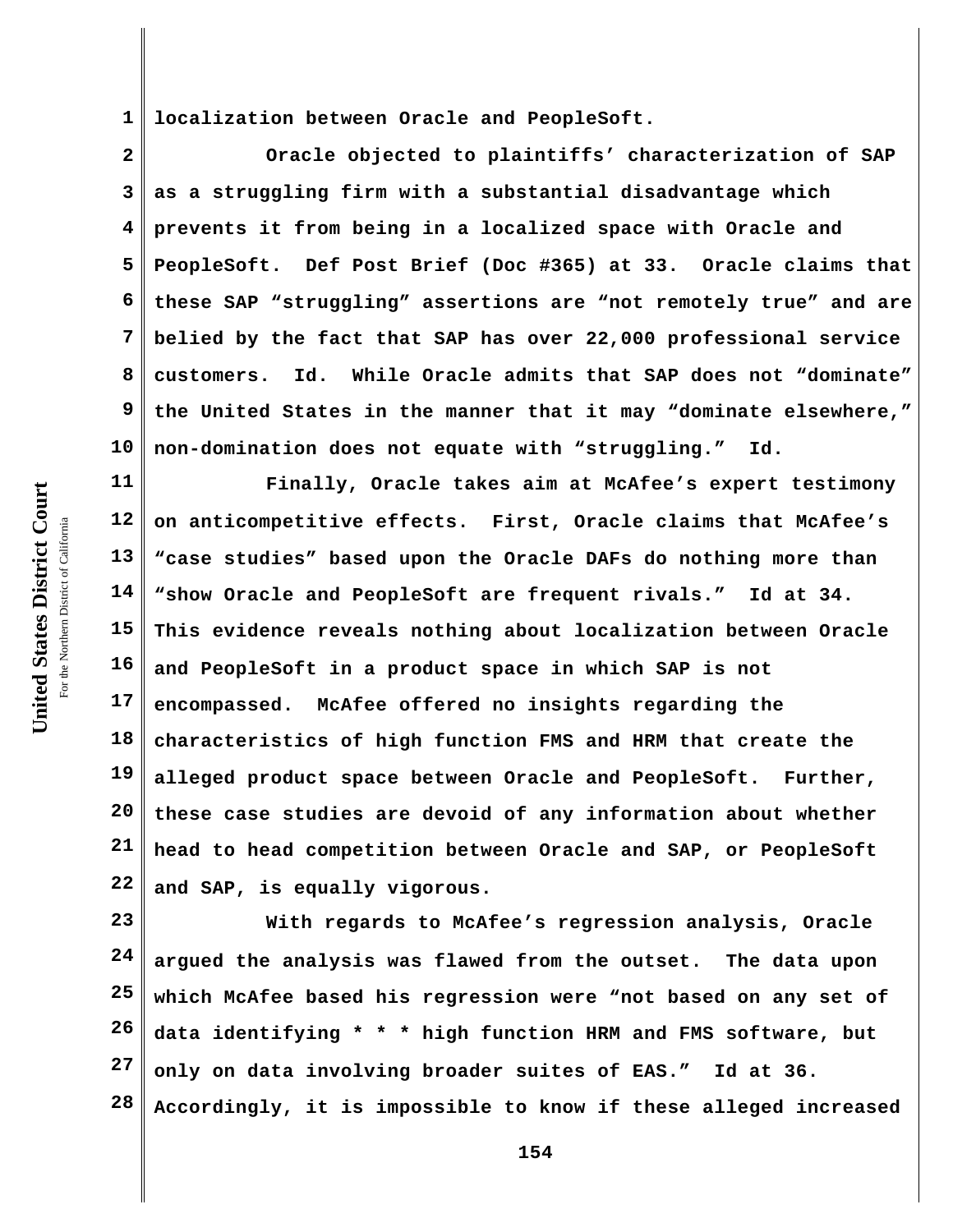**1 localization between Oracle and PeopleSoft.**

**2 3 4 5 6 7 8 9 10 Oracle objected to plaintiffs' characterization of SAP as a struggling firm with a substantial disadvantage which prevents it from being in a localized space with Oracle and PeopleSoft. Def Post Brief (Doc #365) at 33. Oracle claims that these SAP "struggling" assertions are "not remotely true" and are belied by the fact that SAP has over 22,000 professional service customers. Id. While Oracle admits that SAP does not "dominate" the United States in the manner that it may "dominate elsewhere," non-domination does not equate with "struggling." Id.**

**11 12 13 14 15 16 17 18 19 20 21 22 Finally, Oracle takes aim at McAfee's expert testimony on anticompetitive effects. First, Oracle claims that McAfee's "case studies" based upon the Oracle DAFs do nothing more than "show Oracle and PeopleSoft are frequent rivals." Id at 34. This evidence reveals nothing about localization between Oracle and PeopleSoft in a product space in which SAP is not encompassed. McAfee offered no insights regarding the characteristics of high function FMS and HRM that create the alleged product space between Oracle and PeopleSoft. Further, these case studies are devoid of any information about whether head to head competition between Oracle and SAP, or PeopleSoft and SAP, is equally vigorous.**

**23 24 25 26 27 28 With regards to McAfee's regression analysis, Oracle argued the analysis was flawed from the outset. The data upon which McAfee based his regression were "not based on any set of data identifying \* \* \* high function HRM and FMS software, but only on data involving broader suites of EAS." Id at 36. Accordingly, it is impossible to know if these alleged increased**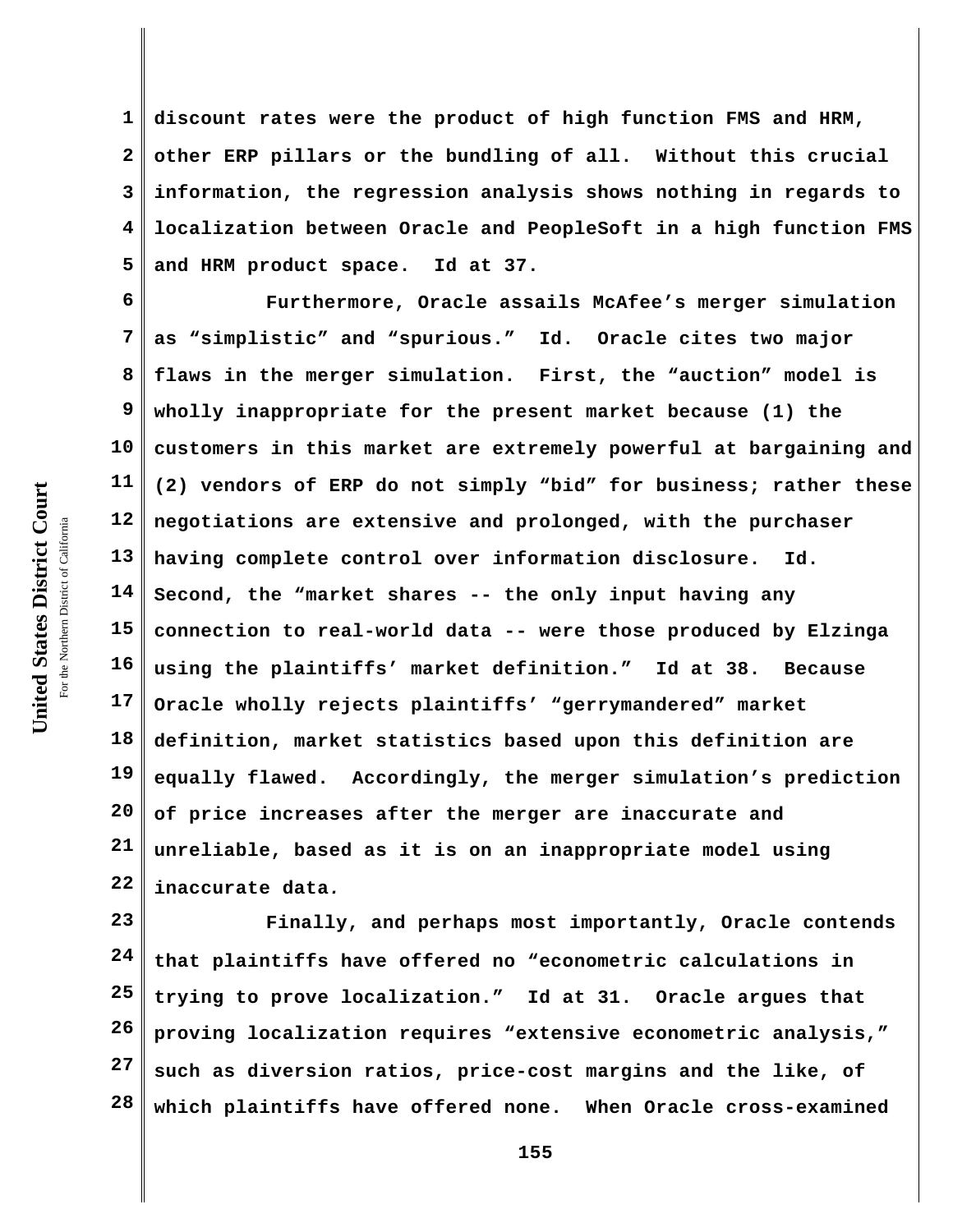**1 2 3 4 5 discount rates were the product of high function FMS and HRM, other ERP pillars or the bundling of all. Without this crucial information, the regression analysis shows nothing in regards to localization between Oracle and PeopleSoft in a high function FMS and HRM product space. Id at 37.**

**6 7 8 9 10 11 12 13 14 15 16 17 18 19 20 21 22 Furthermore, Oracle assails McAfee's merger simulation as "simplistic" and "spurious." Id. Oracle cites two major flaws in the merger simulation. First, the "auction" model is wholly inappropriate for the present market because (1) the customers in this market are extremely powerful at bargaining and (2) vendors of ERP do not simply "bid" for business; rather these negotiations are extensive and prolonged, with the purchaser having complete control over information disclosure. Id. Second, the "market shares -- the only input having any connection to real-world data -- were those produced by Elzinga using the plaintiffs' market definition." Id at 38. Because Oracle wholly rejects plaintiffs' "gerrymandered" market definition, market statistics based upon this definition are equally flawed. Accordingly, the merger simulation's prediction of price increases after the merger are inaccurate and unreliable, based as it is on an inappropriate model using inaccurate data***.*

**23 24 25 26 27 28 Finally, and perhaps most importantly, Oracle contends that plaintiffs have offered no "econometric calculations in trying to prove localization." Id at 31. Oracle argues that proving localization requires "extensive econometric analysis," such as diversion ratios, price-cost margins and the like, of which plaintiffs have offered none. When Oracle cross-examined**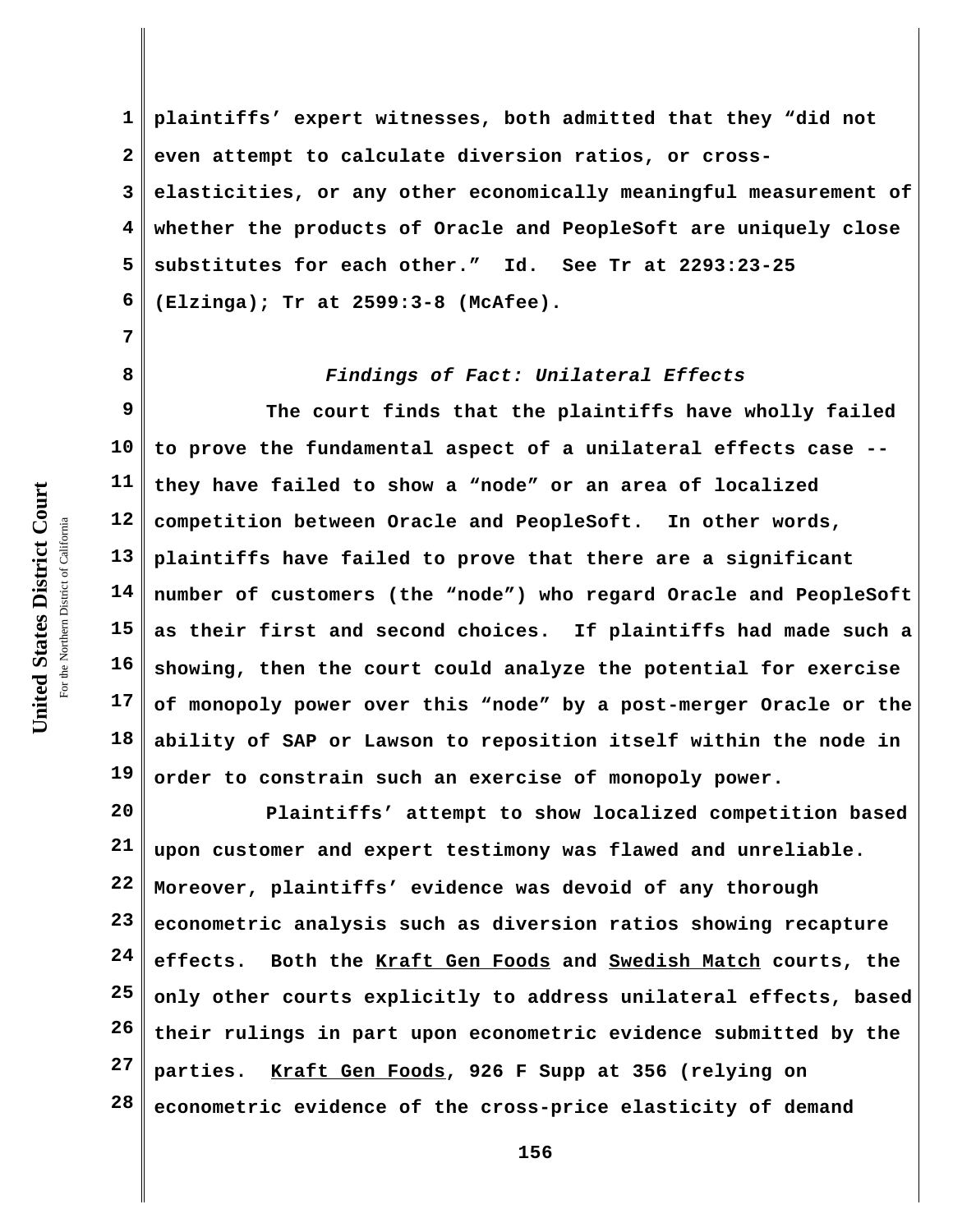**7**

**8**

**1 2 3 4 5 6 plaintiffs' expert witnesses, both admitted that they "did not even attempt to calculate diversion ratios, or crosselasticities, or any other economically meaningful measurement of whether the products of Oracle and PeopleSoft are uniquely close substitutes for each other." Id. See Tr at 2293:23-25 (Elzinga); Tr at 2599:3-8 (McAfee).**

*Findings of Fact: Unilateral Effects*

**9 10 11 12 13 14 15 16 17 18 19 The court finds that the plaintiffs have wholly failed to prove the fundamental aspect of a unilateral effects case - they have failed to show a "node" or an area of localized competition between Oracle and PeopleSoft. In other words, plaintiffs have failed to prove that there are a significant number of customers (the "node") who regard Oracle and PeopleSoft as their first and second choices. If plaintiffs had made such a showing, then the court could analyze the potential for exercise of monopoly power over this "node" by a post-merger Oracle or the ability of SAP or Lawson to reposition itself within the node in order to constrain such an exercise of monopoly power.**

**20 21 22 23 24 25 26 27 28 Plaintiffs' attempt to show localized competition based upon customer and expert testimony was flawed and unreliable. Moreover, plaintiffs' evidence was devoid of any thorough econometric analysis such as diversion ratios showing recapture effects. Both the Kraft Gen Foods and Swedish Match courts, the only other courts explicitly to address unilateral effects, based their rulings in part upon econometric evidence submitted by the parties. Kraft Gen Foods, 926 F Supp at 356 (relying on econometric evidence of the cross-price elasticity of demand**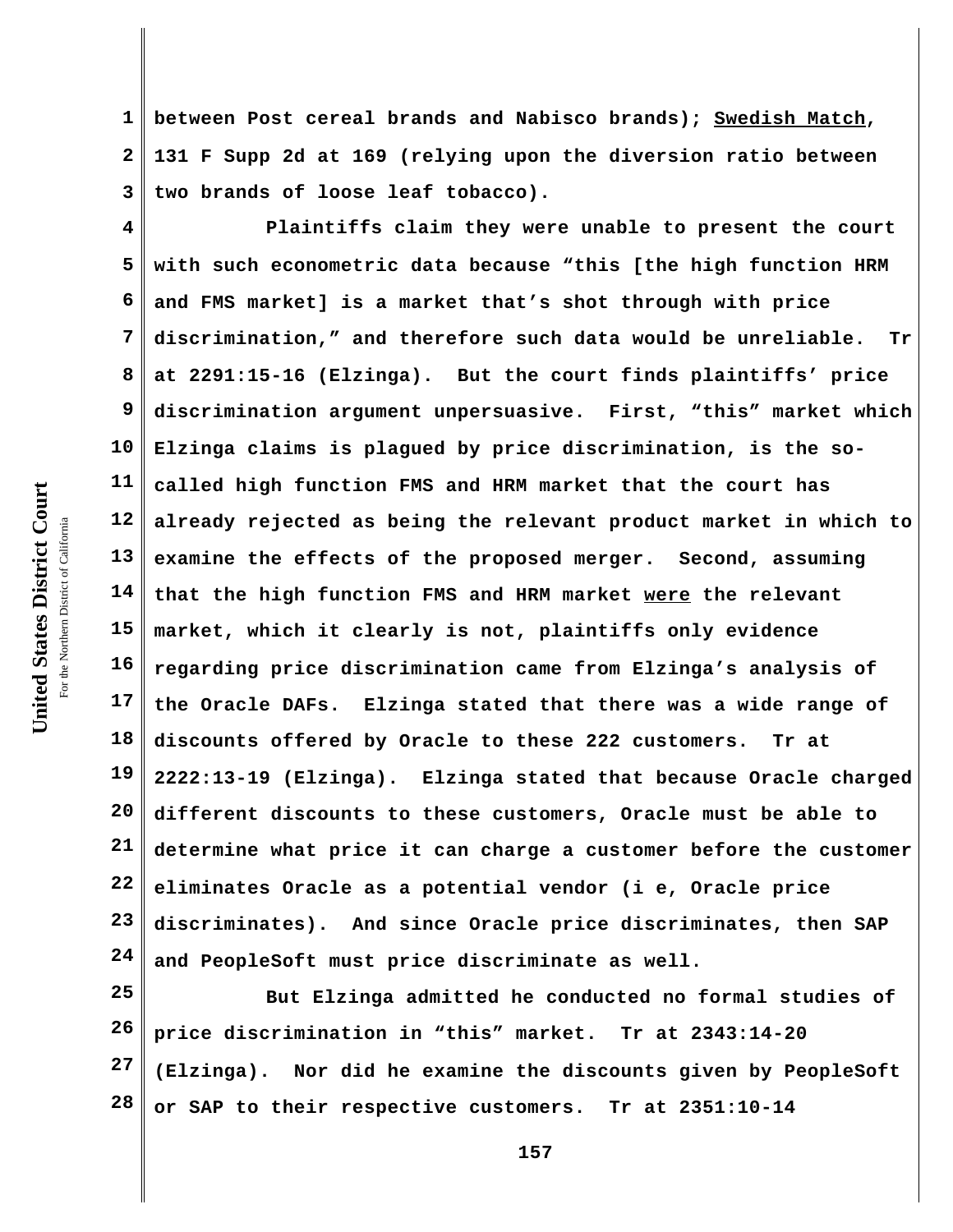**1 2 3 between Post cereal brands and Nabisco brands); Swedish Match, 131 F Supp 2d at 169 (relying upon the diversion ratio between two brands of loose leaf tobacco).** 

**4 5 6 7 8 9 10 11 12 13 14 15 16 17 18 19 20 21 22 23 24 Plaintiffs claim they were unable to present the court with such econometric data because "this [the high function HRM and FMS market] is a market that's shot through with price discrimination," and therefore such data would be unreliable. Tr at 2291:15-16 (Elzinga). But the court finds plaintiffs' price discrimination argument unpersuasive. First, "this" market which Elzinga claims is plagued by price discrimination, is the socalled high function FMS and HRM market that the court has already rejected as being the relevant product market in which to examine the effects of the proposed merger. Second, assuming that the high function FMS and HRM market were the relevant market, which it clearly is not, plaintiffs only evidence regarding price discrimination came from Elzinga's analysis of the Oracle DAFs. Elzinga stated that there was a wide range of discounts offered by Oracle to these 222 customers. Tr at 2222:13-19 (Elzinga). Elzinga stated that because Oracle charged different discounts to these customers, Oracle must be able to determine what price it can charge a customer before the customer eliminates Oracle as a potential vendor (i e, Oracle price discriminates). And since Oracle price discriminates, then SAP and PeopleSoft must price discriminate as well.**

**25 26 27 28 But Elzinga admitted he conducted no formal studies of price discrimination in "this" market. Tr at 2343:14-20 (Elzinga). Nor did he examine the discounts given by PeopleSoft or SAP to their respective customers. Tr at 2351:10-14**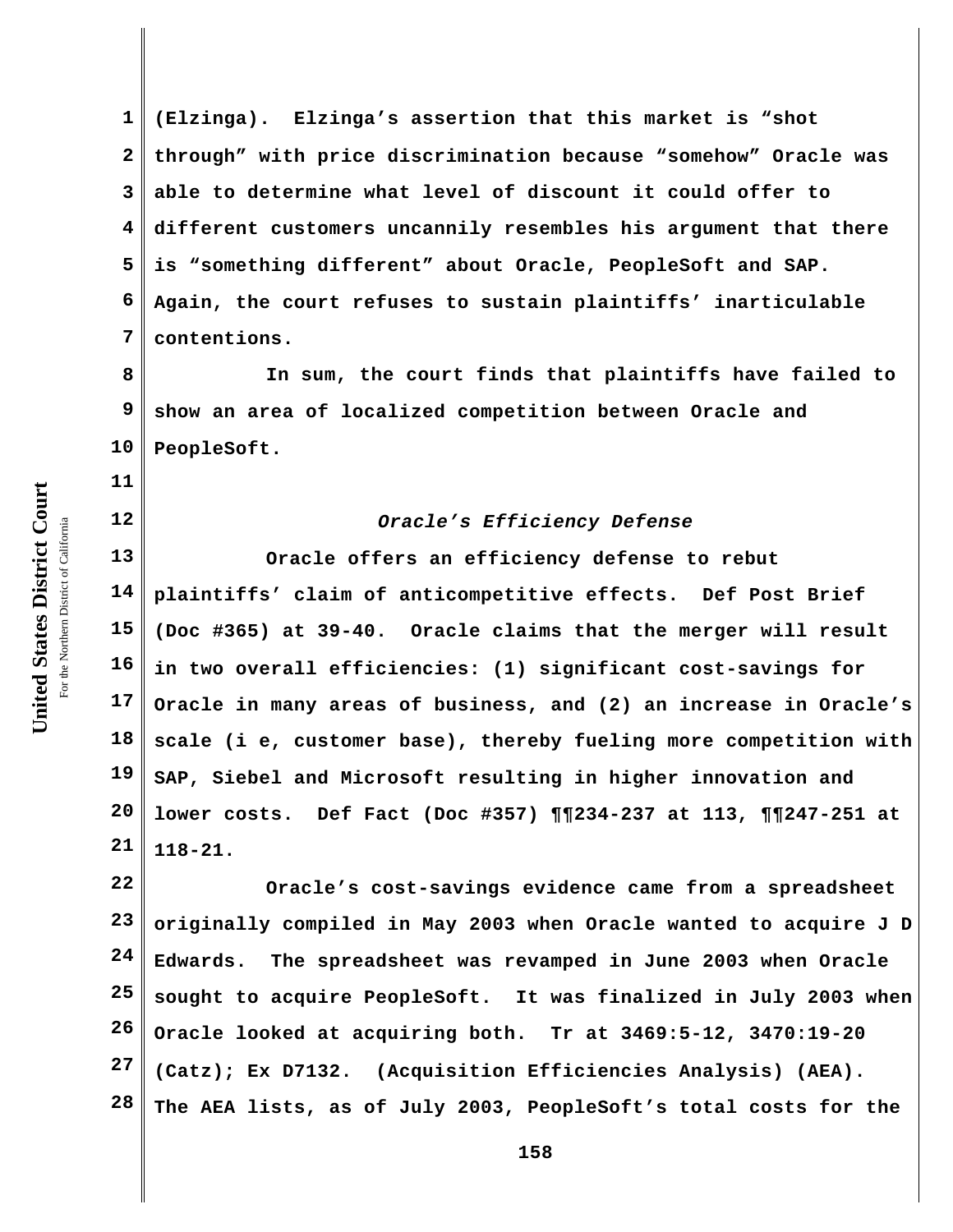**11**

**12**

**1 2 3 4 5 6 7 (Elzinga). Elzinga's assertion that this market is "shot through" with price discrimination because "somehow" Oracle was able to determine what level of discount it could offer to different customers uncannily resembles his argument that there is "something different" about Oracle, PeopleSoft and SAP. Again, the court refuses to sustain plaintiffs' inarticulable contentions.**

**8 9 10 In sum, the court finds that plaintiffs have failed to show an area of localized competition between Oracle and PeopleSoft.**

# *Oracle's Efficiency Defense*

**13 14 15 16 17 18 19 20 21 Oracle offers an efficiency defense to rebut plaintiffs' claim of anticompetitive effects. Def Post Brief (Doc #365) at 39-40. Oracle claims that the merger will result in two overall efficiencies: (1) significant cost-savings for Oracle in many areas of business, and (2) an increase in Oracle's scale (i e, customer base), thereby fueling more competition with SAP, Siebel and Microsoft resulting in higher innovation and lower costs. Def Fact (Doc #357) ¶¶234-237 at 113, ¶¶247-251 at 118-21.**

**22 23 24 25 26 27 28 Oracle's cost-savings evidence came from a spreadsheet originally compiled in May 2003 when Oracle wanted to acquire J D Edwards. The spreadsheet was revamped in June 2003 when Oracle sought to acquire PeopleSoft. It was finalized in July 2003 when Oracle looked at acquiring both. Tr at 3469:5-12, 3470:19-20 (Catz); Ex D7132. (Acquisition Efficiencies Analysis) (AEA). The AEA lists, as of July 2003, PeopleSoft's total costs for the**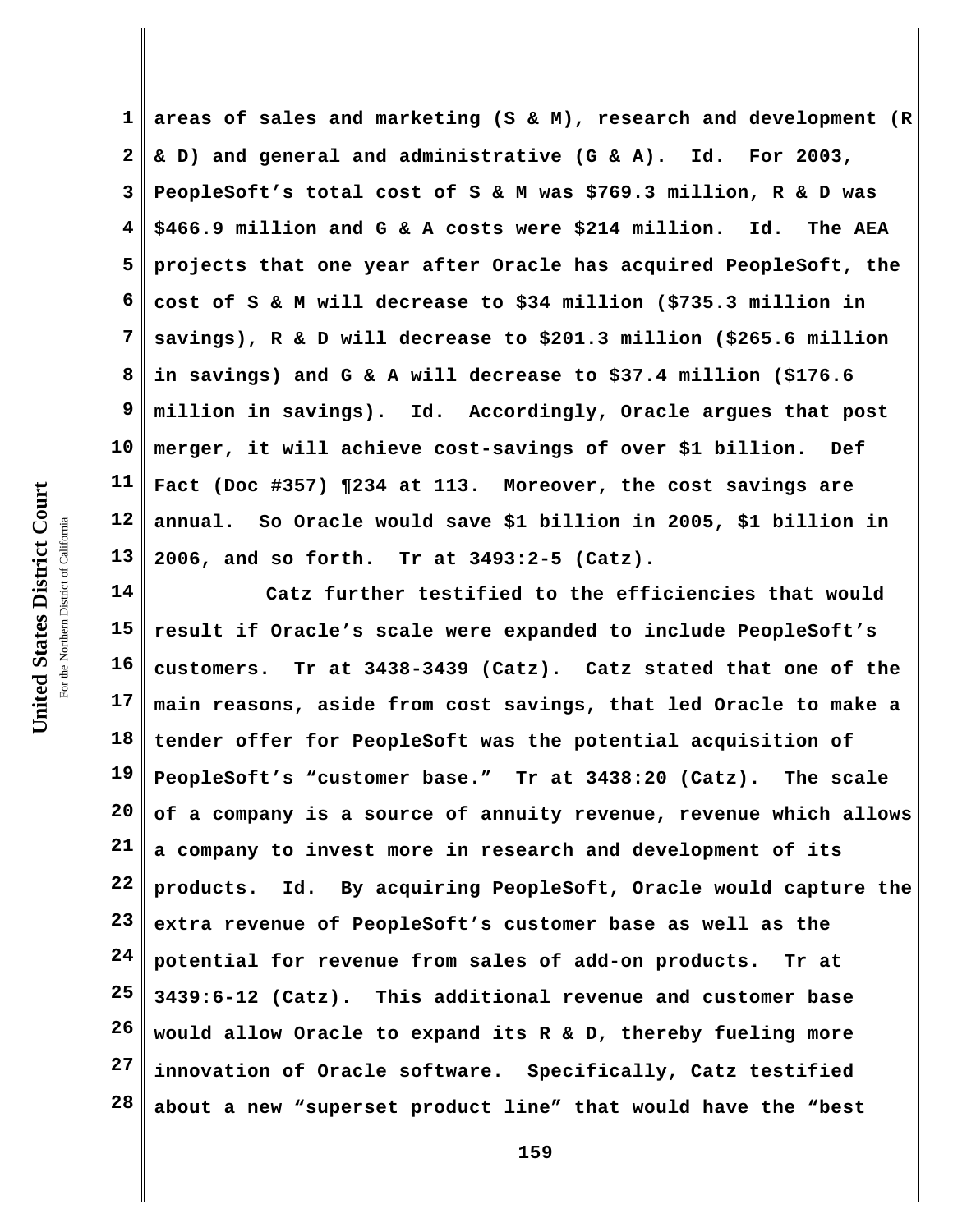**1 2 3 4 5 6 7 8 9 10 11 12 13 areas of sales and marketing (S & M), research and development (R & D) and general and administrative (G & A). Id. For 2003, PeopleSoft's total cost of S & M was \$769.3 million, R & D was \$466.9 million and G & A costs were \$214 million. Id. The AEA projects that one year after Oracle has acquired PeopleSoft, the cost of S & M will decrease to \$34 million (\$735.3 million in savings), R & D will decrease to \$201.3 million (\$265.6 million in savings) and G & A will decrease to \$37.4 million (\$176.6 million in savings). Id. Accordingly, Oracle argues that post merger, it will achieve cost-savings of over \$1 billion. Def Fact (Doc #357) ¶234 at 113. Moreover, the cost savings are annual. So Oracle would save \$1 billion in 2005, \$1 billion in 2006, and so forth. Tr at 3493:2-5 (Catz).** 

**14 15 16 17 18 19 20 21 22 23 24 25 26 27 28 Catz further testified to the efficiencies that would result if Oracle's scale were expanded to include PeopleSoft's customers. Tr at 3438-3439 (Catz). Catz stated that one of the main reasons, aside from cost savings, that led Oracle to make a tender offer for PeopleSoft was the potential acquisition of PeopleSoft's "customer base." Tr at 3438:20 (Catz). The scale of a company is a source of annuity revenue, revenue which allows a company to invest more in research and development of its products. Id. By acquiring PeopleSoft, Oracle would capture the extra revenue of PeopleSoft's customer base as well as the potential for revenue from sales of add-on products. Tr at 3439:6-12 (Catz). This additional revenue and customer base would allow Oracle to expand its R & D, thereby fueling more innovation of Oracle software. Specifically, Catz testified about a new "superset product line" that would have the "best**

United States District Court **United States District Court** For the Northern District of California the Northern District of California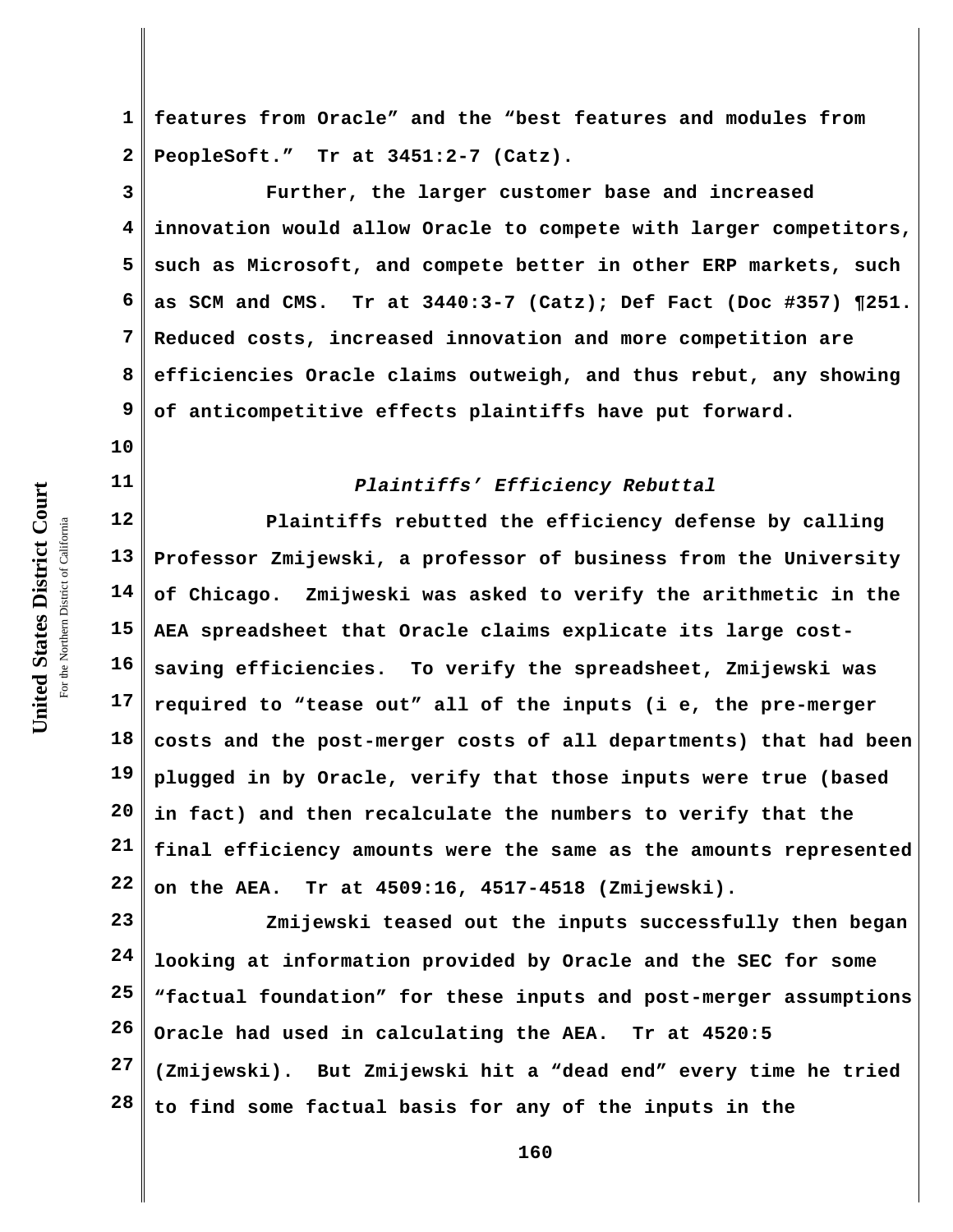**10**

**11**

**1 2 features from Oracle" and the "best features and modules from PeopleSoft." Tr at 3451:2-7 (Catz).** 

**3 4 5 6 7 8 9 Further, the larger customer base and increased innovation would allow Oracle to compete with larger competitors, such as Microsoft, and compete better in other ERP markets, such as SCM and CMS. Tr at 3440:3-7 (Catz); Def Fact (Doc #357) ¶251. Reduced costs, increased innovation and more competition are efficiencies Oracle claims outweigh, and thus rebut, any showing of anticompetitive effects plaintiffs have put forward.**

#### *Plaintiffs' Efficiency Rebuttal*

**12 13 14 15 16 17 18 19 20 21 22 Plaintiffs rebutted the efficiency defense by calling Professor Zmijewski, a professor of business from the University of Chicago. Zmijweski was asked to verify the arithmetic in the AEA spreadsheet that Oracle claims explicate its large costsaving efficiencies. To verify the spreadsheet, Zmijewski was required to "tease out" all of the inputs (i e, the pre-merger costs and the post-merger costs of all departments) that had been plugged in by Oracle, verify that those inputs were true (based in fact) and then recalculate the numbers to verify that the final efficiency amounts were the same as the amounts represented on the AEA. Tr at 4509:16, 4517-4518 (Zmijewski).** 

**23 24 25 26 27 28 Zmijewski teased out the inputs successfully then began looking at information provided by Oracle and the SEC for some "factual foundation" for these inputs and post-merger assumptions Oracle had used in calculating the AEA. Tr at 4520:5 (Zmijewski). But Zmijewski hit a "dead end" every time he tried to find some factual basis for any of the inputs in the**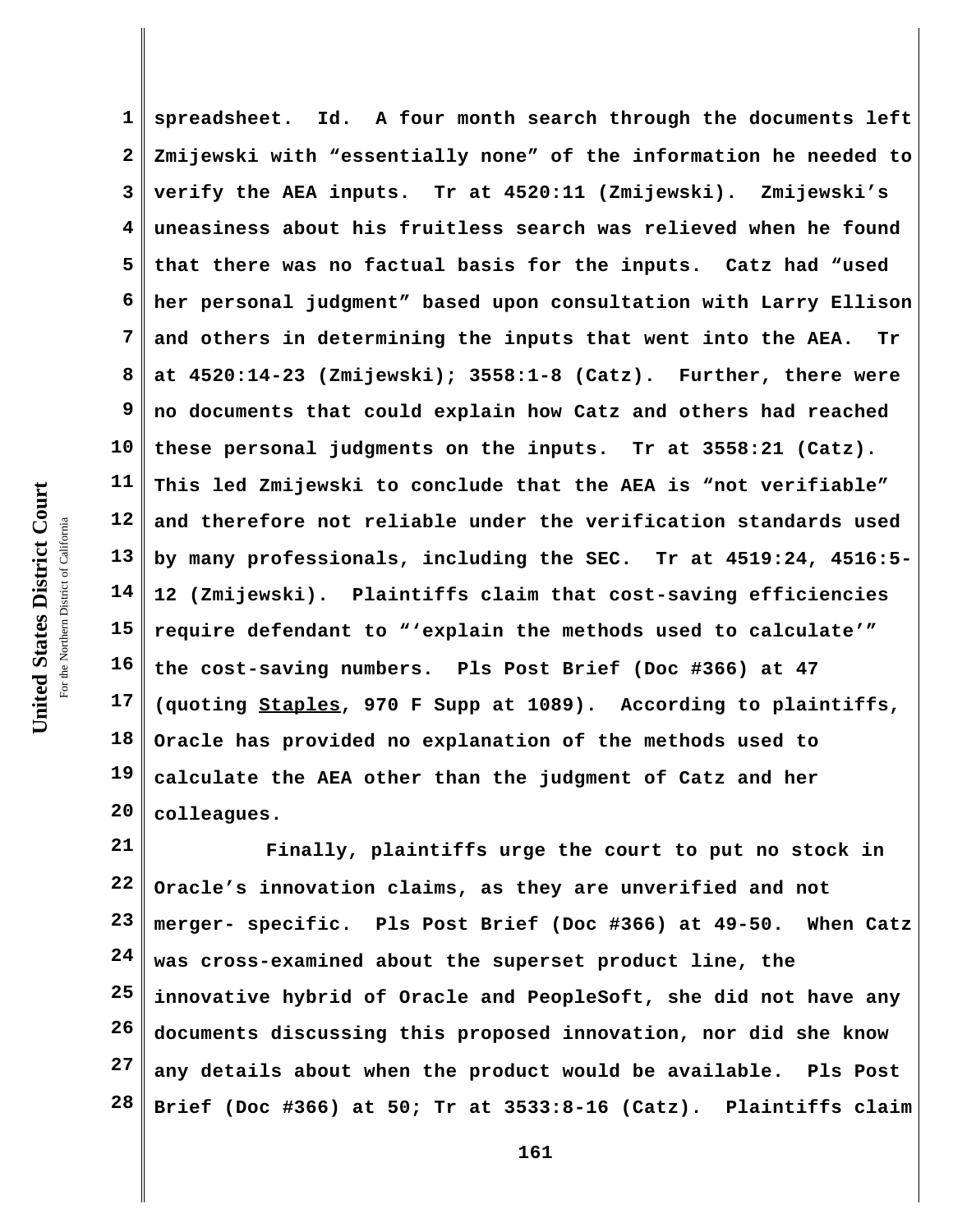**1 2 3 4 5 6 7 8 9 10 11 12 13 14 15 16 17 18 19 20 spreadsheet. Id. A four month search through the documents left Zmijewski with "essentially none" of the information he needed to verify the AEA inputs. Tr at 4520:11 (Zmijewski). Zmijewski's uneasiness about his fruitless search was relieved when he found that there was no factual basis for the inputs. Catz had "used her personal judgment" based upon consultation with Larry Ellison and others in determining the inputs that went into the AEA. Tr at 4520:14-23 (Zmijewski); 3558:1-8 (Catz). Further, there were no documents that could explain how Catz and others had reached these personal judgments on the inputs. Tr at 3558:21 (Catz). This led Zmijewski to conclude that the AEA is "not verifiable" and therefore not reliable under the verification standards used by many professionals, including the SEC. Tr at 4519:24, 4516:5- 12 (Zmijewski). Plaintiffs claim that cost-saving efficiencies require defendant to "'explain the methods used to calculate'" the cost-saving numbers. Pls Post Brief (Doc #366) at 47 (quoting Staples, 970 F Supp at 1089). According to plaintiffs, Oracle has provided no explanation of the methods used to calculate the AEA other than the judgment of Catz and her colleagues.**

**21 22 23 24 25 26 27 28 Finally, plaintiffs urge the court to put no stock in Oracle's innovation claims, as they are unverified and not merger- specific. Pls Post Brief (Doc #366) at 49-50. When Catz was cross-examined about the superset product line, the innovative hybrid of Oracle and PeopleSoft, she did not have any documents discussing this proposed innovation, nor did she know any details about when the product would be available. Pls Post Brief (Doc #366) at 50; Tr at 3533:8-16 (Catz). Plaintiffs claim**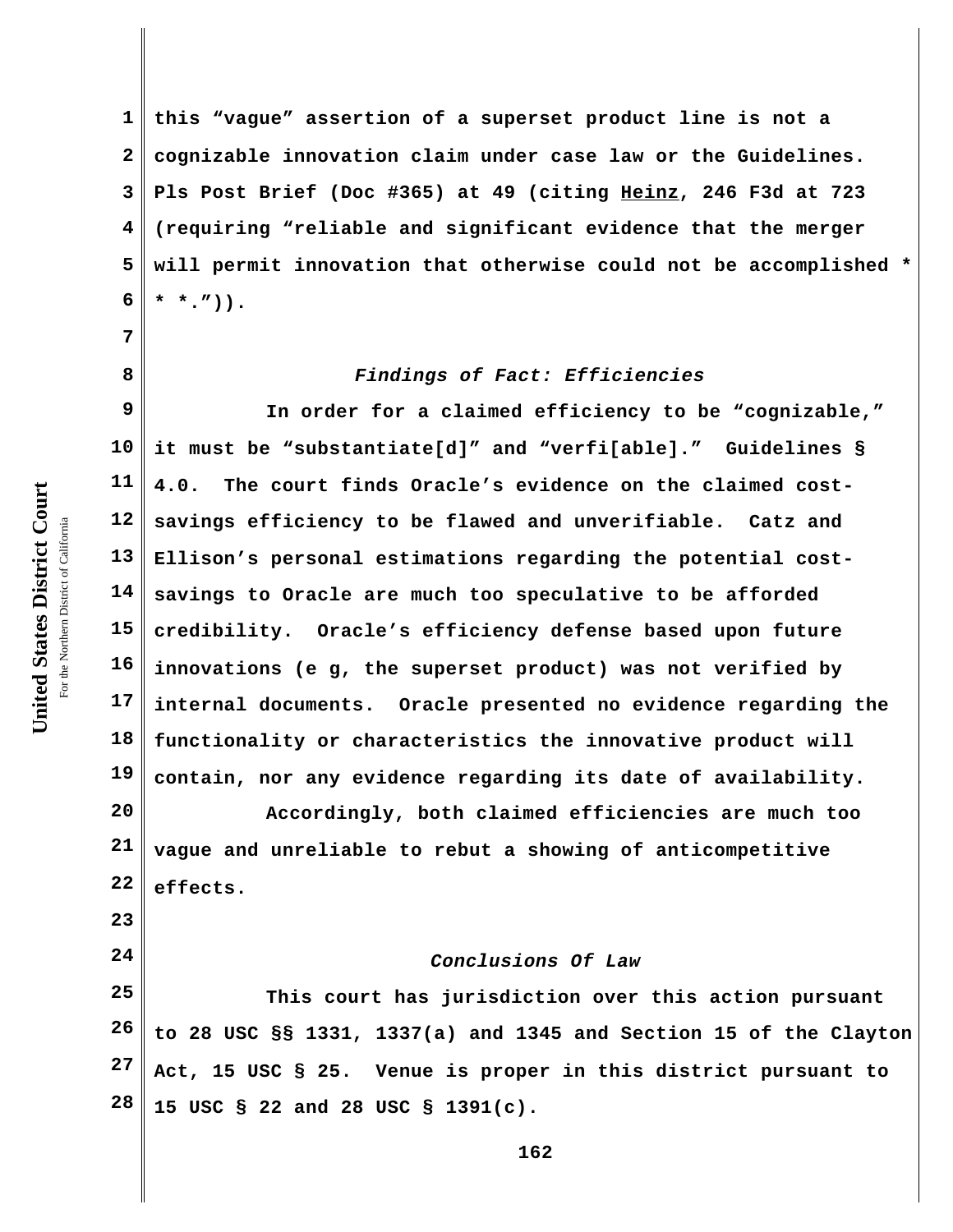**7**

**8**

**23**

**24**

**1 2 3 4 5 6 this "vague" assertion of a superset product line is not a cognizable innovation claim under case law or the Guidelines. Pls Post Brief (Doc #365) at 49 (citing Heinz, 246 F3d at 723 (requiring "reliable and significant evidence that the merger will permit innovation that otherwise could not be accomplished \* \* \*.")).**

## *Findings of Fact: Efficiencies*

**9 10 11 12 13 14 15 16 17 18 19 In order for a claimed efficiency to be "cognizable," it must be "substantiate[d]" and "verfi[able]." Guidelines § 4.0. The court finds Oracle's evidence on the claimed costsavings efficiency to be flawed and unverifiable. Catz and Ellison's personal estimations regarding the potential costsavings to Oracle are much too speculative to be afforded credibility. Oracle's efficiency defense based upon future innovations (e g, the superset product) was not verified by internal documents. Oracle presented no evidence regarding the functionality or characteristics the innovative product will contain, nor any evidence regarding its date of availability.**

**20 21 22 Accordingly, both claimed efficiencies are much too vague and unreliable to rebut a showing of anticompetitive effects.**

## *Conclusions Of Law*

**25 26 27 28 This court has jurisdiction over this action pursuant to 28 USC §§ 1331, 1337(a) and 1345 and Section 15 of the Clayton Act, 15 USC § 25. Venue is proper in this district pursuant to 15 USC § 22 and 28 USC § 1391(c).**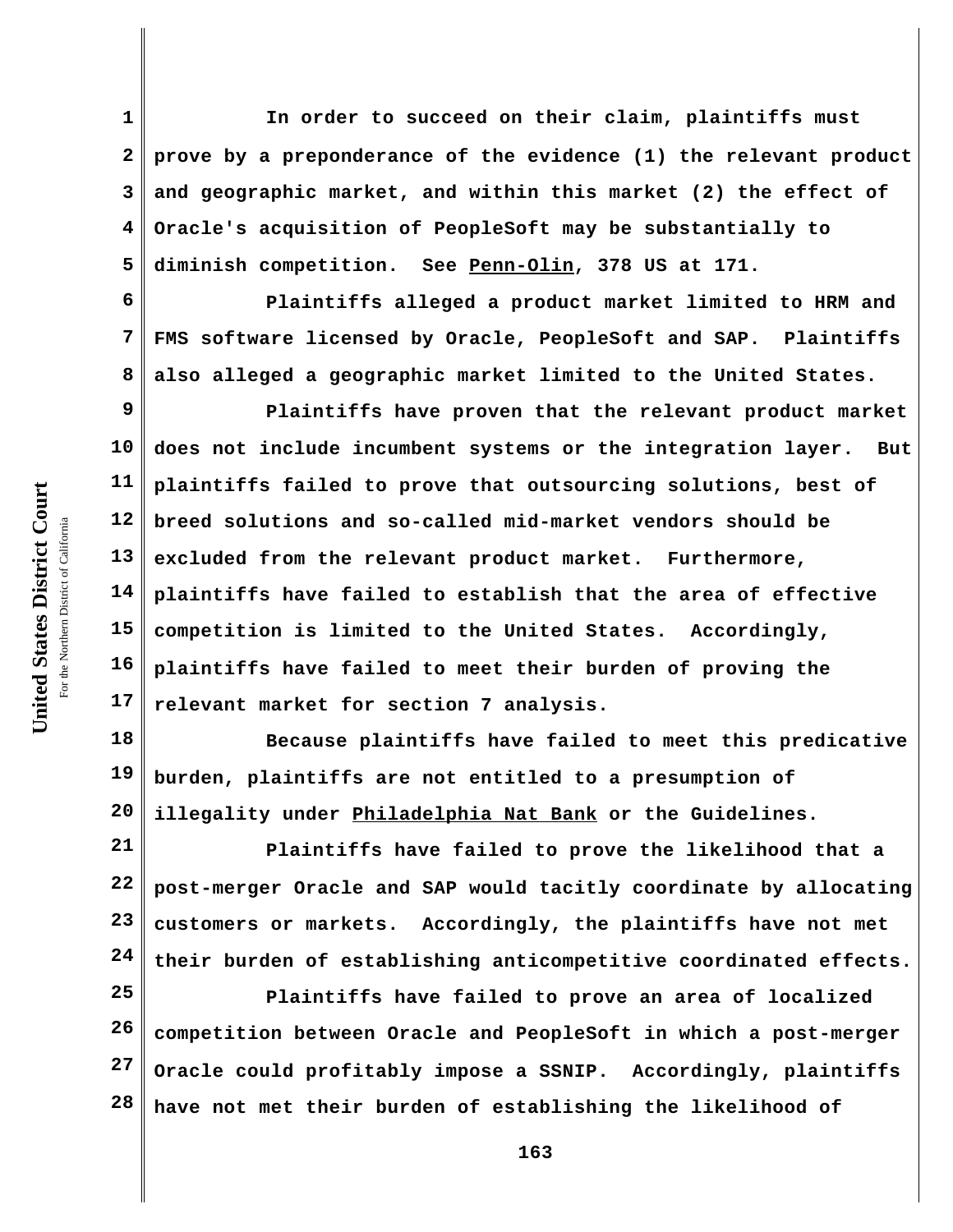**1 2 3 4 5 In order to succeed on their claim, plaintiffs must prove by a preponderance of the evidence (1) the relevant product and geographic market, and within this market (2) the effect of Oracle's acquisition of PeopleSoft may be substantially to diminish competition. See Penn-Olin, 378 US at 171.** 

**6 7 8 Plaintiffs alleged a product market limited to HRM and FMS software licensed by Oracle, PeopleSoft and SAP. Plaintiffs also alleged a geographic market limited to the United States.**

**9 10 11 12 13 14 15 16 17 Plaintiffs have proven that the relevant product market does not include incumbent systems or the integration layer. But plaintiffs failed to prove that outsourcing solutions, best of breed solutions and so-called mid-market vendors should be excluded from the relevant product market. Furthermore, plaintiffs have failed to establish that the area of effective competition is limited to the United States. Accordingly, plaintiffs have failed to meet their burden of proving the relevant market for section 7 analysis.**

**18 19 20 Because plaintiffs have failed to meet this predicative burden, plaintiffs are not entitled to a presumption of illegality under Philadelphia Nat Bank or the Guidelines.**

**21 22 23 24 Plaintiffs have failed to prove the likelihood that a post-merger Oracle and SAP would tacitly coordinate by allocating customers or markets. Accordingly, the plaintiffs have not met their burden of establishing anticompetitive coordinated effects.**

**25 26 27 28 Plaintiffs have failed to prove an area of localized competition between Oracle and PeopleSoft in which a post-merger Oracle could profitably impose a SSNIP. Accordingly, plaintiffs have not met their burden of establishing the likelihood of**